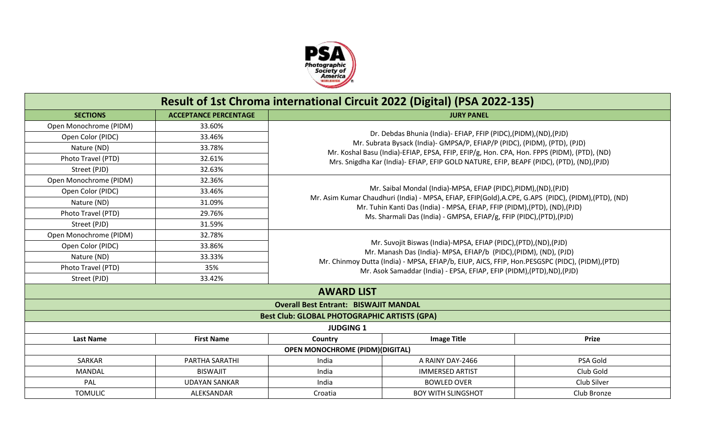

|                        |                              |                                                                                                      | Result of 1st Chroma international Circuit 2022 (Digital) (PSA 2022-135)                                                                                                  |              |  |  |  |
|------------------------|------------------------------|------------------------------------------------------------------------------------------------------|---------------------------------------------------------------------------------------------------------------------------------------------------------------------------|--------------|--|--|--|
| <b>SECTIONS</b>        | <b>ACCEPTANCE PERCENTAGE</b> |                                                                                                      | <b>JURY PANEL</b>                                                                                                                                                         |              |  |  |  |
| Open Monochrome (PIDM) | 33.60%                       |                                                                                                      |                                                                                                                                                                           |              |  |  |  |
| Open Color (PIDC)      | 33.46%                       | Dr. Debdas Bhunia (India)- EFIAP, FFIP (PIDC), (PIDM), (ND), (PJD)                                   |                                                                                                                                                                           |              |  |  |  |
| Nature (ND)            | 33.78%                       |                                                                                                      | Mr. Subrata Bysack (India)- GMPSA/P, EFIAP/P (PIDC), (PIDM), (PTD), (PJD)                                                                                                 |              |  |  |  |
| Photo Travel (PTD)     | 32.61%                       |                                                                                                      | Mr. Koshal Basu (India)-EFIAP, EPSA, FFIP, EFIP/g, Hon. CPA, Hon. FPPS (PIDM), (PTD), (ND)                                                                                |              |  |  |  |
| Street (PJD)           | 32.63%                       | Mrs. Snigdha Kar (India)- EFIAP, EFIP GOLD NATURE, EFIP, BEAPF (PIDC), (PTD), (ND), (PJD)            |                                                                                                                                                                           |              |  |  |  |
| Open Monochrome (PIDM) | 32.36%                       |                                                                                                      |                                                                                                                                                                           |              |  |  |  |
| Open Color (PIDC)      | 33.46%                       | Mr. Saibal Mondal (India)-MPSA, EFIAP (PIDC), PIDM), (ND), (PJD)                                     |                                                                                                                                                                           |              |  |  |  |
| Nature (ND)            | 31.09%                       | Mr. Asim Kumar Chaudhuri (India) - MPSA, EFIAP, EFIP(Gold), A.CPE, G.APS (PIDC), (PIDM), (PTD), (ND) |                                                                                                                                                                           |              |  |  |  |
| Photo Travel (PTD)     | 29.76%                       |                                                                                                      | Mr. Tuhin Kanti Das (India) - MPSA, EFIAP, FFIP (PIDM), (PTD), (ND), (PJD)<br>Ms. Sharmali Das (India) - GMPSA, EFIAP/g, FFIP (PIDC), (PTD), (PJD)                        |              |  |  |  |
| Street (PJD)           | 31.59%                       |                                                                                                      |                                                                                                                                                                           |              |  |  |  |
| Open Monochrome (PIDM) | 32.78%                       |                                                                                                      |                                                                                                                                                                           |              |  |  |  |
| Open Color (PIDC)      | 33.86%                       |                                                                                                      | Mr. Suvojit Biswas (India)-MPSA, EFIAP (PIDC), (PTD), (ND), (PJD)                                                                                                         |              |  |  |  |
| Nature (ND)            | 33.33%                       |                                                                                                      | Mr. Manash Das (India)- MPSA, EFIAP/b (PIDC), (PIDM), (ND), (PJD)                                                                                                         |              |  |  |  |
| Photo Travel (PTD)     | 35%                          |                                                                                                      | Mr. Chinmoy Dutta (India) - MPSA, EFIAP/b, EIUP, AICS, FFIP, Hon.PESGSPC (PIDC), (PIDM), (PTD)<br>Mr. Asok Samaddar (India) - EPSA, EFIAP, EFIP (PIDM), (PTD), ND), (PJD) |              |  |  |  |
| Street (PJD)           | 33.42%                       |                                                                                                      |                                                                                                                                                                           |              |  |  |  |
|                        |                              | <b>AWARD LIST</b>                                                                                    |                                                                                                                                                                           |              |  |  |  |
|                        |                              | <b>Overall Best Entrant: BISWAJIT MANDAL</b>                                                         |                                                                                                                                                                           |              |  |  |  |
|                        |                              | <b>Best Club: GLOBAL PHOTOGRAPHIC ARTISTS (GPA)</b>                                                  |                                                                                                                                                                           |              |  |  |  |
|                        |                              | <b>JUDGING 1</b>                                                                                     |                                                                                                                                                                           |              |  |  |  |
| <b>Last Name</b>       | <b>First Name</b>            | Country                                                                                              | <b>Image Title</b>                                                                                                                                                        | <b>Prize</b> |  |  |  |
|                        |                              | <b>OPEN MONOCHROME (PIDM)(DIGITAL)</b>                                                               |                                                                                                                                                                           |              |  |  |  |
| SARKAR                 | PARTHA SARATHI               | India                                                                                                | A RAINY DAY-2466                                                                                                                                                          | PSA Gold     |  |  |  |
| MANDAL                 | <b>BISWAJIT</b>              | India                                                                                                | <b>IMMERSED ARTIST</b>                                                                                                                                                    | Club Gold    |  |  |  |
| PAL                    | <b>UDAYAN SANKAR</b>         | India                                                                                                | <b>BOWLED OVER</b>                                                                                                                                                        | Club Silver  |  |  |  |
| <b>TOMULIC</b>         | ALEKSANDAR                   | Croatia                                                                                              | <b>BOY WITH SLINGSHOT</b>                                                                                                                                                 | Club Bronze  |  |  |  |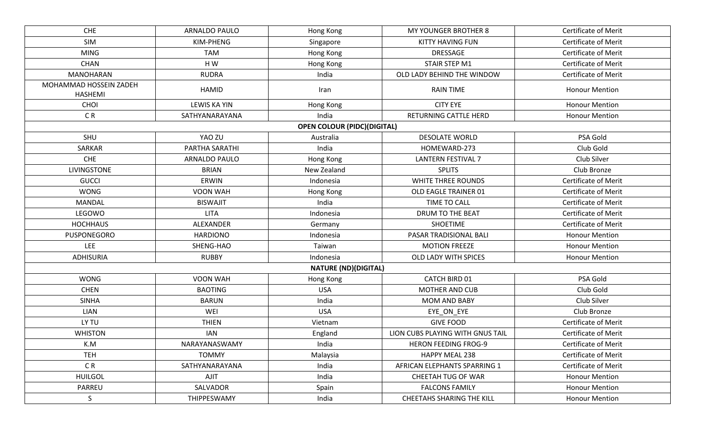| <b>CHE</b>                               | <b>ARNALDO PAULO</b> | Hong Kong                          | MY YOUNGER BROTHER 8             | Certificate of Merit        |
|------------------------------------------|----------------------|------------------------------------|----------------------------------|-----------------------------|
| <b>SIM</b>                               | KIM-PHENG            | Singapore                          | KITTY HAVING FUN                 | <b>Certificate of Merit</b> |
| <b>MING</b>                              | <b>TAM</b>           | Hong Kong                          | DRESSAGE                         | <b>Certificate of Merit</b> |
| <b>CHAN</b>                              | HW                   | Hong Kong                          | STAIR STEP M1                    | <b>Certificate of Merit</b> |
| <b>MANOHARAN</b>                         | <b>RUDRA</b>         | India                              | OLD LADY BEHIND THE WINDOW       | <b>Certificate of Merit</b> |
| MOHAMMAD HOSSEIN ZADEH<br><b>HASHEMI</b> | HAMID                | Iran                               | <b>RAIN TIME</b>                 | <b>Honour Mention</b>       |
| <b>CHOI</b>                              | LEWIS KA YIN         | Hong Kong                          | <b>CITY EYE</b>                  | <b>Honour Mention</b>       |
| CR <sub></sub>                           | SATHYANARAYANA       | India                              | RETURNING CATTLE HERD            | <b>Honour Mention</b>       |
|                                          |                      | <b>OPEN COLOUR (PIDC)(DIGITAL)</b> |                                  |                             |
| SHU                                      | YAO ZU               | Australia                          | <b>DESOLATE WORLD</b>            | PSA Gold                    |
| SARKAR                                   | PARTHA SARATHI       | India                              | HOMEWARD-273                     | Club Gold                   |
| CHE                                      | ARNALDO PAULO        | Hong Kong                          | <b>LANTERN FESTIVAL 7</b>        | Club Silver                 |
| <b>LIVINGSTONE</b>                       | <b>BRIAN</b>         | New Zealand                        | <b>SPLITS</b>                    | Club Bronze                 |
| <b>GUCCI</b>                             | <b>ERWIN</b>         | Indonesia                          | <b>WHITE THREE ROUNDS</b>        | <b>Certificate of Merit</b> |
| <b>WONG</b>                              | VOON WAH             | Hong Kong                          | OLD EAGLE TRAINER 01             | <b>Certificate of Merit</b> |
| <b>MANDAL</b>                            | <b>BISWAJIT</b>      | India                              | TIME TO CALL                     | <b>Certificate of Merit</b> |
| LEGOWO                                   | <b>LITA</b>          | Indonesia                          | DRUM TO THE BEAT                 | Certificate of Merit        |
| <b>HOCHHAUS</b>                          | ALEXANDER            | Germany                            | <b>SHOETIME</b>                  | <b>Certificate of Merit</b> |
| PUSPONEGORO                              | <b>HARDIONO</b>      | Indonesia                          | PASAR TRADISIONAL BALI           | <b>Honour Mention</b>       |
| LEE                                      | SHENG-HAO            | Taiwan                             | <b>MOTION FREEZE</b>             | <b>Honour Mention</b>       |
| <b>ADHISURIA</b>                         | <b>RUBBY</b>         | Indonesia                          | OLD LADY WITH SPICES             | <b>Honour Mention</b>       |
|                                          |                      | <b>NATURE (ND)(DIGITAL)</b>        |                                  |                             |
| <b>WONG</b>                              | VOON WAH             | Hong Kong                          | CATCH BIRD 01                    | PSA Gold                    |
| <b>CHEN</b>                              | <b>BAOTING</b>       | <b>USA</b>                         | <b>MOTHER AND CUB</b>            | Club Gold                   |
| <b>SINHA</b>                             | <b>BARUN</b>         | India                              | <b>MOM AND BABY</b>              | Club Silver                 |
| <b>LIAN</b>                              | WEI                  | <b>USA</b>                         | EYE_ON_EYE                       | Club Bronze                 |
| LY TU                                    | <b>THIEN</b>         | Vietnam                            | <b>GIVE FOOD</b>                 | <b>Certificate of Merit</b> |
| <b>WHISTON</b>                           | <b>IAN</b>           | England                            | LION CUBS PLAYING WITH GNUS TAIL | <b>Certificate of Merit</b> |
| K.M                                      | NARAYANASWAMY        | India                              | <b>HERON FEEDING FROG-9</b>      | <b>Certificate of Merit</b> |
| <b>TEH</b>                               | <b>TOMMY</b>         | Malaysia                           | HAPPY MEAL 238                   | <b>Certificate of Merit</b> |
| C <sub>R</sub>                           |                      |                                    |                                  |                             |
|                                          | SATHYANARAYANA       | India                              | AFRICAN ELEPHANTS SPARRING 1     | <b>Certificate of Merit</b> |
| <b>HUILGOL</b>                           | AJIT                 | India                              | CHEETAH TUG OF WAR               | <b>Honour Mention</b>       |
| PARREU                                   | SALVADOR             | Spain                              | <b>FALCONS FAMILY</b>            | <b>Honour Mention</b>       |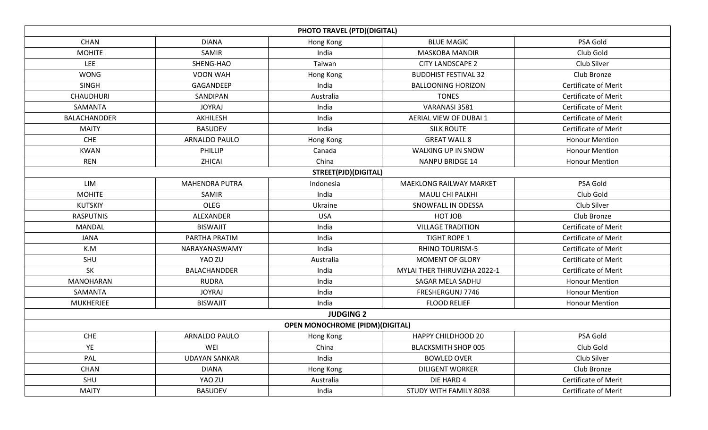|                     |                       | <b>PHOTO TRAVEL (PTD)(DIGITAL)</b>     |                                |                             |
|---------------------|-----------------------|----------------------------------------|--------------------------------|-----------------------------|
| <b>CHAN</b>         | <b>DIANA</b>          | Hong Kong                              | <b>BLUE MAGIC</b>              | PSA Gold                    |
| <b>MOHITE</b>       | <b>SAMIR</b>          | India                                  | <b>MASKOBA MANDIR</b>          | Club Gold                   |
| <b>LEE</b>          | SHENG-HAO             | Taiwan                                 | <b>CITY LANDSCAPE 2</b>        | Club Silver                 |
| <b>WONG</b>         | VOON WAH              | Hong Kong                              | <b>BUDDHIST FESTIVAL 32</b>    | Club Bronze                 |
| <b>SINGH</b>        | GAGANDEEP             | India                                  | <b>BALLOONING HORIZON</b>      | <b>Certificate of Merit</b> |
| <b>CHAUDHURI</b>    | SANDIPAN              | Australia                              | <b>TONES</b>                   | <b>Certificate of Merit</b> |
| SAMANTA             | <b>JOYRAJ</b>         | India                                  | VARANASI 3581                  | <b>Certificate of Merit</b> |
| <b>BALACHANDDER</b> | AKHILESH              | India                                  | AERIAL VIEW OF DUBAI 1         | <b>Certificate of Merit</b> |
| <b>MAITY</b>        | <b>BASUDEV</b>        | India                                  | <b>SILK ROUTE</b>              | <b>Certificate of Merit</b> |
| CHE                 | <b>ARNALDO PAULO</b>  | Hong Kong                              | <b>GREAT WALL 8</b>            | <b>Honour Mention</b>       |
| <b>KWAN</b>         | PHILLIP               | Canada                                 | WALKING UP IN SNOW             | <b>Honour Mention</b>       |
| <b>REN</b>          | ZHICAI                | China                                  | <b>NANPU BRIDGE 14</b>         | <b>Honour Mention</b>       |
|                     |                       | STREET(PJD)(DIGITAL)                   |                                |                             |
| <b>LIM</b>          | <b>MAHENDRA PUTRA</b> | Indonesia                              | <b>MAEKLONG RAILWAY MARKET</b> | PSA Gold                    |
| <b>MOHITE</b>       | SAMIR                 | India                                  | <b>MAULI CHI PALKHI</b>        | Club Gold                   |
| <b>KUTSKIY</b>      | OLEG                  | Ukraine                                | SNOWFALL IN ODESSA             | Club Silver                 |
| <b>RASPUTNIS</b>    | ALEXANDER             | <b>USA</b>                             | HOT JOB                        | Club Bronze                 |
| MANDAL              | <b>BISWAJIT</b>       | India                                  | <b>VILLAGE TRADITION</b>       | <b>Certificate of Merit</b> |
| <b>JANA</b>         | PARTHA PRATIM         | India                                  | <b>TIGHT ROPE 1</b>            | <b>Certificate of Merit</b> |
| K.M                 | NARAYANASWAMY         | India                                  | <b>RHINO TOURISM-5</b>         | Certificate of Merit        |
| SHU                 | YAO ZU                | Australia                              | <b>MOMENT OF GLORY</b>         | <b>Certificate of Merit</b> |
| <b>SK</b>           | BALACHANDDER          | India                                  | MYLAI THER THIRUVIZHA 2022-1   | <b>Certificate of Merit</b> |
| <b>MANOHARAN</b>    | <b>RUDRA</b>          | India                                  | SAGAR MELA SADHU               | <b>Honour Mention</b>       |
| SAMANTA             | <b>JOYRAJ</b>         | India                                  | FRESHERGUNJ 7746               | <b>Honour Mention</b>       |
| <b>MUKHERJEE</b>    | <b>BISWAJIT</b>       | India                                  | <b>FLOOD RELIEF</b>            | <b>Honour Mention</b>       |
|                     |                       | <b>JUDGING 2</b>                       |                                |                             |
|                     |                       | <b>OPEN MONOCHROME (PIDM)(DIGITAL)</b> |                                |                             |
| CHE                 | ARNALDO PAULO         | Hong Kong                              | <b>HAPPY CHILDHOOD 20</b>      | PSA Gold                    |
| YE                  | WEI                   | China                                  | <b>BLACKSMITH SHOP 005</b>     | Club Gold                   |
| PAL                 | <b>UDAYAN SANKAR</b>  | India                                  | <b>BOWLED OVER</b>             | Club Silver                 |
| <b>CHAN</b>         | <b>DIANA</b>          | Hong Kong                              | <b>DILIGENT WORKER</b>         | Club Bronze                 |
| SHU                 | YAO ZU                | Australia                              | DIE HARD 4                     | Certificate of Merit        |
| <b>MAITY</b>        | <b>BASUDEV</b>        | India                                  | STUDY WITH FAMILY 8038         | <b>Certificate of Merit</b> |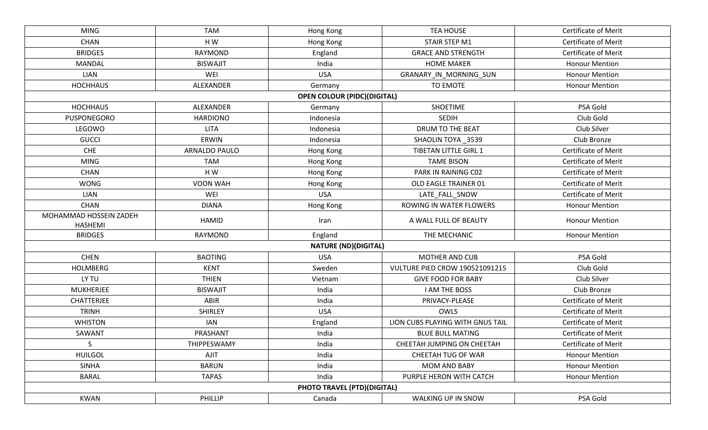| <b>MING</b>                              | <b>TAM</b>           | Hong Kong                          | <b>TEA HOUSE</b>                      | Certificate of Merit        |
|------------------------------------------|----------------------|------------------------------------|---------------------------------------|-----------------------------|
| <b>CHAN</b>                              | H W                  | Hong Kong                          | STAIR STEP M1                         | <b>Certificate of Merit</b> |
| <b>BRIDGES</b>                           | <b>RAYMOND</b>       | England                            | <b>GRACE AND STRENGTH</b>             | <b>Certificate of Merit</b> |
| <b>MANDAL</b>                            | <b>BISWAJIT</b>      | India                              | <b>HOME MAKER</b>                     | <b>Honour Mention</b>       |
| <b>LIAN</b>                              | WEI                  | <b>USA</b>                         | GRANARY_IN_MORNING_SUN                | <b>Honour Mention</b>       |
| <b>HOCHHAUS</b>                          | ALEXANDER            | Germany                            | TO EMOTE                              | <b>Honour Mention</b>       |
|                                          |                      | <b>OPEN COLOUR (PIDC)(DIGITAL)</b> |                                       |                             |
| <b>HOCHHAUS</b>                          | ALEXANDER            | Germany                            | <b>SHOETIME</b>                       | PSA Gold                    |
| PUSPONEGORO                              | <b>HARDIONO</b>      | Indonesia                          | <b>SEDIH</b>                          | Club Gold                   |
| LEGOWO                                   | <b>LITA</b>          | Indonesia                          | DRUM TO THE BEAT                      | Club Silver                 |
| <b>GUCCI</b>                             | ERWIN                | Indonesia                          | SHAOLIN TOYA _3539                    | Club Bronze                 |
| <b>CHE</b>                               | <b>ARNALDO PAULO</b> | Hong Kong                          | <b>TIBETAN LITTLE GIRL 1</b>          | <b>Certificate of Merit</b> |
| <b>MING</b>                              | <b>TAM</b>           | Hong Kong                          | <b>TAME BISON</b>                     | <b>Certificate of Merit</b> |
| <b>CHAN</b>                              | H W                  | Hong Kong                          | PARK IN RAINING C02                   | <b>Certificate of Merit</b> |
| <b>WONG</b>                              | VOON WAH             | Hong Kong                          | OLD EAGLE TRAINER 01                  | <b>Certificate of Merit</b> |
| LIAN                                     | WEI                  | <b>USA</b>                         | LATE_FALL_SNOW                        | <b>Certificate of Merit</b> |
| <b>CHAN</b>                              | <b>DIANA</b>         | Hong Kong                          | ROWING IN WATER FLOWERS               | <b>Honour Mention</b>       |
| MOHAMMAD HOSSEIN ZADEH<br><b>HASHEMI</b> | <b>HAMID</b>         | Iran                               | A WALL FULL OF BEAUTY                 | <b>Honour Mention</b>       |
| <b>BRIDGES</b>                           | <b>RAYMOND</b>       | England                            | THE MECHANIC                          | <b>Honour Mention</b>       |
|                                          |                      | <b>NATURE (ND)(DIGITAL)</b>        |                                       |                             |
| <b>CHEN</b>                              | <b>BAOTING</b>       | <b>USA</b>                         | MOTHER AND CUB                        | PSA Gold                    |
| <b>HOLMBERG</b>                          | <b>KENT</b>          | Sweden                             | <b>VULTURE PIED CROW 190521091215</b> | Club Gold                   |
| LY TU                                    | <b>THIEN</b>         | Vietnam                            | <b>GIVE FOOD FOR BABY</b>             | Club Silver                 |
| <b>MUKHERJEE</b>                         | <b>BISWAJIT</b>      | India                              | <b>I AM THE BOSS</b>                  | Club Bronze                 |
| CHATTERJEE                               | ABIR                 | India                              | PRIVACY-PLEASE                        | Certificate of Merit        |
| <b>TRINH</b>                             | <b>SHIRLEY</b>       | <b>USA</b>                         | OWLS                                  | <b>Certificate of Merit</b> |
| <b>WHISTON</b>                           | <b>IAN</b>           | England                            | LION CUBS PLAYING WITH GNUS TAIL      | <b>Certificate of Merit</b> |
| SAWANT                                   | PRASHANT             | India                              | <b>BLUE BULL MATING</b>               | <b>Certificate of Merit</b> |
| $\sf S$                                  | THIPPESWAMY          | India                              | CHEETAH JUMPING ON CHEETAH            | Certificate of Merit        |
| <b>HUILGOL</b>                           | <b>AJIT</b>          | India                              | CHEETAH TUG OF WAR                    | <b>Honour Mention</b>       |
| <b>SINHA</b>                             | <b>BARUN</b>         | India                              | <b>MOM AND BABY</b>                   | <b>Honour Mention</b>       |
| <b>BARAL</b>                             | <b>TAPAS</b>         | India                              | PURPLE HERON WITH CATCH               | <b>Honour Mention</b>       |
|                                          |                      | <b>PHOTO TRAVEL (PTD)(DIGITAL)</b> |                                       |                             |
| <b>KWAN</b>                              | PHILLIP              | Canada                             | WALKING UP IN SNOW                    | PSA Gold                    |
|                                          |                      |                                    |                                       |                             |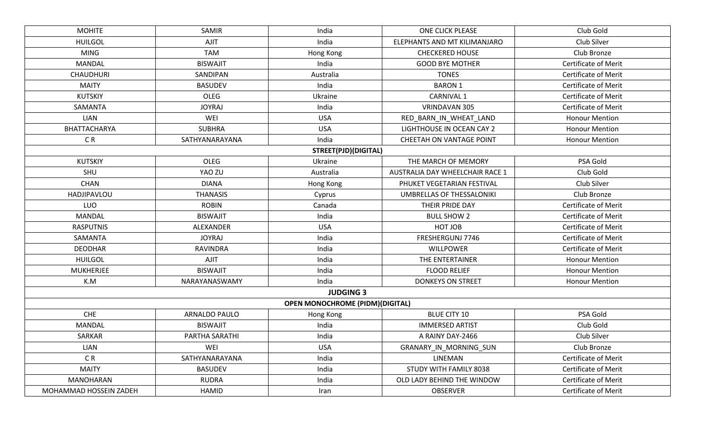| <b>MOHITE</b>          | SAMIR           | India                                  | <b>ONE CLICK PLEASE</b>          | Club Gold                   |  |
|------------------------|-----------------|----------------------------------------|----------------------------------|-----------------------------|--|
| <b>HUILGOL</b>         | <b>AJIT</b>     | India                                  | ELEPHANTS AND MT KILIMANJARO     | Club Silver                 |  |
| <b>MING</b>            | <b>TAM</b>      | Hong Kong                              | <b>CHECKERED HOUSE</b>           | Club Bronze                 |  |
| <b>MANDAL</b>          | <b>BISWAJIT</b> | India                                  | <b>GOOD BYE MOTHER</b>           | <b>Certificate of Merit</b> |  |
| <b>CHAUDHURI</b>       | SANDIPAN        | Australia                              | <b>TONES</b>                     | <b>Certificate of Merit</b> |  |
| <b>MAITY</b>           | <b>BASUDEV</b>  | India                                  | <b>BARON 1</b>                   | <b>Certificate of Merit</b> |  |
| <b>KUTSKIY</b>         | OLEG            | Ukraine                                | CARNIVAL 1                       | <b>Certificate of Merit</b> |  |
| SAMANTA                | <b>JOYRAJ</b>   | India                                  | VRINDAVAN 305                    | Certificate of Merit        |  |
| LIAN                   | WEI             | <b>USA</b>                             | RED_BARN_IN_WHEAT_LAND           | <b>Honour Mention</b>       |  |
| BHATTACHARYA           | <b>SUBHRA</b>   | <b>USA</b>                             | LIGHTHOUSE IN OCEAN CAY 2        | <b>Honour Mention</b>       |  |
| C <sub>R</sub>         | SATHYANARAYANA  | India                                  | <b>CHEETAH ON VANTAGE POINT</b>  | <b>Honour Mention</b>       |  |
|                        |                 | <b>STREET(PJD)(DIGITAL)</b>            |                                  |                             |  |
| <b>KUTSKIY</b>         | OLEG            | Ukraine                                | THE MARCH OF MEMORY              | PSA Gold                    |  |
| SHU                    | YAO ZU          | Australia                              | AUSTRALIA DAY WHEELCHAIR RACE 1  | Club Gold                   |  |
| <b>CHAN</b>            | <b>DIANA</b>    | Hong Kong                              | PHUKET VEGETARIAN FESTIVAL       | Club Silver                 |  |
| HADJIPAVLOU            | <b>THANASIS</b> | Cyprus                                 | <b>UMBRELLAS OF THESSALONIKI</b> | Club Bronze                 |  |
| LUO                    | <b>ROBIN</b>    | Canada                                 | THEIR PRIDE DAY                  | <b>Certificate of Merit</b> |  |
| <b>MANDAL</b>          | <b>BISWAJIT</b> | India                                  | <b>BULL SHOW 2</b>               | <b>Certificate of Merit</b> |  |
| <b>RASPUTNIS</b>       | ALEXANDER       | <b>USA</b>                             | HOT JOB                          | <b>Certificate of Merit</b> |  |
| SAMANTA                | <b>JOYRAJ</b>   | India                                  | FRESHERGUNJ 7746                 | <b>Certificate of Merit</b> |  |
| <b>DEODHAR</b>         | <b>RAVINDRA</b> | India                                  | <b>WILLPOWER</b>                 | <b>Certificate of Merit</b> |  |
| <b>HUILGOL</b>         | AJIT            | India                                  | THE ENTERTAINER                  | <b>Honour Mention</b>       |  |
| <b>MUKHERJEE</b>       | <b>BISWAJIT</b> | India                                  | <b>FLOOD RELIEF</b>              | <b>Honour Mention</b>       |  |
| K.M                    | NARAYANASWAMY   | India                                  | <b>DONKEYS ON STREET</b>         | <b>Honour Mention</b>       |  |
|                        |                 | <b>JUDGING 3</b>                       |                                  |                             |  |
|                        |                 | <b>OPEN MONOCHROME (PIDM)(DIGITAL)</b> |                                  |                             |  |
| <b>CHE</b>             | ARNALDO PAULO   | Hong Kong                              | <b>BLUE CITY 10</b>              | PSA Gold                    |  |
| MANDAL                 | <b>BISWAJIT</b> | India                                  | <b>IMMERSED ARTIST</b>           | Club Gold                   |  |
| SARKAR                 | PARTHA SARATHI  | India                                  | A RAINY DAY-2466                 | Club Silver                 |  |
| LIAN                   | WEI             | <b>USA</b>                             | GRANARY IN MORNING SUN           | Club Bronze                 |  |
| CR                     | SATHYANARAYANA  | India                                  | LINEMAN                          | <b>Certificate of Merit</b> |  |
| <b>MAITY</b>           | <b>BASUDEV</b>  | India                                  | STUDY WITH FAMILY 8038           | <b>Certificate of Merit</b> |  |
| <b>MANOHARAN</b>       | <b>RUDRA</b>    | India                                  | OLD LADY BEHIND THE WINDOW       | <b>Certificate of Merit</b> |  |
| MOHAMMAD HOSSEIN ZADEH | HAMID           | Iran                                   | OBSERVER                         | Certificate of Merit        |  |
|                        |                 |                                        |                                  |                             |  |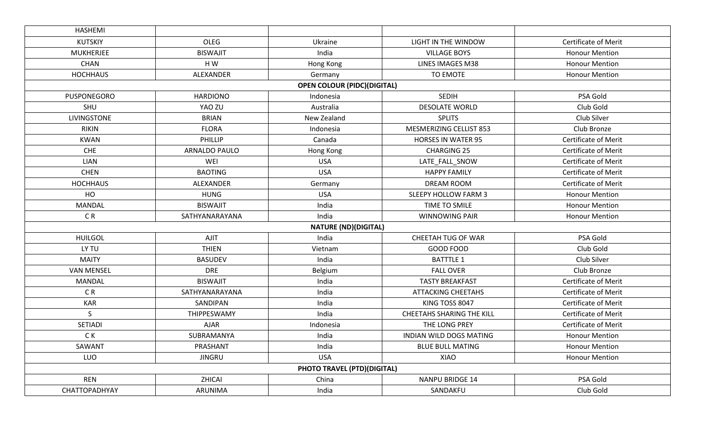| <b>HASHEMI</b>     |                      |                                    |                                  |                             |
|--------------------|----------------------|------------------------------------|----------------------------------|-----------------------------|
| <b>KUTSKIY</b>     | OLEG                 | Ukraine                            | LIGHT IN THE WINDOW              | <b>Certificate of Merit</b> |
| <b>MUKHERJEE</b>   | <b>BISWAJIT</b>      | India                              | <b>VILLAGE BOYS</b>              | <b>Honour Mention</b>       |
| <b>CHAN</b>        | HW                   | Hong Kong                          | LINES IMAGES M38                 | <b>Honour Mention</b>       |
| <b>HOCHHAUS</b>    | ALEXANDER            | Germany                            | TO EMOTE                         | <b>Honour Mention</b>       |
|                    |                      | <b>OPEN COLOUR (PIDC)(DIGITAL)</b> |                                  |                             |
| PUSPONEGORO        | <b>HARDIONO</b>      | Indonesia                          | <b>SEDIH</b>                     | PSA Gold                    |
| SHU                | YAO ZU               | Australia                          | <b>DESOLATE WORLD</b>            | Club Gold                   |
| <b>LIVINGSTONE</b> | <b>BRIAN</b>         | New Zealand                        | <b>SPLITS</b>                    | Club Silver                 |
| <b>RIKIN</b>       | <b>FLORA</b>         | Indonesia                          | MESMERIZING CELLIST 853          | Club Bronze                 |
| <b>KWAN</b>        | PHILLIP              | Canada                             | <b>HORSES IN WATER 95</b>        | <b>Certificate of Merit</b> |
| CHE                | <b>ARNALDO PAULO</b> | Hong Kong                          | <b>CHARGING 25</b>               | <b>Certificate of Merit</b> |
| <b>LIAN</b>        | WEI                  | <b>USA</b>                         | LATE_FALL_SNOW                   | <b>Certificate of Merit</b> |
| <b>CHEN</b>        | <b>BAOTING</b>       | <b>USA</b>                         | <b>HAPPY FAMILY</b>              | <b>Certificate of Merit</b> |
| <b>HOCHHAUS</b>    | ALEXANDER            | Germany                            | DREAM ROOM                       | <b>Certificate of Merit</b> |
| HO                 | <b>HUNG</b>          | <b>USA</b>                         | SLEEPY HOLLOW FARM 3             | <b>Honour Mention</b>       |
| <b>MANDAL</b>      | <b>BISWAJIT</b>      | India                              | TIME TO SMILE                    | <b>Honour Mention</b>       |
| C <sub>R</sub>     | SATHYANARAYANA       | India                              | <b>WINNOWING PAIR</b>            | <b>Honour Mention</b>       |
|                    |                      | <b>NATURE (ND)(DIGITAL)</b>        |                                  |                             |
| <b>HUILGOL</b>     | <b>AJIT</b>          | India                              | CHEETAH TUG OF WAR               | PSA Gold                    |
| LY TU              | <b>THIEN</b>         | Vietnam                            | GOOD FOOD                        | Club Gold                   |
| <b>MAITY</b>       | <b>BASUDEV</b>       | India                              | <b>BATTTLE 1</b>                 | Club Silver                 |
| <b>VAN MENSEL</b>  | <b>DRE</b>           | Belgium                            | <b>FALL OVER</b>                 | Club Bronze                 |
| <b>MANDAL</b>      | <b>BISWAJIT</b>      | India                              | <b>TASTY BREAKFAST</b>           | <b>Certificate of Merit</b> |
| CR                 | SATHYANARAYANA       | India                              | <b>ATTACKING CHEETAHS</b>        | Certificate of Merit        |
| <b>KAR</b>         | SANDIPAN             | India                              | KING TOSS 8047                   | <b>Certificate of Merit</b> |
| S                  | THIPPESWAMY          | India                              | <b>CHEETAHS SHARING THE KILL</b> | <b>Certificate of Merit</b> |
| <b>SETIADI</b>     | <b>AJAR</b>          | Indonesia                          | THE LONG PREY                    | <b>Certificate of Merit</b> |
| C K                | SUBRAMANYA           | India                              | INDIAN WILD DOGS MATING          | <b>Honour Mention</b>       |
| SAWANT             | PRASHANT             | India                              | <b>BLUE BULL MATING</b>          | <b>Honour Mention</b>       |
| LUO                | <b>JINGRU</b>        | <b>USA</b>                         | XIAO                             | <b>Honour Mention</b>       |
|                    |                      | PHOTO TRAVEL (PTD)(DIGITAL)        |                                  |                             |
| <b>REN</b>         | ZHICAI               | China                              | <b>NANPU BRIDGE 14</b>           | PSA Gold                    |
| CHATTOPADHYAY      | ARUNIMA              | India                              | SANDAKFU                         | Club Gold                   |
|                    |                      |                                    |                                  |                             |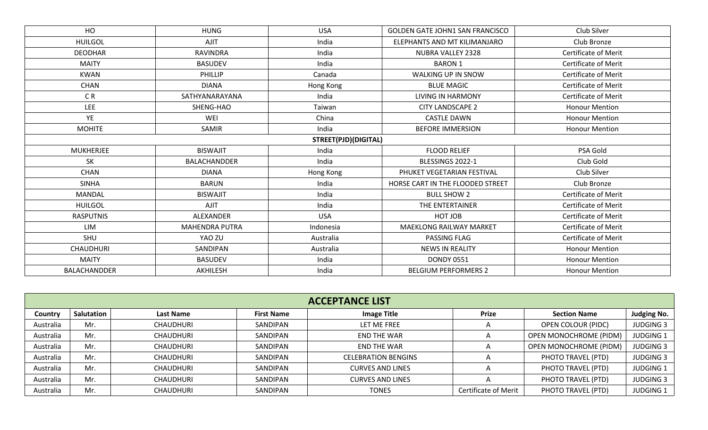| HO                  | <b>HUNG</b>           | <b>USA</b>                  | <b>GOLDEN GATE JOHN1 SAN FRANCISCO</b> | Club Silver                 |
|---------------------|-----------------------|-----------------------------|----------------------------------------|-----------------------------|
| <b>HUILGOL</b>      | <b>AJIT</b>           | India                       | ELEPHANTS AND MT KILIMANJARO           | Club Bronze                 |
| <b>DEODHAR</b>      | <b>RAVINDRA</b>       | India                       | NUBRA VALLEY 2328                      | Certificate of Merit        |
| <b>MAITY</b>        | <b>BASUDEV</b>        | India                       | <b>BARON 1</b>                         | <b>Certificate of Merit</b> |
| <b>KWAN</b>         | PHILLIP               | Canada                      | WALKING UP IN SNOW                     | <b>Certificate of Merit</b> |
| <b>CHAN</b>         | <b>DIANA</b>          | Hong Kong                   | <b>BLUE MAGIC</b>                      | <b>Certificate of Merit</b> |
| C <sub>R</sub>      | SATHYANARAYANA        | India                       | <b>LIVING IN HARMONY</b>               | <b>Certificate of Merit</b> |
| <b>LEE</b>          | SHENG-HAO             | Taiwan                      | <b>CITY LANDSCAPE 2</b>                | <b>Honour Mention</b>       |
| YE                  | WEI                   | China                       | <b>CASTLE DAWN</b>                     | <b>Honour Mention</b>       |
| <b>MOHITE</b>       | SAMIR                 | India                       | <b>BEFORE IMMERSION</b>                | <b>Honour Mention</b>       |
|                     |                       | <b>STREET(PJD)(DIGITAL)</b> |                                        |                             |
| MUKHERJEE           | <b>BISWAJIT</b>       | India                       | <b>FLOOD RELIEF</b>                    | PSA Gold                    |
| <b>SK</b>           | <b>BALACHANDDER</b>   | India                       | BLESSINGS 2022-1                       | Club Gold                   |
| <b>CHAN</b>         | <b>DIANA</b>          | Hong Kong                   | PHUKET VEGETARIAN FESTIVAL             | Club Silver                 |
| <b>SINHA</b>        | <b>BARUN</b>          | India                       | HORSE CART IN THE FLOODED STREET       | Club Bronze                 |
| <b>MANDAL</b>       | <b>BISWAJIT</b>       | India                       | <b>BULL SHOW 2</b>                     | <b>Certificate of Merit</b> |
| <b>HUILGOL</b>      | <b>AJIT</b>           | India                       | THE ENTERTAINER                        | <b>Certificate of Merit</b> |
| <b>RASPUTNIS</b>    | ALEXANDER             | <b>USA</b>                  | HOT JOB                                | <b>Certificate of Merit</b> |
| LIM                 | <b>MAHENDRA PUTRA</b> | Indonesia                   | <b>MAEKLONG RAILWAY MARKET</b>         | <b>Certificate of Merit</b> |
| SHU                 | YAO ZU                | Australia                   | PASSING FLAG                           | Certificate of Merit        |
| <b>CHAUDHURI</b>    | SANDIPAN              | Australia                   | <b>NEWS IN REALITY</b>                 | <b>Honour Mention</b>       |
| <b>MAITY</b>        | <b>BASUDEV</b>        | India                       | <b>DONDY 0551</b>                      | <b>Honour Mention</b>       |
| <b>BALACHANDDER</b> | AKHILESH              | India                       | <b>BELGIUM PERFORMERS 2</b>            | <b>Honour Mention</b>       |

| <b>ACCEPTANCE LIST</b> |            |                  |                   |                            |                             |                               |                    |  |  |
|------------------------|------------|------------------|-------------------|----------------------------|-----------------------------|-------------------------------|--------------------|--|--|
| Country                | Salutation | <b>Last Name</b> | <b>First Name</b> | <b>Image Title</b>         | <b>Prize</b>                | <b>Section Name</b>           | <b>Judging No.</b> |  |  |
| Australia              | Mr.        | CHAUDHURI        | SANDIPAN          | LET ME FREE                |                             | <b>OPEN COLOUR (PIDC)</b>     | <b>JUDGING 3</b>   |  |  |
| Australia              | Mr.        | CHAUDHURI        | SANDIPAN          | END THE WAR                | $\overline{A}$              | <b>OPEN MONOCHROME (PIDM)</b> | <b>JUDGING 1</b>   |  |  |
| Australia              | Mr.        | CHAUDHURI        | SANDIPAN          | END THE WAR                | $\overline{A}$              | <b>OPEN MONOCHROME (PIDM)</b> | <b>JUDGING 3</b>   |  |  |
| Australia              | Mr.        | CHAUDHURI        | SANDIPAN          | <b>CELEBRATION BENGINS</b> |                             | PHOTO TRAVEL (PTD)            | <b>JUDGING 3</b>   |  |  |
| Australia              | Mr.        | CHAUDHURI        | SANDIPAN          | <b>CURVES AND LINES</b>    |                             | PHOTO TRAVEL (PTD)            | <b>JUDGING 1</b>   |  |  |
| Australia              | Mr.        | CHAUDHURI        | SANDIPAN          | <b>CURVES AND LINES</b>    |                             | PHOTO TRAVEL (PTD)            | <b>JUDGING 3</b>   |  |  |
| Australia              | Mr.        | CHAUDHURI        | SANDIPAN          | TONES                      | <b>Certificate of Merit</b> | PHOTO TRAVEL (PTD)            | <b>JUDGING 1</b>   |  |  |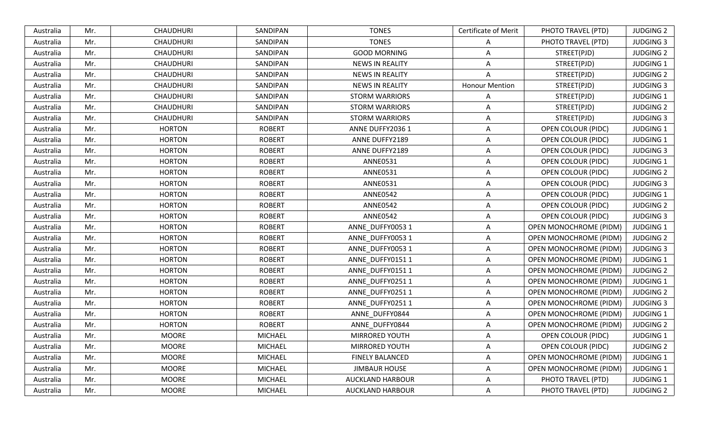| Australia | Mr. | <b>CHAUDHURI</b> | SANDIPAN       | <b>TONES</b>            | Certificate of Merit  | PHOTO TRAVEL (PTD)            | <b>JUDGING 2</b> |
|-----------|-----|------------------|----------------|-------------------------|-----------------------|-------------------------------|------------------|
| Australia | Mr. | <b>CHAUDHURI</b> | SANDIPAN       | <b>TONES</b>            | A                     | PHOTO TRAVEL (PTD)            | <b>JUDGING 3</b> |
| Australia | Mr. | <b>CHAUDHURI</b> | SANDIPAN       | <b>GOOD MORNING</b>     | A                     | STREET(PJD)                   | <b>JUDGING 2</b> |
| Australia | Mr. | <b>CHAUDHURI</b> | SANDIPAN       | <b>NEWS IN REALITY</b>  | Α                     | STREET(PJD)                   | <b>JUDGING 1</b> |
| Australia | Mr. | <b>CHAUDHURI</b> | SANDIPAN       | <b>NEWS IN REALITY</b>  | A                     | STREET(PJD)                   | <b>JUDGING 2</b> |
| Australia | Mr. | <b>CHAUDHURI</b> | SANDIPAN       | <b>NEWS IN REALITY</b>  | <b>Honour Mention</b> | STREET(PJD)                   | <b>JUDGING 3</b> |
| Australia | Mr. | <b>CHAUDHURI</b> | SANDIPAN       | <b>STORM WARRIORS</b>   | Α                     | STREET(PJD)                   | <b>JUDGING 1</b> |
| Australia | Mr. | <b>CHAUDHURI</b> | SANDIPAN       | <b>STORM WARRIORS</b>   | A                     | STREET(PJD)                   | <b>JUDGING 2</b> |
| Australia | Mr. | <b>CHAUDHURI</b> | SANDIPAN       | <b>STORM WARRIORS</b>   | Α                     | STREET(PJD)                   | <b>JUDGING 3</b> |
| Australia | Mr. | <b>HORTON</b>    | <b>ROBERT</b>  | ANNE DUFFY2036 1        | A                     | <b>OPEN COLOUR (PIDC)</b>     | <b>JUDGING 1</b> |
| Australia | Mr. | <b>HORTON</b>    | <b>ROBERT</b>  | ANNE DUFFY2189          | Α                     | <b>OPEN COLOUR (PIDC)</b>     | <b>JUDGING 1</b> |
| Australia | Mr. | <b>HORTON</b>    | <b>ROBERT</b>  | ANNE DUFFY2189          | Α                     | <b>OPEN COLOUR (PIDC)</b>     | <b>JUDGING 3</b> |
| Australia | Mr. | <b>HORTON</b>    | <b>ROBERT</b>  | <b>ANNE0531</b>         | Α                     | OPEN COLOUR (PIDC)            | <b>JUDGING 1</b> |
| Australia | Mr. | <b>HORTON</b>    | <b>ROBERT</b>  | <b>ANNE0531</b>         | A                     | OPEN COLOUR (PIDC)            | <b>JUDGING 2</b> |
| Australia | Mr. | <b>HORTON</b>    | <b>ROBERT</b>  | <b>ANNE0531</b>         | Α                     | OPEN COLOUR (PIDC)            | <b>JUDGING 3</b> |
| Australia | Mr. | <b>HORTON</b>    | <b>ROBERT</b>  | <b>ANNE0542</b>         | A                     | OPEN COLOUR (PIDC)            | <b>JUDGING 1</b> |
| Australia | Mr. | <b>HORTON</b>    | <b>ROBERT</b>  | <b>ANNE0542</b>         | A                     | OPEN COLOUR (PIDC)            | <b>JUDGING 2</b> |
| Australia | Mr. | <b>HORTON</b>    | <b>ROBERT</b>  | <b>ANNE0542</b>         | Α                     | <b>OPEN COLOUR (PIDC)</b>     | <b>JUDGING 3</b> |
| Australia | Mr. | <b>HORTON</b>    | <b>ROBERT</b>  | ANNE_DUFFY0053 1        | Α                     | <b>OPEN MONOCHROME (PIDM)</b> | <b>JUDGING 1</b> |
| Australia | Mr. | <b>HORTON</b>    | <b>ROBERT</b>  | ANNE_DUFFY0053 1        | Α                     | OPEN MONOCHROME (PIDM)        | <b>JUDGING 2</b> |
| Australia | Mr. | <b>HORTON</b>    | <b>ROBERT</b>  | ANNE_DUFFY0053 1        | Α                     | <b>OPEN MONOCHROME (PIDM)</b> | <b>JUDGING 3</b> |
| Australia | Mr. | <b>HORTON</b>    | <b>ROBERT</b>  | ANNE_DUFFY0151 1        | A                     | OPEN MONOCHROME (PIDM)        | JUDGING 1        |
| Australia | Mr. | <b>HORTON</b>    | <b>ROBERT</b>  | ANNE_DUFFY0151 1        | Α                     | OPEN MONOCHROME (PIDM)        | <b>JUDGING 2</b> |
| Australia | Mr. | <b>HORTON</b>    | <b>ROBERT</b>  | ANNE_DUFFY0251 1        | A                     | OPEN MONOCHROME (PIDM)        | <b>JUDGING 1</b> |
| Australia | Mr. | <b>HORTON</b>    | <b>ROBERT</b>  | ANNE DUFFY02511         | Α                     | <b>OPEN MONOCHROME (PIDM)</b> | <b>JUDGING 2</b> |
| Australia | Mr. | <b>HORTON</b>    | <b>ROBERT</b>  | ANNE_DUFFY0251 1        | Α                     | <b>OPEN MONOCHROME (PIDM)</b> | <b>JUDGING 3</b> |
| Australia | Mr. | <b>HORTON</b>    | <b>ROBERT</b>  | ANNE_DUFFY0844          | Α                     | <b>OPEN MONOCHROME (PIDM)</b> | <b>JUDGING 1</b> |
| Australia | Mr. | <b>HORTON</b>    | <b>ROBERT</b>  | ANNE_DUFFY0844          | Α                     | OPEN MONOCHROME (PIDM)        | <b>JUDGING 2</b> |
| Australia | Mr. | <b>MOORE</b>     | <b>MICHAEL</b> | MIRRORED YOUTH          | A                     | OPEN COLOUR (PIDC)            | <b>JUDGING 1</b> |
| Australia | Mr. | <b>MOORE</b>     | <b>MICHAEL</b> | MIRRORED YOUTH          | Α                     | <b>OPEN COLOUR (PIDC)</b>     | <b>JUDGING 2</b> |
| Australia | Mr. | <b>MOORE</b>     | <b>MICHAEL</b> | <b>FINELY BALANCED</b>  | Α                     | OPEN MONOCHROME (PIDM)        | <b>JUDGING 1</b> |
| Australia | Mr. | <b>MOORE</b>     | <b>MICHAEL</b> | <b>JIMBAUR HOUSE</b>    | Α                     | OPEN MONOCHROME (PIDM)        | <b>JUDGING 1</b> |
| Australia | Mr. | <b>MOORE</b>     | <b>MICHAEL</b> | AUCKLAND HARBOUR        | Α                     | PHOTO TRAVEL (PTD)            | <b>JUDGING 1</b> |
| Australia | Mr. | <b>MOORE</b>     | <b>MICHAEL</b> | <b>AUCKLAND HARBOUR</b> | Α                     | PHOTO TRAVEL (PTD)            | <b>JUDGING 2</b> |
|           |     |                  |                |                         |                       |                               |                  |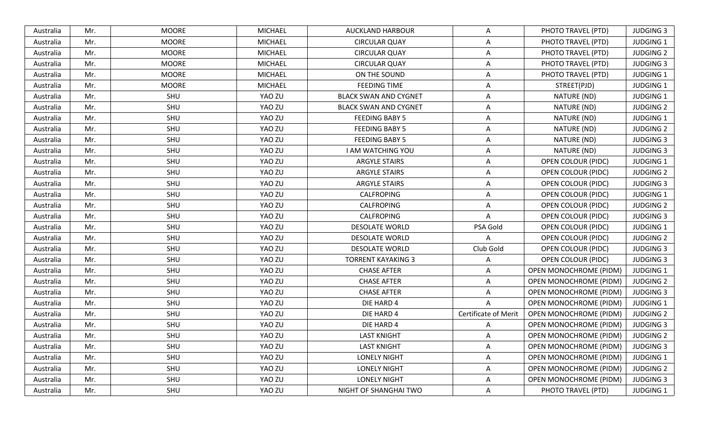| Australia | Mr. | <b>MOORE</b> | <b>MICHAEL</b> | <b>AUCKLAND HARBOUR</b>      | A                    | PHOTO TRAVEL (PTD)            | <b>JUDGING 3</b> |
|-----------|-----|--------------|----------------|------------------------------|----------------------|-------------------------------|------------------|
| Australia | Mr. | <b>MOORE</b> | <b>MICHAEL</b> | <b>CIRCULAR QUAY</b>         | Α                    | PHOTO TRAVEL (PTD)            | <b>JUDGING 1</b> |
| Australia | Mr. | <b>MOORE</b> | <b>MICHAEL</b> | <b>CIRCULAR QUAY</b>         | A                    | PHOTO TRAVEL (PTD)            | <b>JUDGING 2</b> |
| Australia | Mr. | <b>MOORE</b> | <b>MICHAEL</b> | <b>CIRCULAR QUAY</b>         | Α                    | PHOTO TRAVEL (PTD)            | <b>JUDGING 3</b> |
| Australia | Mr. | <b>MOORE</b> | <b>MICHAEL</b> | ON THE SOUND                 | A                    | PHOTO TRAVEL (PTD)            | JUDGING 1        |
| Australia | Mr. | <b>MOORE</b> | <b>MICHAEL</b> | <b>FEEDING TIME</b>          | Α                    | STREET(PJD)                   | <b>JUDGING 1</b> |
| Australia | Mr. | SHU          | YAO ZU         | <b>BLACK SWAN AND CYGNET</b> | Α                    | NATURE (ND)                   | <b>JUDGING 1</b> |
| Australia | Mr. | SHU          | YAO ZU         | <b>BLACK SWAN AND CYGNET</b> | A                    | NATURE (ND)                   | <b>JUDGING 2</b> |
| Australia | Mr. | SHU          | YAO ZU         | <b>FEEDING BABY 5</b>        | Α                    | NATURE (ND)                   | <b>JUDGING 1</b> |
| Australia | Mr. | SHU          | YAO ZU         | <b>FEEDING BABY 5</b>        | A                    | NATURE (ND)                   | <b>JUDGING 2</b> |
| Australia | Mr. | SHU          | YAO ZU         | <b>FEEDING BABY 5</b>        | Α                    | NATURE (ND)                   | <b>JUDGING 3</b> |
| Australia | Mr. | SHU          | YAO ZU         | <b>I AM WATCHING YOU</b>     | Α                    | NATURE (ND)                   | <b>JUDGING 3</b> |
| Australia | Mr. | SHU          | YAO ZU         | <b>ARGYLE STAIRS</b>         | A                    | <b>OPEN COLOUR (PIDC)</b>     | <b>JUDGING 1</b> |
| Australia | Mr. | SHU          | YAO ZU         | <b>ARGYLE STAIRS</b>         | Α                    | <b>OPEN COLOUR (PIDC)</b>     | <b>JUDGING 2</b> |
| Australia | Mr. | SHU          | YAO ZU         | <b>ARGYLE STAIRS</b>         | A                    | OPEN COLOUR (PIDC)            | <b>JUDGING 3</b> |
| Australia | Mr. | SHU          | YAO ZU         | CALFROPING                   | Α                    | <b>OPEN COLOUR (PIDC)</b>     | <b>JUDGING 1</b> |
| Australia | Mr. | SHU          | YAO ZU         | <b>CALFROPING</b>            | A                    | <b>OPEN COLOUR (PIDC)</b>     | <b>JUDGING 2</b> |
| Australia | Mr. | SHU          | YAO ZU         | CALFROPING                   | Α                    | <b>OPEN COLOUR (PIDC)</b>     | <b>JUDGING 3</b> |
| Australia | Mr. | SHU          | YAO ZU         | <b>DESOLATE WORLD</b>        | PSA Gold             | <b>OPEN COLOUR (PIDC)</b>     | <b>JUDGING 1</b> |
| Australia | Mr. | SHU          | YAO ZU         | <b>DESOLATE WORLD</b>        | A                    | <b>OPEN COLOUR (PIDC)</b>     | <b>JUDGING 2</b> |
| Australia | Mr. | SHU          | YAO ZU         | <b>DESOLATE WORLD</b>        | Club Gold            | <b>OPEN COLOUR (PIDC)</b>     | <b>JUDGING 3</b> |
| Australia | Mr. | SHU          | YAO ZU         | <b>TORRENT KAYAKING 3</b>    | A                    | <b>OPEN COLOUR (PIDC)</b>     | <b>JUDGING 3</b> |
| Australia | Mr. | SHU          | YAO ZU         | <b>CHASE AFTER</b>           | Α                    | OPEN MONOCHROME (PIDM)        | <b>JUDGING 1</b> |
| Australia | Mr. | SHU          | YAO ZU         | <b>CHASE AFTER</b>           | A                    | <b>OPEN MONOCHROME (PIDM)</b> | <b>JUDGING 2</b> |
| Australia | Mr. | SHU          | YAO ZU         | <b>CHASE AFTER</b>           | A                    | <b>OPEN MONOCHROME (PIDM)</b> | <b>JUDGING 3</b> |
| Australia | Mr. | SHU          | YAO ZU         | DIE HARD 4                   | A                    | <b>OPEN MONOCHROME (PIDM)</b> | <b>JUDGING 1</b> |
| Australia | Mr. | SHU          | YAO ZU         | DIE HARD 4                   | Certificate of Merit | <b>OPEN MONOCHROME (PIDM)</b> | <b>JUDGING 2</b> |
| Australia | Mr. | SHU          | YAO ZU         | DIE HARD 4                   | A                    | <b>OPEN MONOCHROME (PIDM)</b> | <b>JUDGING 3</b> |
| Australia | Mr. | SHU          | YAO ZU         | <b>LAST KNIGHT</b>           | A                    | <b>OPEN MONOCHROME (PIDM)</b> | <b>JUDGING 2</b> |
| Australia | Mr. | SHU          | YAO ZU         | <b>LAST KNIGHT</b>           | Α                    | OPEN MONOCHROME (PIDM)        | <b>JUDGING 3</b> |
| Australia | Mr. | SHU          | YAO ZU         | <b>LONELY NIGHT</b>          | A                    | <b>OPEN MONOCHROME (PIDM)</b> | <b>JUDGING 1</b> |
| Australia | Mr. | SHU          | YAO ZU         | <b>LONELY NIGHT</b>          | A                    | OPEN MONOCHROME (PIDM)        | <b>JUDGING 2</b> |
| Australia | Mr. | SHU          | YAO ZU         | <b>LONELY NIGHT</b>          | Α                    | <b>OPEN MONOCHROME (PIDM)</b> | JUDGING 3        |
| Australia | Mr. | SHU          | YAO ZU         | NIGHT OF SHANGHAI TWO        | Α                    | PHOTO TRAVEL (PTD)            | JUDGING 1        |
|           |     |              |                |                              |                      |                               |                  |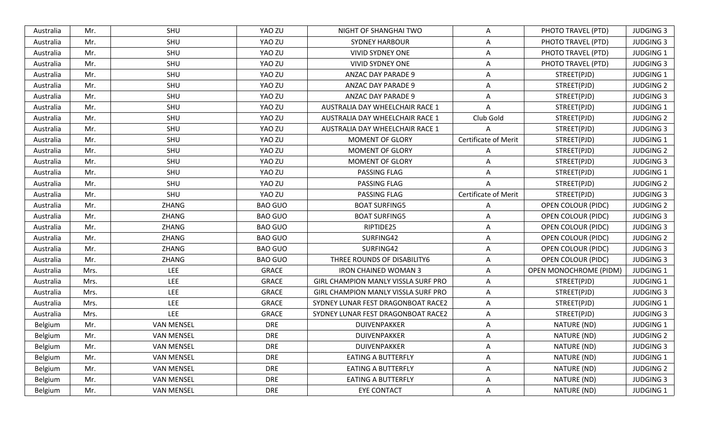| SHU<br>YAO ZU<br>Mr.<br>NIGHT OF SHANGHAI TWO<br>A<br>PHOTO TRAVEL (PTD)<br>Australia<br>SHU<br>Australia<br>Mr.<br>YAO ZU<br><b>SYDNEY HARBOUR</b><br>A<br>PHOTO TRAVEL (PTD)<br>SHU<br>Mr.<br>YAO ZU<br><b>VIVID SYDNEY ONE</b><br>PHOTO TRAVEL (PTD)<br>Australia<br>A<br>Mr.<br>SHU<br>YAO ZU<br><b>VIVID SYDNEY ONE</b><br>Australia<br>A<br>PHOTO TRAVEL (PTD)<br>SHU<br>YAO ZU<br>A<br>Australia<br>Mr.<br>ANZAC DAY PARADE 9<br>STREET(PJD)<br>SHU<br>YAO ZU<br>STREET(PJD)<br>Australia<br>Mr.<br>ANZAC DAY PARADE 9<br>A<br>SHU<br>YAO ZU<br>Mr.<br>ANZAC DAY PARADE 9<br>A<br>STREET(PJD)<br>Australia<br>SHU<br>YAO ZU<br>AUSTRALIA DAY WHEELCHAIR RACE 1<br>STREET(PJD)<br>Australia<br>Mr.<br>A<br>SHU<br>YAO ZU<br>Club Gold<br>STREET(PJD)<br>Australia<br>Mr.<br>AUSTRALIA DAY WHEELCHAIR RACE 1<br>Mr.<br>SHU<br>YAO ZU<br>STREET(PJD)<br>AUSTRALIA DAY WHEELCHAIR RACE 1<br>A<br>Australia<br>Certificate of Merit<br>Australia<br>Mr.<br>SHU<br>YAO ZU<br><b>MOMENT OF GLORY</b><br>STREET(PJD)<br>SHU<br>YAO ZU<br>STREET(PJD)<br>Mr.<br><b>MOMENT OF GLORY</b><br>A<br>Australia<br>SHU<br>YAO ZU<br>STREET(PJD)<br>Australia<br>Mr.<br><b>MOMENT OF GLORY</b><br>A<br>SHU<br>YAO ZU<br>Australia<br>Mr.<br>PASSING FLAG<br>STREET(PJD)<br>A<br>SHU<br>Mr.<br>YAO ZU<br>PASSING FLAG<br>STREET(PJD)<br>Australia<br>A<br><b>Certificate of Merit</b><br>Mr.<br>SHU<br>YAO ZU<br>PASSING FLAG<br>STREET(PJD)<br>Australia<br>ZHANG<br><b>BAO GUO</b><br>Mr.<br><b>BOAT SURFING5</b><br>A<br>OPEN COLOUR (PIDC)<br>Australia | <b>JUDGING 3</b><br><b>JUDGING 3</b><br><b>JUDGING 1</b><br><b>JUDGING 3</b><br><b>JUDGING 1</b><br><b>JUDGING 2</b> |
|--------------------------------------------------------------------------------------------------------------------------------------------------------------------------------------------------------------------------------------------------------------------------------------------------------------------------------------------------------------------------------------------------------------------------------------------------------------------------------------------------------------------------------------------------------------------------------------------------------------------------------------------------------------------------------------------------------------------------------------------------------------------------------------------------------------------------------------------------------------------------------------------------------------------------------------------------------------------------------------------------------------------------------------------------------------------------------------------------------------------------------------------------------------------------------------------------------------------------------------------------------------------------------------------------------------------------------------------------------------------------------------------------------------------------------------------------------------------------------------------------------------------------------------------------|----------------------------------------------------------------------------------------------------------------------|
|                                                                                                                                                                                                                                                                                                                                                                                                                                                                                                                                                                                                                                                                                                                                                                                                                                                                                                                                                                                                                                                                                                                                                                                                                                                                                                                                                                                                                                                                                                                                                  |                                                                                                                      |
|                                                                                                                                                                                                                                                                                                                                                                                                                                                                                                                                                                                                                                                                                                                                                                                                                                                                                                                                                                                                                                                                                                                                                                                                                                                                                                                                                                                                                                                                                                                                                  |                                                                                                                      |
|                                                                                                                                                                                                                                                                                                                                                                                                                                                                                                                                                                                                                                                                                                                                                                                                                                                                                                                                                                                                                                                                                                                                                                                                                                                                                                                                                                                                                                                                                                                                                  |                                                                                                                      |
|                                                                                                                                                                                                                                                                                                                                                                                                                                                                                                                                                                                                                                                                                                                                                                                                                                                                                                                                                                                                                                                                                                                                                                                                                                                                                                                                                                                                                                                                                                                                                  |                                                                                                                      |
|                                                                                                                                                                                                                                                                                                                                                                                                                                                                                                                                                                                                                                                                                                                                                                                                                                                                                                                                                                                                                                                                                                                                                                                                                                                                                                                                                                                                                                                                                                                                                  |                                                                                                                      |
|                                                                                                                                                                                                                                                                                                                                                                                                                                                                                                                                                                                                                                                                                                                                                                                                                                                                                                                                                                                                                                                                                                                                                                                                                                                                                                                                                                                                                                                                                                                                                  |                                                                                                                      |
|                                                                                                                                                                                                                                                                                                                                                                                                                                                                                                                                                                                                                                                                                                                                                                                                                                                                                                                                                                                                                                                                                                                                                                                                                                                                                                                                                                                                                                                                                                                                                  | <b>JUDGING 3</b>                                                                                                     |
|                                                                                                                                                                                                                                                                                                                                                                                                                                                                                                                                                                                                                                                                                                                                                                                                                                                                                                                                                                                                                                                                                                                                                                                                                                                                                                                                                                                                                                                                                                                                                  | <b>JUDGING 1</b>                                                                                                     |
|                                                                                                                                                                                                                                                                                                                                                                                                                                                                                                                                                                                                                                                                                                                                                                                                                                                                                                                                                                                                                                                                                                                                                                                                                                                                                                                                                                                                                                                                                                                                                  | <b>JUDGING 2</b>                                                                                                     |
|                                                                                                                                                                                                                                                                                                                                                                                                                                                                                                                                                                                                                                                                                                                                                                                                                                                                                                                                                                                                                                                                                                                                                                                                                                                                                                                                                                                                                                                                                                                                                  | <b>JUDGING 3</b>                                                                                                     |
|                                                                                                                                                                                                                                                                                                                                                                                                                                                                                                                                                                                                                                                                                                                                                                                                                                                                                                                                                                                                                                                                                                                                                                                                                                                                                                                                                                                                                                                                                                                                                  | <b>JUDGING 1</b>                                                                                                     |
|                                                                                                                                                                                                                                                                                                                                                                                                                                                                                                                                                                                                                                                                                                                                                                                                                                                                                                                                                                                                                                                                                                                                                                                                                                                                                                                                                                                                                                                                                                                                                  | <b>JUDGING 2</b>                                                                                                     |
|                                                                                                                                                                                                                                                                                                                                                                                                                                                                                                                                                                                                                                                                                                                                                                                                                                                                                                                                                                                                                                                                                                                                                                                                                                                                                                                                                                                                                                                                                                                                                  | <b>JUDGING 3</b>                                                                                                     |
|                                                                                                                                                                                                                                                                                                                                                                                                                                                                                                                                                                                                                                                                                                                                                                                                                                                                                                                                                                                                                                                                                                                                                                                                                                                                                                                                                                                                                                                                                                                                                  | <b>JUDGING 1</b>                                                                                                     |
|                                                                                                                                                                                                                                                                                                                                                                                                                                                                                                                                                                                                                                                                                                                                                                                                                                                                                                                                                                                                                                                                                                                                                                                                                                                                                                                                                                                                                                                                                                                                                  | <b>JUDGING 2</b>                                                                                                     |
|                                                                                                                                                                                                                                                                                                                                                                                                                                                                                                                                                                                                                                                                                                                                                                                                                                                                                                                                                                                                                                                                                                                                                                                                                                                                                                                                                                                                                                                                                                                                                  | <b>JUDGING 3</b>                                                                                                     |
|                                                                                                                                                                                                                                                                                                                                                                                                                                                                                                                                                                                                                                                                                                                                                                                                                                                                                                                                                                                                                                                                                                                                                                                                                                                                                                                                                                                                                                                                                                                                                  | <b>JUDGING 2</b>                                                                                                     |
| ZHANG<br><b>BAO GUO</b><br>Australia<br>Mr.<br><b>BOAT SURFING5</b><br><b>OPEN COLOUR (PIDC)</b><br>A                                                                                                                                                                                                                                                                                                                                                                                                                                                                                                                                                                                                                                                                                                                                                                                                                                                                                                                                                                                                                                                                                                                                                                                                                                                                                                                                                                                                                                            | <b>JUDGING 3</b>                                                                                                     |
| ZHANG<br>Mr.<br><b>BAO GUO</b><br>RIPTIDE25<br>A<br>OPEN COLOUR (PIDC)<br>Australia                                                                                                                                                                                                                                                                                                                                                                                                                                                                                                                                                                                                                                                                                                                                                                                                                                                                                                                                                                                                                                                                                                                                                                                                                                                                                                                                                                                                                                                              | <b>JUDGING 3</b>                                                                                                     |
| ZHANG<br><b>BAO GUO</b><br>SURFING42<br><b>OPEN COLOUR (PIDC)</b><br>Australia<br>Mr.<br>A                                                                                                                                                                                                                                                                                                                                                                                                                                                                                                                                                                                                                                                                                                                                                                                                                                                                                                                                                                                                                                                                                                                                                                                                                                                                                                                                                                                                                                                       | <b>JUDGING 2</b>                                                                                                     |
| Mr.<br>ZHANG<br><b>BAO GUO</b><br>SURFING42<br>Australia<br><b>OPEN COLOUR (PIDC)</b><br>A                                                                                                                                                                                                                                                                                                                                                                                                                                                                                                                                                                                                                                                                                                                                                                                                                                                                                                                                                                                                                                                                                                                                                                                                                                                                                                                                                                                                                                                       | <b>JUDGING 3</b>                                                                                                     |
| ZHANG<br><b>BAO GUO</b><br>Mr.<br>THREE ROUNDS OF DISABILITY6<br>A<br><b>OPEN COLOUR (PIDC)</b><br>Australia                                                                                                                                                                                                                                                                                                                                                                                                                                                                                                                                                                                                                                                                                                                                                                                                                                                                                                                                                                                                                                                                                                                                                                                                                                                                                                                                                                                                                                     | <b>JUDGING 3</b>                                                                                                     |
| <b>LEE</b><br><b>GRACE</b><br>Mrs.<br><b>IRON CHAINED WOMAN 3</b><br>OPEN MONOCHROME (PIDM)<br>Australia<br>A                                                                                                                                                                                                                                                                                                                                                                                                                                                                                                                                                                                                                                                                                                                                                                                                                                                                                                                                                                                                                                                                                                                                                                                                                                                                                                                                                                                                                                    | <b>JUDGING 1</b>                                                                                                     |
| <b>LEE</b><br>A<br>Mrs.<br><b>GRACE</b><br><b>GIRL CHAMPION MANLY VISSLA SURF PRO</b><br>STREET(PJD)<br>Australia                                                                                                                                                                                                                                                                                                                                                                                                                                                                                                                                                                                                                                                                                                                                                                                                                                                                                                                                                                                                                                                                                                                                                                                                                                                                                                                                                                                                                                | <b>JUDGING 1</b>                                                                                                     |
| <b>LEE</b><br><b>GRACE</b><br>STREET(PJD)<br>Mrs.<br>GIRL CHAMPION MANLY VISSLA SURF PRO<br>A<br>Australia                                                                                                                                                                                                                                                                                                                                                                                                                                                                                                                                                                                                                                                                                                                                                                                                                                                                                                                                                                                                                                                                                                                                                                                                                                                                                                                                                                                                                                       | <b>JUDGING 3</b>                                                                                                     |
| <b>LEE</b><br><b>GRACE</b><br>Australia<br>Mrs.<br>SYDNEY LUNAR FEST DRAGONBOAT RACE2<br>A<br>STREET(PJD)                                                                                                                                                                                                                                                                                                                                                                                                                                                                                                                                                                                                                                                                                                                                                                                                                                                                                                                                                                                                                                                                                                                                                                                                                                                                                                                                                                                                                                        | <b>JUDGING 1</b>                                                                                                     |
| <b>LEE</b><br><b>GRACE</b><br>STREET(PJD)<br>Australia<br>Mrs.<br>SYDNEY LUNAR FEST DRAGONBOAT RACE2<br>$\Delta$                                                                                                                                                                                                                                                                                                                                                                                                                                                                                                                                                                                                                                                                                                                                                                                                                                                                                                                                                                                                                                                                                                                                                                                                                                                                                                                                                                                                                                 | <b>JUDGING 3</b>                                                                                                     |
| <b>VAN MENSEL</b><br>Mr.<br><b>DRE</b><br>DUIVENPAKKER<br>NATURE (ND)<br>Belgium<br>A                                                                                                                                                                                                                                                                                                                                                                                                                                                                                                                                                                                                                                                                                                                                                                                                                                                                                                                                                                                                                                                                                                                                                                                                                                                                                                                                                                                                                                                            | <b>JUDGING 1</b>                                                                                                     |
| <b>DRE</b><br>NATURE (ND)<br>Belgium<br><b>VAN MENSEL</b><br>DUIVENPAKKER<br>A<br>Mr.                                                                                                                                                                                                                                                                                                                                                                                                                                                                                                                                                                                                                                                                                                                                                                                                                                                                                                                                                                                                                                                                                                                                                                                                                                                                                                                                                                                                                                                            | <b>JUDGING 2</b>                                                                                                     |
| <b>VAN MENSEL</b><br><b>DRE</b><br>DUIVENPAKKER<br>NATURE (ND)<br>Belgium<br>Mr.<br>A                                                                                                                                                                                                                                                                                                                                                                                                                                                                                                                                                                                                                                                                                                                                                                                                                                                                                                                                                                                                                                                                                                                                                                                                                                                                                                                                                                                                                                                            | <b>JUDGING 3</b>                                                                                                     |
| <b>VAN MENSEL</b><br><b>DRE</b><br><b>EATING A BUTTERFLY</b><br>A<br>NATURE (ND)<br>Belgium<br>Mr.                                                                                                                                                                                                                                                                                                                                                                                                                                                                                                                                                                                                                                                                                                                                                                                                                                                                                                                                                                                                                                                                                                                                                                                                                                                                                                                                                                                                                                               | <b>JUDGING 1</b>                                                                                                     |
| Belgium<br><b>DRE</b><br><b>EATING A BUTTERFLY</b><br>NATURE (ND)<br>Mr.<br><b>VAN MENSEL</b><br>A                                                                                                                                                                                                                                                                                                                                                                                                                                                                                                                                                                                                                                                                                                                                                                                                                                                                                                                                                                                                                                                                                                                                                                                                                                                                                                                                                                                                                                               |                                                                                                                      |
| NATURE (ND)<br>Belgium<br>Mr.<br><b>VAN MENSEL</b><br><b>DRE</b><br><b>EATING A BUTTERFLY</b><br>A                                                                                                                                                                                                                                                                                                                                                                                                                                                                                                                                                                                                                                                                                                                                                                                                                                                                                                                                                                                                                                                                                                                                                                                                                                                                                                                                                                                                                                               | <b>JUDGING 2</b>                                                                                                     |
| <b>DRE</b><br><b>EYE CONTACT</b><br><b>VAN MENSEL</b><br>NATURE (ND)<br>Belgium<br>Mr.<br>A                                                                                                                                                                                                                                                                                                                                                                                                                                                                                                                                                                                                                                                                                                                                                                                                                                                                                                                                                                                                                                                                                                                                                                                                                                                                                                                                                                                                                                                      | <b>JUDGING 3</b>                                                                                                     |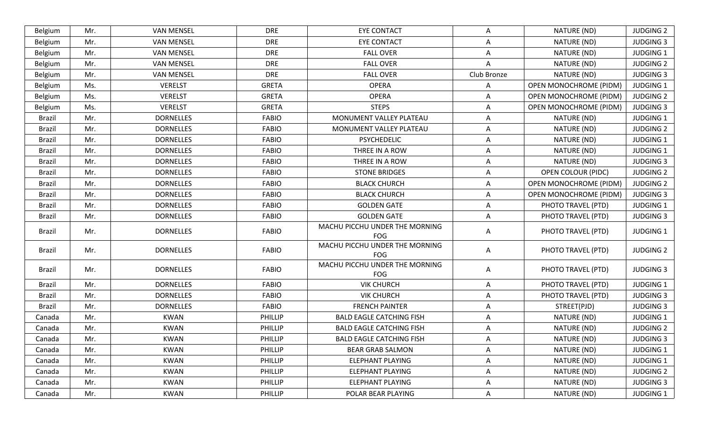| Belgium       | Mr. | <b>VAN MENSEL</b> | <b>DRE</b>     | <b>EYE CONTACT</b>                    | A              | NATURE (ND)                   | <b>JUDGING 2</b> |
|---------------|-----|-------------------|----------------|---------------------------------------|----------------|-------------------------------|------------------|
| Belgium       | Mr. | <b>VAN MENSEL</b> | <b>DRE</b>     | <b>EYE CONTACT</b>                    | Α              | NATURE (ND)                   | <b>JUDGING 3</b> |
| Belgium       | Mr. | <b>VAN MENSEL</b> | <b>DRE</b>     | <b>FALL OVER</b>                      | $\overline{A}$ | NATURE (ND)                   | <b>JUDGING 1</b> |
| Belgium       | Mr. | <b>VAN MENSEL</b> | <b>DRE</b>     | <b>FALL OVER</b>                      | A              | NATURE (ND)                   | <b>JUDGING 2</b> |
| Belgium       | Mr. | <b>VAN MENSEL</b> | <b>DRE</b>     | <b>FALL OVER</b>                      | Club Bronze    | NATURE (ND)                   | <b>JUDGING 3</b> |
| Belgium       | Ms. | <b>VERELST</b>    | <b>GRETA</b>   | <b>OPERA</b>                          | A              | OPEN MONOCHROME (PIDM)        | <b>JUDGING 1</b> |
| Belgium       | Ms. | <b>VERELST</b>    | <b>GRETA</b>   | <b>OPERA</b>                          | Α              | OPEN MONOCHROME (PIDM)        | <b>JUDGING 2</b> |
| Belgium       | Ms. | <b>VERELST</b>    | <b>GRETA</b>   | <b>STEPS</b>                          | A              | OPEN MONOCHROME (PIDM)        | <b>JUDGING 3</b> |
| Brazil        | Mr. | <b>DORNELLES</b>  | <b>FABIO</b>   | MONUMENT VALLEY PLATEAU               | Α              | NATURE (ND)                   | <b>JUDGING 1</b> |
| <b>Brazil</b> | Mr. | <b>DORNELLES</b>  | <b>FABIO</b>   | MONUMENT VALLEY PLATEAU               | A              | NATURE (ND)                   | <b>JUDGING 2</b> |
| <b>Brazil</b> | Mr. | <b>DORNELLES</b>  | <b>FABIO</b>   | <b>PSYCHEDELIC</b>                    | A              | NATURE (ND)                   | <b>JUDGING 1</b> |
| <b>Brazil</b> | Mr. | <b>DORNELLES</b>  | <b>FABIO</b>   | THREE IN A ROW                        | A              | NATURE (ND)                   | JUDGING 1        |
| Brazil        | Mr. | <b>DORNELLES</b>  | <b>FABIO</b>   | THREE IN A ROW                        | A              | NATURE (ND)                   | <b>JUDGING 3</b> |
| <b>Brazil</b> | Mr. | <b>DORNELLES</b>  | <b>FABIO</b>   | <b>STONE BRIDGES</b>                  | Α              | <b>OPEN COLOUR (PIDC)</b>     | <b>JUDGING 2</b> |
| <b>Brazil</b> | Mr. | <b>DORNELLES</b>  | <b>FABIO</b>   | <b>BLACK CHURCH</b>                   | A              | <b>OPEN MONOCHROME (PIDM)</b> | <b>JUDGING 2</b> |
| <b>Brazil</b> | Mr. | <b>DORNELLES</b>  | <b>FABIO</b>   | <b>BLACK CHURCH</b>                   | Α              | OPEN MONOCHROME (PIDM)        | <b>JUDGING 3</b> |
| <b>Brazil</b> | Mr. | <b>DORNELLES</b>  | <b>FABIO</b>   | <b>GOLDEN GATE</b>                    | $\overline{A}$ | PHOTO TRAVEL (PTD)            | <b>JUDGING 1</b> |
| Brazil        | Mr. | <b>DORNELLES</b>  | <b>FABIO</b>   | <b>GOLDEN GATE</b>                    | A              | PHOTO TRAVEL (PTD)            | <b>JUDGING 3</b> |
| <b>Brazil</b> | Mr. | <b>DORNELLES</b>  | <b>FABIO</b>   | MACHU PICCHU UNDER THE MORNING<br>FOG | Α              | PHOTO TRAVEL (PTD)            | <b>JUDGING 1</b> |
| Brazil        | Mr. | <b>DORNELLES</b>  | <b>FABIO</b>   | MACHU PICCHU UNDER THE MORNING<br>FOG | Α              | PHOTO TRAVEL (PTD)            | <b>JUDGING 2</b> |
| <b>Brazil</b> | Mr. | <b>DORNELLES</b>  | <b>FABIO</b>   | MACHU PICCHU UNDER THE MORNING<br>FOG | A              | PHOTO TRAVEL (PTD)            | <b>JUDGING 3</b> |
| <b>Brazil</b> | Mr. | <b>DORNELLES</b>  | <b>FABIO</b>   | <b>VIK CHURCH</b>                     | Α              | PHOTO TRAVEL (PTD)            | <b>JUDGING 1</b> |
| <b>Brazil</b> | Mr. | <b>DORNELLES</b>  | <b>FABIO</b>   | <b>VIK CHURCH</b>                     | Α              | PHOTO TRAVEL (PTD)            | <b>JUDGING 3</b> |
| Brazil        | Mr. | <b>DORNELLES</b>  | <b>FABIO</b>   | <b>FRENCH PAINTER</b>                 | A              | STREET(PJD)                   | <b>JUDGING 3</b> |
| Canada        | Mr. | <b>KWAN</b>       | PHILLIP        | <b>BALD EAGLE CATCHING FISH</b>       | A              | NATURE (ND)                   | <b>JUDGING 1</b> |
| Canada        | Mr. | <b>KWAN</b>       | PHILLIP        | <b>BALD EAGLE CATCHING FISH</b>       | Α              | NATURE (ND)                   | <b>JUDGING 2</b> |
| Canada        | Mr. | <b>KWAN</b>       | PHILLIP        | <b>BALD EAGLE CATCHING FISH</b>       | A              | NATURE (ND)                   | <b>JUDGING 3</b> |
| Canada        | Mr. | KWAN              | PHILLIP        | <b>BEAR GRAB SALMON</b>               | A              | NATURE (ND)                   | <b>JUDGING 1</b> |
| Canada        | Mr. | <b>KWAN</b>       | PHILLIP        | <b>ELEPHANT PLAYING</b>               | Α              | NATURE (ND)                   | <b>JUDGING 1</b> |
| Canada        | Mr. | <b>KWAN</b>       | <b>PHILLIP</b> | <b>ELEPHANT PLAYING</b>               | A              | NATURE (ND)                   | <b>JUDGING 2</b> |
| Canada        | Mr. | KWAN              | PHILLIP        | <b>ELEPHANT PLAYING</b>               | A              | NATURE (ND)                   | <b>JUDGING 3</b> |
| Canada        | Mr. | KWAN              | PHILLIP        | POLAR BEAR PLAYING                    | Α              | NATURE (ND)                   | <b>JUDGING 1</b> |
|               |     |                   |                |                                       |                |                               |                  |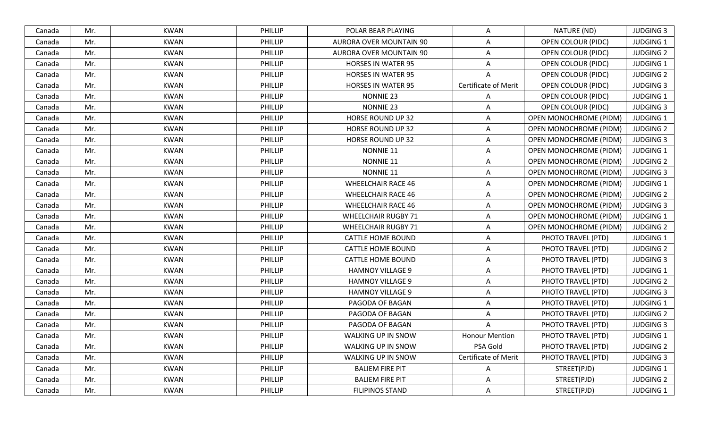| Canada | Mr. | <b>KWAN</b> | PHILLIP        | POLAR BEAR PLAYING             | Α                           | NATURE (ND)                   | <b>JUDGING 3</b> |
|--------|-----|-------------|----------------|--------------------------------|-----------------------------|-------------------------------|------------------|
| Canada | Mr. | <b>KWAN</b> | PHILLIP        | <b>AURORA OVER MOUNTAIN 90</b> | Α                           | <b>OPEN COLOUR (PIDC)</b>     | <b>JUDGING 1</b> |
| Canada | Mr. | <b>KWAN</b> | PHILLIP        | AURORA OVER MOUNTAIN 90        | A                           | <b>OPEN COLOUR (PIDC)</b>     | <b>JUDGING 2</b> |
| Canada | Mr. | <b>KWAN</b> | PHILLIP        | <b>HORSES IN WATER 95</b>      | Α                           | OPEN COLOUR (PIDC)            | <b>JUDGING 1</b> |
| Canada | Mr. | <b>KWAN</b> | PHILLIP        | <b>HORSES IN WATER 95</b>      | $\Delta$                    | <b>OPEN COLOUR (PIDC)</b>     | <b>JUDGING 2</b> |
| Canada | Mr. | <b>KWAN</b> | PHILLIP        | <b>HORSES IN WATER 95</b>      | <b>Certificate of Merit</b> | <b>OPEN COLOUR (PIDC)</b>     | <b>JUDGING 3</b> |
| Canada | Mr. | <b>KWAN</b> | PHILLIP        | <b>NONNIE 23</b>               | Α                           | <b>OPEN COLOUR (PIDC)</b>     | <b>JUDGING 1</b> |
| Canada | Mr. | <b>KWAN</b> | PHILLIP        | <b>NONNIE 23</b>               | A                           | <b>OPEN COLOUR (PIDC)</b>     | <b>JUDGING 3</b> |
| Canada | Mr. | <b>KWAN</b> | PHILLIP        | <b>HORSE ROUND UP 32</b>       | A                           | <b>OPEN MONOCHROME (PIDM)</b> | <b>JUDGING 1</b> |
| Canada | Mr. | <b>KWAN</b> | PHILLIP        | HORSE ROUND UP 32              | A                           | <b>OPEN MONOCHROME (PIDM)</b> | <b>JUDGING 2</b> |
| Canada | Mr. | <b>KWAN</b> | <b>PHILLIP</b> | <b>HORSE ROUND UP 32</b>       | A                           | <b>OPEN MONOCHROME (PIDM)</b> | <b>JUDGING 3</b> |
| Canada | Mr. | <b>KWAN</b> | PHILLIP        | NONNIE 11                      | Α                           | <b>OPEN MONOCHROME (PIDM)</b> | <b>JUDGING 1</b> |
| Canada | Mr. | <b>KWAN</b> | PHILLIP        | NONNIE 11                      | A                           | <b>OPEN MONOCHROME (PIDM)</b> | <b>JUDGING 2</b> |
| Canada | Mr. | <b>KWAN</b> | PHILLIP        | NONNIE 11                      | Α                           | <b>OPEN MONOCHROME (PIDM)</b> | <b>JUDGING 3</b> |
| Canada | Mr. | <b>KWAN</b> | PHILLIP        | <b>WHEELCHAIR RACE 46</b>      | A                           | OPEN MONOCHROME (PIDM)        | <b>JUDGING 1</b> |
| Canada | Mr. | <b>KWAN</b> | PHILLIP        | <b>WHEELCHAIR RACE 46</b>      | A                           | <b>OPEN MONOCHROME (PIDM)</b> | <b>JUDGING 2</b> |
| Canada | Mr. | <b>KWAN</b> | PHILLIP        | <b>WHEELCHAIR RACE 46</b>      | A                           | <b>OPEN MONOCHROME (PIDM)</b> | <b>JUDGING 3</b> |
| Canada | Mr. | <b>KWAN</b> | PHILLIP        | <b>WHEELCHAIR RUGBY 71</b>     | A                           | <b>OPEN MONOCHROME (PIDM)</b> | <b>JUDGING 1</b> |
| Canada | Mr. | <b>KWAN</b> | PHILLIP        | <b>WHEELCHAIR RUGBY 71</b>     | Α                           | OPEN MONOCHROME (PIDM)        | <b>JUDGING 2</b> |
| Canada | Mr. | <b>KWAN</b> | PHILLIP        | <b>CATTLE HOME BOUND</b>       | A                           | PHOTO TRAVEL (PTD)            | <b>JUDGING 1</b> |
| Canada | Mr. | <b>KWAN</b> | PHILLIP        | <b>CATTLE HOME BOUND</b>       | A                           | PHOTO TRAVEL (PTD)            | <b>JUDGING 2</b> |
| Canada | Mr. | <b>KWAN</b> | PHILLIP        | <b>CATTLE HOME BOUND</b>       | A                           | PHOTO TRAVEL (PTD)            | <b>JUDGING 3</b> |
| Canada | Mr. | <b>KWAN</b> | <b>PHILLIP</b> | <b>HAMNOY VILLAGE 9</b>        | A                           | PHOTO TRAVEL (PTD)            | <b>JUDGING 1</b> |
| Canada | Mr. | <b>KWAN</b> | PHILLIP        | <b>HAMNOY VILLAGE 9</b>        | A                           | PHOTO TRAVEL (PTD)            | <b>JUDGING 2</b> |
| Canada | Mr. | <b>KWAN</b> | PHILLIP        | <b>HAMNOY VILLAGE 9</b>        | A                           | PHOTO TRAVEL (PTD)            | <b>JUDGING 3</b> |
| Canada | Mr. | <b>KWAN</b> | PHILLIP        | PAGODA OF BAGAN                | A                           | PHOTO TRAVEL (PTD)            | <b>JUDGING 1</b> |
| Canada | Mr. | <b>KWAN</b> | PHILLIP        | PAGODA OF BAGAN                | A                           | PHOTO TRAVEL (PTD)            | <b>JUDGING 2</b> |
| Canada | Mr. | <b>KWAN</b> | PHILLIP        | PAGODA OF BAGAN                | A                           | PHOTO TRAVEL (PTD)            | <b>JUDGING 3</b> |
| Canada | Mr. | <b>KWAN</b> | <b>PHILLIP</b> | WALKING UP IN SNOW             | <b>Honour Mention</b>       | PHOTO TRAVEL (PTD)            | <b>JUDGING 1</b> |
| Canada | Mr. | <b>KWAN</b> | <b>PHILLIP</b> | WALKING UP IN SNOW             | PSA Gold                    | PHOTO TRAVEL (PTD)            | <b>JUDGING 2</b> |
| Canada | Mr. | <b>KWAN</b> | PHILLIP        | WALKING UP IN SNOW             | Certificate of Merit        | PHOTO TRAVEL (PTD)            | <b>JUDGING 3</b> |
| Canada | Mr. | <b>KWAN</b> | PHILLIP        | <b>BALIEM FIRE PIT</b>         | Α                           | STREET(PJD)                   | <b>JUDGING 1</b> |
| Canada | Mr. | <b>KWAN</b> | PHILLIP        | <b>BALIEM FIRE PIT</b>         | Α                           | STREET(PJD)                   | <b>JUDGING 2</b> |
| Canada | Mr. | <b>KWAN</b> | PHILLIP        | <b>FILIPINOS STAND</b>         | A                           | STREET(PJD)                   | JUDGING 1        |
|        |     |             |                |                                |                             |                               |                  |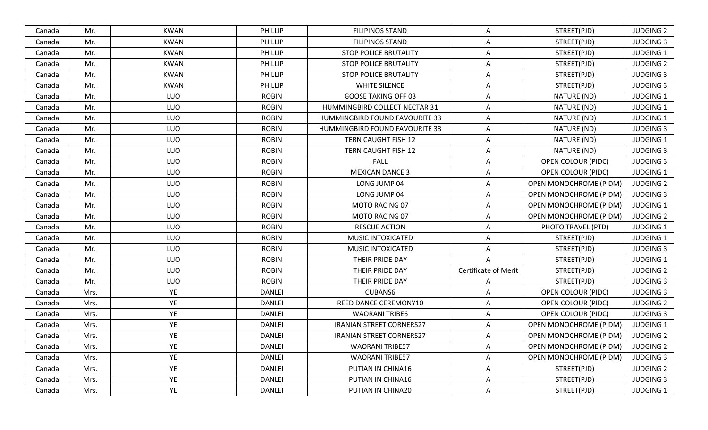| Canada | Mr.  | KWAN        | <b>PHILLIP</b> | <b>FILIPINOS STAND</b>          | A                           | STREET(PJD)                   | <b>JUDGING 2</b> |
|--------|------|-------------|----------------|---------------------------------|-----------------------------|-------------------------------|------------------|
| Canada | Mr.  | <b>KWAN</b> | <b>PHILLIP</b> | <b>FILIPINOS STAND</b>          | $\overline{A}$              | STREET(PJD)                   | <b>JUDGING 3</b> |
| Canada | Mr.  | <b>KWAN</b> | PHILLIP        | <b>STOP POLICE BRUTALITY</b>    | $\overline{A}$              | STREET(PJD)                   | <b>JUDGING 1</b> |
| Canada | Mr.  | <b>KWAN</b> | PHILLIP        | <b>STOP POLICE BRUTALITY</b>    | $\mathsf{A}$                | STREET(PJD)                   | <b>JUDGING 2</b> |
| Canada | Mr.  | <b>KWAN</b> | PHILLIP        | <b>STOP POLICE BRUTALITY</b>    | $\overline{A}$              | STREET(PJD)                   | <b>JUDGING 3</b> |
| Canada | Mr.  | <b>KWAN</b> | PHILLIP        | <b>WHITE SILENCE</b>            | $\overline{A}$              | STREET(PJD)                   | <b>JUDGING 3</b> |
| Canada | Mr.  | LUO         | <b>ROBIN</b>   | <b>GOOSE TAKING OFF 03</b>      | $\overline{A}$              | NATURE (ND)                   | <b>JUDGING 1</b> |
| Canada | Mr.  | LUO         | <b>ROBIN</b>   | HUMMINGBIRD COLLECT NECTAR 31   | A                           | NATURE (ND)                   | <b>JUDGING 1</b> |
| Canada | Mr.  | LUO         | <b>ROBIN</b>   | HUMMINGBIRD FOUND FAVOURITE 33  | $\mathsf{A}$                | NATURE (ND)                   | <b>JUDGING 1</b> |
| Canada | Mr.  | LUO         | <b>ROBIN</b>   | HUMMINGBIRD FOUND FAVOURITE 33  | $\overline{A}$              | NATURE (ND)                   | <b>JUDGING 3</b> |
| Canada | Mr.  | LUO         | <b>ROBIN</b>   | TERN CAUGHT FISH 12             | A                           | NATURE (ND)                   | <b>JUDGING 1</b> |
| Canada | Mr.  | LUO         | <b>ROBIN</b>   | TERN CAUGHT FISH 12             | $\overline{A}$              | NATURE (ND)                   | <b>JUDGING 3</b> |
| Canada | Mr.  | LUO         | <b>ROBIN</b>   | <b>FALL</b>                     | A                           | <b>OPEN COLOUR (PIDC)</b>     | <b>JUDGING 3</b> |
| Canada | Mr.  | LUO         | <b>ROBIN</b>   | <b>MEXICAN DANCE 3</b>          | $\overline{A}$              | <b>OPEN COLOUR (PIDC)</b>     | <b>JUDGING 1</b> |
| Canada | Mr.  | LUO         | <b>ROBIN</b>   | LONG JUMP 04                    | $\overline{A}$              | OPEN MONOCHROME (PIDM)        | <b>JUDGING 2</b> |
| Canada | Mr.  | LUO         | <b>ROBIN</b>   | LONG JUMP 04                    | $\overline{A}$              | <b>OPEN MONOCHROME (PIDM)</b> | <b>JUDGING 3</b> |
| Canada | Mr.  | LUO         | <b>ROBIN</b>   | MOTO RACING 07                  | Α                           | OPEN MONOCHROME (PIDM)        | <b>JUDGING 1</b> |
| Canada | Mr.  | LUO         | <b>ROBIN</b>   | MOTO RACING 07                  | A                           | <b>OPEN MONOCHROME (PIDM)</b> | <b>JUDGING 2</b> |
| Canada | Mr.  | LUO         | <b>ROBIN</b>   | <b>RESCUE ACTION</b>            | $\overline{A}$              | PHOTO TRAVEL (PTD)            | <b>JUDGING 1</b> |
| Canada | Mr.  | LUO         | <b>ROBIN</b>   | MUSIC INTOXICATED               | $\overline{A}$              | STREET(PJD)                   | <b>JUDGING 1</b> |
| Canada | Mr.  | LUO         | <b>ROBIN</b>   | MUSIC INTOXICATED               | $\overline{A}$              | STREET(PJD)                   | <b>JUDGING 3</b> |
| Canada | Mr.  | LUO         | <b>ROBIN</b>   | THEIR PRIDE DAY                 | A                           | STREET(PJD)                   | <b>JUDGING 1</b> |
| Canada | Mr.  | LUO         | <b>ROBIN</b>   | THEIR PRIDE DAY                 | <b>Certificate of Merit</b> | STREET(PJD)                   | <b>JUDGING 2</b> |
| Canada | Mr.  | LUO         | <b>ROBIN</b>   | THEIR PRIDE DAY                 | A                           | STREET(PJD)                   | <b>JUDGING 3</b> |
| Canada | Mrs. | YE          | <b>DANLEI</b>  | <b>CUBANS6</b>                  | A                           | <b>OPEN COLOUR (PIDC)</b>     | <b>JUDGING 3</b> |
| Canada | Mrs. | YE          | <b>DANLEI</b>  | REED DANCE CEREMONY10           | $\overline{A}$              | <b>OPEN COLOUR (PIDC)</b>     | <b>JUDGING 2</b> |
| Canada | Mrs. | YE          | <b>DANLEI</b>  | <b>WAORANI TRIBE6</b>           | $\overline{A}$              | OPEN COLOUR (PIDC)            | <b>JUDGING 3</b> |
| Canada | Mrs. | YE          | <b>DANLEI</b>  | <b>IRANIAN STREET CORNERS27</b> | $\overline{A}$              | OPEN MONOCHROME (PIDM)        | <b>JUDGING 1</b> |
| Canada | Mrs. | YE          | <b>DANLEI</b>  | <b>IRANIAN STREET CORNERS27</b> | A                           | <b>OPEN MONOCHROME (PIDM)</b> | <b>JUDGING 2</b> |
| Canada | Mrs. | YE          | <b>DANLEI</b>  | <b>WAORANI TRIBE57</b>          | A                           | <b>OPEN MONOCHROME (PIDM)</b> | <b>JUDGING 2</b> |
| Canada | Mrs. | YE          | <b>DANLEI</b>  | <b>WAORANI TRIBE57</b>          | $\overline{A}$              | <b>OPEN MONOCHROME (PIDM)</b> | <b>JUDGING 3</b> |
| Canada | Mrs. | YE          | <b>DANLEI</b>  | PUTIAN IN CHINA16               | $\mathsf{A}$                | STREET(PJD)                   | <b>JUDGING 2</b> |
| Canada | Mrs. | YE          | DANLEI         | PUTIAN IN CHINA16               | A                           | STREET(PJD)                   | <b>JUDGING 3</b> |
| Canada | Mrs. | YE          | <b>DANLEI</b>  | PUTIAN IN CHINA20               | $\overline{\mathsf{A}}$     | STREET(PJD)                   | JUDGING 1        |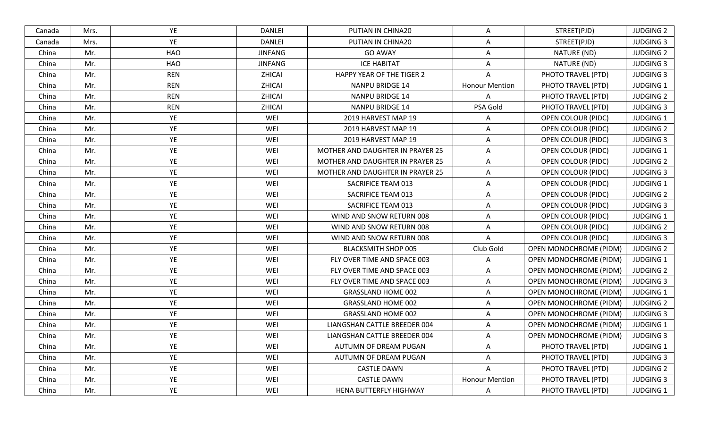| Canada | Mrs. | YE         | <b>DANLEI</b>  | PUTIAN IN CHINA20                | A                     | STREET(PJD)                   | <b>JUDGING 2</b> |
|--------|------|------------|----------------|----------------------------------|-----------------------|-------------------------------|------------------|
| Canada | Mrs. | YE         | <b>DANLEI</b>  | PUTIAN IN CHINA20                | $\overline{A}$        | STREET(PJD)                   | <b>JUDGING 3</b> |
| China  | Mr.  | <b>HAO</b> | <b>JINFANG</b> | <b>GO AWAY</b>                   | $\overline{A}$        | NATURE (ND)                   | <b>JUDGING 2</b> |
| China  | Mr.  | HAO        | <b>JINFANG</b> | <b>ICE HABITAT</b>               | A                     | NATURE (ND)                   | <b>JUDGING 3</b> |
| China  | Mr.  | <b>REN</b> | ZHICAI         | HAPPY YEAR OF THE TIGER 2        | A                     | PHOTO TRAVEL (PTD)            | <b>JUDGING 3</b> |
| China  | Mr.  | <b>REN</b> | ZHICAI         | <b>NANPU BRIDGE 14</b>           | <b>Honour Mention</b> | PHOTO TRAVEL (PTD)            | <b>JUDGING 1</b> |
| China  | Mr.  | <b>REN</b> | ZHICAI         | <b>NANPU BRIDGE 14</b>           | $\overline{A}$        | PHOTO TRAVEL (PTD)            | <b>JUDGING 2</b> |
| China  | Mr.  | <b>REN</b> | ZHICAI         | <b>NANPU BRIDGE 14</b>           | PSA Gold              | PHOTO TRAVEL (PTD)            | <b>JUDGING 3</b> |
| China  | Mr.  | YE         | WEI            | 2019 HARVEST MAP 19              | A                     | OPEN COLOUR (PIDC)            | <b>JUDGING 1</b> |
| China  | Mr.  | YE         | WEI            | 2019 HARVEST MAP 19              | Α                     | <b>OPEN COLOUR (PIDC)</b>     | <b>JUDGING 2</b> |
| China  | Mr.  | YE         | WEI            | 2019 HARVEST MAP 19              | A                     | <b>OPEN COLOUR (PIDC)</b>     | <b>JUDGING 3</b> |
| China  | Mr.  | YE         | WEI            | MOTHER AND DAUGHTER IN PRAYER 25 | $\overline{A}$        | <b>OPEN COLOUR (PIDC)</b>     | JUDGING 1        |
| China  | Mr.  | YE         | WEI            | MOTHER AND DAUGHTER IN PRAYER 25 | A                     | <b>OPEN COLOUR (PIDC)</b>     | <b>JUDGING 2</b> |
| China  | Mr.  | YE         | WEI            | MOTHER AND DAUGHTER IN PRAYER 25 | $\overline{A}$        | OPEN COLOUR (PIDC)            | <b>JUDGING 3</b> |
| China  | Mr.  | YE         | WEI            | SACRIFICE TEAM 013               | $\mathsf{A}$          | <b>OPEN COLOUR (PIDC)</b>     | <b>JUDGING 1</b> |
| China  | Mr.  | YE         | WEI            | SACRIFICE TEAM 013               | $\overline{A}$        | <b>OPEN COLOUR (PIDC)</b>     | <b>JUDGING 2</b> |
| China  | Mr.  | YE         | WEI            | SACRIFICE TEAM 013               | Α                     | <b>OPEN COLOUR (PIDC)</b>     | <b>JUDGING 3</b> |
| China  | Mr.  | YE         | WEI            | WIND AND SNOW RETURN 008         | A                     | <b>OPEN COLOUR (PIDC)</b>     | <b>JUDGING 1</b> |
| China  | Mr.  | YE         | WEI            | WIND AND SNOW RETURN 008         | $\overline{A}$        | OPEN COLOUR (PIDC)            | <b>JUDGING 2</b> |
| China  | Mr.  | YE         | WEI            | WIND AND SNOW RETURN 008         | A                     | <b>OPEN COLOUR (PIDC)</b>     | <b>JUDGING 3</b> |
| China  | Mr.  | YE         | WEI            | <b>BLACKSMITH SHOP 005</b>       | Club Gold             | <b>OPEN MONOCHROME (PIDM)</b> | <b>JUDGING 2</b> |
| China  | Mr.  | YE         | WEI            | FLY OVER TIME AND SPACE 003      | Α                     | OPEN MONOCHROME (PIDM)        | <b>JUDGING 1</b> |
| China  | Mr.  | YE         | WEI            | FLY OVER TIME AND SPACE 003      | $\overline{A}$        | OPEN MONOCHROME (PIDM)        | <b>JUDGING 2</b> |
| China  | Mr.  | YE         | WEI            | FLY OVER TIME AND SPACE 003      | $\overline{A}$        | <b>OPEN MONOCHROME (PIDM)</b> | <b>JUDGING 3</b> |
| China  | Mr.  | YE         | WEI            | <b>GRASSLAND HOME 002</b>        | A                     | <b>OPEN MONOCHROME (PIDM)</b> | <b>JUDGING 1</b> |
| China  | Mr.  | YE         | WEI            | <b>GRASSLAND HOME 002</b>        | $\overline{A}$        | OPEN MONOCHROME (PIDM)        | <b>JUDGING 2</b> |
| China  | Mr.  | YE         | WEI            | <b>GRASSLAND HOME 002</b>        | $\overline{A}$        | OPEN MONOCHROME (PIDM)        | <b>JUDGING 3</b> |
| China  | Mr.  | YE         | WEI            | LIANGSHAN CATTLE BREEDER 004     | $\mathsf{A}$          | <b>OPEN MONOCHROME (PIDM)</b> | <b>JUDGING 1</b> |
| China  | Mr.  | YE         | WEI            | LIANGSHAN CATTLE BREEDER 004     | $\overline{A}$        | <b>OPEN MONOCHROME (PIDM)</b> | <b>JUDGING 3</b> |
| China  | Mr.  | YE         | WEI            | AUTUMN OF DREAM PUGAN            | A                     | PHOTO TRAVEL (PTD)            | JUDGING 1        |
| China  | Mr.  | YE         | WEI            | AUTUMN OF DREAM PUGAN            | $\mathsf{A}$          | PHOTO TRAVEL (PTD)            | <b>JUDGING 3</b> |
| China  | Mr.  | YE         | WEI            | <b>CASTLE DAWN</b>               | $\mathsf{A}$          | PHOTO TRAVEL (PTD)            | <b>JUDGING 2</b> |
| China  | Mr.  | YE         | WEI            | <b>CASTLE DAWN</b>               | <b>Honour Mention</b> | PHOTO TRAVEL (PTD)            | <b>JUDGING 3</b> |
| China  | Mr.  | YE         | WEI            | HENA BUTTERFLY HIGHWAY           | $\mathsf{A}$          | PHOTO TRAVEL (PTD)            | <b>JUDGING 1</b> |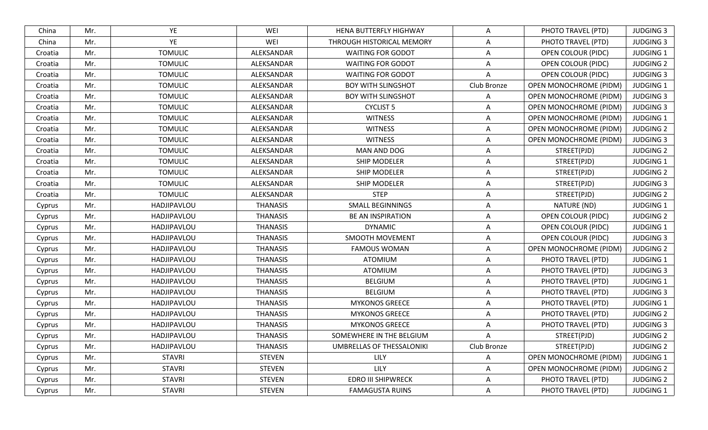| YE<br>WEI<br>China<br>Mr.<br>THROUGH HISTORICAL MEMORY<br>A<br>PHOTO TRAVEL (PTD)<br><b>TOMULIC</b><br>ALEKSANDAR<br><b>WAITING FOR GODOT</b><br>Mr.<br>A<br><b>OPEN COLOUR (PIDC)</b><br>Croatia<br>Mr.<br><b>TOMULIC</b><br>ALEKSANDAR<br>WAITING FOR GODOT<br><b>OPEN COLOUR (PIDC)</b><br>A<br>Croatia<br>Mr.<br><b>TOMULIC</b><br>ALEKSANDAR<br><b>OPEN COLOUR (PIDC)</b><br><b>WAITING FOR GODOT</b><br>Croatia<br>Mr.<br>Club Bronze<br><b>TOMULIC</b><br>ALEKSANDAR<br><b>BOY WITH SLINGSHOT</b><br>OPEN MONOCHROME (PIDM)<br>Croatia | <b>JUDGING 3</b><br><b>JUDGING 1</b><br><b>JUDGING 2</b><br><b>JUDGING 3</b><br><b>JUDGING 1</b><br><b>JUDGING 3</b><br><b>JUDGING 3</b> |
|-----------------------------------------------------------------------------------------------------------------------------------------------------------------------------------------------------------------------------------------------------------------------------------------------------------------------------------------------------------------------------------------------------------------------------------------------------------------------------------------------------------------------------------------------|------------------------------------------------------------------------------------------------------------------------------------------|
|                                                                                                                                                                                                                                                                                                                                                                                                                                                                                                                                               |                                                                                                                                          |
|                                                                                                                                                                                                                                                                                                                                                                                                                                                                                                                                               |                                                                                                                                          |
|                                                                                                                                                                                                                                                                                                                                                                                                                                                                                                                                               |                                                                                                                                          |
|                                                                                                                                                                                                                                                                                                                                                                                                                                                                                                                                               |                                                                                                                                          |
|                                                                                                                                                                                                                                                                                                                                                                                                                                                                                                                                               |                                                                                                                                          |
| Mr.<br><b>TOMULIC</b><br>OPEN MONOCHROME (PIDM)<br>ALEKSANDAR<br><b>BOY WITH SLINGSHOT</b><br>A<br>Croatia                                                                                                                                                                                                                                                                                                                                                                                                                                    |                                                                                                                                          |
| <b>TOMULIC</b><br>ALEKSANDAR<br><b>CYCLIST 5</b><br><b>OPEN MONOCHROME (PIDM)</b><br>Mr.<br>Croatia<br>A                                                                                                                                                                                                                                                                                                                                                                                                                                      |                                                                                                                                          |
| Mr.<br><b>TOMULIC</b><br>ALEKSANDAR<br><b>WITNESS</b><br>A<br><b>OPEN MONOCHROME (PIDM)</b><br>Croatia                                                                                                                                                                                                                                                                                                                                                                                                                                        | <b>JUDGING 1</b>                                                                                                                         |
| <b>WITNESS</b><br>OPEN MONOCHROME (PIDM)<br>Mr.<br><b>TOMULIC</b><br>ALEKSANDAR<br>Croatia<br>A                                                                                                                                                                                                                                                                                                                                                                                                                                               | <b>JUDGING 2</b>                                                                                                                         |
| Mr.<br><b>TOMULIC</b><br>ALEKSANDAR<br><b>WITNESS</b><br><b>OPEN MONOCHROME (PIDM)</b><br>Croatia<br>A                                                                                                                                                                                                                                                                                                                                                                                                                                        | <b>JUDGING 3</b>                                                                                                                         |
| <b>TOMULIC</b><br>MAN AND DOG<br>Mr.<br>ALEKSANDAR<br>STREET(PJD)<br>$\overline{A}$<br>Croatia                                                                                                                                                                                                                                                                                                                                                                                                                                                | <b>JUDGING 2</b>                                                                                                                         |
| Mr.<br><b>TOMULIC</b><br>ALEKSANDAR<br><b>SHIP MODELER</b><br>STREET(PJD)<br>A<br>Croatia                                                                                                                                                                                                                                                                                                                                                                                                                                                     | <b>JUDGING 1</b>                                                                                                                         |
| $\overline{A}$<br>Mr.<br><b>TOMULIC</b><br>ALEKSANDAR<br><b>SHIP MODELER</b><br>STREET(PJD)<br>Croatia                                                                                                                                                                                                                                                                                                                                                                                                                                        | <b>JUDGING 2</b>                                                                                                                         |
| <b>TOMULIC</b><br>ALEKSANDAR<br><b>SHIP MODELER</b><br>STREET(PJD)<br>Mr.<br>A<br>Croatia                                                                                                                                                                                                                                                                                                                                                                                                                                                     | <b>JUDGING 3</b>                                                                                                                         |
| A<br>Mr.<br><b>TOMULIC</b><br>ALEKSANDAR<br><b>STEP</b><br>STREET(PJD)<br>Croatia                                                                                                                                                                                                                                                                                                                                                                                                                                                             | <b>JUDGING 2</b>                                                                                                                         |
| Mr.<br>HADJIPAVLOU<br><b>THANASIS</b><br><b>SMALL BEGINNINGS</b><br>NATURE (ND)<br>Α<br>Cyprus                                                                                                                                                                                                                                                                                                                                                                                                                                                | <b>JUDGING 1</b>                                                                                                                         |
| Mr.<br>HADJIPAVLOU<br><b>THANASIS</b><br><b>BE AN INSPIRATION</b><br><b>OPEN COLOUR (PIDC)</b><br>A<br>Cyprus                                                                                                                                                                                                                                                                                                                                                                                                                                 | <b>JUDGING 2</b>                                                                                                                         |
| Mr.<br>HADJIPAVLOU<br><b>THANASIS</b><br><b>DYNAMIC</b><br>A<br><b>OPEN COLOUR (PIDC)</b><br>Cyprus                                                                                                                                                                                                                                                                                                                                                                                                                                           | <b>JUDGING 1</b>                                                                                                                         |
| <b>THANASIS</b><br>SMOOTH MOVEMENT<br><b>OPEN COLOUR (PIDC)</b><br>Mr.<br>HADJIPAVLOU<br>$\overline{A}$<br>Cyprus                                                                                                                                                                                                                                                                                                                                                                                                                             | <b>JUDGING 3</b>                                                                                                                         |
| <b>THANASIS</b><br>Mr.<br>HADJIPAVLOU<br><b>FAMOUS WOMAN</b><br>A<br>OPEN MONOCHROME (PIDM)<br>Cyprus                                                                                                                                                                                                                                                                                                                                                                                                                                         | <b>JUDGING 2</b>                                                                                                                         |
| <b>ATOMIUM</b><br>Mr.<br>HADJIPAVLOU<br><b>THANASIS</b><br>PHOTO TRAVEL (PTD)<br>A<br>Cyprus                                                                                                                                                                                                                                                                                                                                                                                                                                                  | <b>JUDGING 1</b>                                                                                                                         |
| Mr.<br>HADJIPAVLOU<br><b>THANASIS</b><br><b>ATOMIUM</b><br>PHOTO TRAVEL (PTD)<br>A<br>Cyprus                                                                                                                                                                                                                                                                                                                                                                                                                                                  | <b>JUDGING 3</b>                                                                                                                         |
| <b>BELGIUM</b><br>Mr.<br>HADJIPAVLOU<br><b>THANASIS</b><br>PHOTO TRAVEL (PTD)<br>A<br>Cyprus                                                                                                                                                                                                                                                                                                                                                                                                                                                  | <b>JUDGING 1</b>                                                                                                                         |
| <b>BELGIUM</b><br>Mr.<br>HADJIPAVLOU<br><b>THANASIS</b><br>PHOTO TRAVEL (PTD)<br>A<br>Cyprus                                                                                                                                                                                                                                                                                                                                                                                                                                                  | <b>JUDGING 3</b>                                                                                                                         |
| Mr.<br>HADJIPAVLOU<br><b>THANASIS</b><br><b>MYKONOS GREECE</b><br>A<br>PHOTO TRAVEL (PTD)<br>Cyprus                                                                                                                                                                                                                                                                                                                                                                                                                                           | <b>JUDGING 1</b>                                                                                                                         |
| Mr.<br>HADJIPAVLOU<br><b>THANASIS</b><br><b>MYKONOS GREECE</b><br>A<br>PHOTO TRAVEL (PTD)<br>Cyprus                                                                                                                                                                                                                                                                                                                                                                                                                                           | <b>JUDGING 2</b>                                                                                                                         |
| Mr.<br>HADJIPAVLOU<br><b>THANASIS</b><br><b>MYKONOS GREECE</b><br>PHOTO TRAVEL (PTD)<br>A<br>Cyprus                                                                                                                                                                                                                                                                                                                                                                                                                                           | <b>JUDGING 3</b>                                                                                                                         |
| <b>THANASIS</b><br>STREET(PJD)<br>Mr.<br>HADJIPAVLOU<br>SOMEWHERE IN THE BELGIUM<br>Cyprus<br>A                                                                                                                                                                                                                                                                                                                                                                                                                                               | <b>JUDGING 2</b>                                                                                                                         |
| Mr.<br><b>THANASIS</b><br>Club Bronze<br>HADJIPAVLOU<br>UMBRELLAS OF THESSALONIKI<br>STREET(PJD)<br>Cyprus                                                                                                                                                                                                                                                                                                                                                                                                                                    | <b>JUDGING 2</b>                                                                                                                         |
| OPEN MONOCHROME (PIDM)<br>Mr.<br><b>STAVRI</b><br><b>STEVEN</b><br><b>LILY</b><br>A<br>Cyprus                                                                                                                                                                                                                                                                                                                                                                                                                                                 | <b>JUDGING 1</b>                                                                                                                         |
| <b>STEVEN</b><br>LILY<br><b>OPEN MONOCHROME (PIDM)</b><br>Mr.<br><b>STAVRI</b><br>A<br>Cyprus                                                                                                                                                                                                                                                                                                                                                                                                                                                 | <b>JUDGING 2</b>                                                                                                                         |
| <b>STAVRI</b><br><b>STEVEN</b><br><b>EDRO III SHIPWRECK</b><br>A<br>PHOTO TRAVEL (PTD)<br>Mr.<br>Cyprus                                                                                                                                                                                                                                                                                                                                                                                                                                       | <b>JUDGING 2</b>                                                                                                                         |
| Mr.<br><b>STAVRI</b><br><b>STEVEN</b><br><b>FAMAGUSTA RUINS</b><br>A<br>PHOTO TRAVEL (PTD)<br>Cyprus                                                                                                                                                                                                                                                                                                                                                                                                                                          | <b>JUDGING 1</b>                                                                                                                         |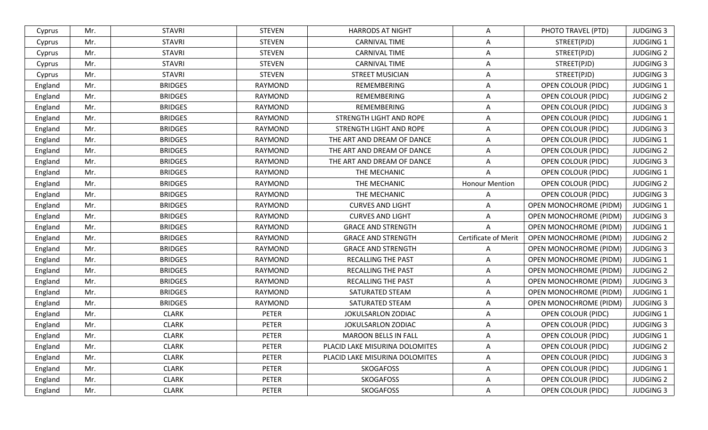| Cyprus  | Mr. | <b>STAVRI</b>  | <b>STEVEN</b>  | <b>HARRODS AT NIGHT</b>        | Α                     | PHOTO TRAVEL (PTD)            | <b>JUDGING 3</b> |
|---------|-----|----------------|----------------|--------------------------------|-----------------------|-------------------------------|------------------|
| Cyprus  | Mr. | <b>STAVRI</b>  | <b>STEVEN</b>  | <b>CARNIVAL TIME</b>           | Α                     | STREET(PJD)                   | <b>JUDGING 1</b> |
| Cyprus  | Mr. | <b>STAVRI</b>  | <b>STEVEN</b>  | <b>CARNIVAL TIME</b>           | A                     | STREET(PJD)                   | <b>JUDGING 2</b> |
| Cyprus  | Mr. | <b>STAVRI</b>  | <b>STEVEN</b>  | <b>CARNIVAL TIME</b>           | A                     | STREET(PJD)                   | <b>JUDGING 3</b> |
| Cyprus  | Mr. | <b>STAVRI</b>  | <b>STEVEN</b>  | <b>STREET MUSICIAN</b>         | A                     | STREET(PJD)                   | <b>JUDGING 3</b> |
| England | Mr. | <b>BRIDGES</b> | <b>RAYMOND</b> | REMEMBERING                    | A                     | OPEN COLOUR (PIDC)            | <b>JUDGING 1</b> |
| England | Mr. | <b>BRIDGES</b> | RAYMOND        | REMEMBERING                    | A                     | OPEN COLOUR (PIDC)            | <b>JUDGING 2</b> |
| England | Mr. | <b>BRIDGES</b> | <b>RAYMOND</b> | REMEMBERING                    | A                     | OPEN COLOUR (PIDC)            | <b>JUDGING 3</b> |
| England | Mr. | <b>BRIDGES</b> | <b>RAYMOND</b> | STRENGTH LIGHT AND ROPE        | A                     | <b>OPEN COLOUR (PIDC)</b>     | <b>JUDGING 1</b> |
| England | Mr. | <b>BRIDGES</b> | RAYMOND        | STRENGTH LIGHT AND ROPE        | A                     | OPEN COLOUR (PIDC)            | <b>JUDGING 3</b> |
| England | Mr. | <b>BRIDGES</b> | RAYMOND        | THE ART AND DREAM OF DANCE     | A                     | <b>OPEN COLOUR (PIDC)</b>     | <b>JUDGING 1</b> |
| England | Mr. | <b>BRIDGES</b> | RAYMOND        | THE ART AND DREAM OF DANCE     | Α                     | <b>OPEN COLOUR (PIDC)</b>     | <b>JUDGING 2</b> |
| England | Mr. | <b>BRIDGES</b> | <b>RAYMOND</b> | THE ART AND DREAM OF DANCE     | A                     | OPEN COLOUR (PIDC)            | <b>JUDGING 3</b> |
| England | Mr. | <b>BRIDGES</b> | <b>RAYMOND</b> | THE MECHANIC                   | $\overline{A}$        | <b>OPEN COLOUR (PIDC)</b>     | <b>JUDGING 1</b> |
| England | Mr. | <b>BRIDGES</b> | <b>RAYMOND</b> | THE MECHANIC                   | <b>Honour Mention</b> | <b>OPEN COLOUR (PIDC)</b>     | <b>JUDGING 2</b> |
| England | Mr. | <b>BRIDGES</b> | <b>RAYMOND</b> | THE MECHANIC                   | A                     | OPEN COLOUR (PIDC)            | <b>JUDGING 3</b> |
| England | Mr. | <b>BRIDGES</b> | <b>RAYMOND</b> | <b>CURVES AND LIGHT</b>        | A                     | <b>OPEN MONOCHROME (PIDM)</b> | <b>JUDGING 1</b> |
| England | Mr. | <b>BRIDGES</b> | <b>RAYMOND</b> | <b>CURVES AND LIGHT</b>        | A                     | OPEN MONOCHROME (PIDM)        | <b>JUDGING 3</b> |
| England | Mr. | <b>BRIDGES</b> | RAYMOND        | <b>GRACE AND STRENGTH</b>      | A                     | OPEN MONOCHROME (PIDM)        | <b>JUDGING 1</b> |
| England | Mr. | <b>BRIDGES</b> | <b>RAYMOND</b> | <b>GRACE AND STRENGTH</b>      | Certificate of Merit  | OPEN MONOCHROME (PIDM)        | <b>JUDGING 2</b> |
| England | Mr. | <b>BRIDGES</b> | <b>RAYMOND</b> | <b>GRACE AND STRENGTH</b>      | A                     | <b>OPEN MONOCHROME (PIDM)</b> | <b>JUDGING 3</b> |
| England | Mr. | <b>BRIDGES</b> | <b>RAYMOND</b> | <b>RECALLING THE PAST</b>      | A                     | OPEN MONOCHROME (PIDM)        | <b>JUDGING 1</b> |
| England | Mr. | <b>BRIDGES</b> | RAYMOND        | RECALLING THE PAST             | A                     | <b>OPEN MONOCHROME (PIDM)</b> | <b>JUDGING 2</b> |
| England | Mr. | <b>BRIDGES</b> | <b>RAYMOND</b> | <b>RECALLING THE PAST</b>      | A                     | <b>OPEN MONOCHROME (PIDM)</b> | <b>JUDGING 3</b> |
| England | Mr. | <b>BRIDGES</b> | RAYMOND        | SATURATED STEAM                | A                     | OPEN MONOCHROME (PIDM)        | <b>JUDGING 1</b> |
| England | Mr. | <b>BRIDGES</b> | RAYMOND        | SATURATED STEAM                | A                     | <b>OPEN MONOCHROME (PIDM)</b> | <b>JUDGING 3</b> |
| England | Mr. | <b>CLARK</b>   | <b>PETER</b>   | JOKULSARLON ZODIAC             | A                     | <b>OPEN COLOUR (PIDC)</b>     | <b>JUDGING 1</b> |
| England | Mr. | <b>CLARK</b>   | <b>PETER</b>   | JOKULSARLON ZODIAC             | A                     | <b>OPEN COLOUR (PIDC)</b>     | <b>JUDGING 3</b> |
| England | Mr. | <b>CLARK</b>   | <b>PETER</b>   | <b>MAROON BELLS IN FALL</b>    | Α                     | <b>OPEN COLOUR (PIDC)</b>     | <b>JUDGING 1</b> |
| England | Mr. | <b>CLARK</b>   | <b>PETER</b>   | PLACID LAKE MISURINA DOLOMITES | A                     | <b>OPEN COLOUR (PIDC)</b>     | <b>JUDGING 2</b> |
| England | Mr. | <b>CLARK</b>   | <b>PETER</b>   | PLACID LAKE MISURINA DOLOMITES | A                     | <b>OPEN COLOUR (PIDC)</b>     | <b>JUDGING 3</b> |
| England | Mr. | <b>CLARK</b>   | <b>PETER</b>   | <b>SKOGAFOSS</b>               | A                     | <b>OPEN COLOUR (PIDC)</b>     | <b>JUDGING 1</b> |
| England | Mr. | <b>CLARK</b>   | <b>PETER</b>   | <b>SKOGAFOSS</b>               | Α                     | <b>OPEN COLOUR (PIDC)</b>     | <b>JUDGING 2</b> |
| England | Mr. | <b>CLARK</b>   | <b>PETER</b>   | <b>SKOGAFOSS</b>               | Α                     | <b>OPEN COLOUR (PIDC)</b>     | <b>JUDGING 3</b> |
|         |     |                |                |                                |                       |                               |                  |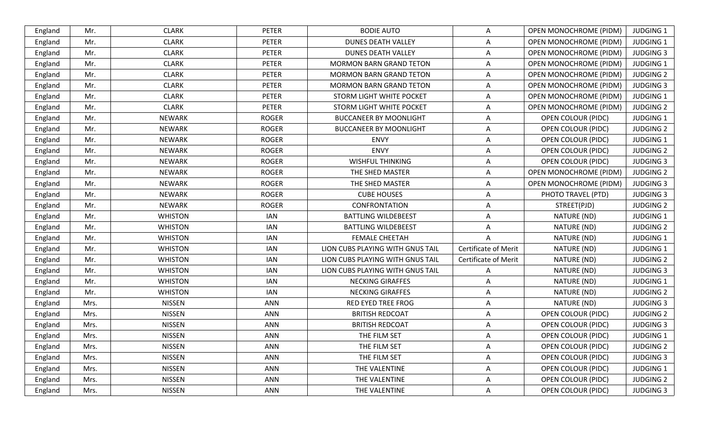| England | Mr.  | <b>CLARK</b>   | <b>PETER</b> | <b>BODIE AUTO</b>                | A                    | <b>OPEN MONOCHROME (PIDM)</b> | <b>JUDGING 1</b> |
|---------|------|----------------|--------------|----------------------------------|----------------------|-------------------------------|------------------|
| England | Mr.  | <b>CLARK</b>   | <b>PETER</b> | <b>DUNES DEATH VALLEY</b>        | A                    | OPEN MONOCHROME (PIDM)        | <b>JUDGING 1</b> |
| England | Mr.  | <b>CLARK</b>   | <b>PETER</b> | <b>DUNES DEATH VALLEY</b>        | A                    | <b>OPEN MONOCHROME (PIDM)</b> | <b>JUDGING 3</b> |
| England | Mr.  | <b>CLARK</b>   | <b>PETER</b> | <b>MORMON BARN GRAND TETON</b>   | A                    | <b>OPEN MONOCHROME (PIDM)</b> | <b>JUDGING 1</b> |
| England | Mr.  | <b>CLARK</b>   | <b>PETER</b> | <b>MORMON BARN GRAND TETON</b>   | A                    | OPEN MONOCHROME (PIDM)        | <b>JUDGING 2</b> |
| England | Mr.  | <b>CLARK</b>   | <b>PETER</b> | <b>MORMON BARN GRAND TETON</b>   | A                    | OPEN MONOCHROME (PIDM)        | <b>JUDGING 3</b> |
| England | Mr.  | <b>CLARK</b>   | <b>PETER</b> | STORM LIGHT WHITE POCKET         | A                    | <b>OPEN MONOCHROME (PIDM)</b> | <b>JUDGING 1</b> |
| England | Mr.  | <b>CLARK</b>   | <b>PETER</b> | STORM LIGHT WHITE POCKET         | A                    | <b>OPEN MONOCHROME (PIDM)</b> | <b>JUDGING 2</b> |
| England | Mr.  | <b>NEWARK</b>  | <b>ROGER</b> | <b>BUCCANEER BY MOONLIGHT</b>    | Α                    | <b>OPEN COLOUR (PIDC)</b>     | <b>JUDGING 1</b> |
| England | Mr.  | <b>NEWARK</b>  | <b>ROGER</b> | <b>BUCCANEER BY MOONLIGHT</b>    | A                    | <b>OPEN COLOUR (PIDC)</b>     | <b>JUDGING 2</b> |
| England | Mr.  | <b>NEWARK</b>  | <b>ROGER</b> | <b>ENVY</b>                      | A                    | <b>OPEN COLOUR (PIDC)</b>     | <b>JUDGING 1</b> |
| England | Mr.  | <b>NEWARK</b>  | <b>ROGER</b> | <b>ENVY</b>                      | A                    | <b>OPEN COLOUR (PIDC)</b>     | <b>JUDGING 2</b> |
| England | Mr.  | <b>NEWARK</b>  | <b>ROGER</b> | <b>WISHFUL THINKING</b>          | A                    | <b>OPEN COLOUR (PIDC)</b>     | <b>JUDGING 3</b> |
| England | Mr.  | <b>NEWARK</b>  | <b>ROGER</b> | THE SHED MASTER                  | A                    | OPEN MONOCHROME (PIDM)        | <b>JUDGING 2</b> |
| England | Mr.  | <b>NEWARK</b>  | <b>ROGER</b> | THE SHED MASTER                  | A                    | <b>OPEN MONOCHROME (PIDM)</b> | <b>JUDGING 3</b> |
| England | Mr.  | <b>NEWARK</b>  | <b>ROGER</b> | <b>CUBE HOUSES</b>               | Α                    | PHOTO TRAVEL (PTD)            | <b>JUDGING 3</b> |
| England | Mr.  | <b>NEWARK</b>  | <b>ROGER</b> | CONFRONTATION                    | A                    | STREET(PJD)                   | <b>JUDGING 2</b> |
| England | Mr.  | <b>WHISTON</b> | <b>IAN</b>   | <b>BATTLING WILDEBEEST</b>       | Α                    | NATURE (ND)                   | <b>JUDGING 1</b> |
| England | Mr.  | <b>WHISTON</b> | <b>IAN</b>   | <b>BATTLING WILDEBEEST</b>       | A                    | NATURE (ND)                   | <b>JUDGING 2</b> |
| England | Mr.  | <b>WHISTON</b> | <b>IAN</b>   | <b>FEMALE CHEETAH</b>            | A                    | NATURE (ND)                   | <b>JUDGING 1</b> |
| England | Mr.  | <b>WHISTON</b> | <b>IAN</b>   | LION CUBS PLAYING WITH GNUS TAIL | Certificate of Merit | NATURE (ND)                   | <b>JUDGING 1</b> |
| England | Mr.  | <b>WHISTON</b> | <b>IAN</b>   | LION CUBS PLAYING WITH GNUS TAIL | Certificate of Merit | NATURE (ND)                   | <b>JUDGING 2</b> |
| England | Mr.  | <b>WHISTON</b> | <b>IAN</b>   | LION CUBS PLAYING WITH GNUS TAIL | Α                    | NATURE (ND)                   | <b>JUDGING 3</b> |
| England | Mr.  | <b>WHISTON</b> | <b>IAN</b>   | <b>NECKING GIRAFFES</b>          | A                    | NATURE (ND)                   | <b>JUDGING 1</b> |
| England | Mr.  | <b>WHISTON</b> | <b>IAN</b>   | <b>NECKING GIRAFFES</b>          | Α                    | NATURE (ND)                   | <b>JUDGING 2</b> |
| England | Mrs. | <b>NISSEN</b>  | <b>ANN</b>   | <b>RED EYED TREE FROG</b>        | A                    | NATURE (ND)                   | <b>JUDGING 3</b> |
| England | Mrs. | <b>NISSEN</b>  | <b>ANN</b>   | <b>BRITISH REDCOAT</b>           | A                    | OPEN COLOUR (PIDC)            | <b>JUDGING 2</b> |
| England | Mrs. | <b>NISSEN</b>  | <b>ANN</b>   | <b>BRITISH REDCOAT</b>           | A                    | <b>OPEN COLOUR (PIDC)</b>     | <b>JUDGING 3</b> |
| England | Mrs. | <b>NISSEN</b>  | <b>ANN</b>   | THE FILM SET                     | A                    | <b>OPEN COLOUR (PIDC)</b>     | JUDGING 1        |
| England | Mrs. | <b>NISSEN</b>  | ANN          | THE FILM SET                     | A                    | <b>OPEN COLOUR (PIDC)</b>     | <b>JUDGING 2</b> |
| England | Mrs. | <b>NISSEN</b>  | ANN          | THE FILM SET                     | A                    | <b>OPEN COLOUR (PIDC)</b>     | <b>JUDGING 3</b> |
| England | Mrs. | <b>NISSEN</b>  | ANN          | THE VALENTINE                    | Α                    | <b>OPEN COLOUR (PIDC)</b>     | <b>JUDGING 1</b> |
| England | Mrs. | <b>NISSEN</b>  | ANN          | THE VALENTINE                    | Α                    | <b>OPEN COLOUR (PIDC)</b>     | <b>JUDGING 2</b> |
| England | Mrs. | <b>NISSEN</b>  | ANN          | THE VALENTINE                    | A                    | OPEN COLOUR (PIDC)            | <b>JUDGING 3</b> |
|         |      |                |              |                                  |                      |                               |                  |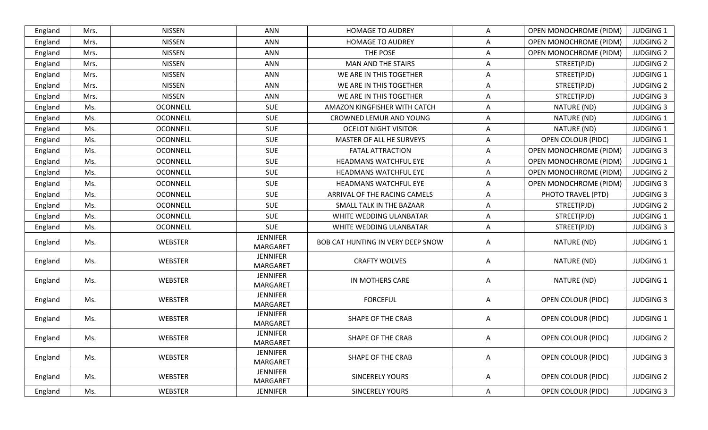| England | Mrs. | <b>NISSEN</b>   | <b>ANN</b>                         | <b>HOMAGE TO AUDREY</b>           | Α | OPEN MONOCHROME (PIDM)        | <b>JUDGING 1</b> |
|---------|------|-----------------|------------------------------------|-----------------------------------|---|-------------------------------|------------------|
| England | Mrs. | <b>NISSEN</b>   | ANN                                | <b>HOMAGE TO AUDREY</b>           | A | OPEN MONOCHROME (PIDM)        | <b>JUDGING 2</b> |
| England | Mrs. | <b>NISSEN</b>   | <b>ANN</b>                         | THE POSE                          | A | OPEN MONOCHROME (PIDM)        | <b>JUDGING 2</b> |
| England | Mrs. | <b>NISSEN</b>   | <b>ANN</b>                         | MAN AND THE STAIRS                | Α | STREET(PJD)                   | <b>JUDGING 2</b> |
| England | Mrs. | <b>NISSEN</b>   | <b>ANN</b>                         | WE ARE IN THIS TOGETHER           | Α | STREET(PJD)                   | <b>JUDGING 1</b> |
| England | Mrs. | <b>NISSEN</b>   | <b>ANN</b>                         | WE ARE IN THIS TOGETHER           | A | STREET(PJD)                   | <b>JUDGING 2</b> |
| England | Mrs. | <b>NISSEN</b>   | <b>ANN</b>                         | WE ARE IN THIS TOGETHER           | A | STREET(PJD)                   | <b>JUDGING 3</b> |
| England | Ms.  | <b>OCONNELL</b> | SUE                                | AMAZON KINGFISHER WITH CATCH      | A | NATURE (ND)                   | <b>JUDGING 3</b> |
| England | Ms.  | <b>OCONNELL</b> | <b>SUE</b>                         | CROWNED LEMUR AND YOUNG           | Α | NATURE (ND)                   | <b>JUDGING 1</b> |
| England | Ms.  | <b>OCONNELL</b> | <b>SUE</b>                         | <b>OCELOT NIGHT VISITOR</b>       | A | NATURE (ND)                   | <b>JUDGING 1</b> |
| England | Ms.  | <b>OCONNELL</b> | <b>SUE</b>                         | MASTER OF ALL HE SURVEYS          | Α | <b>OPEN COLOUR (PIDC)</b>     | <b>JUDGING 1</b> |
| England | Ms.  | <b>OCONNELL</b> | <b>SUE</b>                         | <b>FATAL ATTRACTION</b>           | A | OPEN MONOCHROME (PIDM)        | <b>JUDGING 3</b> |
| England | Ms.  | <b>OCONNELL</b> | <b>SUE</b>                         | HEADMANS WATCHFUL EYE             | Α | <b>OPEN MONOCHROME (PIDM)</b> | <b>JUDGING 1</b> |
| England | Ms.  | <b>OCONNELL</b> | <b>SUE</b>                         | HEADMANS WATCHFUL EYE             | A | OPEN MONOCHROME (PIDM)        | <b>JUDGING 2</b> |
| England | Ms.  | <b>OCONNELL</b> | <b>SUE</b>                         | <b>HEADMANS WATCHFUL EYE</b>      | A | OPEN MONOCHROME (PIDM)        | <b>JUDGING 3</b> |
| England | Ms.  | <b>OCONNELL</b> | <b>SUE</b>                         | ARRIVAL OF THE RACING CAMELS      | A | PHOTO TRAVEL (PTD)            | <b>JUDGING 3</b> |
| England | Ms.  | <b>OCONNELL</b> | <b>SUE</b>                         | SMALL TALK IN THE BAZAAR          | Α | STREET(PJD)                   | <b>JUDGING 2</b> |
| England | Ms.  | <b>OCONNELL</b> | <b>SUE</b>                         | WHITE WEDDING ULANBATAR           | A | STREET(PJD)                   | <b>JUDGING 1</b> |
| England | Ms.  | <b>OCONNELL</b> | <b>SUE</b>                         | WHITE WEDDING ULANBATAR           | A | STREET(PJD)                   | <b>JUDGING 3</b> |
| England | Ms.  | <b>WEBSTER</b>  | <b>JENNIFER</b><br>MARGARET        | BOB CAT HUNTING IN VERY DEEP SNOW | Α | NATURE (ND)                   | <b>JUDGING 1</b> |
| England | Ms.  | WEBSTER         | <b>JENNIFER</b><br>MARGARET        | <b>CRAFTY WOLVES</b>              | A | NATURE (ND)                   | <b>JUDGING 1</b> |
| England | Ms.  | WEBSTER         | <b>JENNIFER</b><br><b>MARGARET</b> | IN MOTHERS CARE                   | Α | NATURE (ND)                   | <b>JUDGING 1</b> |
| England | Ms.  | WEBSTER         | <b>JENNIFER</b><br>MARGARET        | <b>FORCEFUL</b>                   | Α | <b>OPEN COLOUR (PIDC)</b>     | <b>JUDGING 3</b> |
| England | Ms.  | WEBSTER         | <b>JENNIFER</b><br>MARGARET        | SHAPE OF THE CRAB                 | A | <b>OPEN COLOUR (PIDC)</b>     | <b>JUDGING 1</b> |
| England | Ms.  | <b>WEBSTER</b>  | JENNIFER<br><b>MARGARET</b>        | <b>SHAPE OF THE CRAB</b>          | A | <b>OPEN COLOUR (PIDC)</b>     | <b>JUDGING 2</b> |
| England | Ms.  | <b>WEBSTER</b>  | <b>JENNIFER</b><br>MARGARET        | <b>SHAPE OF THE CRAB</b>          | A | <b>OPEN COLOUR (PIDC)</b>     | <b>JUDGING 3</b> |
| England | Ms.  | <b>WEBSTER</b>  | <b>JENNIFER</b><br>MARGARET        | <b>SINCERELY YOURS</b>            | A | <b>OPEN COLOUR (PIDC)</b>     | <b>JUDGING 2</b> |
| England | Ms.  | WEBSTER         | <b>JENNIFER</b>                    | <b>SINCERELY YOURS</b>            | Α | <b>OPEN COLOUR (PIDC)</b>     | <b>JUDGING 3</b> |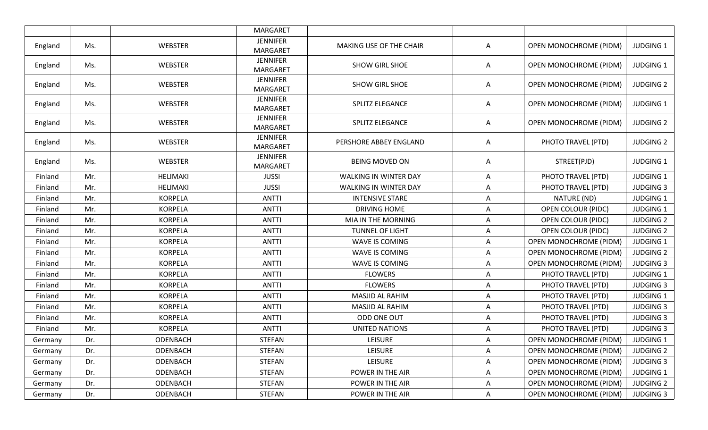|         |     |                 | MARGARET                           |                              |   |                               |                  |
|---------|-----|-----------------|------------------------------------|------------------------------|---|-------------------------------|------------------|
| England | Ms. | <b>WEBSTER</b>  | <b>JENNIFER</b><br>MARGARET        | MAKING USE OF THE CHAIR      | A | OPEN MONOCHROME (PIDM)        | <b>JUDGING 1</b> |
| England | Ms. | <b>WEBSTER</b>  | <b>JENNIFER</b><br><b>MARGARET</b> | SHOW GIRL SHOE               | A | <b>OPEN MONOCHROME (PIDM)</b> | <b>JUDGING 1</b> |
| England | Ms. | <b>WEBSTER</b>  | <b>JENNIFER</b><br><b>MARGARET</b> | SHOW GIRL SHOE               | Α | OPEN MONOCHROME (PIDM)        | <b>JUDGING 2</b> |
| England | Ms. | <b>WEBSTER</b>  | <b>JENNIFER</b><br><b>MARGARET</b> | SPLITZ ELEGANCE              | Α | OPEN MONOCHROME (PIDM)        | <b>JUDGING 1</b> |
| England | Ms. | <b>WEBSTER</b>  | <b>JENNIFER</b><br><b>MARGARET</b> | SPLITZ ELEGANCE              | Α | OPEN MONOCHROME (PIDM)        | <b>JUDGING 2</b> |
| England | Ms. | <b>WEBSTER</b>  | <b>JENNIFER</b><br><b>MARGARET</b> | PERSHORE ABBEY ENGLAND       | Α | PHOTO TRAVEL (PTD)            | <b>JUDGING 2</b> |
| England | Ms. | <b>WEBSTER</b>  | <b>JENNIFER</b><br><b>MARGARET</b> | <b>BEING MOVED ON</b>        | Α | STREET(PJD)                   | <b>JUDGING 1</b> |
| Finland | Mr. | HELIMAKI        | <b>JUSSI</b>                       | <b>WALKING IN WINTER DAY</b> | Α | PHOTO TRAVEL (PTD)            | JUDGING 1        |
| Finland | Mr. | <b>HELIMAKI</b> | <b>JUSSI</b>                       | WALKING IN WINTER DAY        | A | PHOTO TRAVEL (PTD)            | <b>JUDGING 3</b> |
| Finland | Mr. | <b>KORPELA</b>  | <b>ANTTI</b>                       | <b>INTENSIVE STARE</b>       | A | NATURE (ND)                   | <b>JUDGING 1</b> |
| Finland | Mr. | <b>KORPELA</b>  | <b>ANTTI</b>                       | DRIVING HOME                 | A | <b>OPEN COLOUR (PIDC)</b>     | JUDGING 1        |
| Finland | Mr. | <b>KORPELA</b>  | <b>ANTTI</b>                       | MIA IN THE MORNING           | A | OPEN COLOUR (PIDC)            | <b>JUDGING 2</b> |
| Finland | Mr. | <b>KORPELA</b>  | <b>ANTTI</b>                       | <b>TUNNEL OF LIGHT</b>       | Α | <b>OPEN COLOUR (PIDC)</b>     | <b>JUDGING 2</b> |
| Finland | Mr. | <b>KORPELA</b>  | <b>ANTTI</b>                       | WAVE IS COMING               | A | OPEN MONOCHROME (PIDM)        | <b>JUDGING 1</b> |
| Finland | Mr. | <b>KORPELA</b>  | <b>ANTTI</b>                       | WAVE IS COMING               | A | OPEN MONOCHROME (PIDM)        | <b>JUDGING 2</b> |
| Finland | Mr. | <b>KORPELA</b>  | <b>ANTTI</b>                       | WAVE IS COMING               | Α | OPEN MONOCHROME (PIDM)        | <b>JUDGING 3</b> |
| Finland | Mr. | <b>KORPELA</b>  | <b>ANTTI</b>                       | <b>FLOWERS</b>               | A | PHOTO TRAVEL (PTD)            | <b>JUDGING 1</b> |
| Finland | Mr. | <b>KORPELA</b>  | <b>ANTTI</b>                       | <b>FLOWERS</b>               | A | PHOTO TRAVEL (PTD)            | <b>JUDGING 3</b> |
| Finland | Mr. | <b>KORPELA</b>  | <b>ANTTI</b>                       | MASJID AL RAHIM              | A | PHOTO TRAVEL (PTD)            | <b>JUDGING 1</b> |
| Finland | Mr. | <b>KORPELA</b>  | <b>ANTTI</b>                       | <b>MASJID AL RAHIM</b>       | Α | PHOTO TRAVEL (PTD)            | <b>JUDGING 3</b> |
| Finland | Mr. | <b>KORPELA</b>  | <b>ANTTI</b>                       | ODD ONE OUT                  | A | PHOTO TRAVEL (PTD)            | <b>JUDGING 3</b> |
| Finland | Mr. | <b>KORPELA</b>  | <b>ANTTI</b>                       | <b>UNITED NATIONS</b>        | Α | PHOTO TRAVEL (PTD)            | <b>JUDGING 3</b> |
| Germany | Dr. | ODENBACH        | <b>STEFAN</b>                      | <b>LEISURE</b>               | A | OPEN MONOCHROME (PIDM)        | JUDGING 1        |
| Germany | Dr. | ODENBACH        | <b>STEFAN</b>                      | <b>LEISURE</b>               | A | <b>OPEN MONOCHROME (PIDM)</b> | <b>JUDGING 2</b> |
| Germany | Dr. | ODENBACH        | <b>STEFAN</b>                      | <b>LEISURE</b>               | A | <b>OPEN MONOCHROME (PIDM)</b> | <b>JUDGING 3</b> |
| Germany | Dr. | ODENBACH        | <b>STEFAN</b>                      | POWER IN THE AIR             | A | <b>OPEN MONOCHROME (PIDM)</b> | <b>JUDGING 1</b> |
| Germany | Dr. | ODENBACH        | <b>STEFAN</b>                      | POWER IN THE AIR             | A | <b>OPEN MONOCHROME (PIDM)</b> | <b>JUDGING 2</b> |
| Germany | Dr. | ODENBACH        | <b>STEFAN</b>                      | POWER IN THE AIR             | A | <b>OPEN MONOCHROME (PIDM)</b> | <b>JUDGING 3</b> |
|         |     |                 |                                    |                              |   |                               |                  |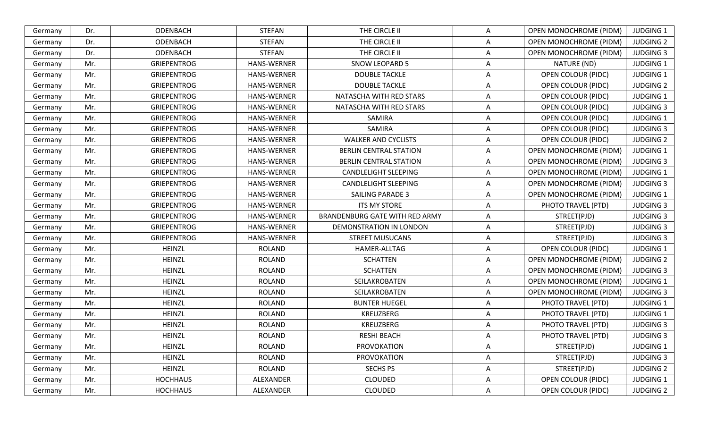| Germany | Dr. | ODENBACH           | <b>STEFAN</b>      | THE CIRCLE II                  | Α | <b>OPEN MONOCHROME (PIDM)</b> | <b>JUDGING 1</b> |
|---------|-----|--------------------|--------------------|--------------------------------|---|-------------------------------|------------------|
| Germany | Dr. | ODENBACH           | <b>STEFAN</b>      | THE CIRCLE II                  | Α | <b>OPEN MONOCHROME (PIDM)</b> | <b>JUDGING 2</b> |
| Germany | Dr. | ODENBACH           | <b>STEFAN</b>      | THE CIRCLE II                  | A | OPEN MONOCHROME (PIDM)        | <b>JUDGING 3</b> |
| Germany | Mr. | <b>GRIEPENTROG</b> | <b>HANS-WERNER</b> | <b>SNOW LEOPARD 5</b>          | A | NATURE (ND)                   | <b>JUDGING 1</b> |
| Germany | Mr. | <b>GRIEPENTROG</b> | HANS-WERNER        | <b>DOUBLE TACKLE</b>           | Α | <b>OPEN COLOUR (PIDC)</b>     | <b>JUDGING 1</b> |
| Germany | Mr. | <b>GRIEPENTROG</b> | HANS-WERNER        | <b>DOUBLE TACKLE</b>           | Α | OPEN COLOUR (PIDC)            | <b>JUDGING 2</b> |
| Germany | Mr. | <b>GRIEPENTROG</b> | <b>HANS-WERNER</b> | NATASCHA WITH RED STARS        | Α | OPEN COLOUR (PIDC)            | <b>JUDGING 1</b> |
| Germany | Mr. | <b>GRIEPENTROG</b> | <b>HANS-WERNER</b> | NATASCHA WITH RED STARS        | Α | OPEN COLOUR (PIDC)            | <b>JUDGING 3</b> |
| Germany | Mr. | <b>GRIEPENTROG</b> | HANS-WERNER        | SAMIRA                         | Α | OPEN COLOUR (PIDC)            | <b>JUDGING 1</b> |
| Germany | Mr. | <b>GRIEPENTROG</b> | HANS-WERNER        | <b>SAMIRA</b>                  | A | OPEN COLOUR (PIDC)            | <b>JUDGING 3</b> |
| Germany | Mr. | <b>GRIEPENTROG</b> | <b>HANS-WERNER</b> | <b>WALKER AND CYCLISTS</b>     | Α | OPEN COLOUR (PIDC)            | <b>JUDGING 2</b> |
| Germany | Mr. | <b>GRIEPENTROG</b> | HANS-WERNER        | <b>BERLIN CENTRAL STATION</b>  | A | OPEN MONOCHROME (PIDM)        | <b>JUDGING 1</b> |
| Germany | Mr. | <b>GRIEPENTROG</b> | <b>HANS-WERNER</b> | <b>BERLIN CENTRAL STATION</b>  | Α | <b>OPEN MONOCHROME (PIDM)</b> | <b>JUDGING 3</b> |
| Germany | Mr. | <b>GRIEPENTROG</b> | <b>HANS-WERNER</b> | <b>CANDLELIGHT SLEEPING</b>    | A | <b>OPEN MONOCHROME (PIDM)</b> | <b>JUDGING 1</b> |
| Germany | Mr. | <b>GRIEPENTROG</b> | HANS-WERNER        | CANDLELIGHT SLEEPING           | Α | OPEN MONOCHROME (PIDM)        | <b>JUDGING 3</b> |
| Germany | Mr. | <b>GRIEPENTROG</b> | HANS-WERNER        | <b>SAILING PARADE 3</b>        | A | OPEN MONOCHROME (PIDM)        | <b>JUDGING 1</b> |
| Germany | Mr. | <b>GRIEPENTROG</b> | <b>HANS-WERNER</b> | ITS MY STORE                   | A | PHOTO TRAVEL (PTD)            | <b>JUDGING 3</b> |
| Germany | Mr. | <b>GRIEPENTROG</b> | HANS-WERNER        | BRANDENBURG GATE WITH RED ARMY | Α | STREET(PJD)                   | <b>JUDGING 3</b> |
| Germany | Mr. | <b>GRIEPENTROG</b> | <b>HANS-WERNER</b> | DEMONSTRATION IN LONDON        | Α | STREET(PJD)                   | <b>JUDGING 3</b> |
| Germany | Mr. | <b>GRIEPENTROG</b> | HANS-WERNER        | <b>STREET MUSUCANS</b>         | A | STREET(PJD)                   | <b>JUDGING 3</b> |
| Germany | Mr. | HEINZL             | <b>ROLAND</b>      | HAMER-ALLTAG                   | A | <b>OPEN COLOUR (PIDC)</b>     | <b>JUDGING 1</b> |
| Germany | Mr. | <b>HEINZL</b>      | <b>ROLAND</b>      | <b>SCHATTEN</b>                | Α | OPEN MONOCHROME (PIDM)        | <b>JUDGING 2</b> |
| Germany | Mr. | <b>HEINZL</b>      | <b>ROLAND</b>      | <b>SCHATTEN</b>                | Α | OPEN MONOCHROME (PIDM)        | <b>JUDGING 3</b> |
| Germany | Mr. | <b>HEINZL</b>      | <b>ROLAND</b>      | SEILAKROBATEN                  | Α | OPEN MONOCHROME (PIDM)        | <b>JUDGING 1</b> |
| Germany | Mr. | <b>HEINZL</b>      | <b>ROLAND</b>      | SEILAKROBATEN                  | Α | <b>OPEN MONOCHROME (PIDM)</b> | <b>JUDGING 3</b> |
| Germany | Mr. | <b>HEINZL</b>      | <b>ROLAND</b>      | <b>BUNTER HUEGEL</b>           | A | PHOTO TRAVEL (PTD)            | <b>JUDGING 1</b> |
| Germany | Mr. | HEINZL             | <b>ROLAND</b>      | KREUZBERG                      | Α | PHOTO TRAVEL (PTD)            | <b>JUDGING 1</b> |
| Germany | Mr. | <b>HEINZL</b>      | <b>ROLAND</b>      | KREUZBERG                      | A | PHOTO TRAVEL (PTD)            | <b>JUDGING 3</b> |
| Germany | Mr. | <b>HEINZL</b>      | <b>ROLAND</b>      | <b>RESHI BEACH</b>             | Α | PHOTO TRAVEL (PTD)            | <b>JUDGING 3</b> |
| Germany | Mr. | <b>HEINZL</b>      | <b>ROLAND</b>      | PROVOKATION                    | Α | STREET(PJD)                   | <b>JUDGING 1</b> |
| Germany | Mr. | HEINZL             | ROLAND             | PROVOKATION                    | A | STREET(PJD)                   | <b>JUDGING 3</b> |
| Germany | Mr. | HEINZL             | ROLAND             | SECHS PS                       | A | STREET(PJD)                   | <b>JUDGING 2</b> |
| Germany | Mr. | <b>HOCHHAUS</b>    | ALEXANDER          | <b>CLOUDED</b>                 | Α | <b>OPEN COLOUR (PIDC)</b>     | <b>JUDGING 1</b> |
| Germany | Mr. | <b>HOCHHAUS</b>    | ALEXANDER          | <b>CLOUDED</b>                 | Α | OPEN COLOUR (PIDC)            | <b>JUDGING 2</b> |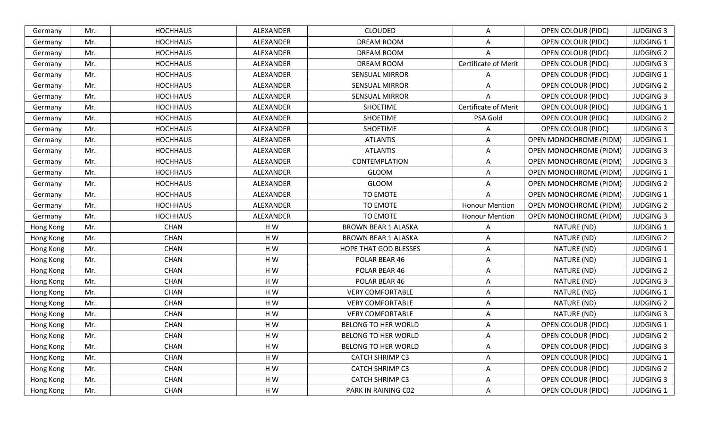| Germany   | Mr. | <b>HOCHHAUS</b> | ALEXANDER | <b>CLOUDED</b>             | A                     | OPEN COLOUR (PIDC)            | <b>JUDGING 3</b> |
|-----------|-----|-----------------|-----------|----------------------------|-----------------------|-------------------------------|------------------|
| Germany   | Mr. | <b>HOCHHAUS</b> | ALEXANDER | <b>DREAM ROOM</b>          | Α                     | OPEN COLOUR (PIDC)            | <b>JUDGING 1</b> |
| Germany   | Mr. | <b>HOCHHAUS</b> | ALEXANDER | <b>DREAM ROOM</b>          | Α                     | OPEN COLOUR (PIDC)            | <b>JUDGING 2</b> |
| Germany   | Mr. | <b>HOCHHAUS</b> | ALEXANDER | <b>DREAM ROOM</b>          | Certificate of Merit  | OPEN COLOUR (PIDC)            | <b>JUDGING 3</b> |
| Germany   | Mr. | <b>HOCHHAUS</b> | ALEXANDER | <b>SENSUAL MIRROR</b>      | A                     | OPEN COLOUR (PIDC)            | <b>JUDGING 1</b> |
| Germany   | Mr. | <b>HOCHHAUS</b> | ALEXANDER | <b>SENSUAL MIRROR</b>      | Α                     | <b>OPEN COLOUR (PIDC)</b>     | <b>JUDGING 2</b> |
| Germany   | Mr. | <b>HOCHHAUS</b> | ALEXANDER | <b>SENSUAL MIRROR</b>      | Α                     | OPEN COLOUR (PIDC)            | <b>JUDGING 3</b> |
| Germany   | Mr. | <b>HOCHHAUS</b> | ALEXANDER | <b>SHOETIME</b>            | Certificate of Merit  | OPEN COLOUR (PIDC)            | <b>JUDGING 1</b> |
| Germany   | Mr. | <b>HOCHHAUS</b> | ALEXANDER | <b>SHOETIME</b>            | PSA Gold              | OPEN COLOUR (PIDC)            | <b>JUDGING 2</b> |
| Germany   | Mr. | <b>HOCHHAUS</b> | ALEXANDER | <b>SHOETIME</b>            | Α                     | <b>OPEN COLOUR (PIDC)</b>     | <b>JUDGING 3</b> |
| Germany   | Mr. | <b>HOCHHAUS</b> | ALEXANDER | <b>ATLANTIS</b>            | A                     | OPEN MONOCHROME (PIDM)        | <b>JUDGING 1</b> |
| Germany   | Mr. | <b>HOCHHAUS</b> | ALEXANDER | <b>ATLANTIS</b>            | Α                     | <b>OPEN MONOCHROME (PIDM)</b> | <b>JUDGING 3</b> |
| Germany   | Mr. | <b>HOCHHAUS</b> | ALEXANDER | CONTEMPLATION              | Α                     | <b>OPEN MONOCHROME (PIDM)</b> | <b>JUDGING 3</b> |
| Germany   | Mr. | <b>HOCHHAUS</b> | ALEXANDER | GLOOM                      | Α                     | <b>OPEN MONOCHROME (PIDM)</b> | <b>JUDGING 1</b> |
| Germany   | Mr. | <b>HOCHHAUS</b> | ALEXANDER | GLOOM                      | Α                     | <b>OPEN MONOCHROME (PIDM)</b> | <b>JUDGING 2</b> |
| Germany   | Mr. | <b>HOCHHAUS</b> | ALEXANDER | TO EMOTE                   | Α                     | OPEN MONOCHROME (PIDM)        | <b>JUDGING 1</b> |
| Germany   | Mr. | <b>HOCHHAUS</b> | ALEXANDER | TO EMOTE                   | <b>Honour Mention</b> | <b>OPEN MONOCHROME (PIDM)</b> | <b>JUDGING 2</b> |
| Germany   | Mr. | <b>HOCHHAUS</b> | ALEXANDER | TO EMOTE                   | <b>Honour Mention</b> | <b>OPEN MONOCHROME (PIDM)</b> | <b>JUDGING 3</b> |
| Hong Kong | Mr. | CHAN            | HW        | <b>BROWN BEAR 1 ALASKA</b> | Α                     | NATURE (ND)                   | <b>JUDGING 1</b> |
| Hong Kong | Mr. | <b>CHAN</b>     | HW        | <b>BROWN BEAR 1 ALASKA</b> | Α                     | NATURE (ND)                   | <b>JUDGING 2</b> |
| Hong Kong | Mr. | CHAN            | HW        | HOPE THAT GOD BLESSES      | Α                     | NATURE (ND)                   | <b>JUDGING 1</b> |
| Hong Kong | Mr. | <b>CHAN</b>     | HW        | POLAR BEAR 46              | Α                     | NATURE (ND)                   | <b>JUDGING 1</b> |
| Hong Kong | Mr. | <b>CHAN</b>     | HW        | POLAR BEAR 46              | A                     | NATURE (ND)                   | <b>JUDGING 2</b> |
| Hong Kong | Mr. | <b>CHAN</b>     | HW        | POLAR BEAR 46              | Α                     | NATURE (ND)                   | <b>JUDGING 3</b> |
| Hong Kong | Mr. | CHAN            | H W       | <b>VERY COMFORTABLE</b>    | A                     | NATURE (ND)                   | <b>JUDGING 1</b> |
| Hong Kong | Mr. | <b>CHAN</b>     | HW        | <b>VERY COMFORTABLE</b>    | A                     | NATURE (ND)                   | <b>JUDGING 2</b> |
| Hong Kong | Mr. | CHAN            | HW        | <b>VERY COMFORTABLE</b>    | Α                     | NATURE (ND)                   | <b>JUDGING 3</b> |
| Hong Kong | Mr. | <b>CHAN</b>     | HW        | <b>BELONG TO HER WORLD</b> | Α                     | OPEN COLOUR (PIDC)            | <b>JUDGING 1</b> |
| Hong Kong | Mr. | <b>CHAN</b>     | HW        | <b>BELONG TO HER WORLD</b> | Α                     | OPEN COLOUR (PIDC)            | <b>JUDGING 2</b> |
| Hong Kong | Mr. | <b>CHAN</b>     | H W       | BELONG TO HER WORLD        | A                     | OPEN COLOUR (PIDC)            | <b>JUDGING 3</b> |
| Hong Kong | Mr. | CHAN            | HW        | <b>CATCH SHRIMP C3</b>     | Α                     | <b>OPEN COLOUR (PIDC)</b>     | <b>JUDGING 1</b> |
| Hong Kong | Mr. | CHAN            | HW        | <b>CATCH SHRIMP C3</b>     | Α                     | OPEN COLOUR (PIDC)            | <b>JUDGING 2</b> |
| Hong Kong | Mr. | CHAN            | HW        | <b>CATCH SHRIMP C3</b>     | Α                     | <b>OPEN COLOUR (PIDC)</b>     | <b>JUDGING 3</b> |
| Hong Kong | Mr. | CHAN            | HW        | PARK IN RAINING C02        | Α                     | <b>OPEN COLOUR (PIDC)</b>     | JUDGING 1        |
|           |     |                 |           |                            |                       |                               |                  |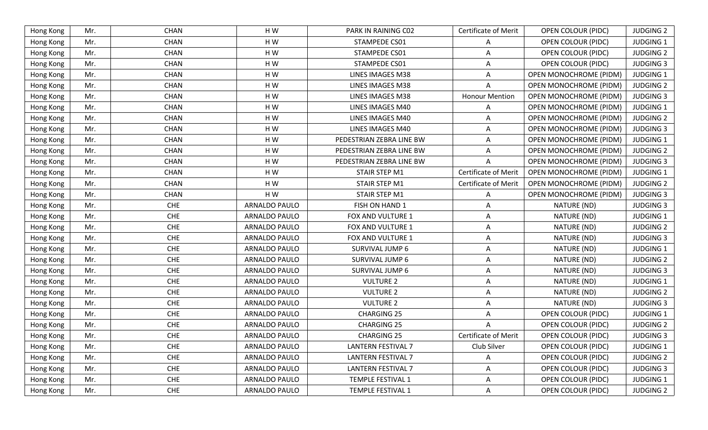| Hong Kong | Mr. | <b>CHAN</b> | HW            | PARK IN RAINING C02       | Certificate of Merit        | <b>OPEN COLOUR (PIDC)</b>     | <b>JUDGING 2</b> |
|-----------|-----|-------------|---------------|---------------------------|-----------------------------|-------------------------------|------------------|
| Hong Kong | Mr. | <b>CHAN</b> | HW            | STAMPEDE CS01             | A                           | <b>OPEN COLOUR (PIDC)</b>     | <b>JUDGING 1</b> |
| Hong Kong | Mr. | CHAN        | HW            | STAMPEDE CS01             | A                           | OPEN COLOUR (PIDC)            | <b>JUDGING 2</b> |
| Hong Kong | Mr. | CHAN        | HW            | STAMPEDE CS01             | A                           | OPEN COLOUR (PIDC)            | <b>JUDGING 3</b> |
| Hong Kong | Mr. | <b>CHAN</b> | HW            | LINES IMAGES M38          | A                           | OPEN MONOCHROME (PIDM)        | <b>JUDGING 1</b> |
| Hong Kong | Mr. | <b>CHAN</b> | HW            | LINES IMAGES M38          | A                           | OPEN MONOCHROME (PIDM)        | <b>JUDGING 2</b> |
| Hong Kong | Mr. | <b>CHAN</b> | HW            | LINES IMAGES M38          | <b>Honour Mention</b>       | OPEN MONOCHROME (PIDM)        | <b>JUDGING 3</b> |
| Hong Kong | Mr. | <b>CHAN</b> | HW            | LINES IMAGES M40          | A                           | OPEN MONOCHROME (PIDM)        | <b>JUDGING 1</b> |
| Hong Kong | Mr. | CHAN        | HW            | LINES IMAGES M40          | A                           | OPEN MONOCHROME (PIDM)        | <b>JUDGING 2</b> |
| Hong Kong | Mr. | CHAN        | HW            | LINES IMAGES M40          | A                           | <b>OPEN MONOCHROME (PIDM)</b> | <b>JUDGING 3</b> |
| Hong Kong | Mr. | CHAN        | HW            | PEDESTRIAN ZEBRA LINE BW  | A                           | <b>OPEN MONOCHROME (PIDM)</b> | <b>JUDGING 1</b> |
| Hong Kong | Mr. | <b>CHAN</b> | HW            | PEDESTRIAN ZEBRA LINE BW  | Α                           | <b>OPEN MONOCHROME (PIDM)</b> | <b>JUDGING 2</b> |
| Hong Kong | Mr. | <b>CHAN</b> | HW            | PEDESTRIAN ZEBRA LINE BW  | A                           | OPEN MONOCHROME (PIDM)        | <b>JUDGING 3</b> |
| Hong Kong | Mr. | <b>CHAN</b> | HW            | STAIR STEP M1             | Certificate of Merit        | <b>OPEN MONOCHROME (PIDM)</b> | <b>JUDGING 1</b> |
| Hong Kong | Mr. | CHAN        | HW            | STAIR STEP M1             | Certificate of Merit        | <b>OPEN MONOCHROME (PIDM)</b> | <b>JUDGING 2</b> |
| Hong Kong | Mr. | CHAN        | HW            | STAIR STEP M1             | Α                           | OPEN MONOCHROME (PIDM)        | <b>JUDGING 3</b> |
| Hong Kong | Mr. | <b>CHE</b>  | ARNALDO PAULO | FISH ON HAND 1            | A                           | NATURE (ND)                   | <b>JUDGING 3</b> |
| Hong Kong | Mr. | <b>CHE</b>  | ARNALDO PAULO | FOX AND VULTURE 1         | Α                           | NATURE (ND)                   | <b>JUDGING 1</b> |
| Hong Kong | Mr. | <b>CHE</b>  | ARNALDO PAULO | FOX AND VULTURE 1         | Α                           | NATURE (ND)                   | <b>JUDGING 2</b> |
| Hong Kong | Mr. | <b>CHE</b>  | ARNALDO PAULO | FOX AND VULTURE 1         | Α                           | NATURE (ND)                   | <b>JUDGING 3</b> |
| Hong Kong | Mr. | <b>CHE</b>  | ARNALDO PAULO | SURVIVAL JUMP 6           | A                           | NATURE (ND)                   | <b>JUDGING 1</b> |
| Hong Kong | Mr. | <b>CHE</b>  | ARNALDO PAULO | SURVIVAL JUMP 6           | Α                           | NATURE (ND)                   | <b>JUDGING 2</b> |
| Hong Kong | Mr. | <b>CHE</b>  | ARNALDO PAULO | SURVIVAL JUMP 6           | A                           | NATURE (ND)                   | <b>JUDGING 3</b> |
| Hong Kong | Mr. | <b>CHE</b>  | ARNALDO PAULO | <b>VULTURE 2</b>          | A                           | NATURE (ND)                   | <b>JUDGING 1</b> |
| Hong Kong | Mr. | <b>CHE</b>  | ARNALDO PAULO | <b>VULTURE 2</b>          | Α                           | NATURE (ND)                   | <b>JUDGING 2</b> |
| Hong Kong | Mr. | <b>CHE</b>  | ARNALDO PAULO | <b>VULTURE 2</b>          | A                           | NATURE (ND)                   | <b>JUDGING 3</b> |
| Hong Kong | Mr. | <b>CHE</b>  | ARNALDO PAULO | <b>CHARGING 25</b>        | Α                           | <b>OPEN COLOUR (PIDC)</b>     | <b>JUDGING 1</b> |
| Hong Kong | Mr. | <b>CHE</b>  | ARNALDO PAULO | <b>CHARGING 25</b>        | Α                           | <b>OPEN COLOUR (PIDC)</b>     | <b>JUDGING 2</b> |
| Hong Kong | Mr. | <b>CHE</b>  | ARNALDO PAULO | <b>CHARGING 25</b>        | <b>Certificate of Merit</b> | <b>OPEN COLOUR (PIDC)</b>     | <b>JUDGING 3</b> |
| Hong Kong | Mr. | <b>CHE</b>  | ARNALDO PAULO | <b>LANTERN FESTIVAL 7</b> | Club Silver                 | OPEN COLOUR (PIDC)            | <b>JUDGING 1</b> |
| Hong Kong | Mr. | CHE         | ARNALDO PAULO | <b>LANTERN FESTIVAL 7</b> | Α                           | <b>OPEN COLOUR (PIDC)</b>     | <b>JUDGING 2</b> |
| Hong Kong | Mr. | <b>CHE</b>  | ARNALDO PAULO | <b>LANTERN FESTIVAL 7</b> | A                           | <b>OPEN COLOUR (PIDC)</b>     | <b>JUDGING 3</b> |
| Hong Kong | Mr. | <b>CHE</b>  | ARNALDO PAULO | TEMPLE FESTIVAL 1         | Α                           | <b>OPEN COLOUR (PIDC)</b>     | <b>JUDGING 1</b> |
| Hong Kong | Mr. | ${\sf CHE}$ | ARNALDO PAULO | TEMPLE FESTIVAL 1         | Α                           | OPEN COLOUR (PIDC)            | <b>JUDGING 2</b> |
|           |     |             |               |                           |                             |                               |                  |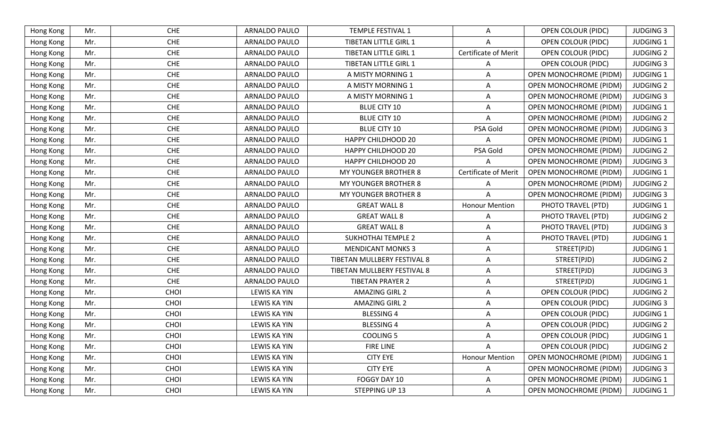| <b>CHE</b><br>ARNALDO PAULO<br><b>JUDGING 3</b><br>Hong Kong<br>Mr.<br><b>TEMPLE FESTIVAL 1</b><br><b>OPEN COLOUR (PIDC)</b><br>A<br><b>CHE</b><br>ARNALDO PAULO<br><b>TIBETAN LITTLE GIRL 1</b><br><b>JUDGING 1</b><br>Mr.<br>OPEN COLOUR (PIDC)<br>Hong Kong<br>Α<br><b>CHE</b><br>ARNALDO PAULO<br><b>TIBETAN LITTLE GIRL 1</b><br><b>Certificate of Merit</b><br>Hong Kong<br>OPEN COLOUR (PIDC)<br><b>JUDGING 2</b><br>Mr.<br>CHE<br>Mr.<br>ARNALDO PAULO<br>TIBETAN LITTLE GIRL 1<br><b>OPEN COLOUR (PIDC)</b><br><b>JUDGING 3</b><br>Hong Kong<br>Α<br>CHE<br>ARNALDO PAULO<br>OPEN MONOCHROME (PIDM)<br><b>JUDGING 1</b><br>Hong Kong<br>Mr.<br>A MISTY MORNING 1<br>Α<br><b>CHE</b><br>ARNALDO PAULO<br>Hong Kong<br>A MISTY MORNING 1<br>Α<br>OPEN MONOCHROME (PIDM)<br><b>JUDGING 2</b><br>Mr.<br><b>CHE</b><br>Mr.<br>ARNALDO PAULO<br>A MISTY MORNING 1<br>Α<br><b>OPEN MONOCHROME (PIDM)</b><br><b>JUDGING 3</b><br>Hong Kong<br>CHE<br>Hong Kong<br>ARNALDO PAULO<br><b>BLUE CITY 10</b><br>OPEN MONOCHROME (PIDM)<br><b>JUDGING 1</b><br>Mr.<br>Α<br>CHE<br>ARNALDO PAULO<br><b>BLUE CITY 10</b><br>OPEN MONOCHROME (PIDM)<br><b>JUDGING 2</b><br>Hong Kong<br>Mr.<br>Α<br>CHE<br><b>BLUE CITY 10</b><br>Hong Kong<br>Mr.<br>ARNALDO PAULO<br>PSA Gold<br>OPEN MONOCHROME (PIDM)<br><b>JUDGING 3</b><br><b>CHE</b><br>ARNALDO PAULO<br>Hong Kong<br>Mr.<br><b>HAPPY CHILDHOOD 20</b><br>OPEN MONOCHROME (PIDM)<br><b>JUDGING 1</b><br>Α<br><b>CHE</b><br>ARNALDO PAULO<br>PSA Gold<br><b>JUDGING 2</b><br>Hong Kong<br>Mr.<br><b>HAPPY CHILDHOOD 20</b><br><b>OPEN MONOCHROME (PIDM)</b><br><b>CHE</b><br>ARNALDO PAULO<br>Hong Kong<br>Mr.<br><b>HAPPY CHILDHOOD 20</b><br>OPEN MONOCHROME (PIDM)<br><b>JUDGING 3</b><br>A<br>CHE<br>Certificate of Merit<br>Mr.<br>ARNALDO PAULO<br><b>JUDGING 1</b><br><b>MY YOUNGER BROTHER 8</b><br><b>OPEN MONOCHROME (PIDM)</b><br>Hong Kong<br>CHE<br>ARNALDO PAULO<br><b>JUDGING 2</b><br>Hong Kong<br>MY YOUNGER BROTHER 8<br>OPEN MONOCHROME (PIDM)<br>Mr.<br>Α<br><b>CHE</b><br>ARNALDO PAULO<br>MY YOUNGER BROTHER 8<br>Hong Kong<br>Mr.<br>Α<br>OPEN MONOCHROME (PIDM)<br><b>JUDGING 3</b><br>CHE<br>ARNALDO PAULO<br>Hong Kong<br>Mr.<br><b>GREAT WALL 8</b><br><b>Honour Mention</b><br>PHOTO TRAVEL (PTD)<br><b>JUDGING 1</b><br><b>CHE</b><br>ARNALDO PAULO<br><b>GREAT WALL 8</b><br>PHOTO TRAVEL (PTD)<br>Hong Kong<br><b>JUDGING 2</b><br>Mr.<br>Α<br>CHE<br>ARNALDO PAULO<br><b>GREAT WALL 8</b><br><b>JUDGING 3</b><br>Mr.<br>Α<br>PHOTO TRAVEL (PTD)<br>Hong Kong<br>CHE<br>Hong Kong<br>ARNALDO PAULO<br><b>SUKHOTHAI TEMPLE 2</b><br>PHOTO TRAVEL (PTD)<br><b>JUDGING 1</b><br>Mr.<br>Α<br><b>CHE</b><br>ARNALDO PAULO<br><b>MENDICANT MONKS 3</b><br>STREET(PJD)<br>Hong Kong<br>Mr.<br><b>JUDGING 1</b><br>A<br>CHE<br><b>JUDGING 2</b><br>ARNALDO PAULO<br>TIBETAN MULLBERY FESTIVAL 8<br>STREET(PJD)<br>Hong Kong<br>Mr.<br>Α<br><b>CHE</b><br>Hong Kong<br>Mr.<br>ARNALDO PAULO<br>TIBETAN MULLBERY FESTIVAL 8<br>STREET(PJD)<br><b>JUDGING 3</b><br>A<br><b>CHE</b><br>ARNALDO PAULO<br><b>JUDGING 1</b><br>Mr.<br><b>TIBETAN PRAYER 2</b><br>Α<br>STREET(PJD)<br>Hong Kong<br>CHOI<br>LEWIS KA YIN<br><b>AMAZING GIRL 2</b><br><b>OPEN COLOUR (PIDC)</b><br><b>JUDGING 2</b><br>Hong Kong<br>Mr.<br>Α<br>CHOI<br>Mr.<br><b>AMAZING GIRL 2</b><br><b>JUDGING 3</b><br>Hong Kong<br><b>LEWIS KA YIN</b><br><b>OPEN COLOUR (PIDC)</b><br>Α<br>CHOI<br><b>LEWIS KA YIN</b><br><b>BLESSING 4</b><br><b>OPEN COLOUR (PIDC)</b><br><b>JUDGING 1</b><br>Hong Kong<br>Mr.<br>Α<br>CHOI<br><b>LEWIS KA YIN</b><br><b>BLESSING 4</b><br>Mr.<br><b>OPEN COLOUR (PIDC)</b><br><b>JUDGING 2</b><br>Hong Kong<br>Α<br>CHOI<br>OPEN COLOUR (PIDC)<br><b>JUDGING 1</b><br>LEWIS KA YIN<br><b>COOLING 5</b><br>Hong Kong<br>Mr.<br>A<br>CHOI<br>LEWIS KA YIN<br><b>FIRE LINE</b><br><b>OPEN COLOUR (PIDC)</b><br><b>JUDGING 2</b><br>Hong Kong<br>Mr.<br>A<br>CHOI<br><b>CITY EYE</b><br><b>Honour Mention</b><br>Mr.<br>LEWIS KA YIN<br><b>OPEN MONOCHROME (PIDM)</b><br><b>JUDGING 1</b><br>Hong Kong<br>CHOI<br>Hong Kong<br>Mr.<br>LEWIS KA YIN<br><b>CITY EYE</b><br><b>OPEN MONOCHROME (PIDM)</b><br><b>JUDGING 3</b><br>Α<br>Mr.<br>CHOI<br>LEWIS KA YIN<br>FOGGY DAY 10<br><b>OPEN MONOCHROME (PIDM)</b><br><b>JUDGING 1</b><br>Hong Kong<br>A<br>CHOI<br>OPEN MONOCHROME (PIDM)<br>Mr.<br>LEWIS KA YIN<br>STEPPING UP 13<br><b>JUDGING 1</b><br>Hong Kong<br>Α |  |  |  |  |  |
|----------------------------------------------------------------------------------------------------------------------------------------------------------------------------------------------------------------------------------------------------------------------------------------------------------------------------------------------------------------------------------------------------------------------------------------------------------------------------------------------------------------------------------------------------------------------------------------------------------------------------------------------------------------------------------------------------------------------------------------------------------------------------------------------------------------------------------------------------------------------------------------------------------------------------------------------------------------------------------------------------------------------------------------------------------------------------------------------------------------------------------------------------------------------------------------------------------------------------------------------------------------------------------------------------------------------------------------------------------------------------------------------------------------------------------------------------------------------------------------------------------------------------------------------------------------------------------------------------------------------------------------------------------------------------------------------------------------------------------------------------------------------------------------------------------------------------------------------------------------------------------------------------------------------------------------------------------------------------------------------------------------------------------------------------------------------------------------------------------------------------------------------------------------------------------------------------------------------------------------------------------------------------------------------------------------------------------------------------------------------------------------------------------------------------------------------------------------------------------------------------------------------------------------------------------------------------------------------------------------------------------------------------------------------------------------------------------------------------------------------------------------------------------------------------------------------------------------------------------------------------------------------------------------------------------------------------------------------------------------------------------------------------------------------------------------------------------------------------------------------------------------------------------------------------------------------------------------------------------------------------------------------------------------------------------------------------------------------------------------------------------------------------------------------------------------------------------------------------------------------------------------------------------------------------------------------------------------------------------------------------------------------------------------------------------------------------------------------------------------------------------------------------------------------------------------------------------------------------------------------------------------------------------------------------------------------------------------------------------------------------------------------------------------------------------------------------------------------------------------------------------------------------------------------------------------------------------------------------------------------------------------------------------------------------------------------------------------------------------------------------------------------------------------------------------------|--|--|--|--|--|
|                                                                                                                                                                                                                                                                                                                                                                                                                                                                                                                                                                                                                                                                                                                                                                                                                                                                                                                                                                                                                                                                                                                                                                                                                                                                                                                                                                                                                                                                                                                                                                                                                                                                                                                                                                                                                                                                                                                                                                                                                                                                                                                                                                                                                                                                                                                                                                                                                                                                                                                                                                                                                                                                                                                                                                                                                                                                                                                                                                                                                                                                                                                                                                                                                                                                                                                                                                                                                                                                                                                                                                                                                                                                                                                                                                                                                                                                                                                                                                                                                                                                                                                                                                                                                                                                                                                                                                                                                                        |  |  |  |  |  |
|                                                                                                                                                                                                                                                                                                                                                                                                                                                                                                                                                                                                                                                                                                                                                                                                                                                                                                                                                                                                                                                                                                                                                                                                                                                                                                                                                                                                                                                                                                                                                                                                                                                                                                                                                                                                                                                                                                                                                                                                                                                                                                                                                                                                                                                                                                                                                                                                                                                                                                                                                                                                                                                                                                                                                                                                                                                                                                                                                                                                                                                                                                                                                                                                                                                                                                                                                                                                                                                                                                                                                                                                                                                                                                                                                                                                                                                                                                                                                                                                                                                                                                                                                                                                                                                                                                                                                                                                                                        |  |  |  |  |  |
|                                                                                                                                                                                                                                                                                                                                                                                                                                                                                                                                                                                                                                                                                                                                                                                                                                                                                                                                                                                                                                                                                                                                                                                                                                                                                                                                                                                                                                                                                                                                                                                                                                                                                                                                                                                                                                                                                                                                                                                                                                                                                                                                                                                                                                                                                                                                                                                                                                                                                                                                                                                                                                                                                                                                                                                                                                                                                                                                                                                                                                                                                                                                                                                                                                                                                                                                                                                                                                                                                                                                                                                                                                                                                                                                                                                                                                                                                                                                                                                                                                                                                                                                                                                                                                                                                                                                                                                                                                        |  |  |  |  |  |
|                                                                                                                                                                                                                                                                                                                                                                                                                                                                                                                                                                                                                                                                                                                                                                                                                                                                                                                                                                                                                                                                                                                                                                                                                                                                                                                                                                                                                                                                                                                                                                                                                                                                                                                                                                                                                                                                                                                                                                                                                                                                                                                                                                                                                                                                                                                                                                                                                                                                                                                                                                                                                                                                                                                                                                                                                                                                                                                                                                                                                                                                                                                                                                                                                                                                                                                                                                                                                                                                                                                                                                                                                                                                                                                                                                                                                                                                                                                                                                                                                                                                                                                                                                                                                                                                                                                                                                                                                                        |  |  |  |  |  |
|                                                                                                                                                                                                                                                                                                                                                                                                                                                                                                                                                                                                                                                                                                                                                                                                                                                                                                                                                                                                                                                                                                                                                                                                                                                                                                                                                                                                                                                                                                                                                                                                                                                                                                                                                                                                                                                                                                                                                                                                                                                                                                                                                                                                                                                                                                                                                                                                                                                                                                                                                                                                                                                                                                                                                                                                                                                                                                                                                                                                                                                                                                                                                                                                                                                                                                                                                                                                                                                                                                                                                                                                                                                                                                                                                                                                                                                                                                                                                                                                                                                                                                                                                                                                                                                                                                                                                                                                                                        |  |  |  |  |  |
|                                                                                                                                                                                                                                                                                                                                                                                                                                                                                                                                                                                                                                                                                                                                                                                                                                                                                                                                                                                                                                                                                                                                                                                                                                                                                                                                                                                                                                                                                                                                                                                                                                                                                                                                                                                                                                                                                                                                                                                                                                                                                                                                                                                                                                                                                                                                                                                                                                                                                                                                                                                                                                                                                                                                                                                                                                                                                                                                                                                                                                                                                                                                                                                                                                                                                                                                                                                                                                                                                                                                                                                                                                                                                                                                                                                                                                                                                                                                                                                                                                                                                                                                                                                                                                                                                                                                                                                                                                        |  |  |  |  |  |
|                                                                                                                                                                                                                                                                                                                                                                                                                                                                                                                                                                                                                                                                                                                                                                                                                                                                                                                                                                                                                                                                                                                                                                                                                                                                                                                                                                                                                                                                                                                                                                                                                                                                                                                                                                                                                                                                                                                                                                                                                                                                                                                                                                                                                                                                                                                                                                                                                                                                                                                                                                                                                                                                                                                                                                                                                                                                                                                                                                                                                                                                                                                                                                                                                                                                                                                                                                                                                                                                                                                                                                                                                                                                                                                                                                                                                                                                                                                                                                                                                                                                                                                                                                                                                                                                                                                                                                                                                                        |  |  |  |  |  |
|                                                                                                                                                                                                                                                                                                                                                                                                                                                                                                                                                                                                                                                                                                                                                                                                                                                                                                                                                                                                                                                                                                                                                                                                                                                                                                                                                                                                                                                                                                                                                                                                                                                                                                                                                                                                                                                                                                                                                                                                                                                                                                                                                                                                                                                                                                                                                                                                                                                                                                                                                                                                                                                                                                                                                                                                                                                                                                                                                                                                                                                                                                                                                                                                                                                                                                                                                                                                                                                                                                                                                                                                                                                                                                                                                                                                                                                                                                                                                                                                                                                                                                                                                                                                                                                                                                                                                                                                                                        |  |  |  |  |  |
|                                                                                                                                                                                                                                                                                                                                                                                                                                                                                                                                                                                                                                                                                                                                                                                                                                                                                                                                                                                                                                                                                                                                                                                                                                                                                                                                                                                                                                                                                                                                                                                                                                                                                                                                                                                                                                                                                                                                                                                                                                                                                                                                                                                                                                                                                                                                                                                                                                                                                                                                                                                                                                                                                                                                                                                                                                                                                                                                                                                                                                                                                                                                                                                                                                                                                                                                                                                                                                                                                                                                                                                                                                                                                                                                                                                                                                                                                                                                                                                                                                                                                                                                                                                                                                                                                                                                                                                                                                        |  |  |  |  |  |
|                                                                                                                                                                                                                                                                                                                                                                                                                                                                                                                                                                                                                                                                                                                                                                                                                                                                                                                                                                                                                                                                                                                                                                                                                                                                                                                                                                                                                                                                                                                                                                                                                                                                                                                                                                                                                                                                                                                                                                                                                                                                                                                                                                                                                                                                                                                                                                                                                                                                                                                                                                                                                                                                                                                                                                                                                                                                                                                                                                                                                                                                                                                                                                                                                                                                                                                                                                                                                                                                                                                                                                                                                                                                                                                                                                                                                                                                                                                                                                                                                                                                                                                                                                                                                                                                                                                                                                                                                                        |  |  |  |  |  |
|                                                                                                                                                                                                                                                                                                                                                                                                                                                                                                                                                                                                                                                                                                                                                                                                                                                                                                                                                                                                                                                                                                                                                                                                                                                                                                                                                                                                                                                                                                                                                                                                                                                                                                                                                                                                                                                                                                                                                                                                                                                                                                                                                                                                                                                                                                                                                                                                                                                                                                                                                                                                                                                                                                                                                                                                                                                                                                                                                                                                                                                                                                                                                                                                                                                                                                                                                                                                                                                                                                                                                                                                                                                                                                                                                                                                                                                                                                                                                                                                                                                                                                                                                                                                                                                                                                                                                                                                                                        |  |  |  |  |  |
|                                                                                                                                                                                                                                                                                                                                                                                                                                                                                                                                                                                                                                                                                                                                                                                                                                                                                                                                                                                                                                                                                                                                                                                                                                                                                                                                                                                                                                                                                                                                                                                                                                                                                                                                                                                                                                                                                                                                                                                                                                                                                                                                                                                                                                                                                                                                                                                                                                                                                                                                                                                                                                                                                                                                                                                                                                                                                                                                                                                                                                                                                                                                                                                                                                                                                                                                                                                                                                                                                                                                                                                                                                                                                                                                                                                                                                                                                                                                                                                                                                                                                                                                                                                                                                                                                                                                                                                                                                        |  |  |  |  |  |
|                                                                                                                                                                                                                                                                                                                                                                                                                                                                                                                                                                                                                                                                                                                                                                                                                                                                                                                                                                                                                                                                                                                                                                                                                                                                                                                                                                                                                                                                                                                                                                                                                                                                                                                                                                                                                                                                                                                                                                                                                                                                                                                                                                                                                                                                                                                                                                                                                                                                                                                                                                                                                                                                                                                                                                                                                                                                                                                                                                                                                                                                                                                                                                                                                                                                                                                                                                                                                                                                                                                                                                                                                                                                                                                                                                                                                                                                                                                                                                                                                                                                                                                                                                                                                                                                                                                                                                                                                                        |  |  |  |  |  |
|                                                                                                                                                                                                                                                                                                                                                                                                                                                                                                                                                                                                                                                                                                                                                                                                                                                                                                                                                                                                                                                                                                                                                                                                                                                                                                                                                                                                                                                                                                                                                                                                                                                                                                                                                                                                                                                                                                                                                                                                                                                                                                                                                                                                                                                                                                                                                                                                                                                                                                                                                                                                                                                                                                                                                                                                                                                                                                                                                                                                                                                                                                                                                                                                                                                                                                                                                                                                                                                                                                                                                                                                                                                                                                                                                                                                                                                                                                                                                                                                                                                                                                                                                                                                                                                                                                                                                                                                                                        |  |  |  |  |  |
|                                                                                                                                                                                                                                                                                                                                                                                                                                                                                                                                                                                                                                                                                                                                                                                                                                                                                                                                                                                                                                                                                                                                                                                                                                                                                                                                                                                                                                                                                                                                                                                                                                                                                                                                                                                                                                                                                                                                                                                                                                                                                                                                                                                                                                                                                                                                                                                                                                                                                                                                                                                                                                                                                                                                                                                                                                                                                                                                                                                                                                                                                                                                                                                                                                                                                                                                                                                                                                                                                                                                                                                                                                                                                                                                                                                                                                                                                                                                                                                                                                                                                                                                                                                                                                                                                                                                                                                                                                        |  |  |  |  |  |
|                                                                                                                                                                                                                                                                                                                                                                                                                                                                                                                                                                                                                                                                                                                                                                                                                                                                                                                                                                                                                                                                                                                                                                                                                                                                                                                                                                                                                                                                                                                                                                                                                                                                                                                                                                                                                                                                                                                                                                                                                                                                                                                                                                                                                                                                                                                                                                                                                                                                                                                                                                                                                                                                                                                                                                                                                                                                                                                                                                                                                                                                                                                                                                                                                                                                                                                                                                                                                                                                                                                                                                                                                                                                                                                                                                                                                                                                                                                                                                                                                                                                                                                                                                                                                                                                                                                                                                                                                                        |  |  |  |  |  |
|                                                                                                                                                                                                                                                                                                                                                                                                                                                                                                                                                                                                                                                                                                                                                                                                                                                                                                                                                                                                                                                                                                                                                                                                                                                                                                                                                                                                                                                                                                                                                                                                                                                                                                                                                                                                                                                                                                                                                                                                                                                                                                                                                                                                                                                                                                                                                                                                                                                                                                                                                                                                                                                                                                                                                                                                                                                                                                                                                                                                                                                                                                                                                                                                                                                                                                                                                                                                                                                                                                                                                                                                                                                                                                                                                                                                                                                                                                                                                                                                                                                                                                                                                                                                                                                                                                                                                                                                                                        |  |  |  |  |  |
|                                                                                                                                                                                                                                                                                                                                                                                                                                                                                                                                                                                                                                                                                                                                                                                                                                                                                                                                                                                                                                                                                                                                                                                                                                                                                                                                                                                                                                                                                                                                                                                                                                                                                                                                                                                                                                                                                                                                                                                                                                                                                                                                                                                                                                                                                                                                                                                                                                                                                                                                                                                                                                                                                                                                                                                                                                                                                                                                                                                                                                                                                                                                                                                                                                                                                                                                                                                                                                                                                                                                                                                                                                                                                                                                                                                                                                                                                                                                                                                                                                                                                                                                                                                                                                                                                                                                                                                                                                        |  |  |  |  |  |
|                                                                                                                                                                                                                                                                                                                                                                                                                                                                                                                                                                                                                                                                                                                                                                                                                                                                                                                                                                                                                                                                                                                                                                                                                                                                                                                                                                                                                                                                                                                                                                                                                                                                                                                                                                                                                                                                                                                                                                                                                                                                                                                                                                                                                                                                                                                                                                                                                                                                                                                                                                                                                                                                                                                                                                                                                                                                                                                                                                                                                                                                                                                                                                                                                                                                                                                                                                                                                                                                                                                                                                                                                                                                                                                                                                                                                                                                                                                                                                                                                                                                                                                                                                                                                                                                                                                                                                                                                                        |  |  |  |  |  |
|                                                                                                                                                                                                                                                                                                                                                                                                                                                                                                                                                                                                                                                                                                                                                                                                                                                                                                                                                                                                                                                                                                                                                                                                                                                                                                                                                                                                                                                                                                                                                                                                                                                                                                                                                                                                                                                                                                                                                                                                                                                                                                                                                                                                                                                                                                                                                                                                                                                                                                                                                                                                                                                                                                                                                                                                                                                                                                                                                                                                                                                                                                                                                                                                                                                                                                                                                                                                                                                                                                                                                                                                                                                                                                                                                                                                                                                                                                                                                                                                                                                                                                                                                                                                                                                                                                                                                                                                                                        |  |  |  |  |  |
|                                                                                                                                                                                                                                                                                                                                                                                                                                                                                                                                                                                                                                                                                                                                                                                                                                                                                                                                                                                                                                                                                                                                                                                                                                                                                                                                                                                                                                                                                                                                                                                                                                                                                                                                                                                                                                                                                                                                                                                                                                                                                                                                                                                                                                                                                                                                                                                                                                                                                                                                                                                                                                                                                                                                                                                                                                                                                                                                                                                                                                                                                                                                                                                                                                                                                                                                                                                                                                                                                                                                                                                                                                                                                                                                                                                                                                                                                                                                                                                                                                                                                                                                                                                                                                                                                                                                                                                                                                        |  |  |  |  |  |
|                                                                                                                                                                                                                                                                                                                                                                                                                                                                                                                                                                                                                                                                                                                                                                                                                                                                                                                                                                                                                                                                                                                                                                                                                                                                                                                                                                                                                                                                                                                                                                                                                                                                                                                                                                                                                                                                                                                                                                                                                                                                                                                                                                                                                                                                                                                                                                                                                                                                                                                                                                                                                                                                                                                                                                                                                                                                                                                                                                                                                                                                                                                                                                                                                                                                                                                                                                                                                                                                                                                                                                                                                                                                                                                                                                                                                                                                                                                                                                                                                                                                                                                                                                                                                                                                                                                                                                                                                                        |  |  |  |  |  |
|                                                                                                                                                                                                                                                                                                                                                                                                                                                                                                                                                                                                                                                                                                                                                                                                                                                                                                                                                                                                                                                                                                                                                                                                                                                                                                                                                                                                                                                                                                                                                                                                                                                                                                                                                                                                                                                                                                                                                                                                                                                                                                                                                                                                                                                                                                                                                                                                                                                                                                                                                                                                                                                                                                                                                                                                                                                                                                                                                                                                                                                                                                                                                                                                                                                                                                                                                                                                                                                                                                                                                                                                                                                                                                                                                                                                                                                                                                                                                                                                                                                                                                                                                                                                                                                                                                                                                                                                                                        |  |  |  |  |  |
|                                                                                                                                                                                                                                                                                                                                                                                                                                                                                                                                                                                                                                                                                                                                                                                                                                                                                                                                                                                                                                                                                                                                                                                                                                                                                                                                                                                                                                                                                                                                                                                                                                                                                                                                                                                                                                                                                                                                                                                                                                                                                                                                                                                                                                                                                                                                                                                                                                                                                                                                                                                                                                                                                                                                                                                                                                                                                                                                                                                                                                                                                                                                                                                                                                                                                                                                                                                                                                                                                                                                                                                                                                                                                                                                                                                                                                                                                                                                                                                                                                                                                                                                                                                                                                                                                                                                                                                                                                        |  |  |  |  |  |
|                                                                                                                                                                                                                                                                                                                                                                                                                                                                                                                                                                                                                                                                                                                                                                                                                                                                                                                                                                                                                                                                                                                                                                                                                                                                                                                                                                                                                                                                                                                                                                                                                                                                                                                                                                                                                                                                                                                                                                                                                                                                                                                                                                                                                                                                                                                                                                                                                                                                                                                                                                                                                                                                                                                                                                                                                                                                                                                                                                                                                                                                                                                                                                                                                                                                                                                                                                                                                                                                                                                                                                                                                                                                                                                                                                                                                                                                                                                                                                                                                                                                                                                                                                                                                                                                                                                                                                                                                                        |  |  |  |  |  |
|                                                                                                                                                                                                                                                                                                                                                                                                                                                                                                                                                                                                                                                                                                                                                                                                                                                                                                                                                                                                                                                                                                                                                                                                                                                                                                                                                                                                                                                                                                                                                                                                                                                                                                                                                                                                                                                                                                                                                                                                                                                                                                                                                                                                                                                                                                                                                                                                                                                                                                                                                                                                                                                                                                                                                                                                                                                                                                                                                                                                                                                                                                                                                                                                                                                                                                                                                                                                                                                                                                                                                                                                                                                                                                                                                                                                                                                                                                                                                                                                                                                                                                                                                                                                                                                                                                                                                                                                                                        |  |  |  |  |  |
|                                                                                                                                                                                                                                                                                                                                                                                                                                                                                                                                                                                                                                                                                                                                                                                                                                                                                                                                                                                                                                                                                                                                                                                                                                                                                                                                                                                                                                                                                                                                                                                                                                                                                                                                                                                                                                                                                                                                                                                                                                                                                                                                                                                                                                                                                                                                                                                                                                                                                                                                                                                                                                                                                                                                                                                                                                                                                                                                                                                                                                                                                                                                                                                                                                                                                                                                                                                                                                                                                                                                                                                                                                                                                                                                                                                                                                                                                                                                                                                                                                                                                                                                                                                                                                                                                                                                                                                                                                        |  |  |  |  |  |
|                                                                                                                                                                                                                                                                                                                                                                                                                                                                                                                                                                                                                                                                                                                                                                                                                                                                                                                                                                                                                                                                                                                                                                                                                                                                                                                                                                                                                                                                                                                                                                                                                                                                                                                                                                                                                                                                                                                                                                                                                                                                                                                                                                                                                                                                                                                                                                                                                                                                                                                                                                                                                                                                                                                                                                                                                                                                                                                                                                                                                                                                                                                                                                                                                                                                                                                                                                                                                                                                                                                                                                                                                                                                                                                                                                                                                                                                                                                                                                                                                                                                                                                                                                                                                                                                                                                                                                                                                                        |  |  |  |  |  |
|                                                                                                                                                                                                                                                                                                                                                                                                                                                                                                                                                                                                                                                                                                                                                                                                                                                                                                                                                                                                                                                                                                                                                                                                                                                                                                                                                                                                                                                                                                                                                                                                                                                                                                                                                                                                                                                                                                                                                                                                                                                                                                                                                                                                                                                                                                                                                                                                                                                                                                                                                                                                                                                                                                                                                                                                                                                                                                                                                                                                                                                                                                                                                                                                                                                                                                                                                                                                                                                                                                                                                                                                                                                                                                                                                                                                                                                                                                                                                                                                                                                                                                                                                                                                                                                                                                                                                                                                                                        |  |  |  |  |  |
|                                                                                                                                                                                                                                                                                                                                                                                                                                                                                                                                                                                                                                                                                                                                                                                                                                                                                                                                                                                                                                                                                                                                                                                                                                                                                                                                                                                                                                                                                                                                                                                                                                                                                                                                                                                                                                                                                                                                                                                                                                                                                                                                                                                                                                                                                                                                                                                                                                                                                                                                                                                                                                                                                                                                                                                                                                                                                                                                                                                                                                                                                                                                                                                                                                                                                                                                                                                                                                                                                                                                                                                                                                                                                                                                                                                                                                                                                                                                                                                                                                                                                                                                                                                                                                                                                                                                                                                                                                        |  |  |  |  |  |
|                                                                                                                                                                                                                                                                                                                                                                                                                                                                                                                                                                                                                                                                                                                                                                                                                                                                                                                                                                                                                                                                                                                                                                                                                                                                                                                                                                                                                                                                                                                                                                                                                                                                                                                                                                                                                                                                                                                                                                                                                                                                                                                                                                                                                                                                                                                                                                                                                                                                                                                                                                                                                                                                                                                                                                                                                                                                                                                                                                                                                                                                                                                                                                                                                                                                                                                                                                                                                                                                                                                                                                                                                                                                                                                                                                                                                                                                                                                                                                                                                                                                                                                                                                                                                                                                                                                                                                                                                                        |  |  |  |  |  |
|                                                                                                                                                                                                                                                                                                                                                                                                                                                                                                                                                                                                                                                                                                                                                                                                                                                                                                                                                                                                                                                                                                                                                                                                                                                                                                                                                                                                                                                                                                                                                                                                                                                                                                                                                                                                                                                                                                                                                                                                                                                                                                                                                                                                                                                                                                                                                                                                                                                                                                                                                                                                                                                                                                                                                                                                                                                                                                                                                                                                                                                                                                                                                                                                                                                                                                                                                                                                                                                                                                                                                                                                                                                                                                                                                                                                                                                                                                                                                                                                                                                                                                                                                                                                                                                                                                                                                                                                                                        |  |  |  |  |  |
|                                                                                                                                                                                                                                                                                                                                                                                                                                                                                                                                                                                                                                                                                                                                                                                                                                                                                                                                                                                                                                                                                                                                                                                                                                                                                                                                                                                                                                                                                                                                                                                                                                                                                                                                                                                                                                                                                                                                                                                                                                                                                                                                                                                                                                                                                                                                                                                                                                                                                                                                                                                                                                                                                                                                                                                                                                                                                                                                                                                                                                                                                                                                                                                                                                                                                                                                                                                                                                                                                                                                                                                                                                                                                                                                                                                                                                                                                                                                                                                                                                                                                                                                                                                                                                                                                                                                                                                                                                        |  |  |  |  |  |
|                                                                                                                                                                                                                                                                                                                                                                                                                                                                                                                                                                                                                                                                                                                                                                                                                                                                                                                                                                                                                                                                                                                                                                                                                                                                                                                                                                                                                                                                                                                                                                                                                                                                                                                                                                                                                                                                                                                                                                                                                                                                                                                                                                                                                                                                                                                                                                                                                                                                                                                                                                                                                                                                                                                                                                                                                                                                                                                                                                                                                                                                                                                                                                                                                                                                                                                                                                                                                                                                                                                                                                                                                                                                                                                                                                                                                                                                                                                                                                                                                                                                                                                                                                                                                                                                                                                                                                                                                                        |  |  |  |  |  |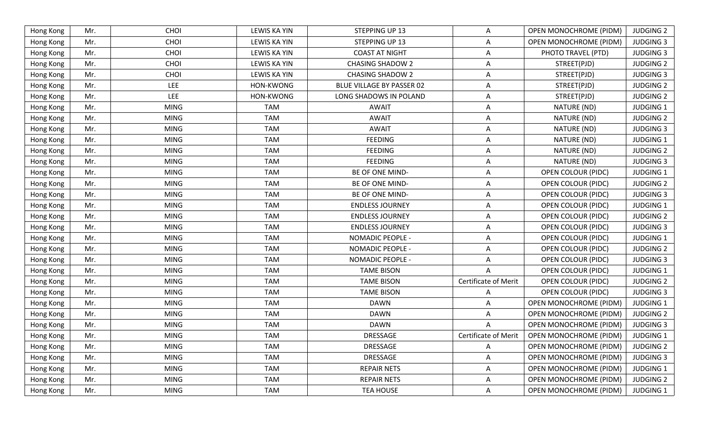| CHOI<br><b>LEWIS KA YIN</b><br>STEPPING UP 13<br>OPEN MONOCHROME (PIDM)<br><b>JUDGING 3</b><br>Hong Kong<br>Mr.<br>Α<br>CHOI<br><b>LEWIS KA YIN</b><br><b>COAST AT NIGHT</b><br>Hong Kong<br>Mr.<br>PHOTO TRAVEL (PTD)<br><b>JUDGING 3</b><br>Α<br>CHOI<br><b>JUDGING 2</b><br>Mr.<br><b>LEWIS KA YIN</b><br><b>CHASING SHADOW 2</b><br>A<br>STREET(PJD)<br>Hong Kong<br>CHOI<br>Hong Kong<br><b>LEWIS KA YIN</b><br><b>CHASING SHADOW 2</b><br>STREET(PJD)<br><b>JUDGING 3</b><br>Mr.<br>A<br><b>LEE</b><br>Mr.<br>HON-KWONG<br>BLUE VILLAGE BY PASSER 02<br>STREET(PJD)<br><b>JUDGING 2</b><br>Hong Kong<br>A<br><b>LEE</b><br>Mr.<br>HON-KWONG<br>LONG SHADOWS IN POLAND<br>STREET(PJD)<br><b>JUDGING 2</b><br>Hong Kong<br>A<br><b>MING</b><br><b>TAM</b><br>Mr.<br>NATURE (ND)<br><b>JUDGING 1</b><br>Hong Kong<br>AWAIT<br>Α<br><b>MING</b><br><b>TAM</b><br><b>JUDGING 2</b><br>Hong Kong<br>Mr.<br><b>AWAIT</b><br>Α<br>NATURE (ND)<br><b>TAM</b><br><b>MING</b><br><b>AWAIT</b><br>NATURE (ND)<br><b>JUDGING 3</b><br>Hong Kong<br>Mr.<br>A<br><b>MING</b><br><b>TAM</b><br><b>FEEDING</b><br><b>JUDGING 1</b><br>Hong Kong<br>Mr.<br>Α<br>NATURE (ND)<br><b>MING</b><br><b>TAM</b><br><b>FEEDING</b><br><b>JUDGING 2</b><br>Hong Kong<br>Mr.<br>NATURE (ND)<br>A<br><b>MING</b><br><b>TAM</b><br><b>FEEDING</b><br>NATURE (ND)<br><b>JUDGING 3</b><br>Hong Kong<br>Mr.<br>A<br><b>MING</b><br><b>TAM</b><br><b>OPEN COLOUR (PIDC)</b><br><b>JUDGING 1</b><br>Hong Kong<br>Mr.<br>BE OF ONE MIND-<br>A<br><b>MING</b><br><b>TAM</b><br>BE OF ONE MIND-<br><b>JUDGING 2</b><br>Hong Kong<br>Mr.<br><b>OPEN COLOUR (PIDC)</b><br>Α<br><b>TAM</b><br>Mr.<br><b>MING</b><br>BE OF ONE MIND-<br><b>JUDGING 3</b><br>Hong Kong<br>A<br><b>OPEN COLOUR (PIDC)</b><br><b>TAM</b><br>Hong Kong<br><b>MING</b><br><b>ENDLESS JOURNEY</b><br><b>OPEN COLOUR (PIDC)</b><br><b>JUDGING 1</b><br>Mr.<br>A<br><b>MING</b><br><b>TAM</b><br><b>JUDGING 2</b><br>Hong Kong<br>Mr.<br><b>ENDLESS JOURNEY</b><br><b>OPEN COLOUR (PIDC)</b><br>Α<br><b>TAM</b><br><b>JUDGING 3</b><br>Hong Kong<br>Mr.<br><b>MING</b><br><b>ENDLESS JOURNEY</b><br><b>OPEN COLOUR (PIDC)</b><br>A<br><b>MING</b><br><b>TAM</b><br>Mr.<br>NOMADIC PEOPLE -<br><b>OPEN COLOUR (PIDC)</b><br><b>JUDGING 1</b><br>Hong Kong<br>A<br><b>TAM</b><br>Mr.<br><b>MING</b><br>NOMADIC PEOPLE -<br><b>JUDGING 2</b><br>A<br><b>OPEN COLOUR (PIDC)</b><br>Hong Kong<br><b>TAM</b><br><b>MING</b><br><b>NOMADIC PEOPLE -</b><br><b>JUDGING 3</b><br>Hong Kong<br>Mr.<br><b>OPEN COLOUR (PIDC)</b><br>A<br><b>TAM</b><br><b>MING</b><br><b>TAME BISON</b><br><b>JUDGING 1</b><br>Hong Kong<br>Mr.<br><b>OPEN COLOUR (PIDC)</b><br><b>TAM</b><br>Certificate of Merit<br><b>MING</b><br><b>TAME BISON</b><br><b>OPEN COLOUR (PIDC)</b><br><b>JUDGING 2</b><br>Hong Kong<br>Mr.<br>Mr.<br><b>MING</b><br><b>TAM</b><br><b>TAME BISON</b><br><b>JUDGING 3</b><br><b>OPEN COLOUR (PIDC)</b><br>Hong Kong<br>A<br><b>TAM</b><br>Mr.<br><b>MING</b><br><b>DAWN</b><br>OPEN MONOCHROME (PIDM)<br><b>JUDGING 1</b><br>Hong Kong<br>A<br><b>MING</b><br><b>TAM</b><br><b>DAWN</b><br>OPEN MONOCHROME (PIDM)<br>Hong Kong<br>Mr.<br><b>JUDGING 2</b><br>Α<br><b>MING</b><br><b>TAM</b><br><b>DAWN</b><br>Mr.<br>OPEN MONOCHROME (PIDM)<br><b>JUDGING 3</b><br>Hong Kong<br>A<br><b>MING</b><br><b>TAM</b><br><b>Certificate of Merit</b><br><b>OPEN MONOCHROME (PIDM)</b><br><b>JUDGING 1</b><br>Hong Kong<br>Mr.<br>DRESSAGE<br>Mr.<br><b>MING</b><br><b>TAM</b><br>DRESSAGE<br>OPEN MONOCHROME (PIDM)<br>Hong Kong<br>Α<br><b>TAM</b><br>DRESSAGE<br><b>MING</b><br><b>OPEN MONOCHROME (PIDM)</b><br><b>JUDGING 3</b><br>Hong Kong<br>Mr.<br>A<br><b>MING</b><br><b>TAM</b><br>OPEN MONOCHROME (PIDM)<br>Hong Kong<br>Mr.<br><b>REPAIR NETS</b><br><b>JUDGING 1</b><br>A<br><b>MING</b><br><b>TAM</b><br>OPEN MONOCHROME (PIDM)<br>Hong Kong<br>Mr.<br><b>REPAIR NETS</b><br>Α<br><b>MING</b><br><b>TAM</b><br><b>TEA HOUSE</b><br><b>OPEN MONOCHROME (PIDM)</b><br>Hong Kong<br>Mr.<br>Α | Hong Kong | Mr. | CHOI | <b>LEWIS KA YIN</b> | STEPPING UP 13 | Α | OPEN MONOCHROME (PIDM) | <b>JUDGING 2</b> |
|------------------------------------------------------------------------------------------------------------------------------------------------------------------------------------------------------------------------------------------------------------------------------------------------------------------------------------------------------------------------------------------------------------------------------------------------------------------------------------------------------------------------------------------------------------------------------------------------------------------------------------------------------------------------------------------------------------------------------------------------------------------------------------------------------------------------------------------------------------------------------------------------------------------------------------------------------------------------------------------------------------------------------------------------------------------------------------------------------------------------------------------------------------------------------------------------------------------------------------------------------------------------------------------------------------------------------------------------------------------------------------------------------------------------------------------------------------------------------------------------------------------------------------------------------------------------------------------------------------------------------------------------------------------------------------------------------------------------------------------------------------------------------------------------------------------------------------------------------------------------------------------------------------------------------------------------------------------------------------------------------------------------------------------------------------------------------------------------------------------------------------------------------------------------------------------------------------------------------------------------------------------------------------------------------------------------------------------------------------------------------------------------------------------------------------------------------------------------------------------------------------------------------------------------------------------------------------------------------------------------------------------------------------------------------------------------------------------------------------------------------------------------------------------------------------------------------------------------------------------------------------------------------------------------------------------------------------------------------------------------------------------------------------------------------------------------------------------------------------------------------------------------------------------------------------------------------------------------------------------------------------------------------------------------------------------------------------------------------------------------------------------------------------------------------------------------------------------------------------------------------------------------------------------------------------------------------------------------------------------------------------------------------------------------------------------------------------------------------------------------------------------------------------------------------------------------------------------------------------------------------------------------------------------------------------------------------------------------------------------------------------------------------------------|-----------|-----|------|---------------------|----------------|---|------------------------|------------------|
|                                                                                                                                                                                                                                                                                                                                                                                                                                                                                                                                                                                                                                                                                                                                                                                                                                                                                                                                                                                                                                                                                                                                                                                                                                                                                                                                                                                                                                                                                                                                                                                                                                                                                                                                                                                                                                                                                                                                                                                                                                                                                                                                                                                                                                                                                                                                                                                                                                                                                                                                                                                                                                                                                                                                                                                                                                                                                                                                                                                                                                                                                                                                                                                                                                                                                                                                                                                                                                                                                                                                                                                                                                                                                                                                                                                                                                                                                                                                                                                                                                          |           |     |      |                     |                |   |                        |                  |
|                                                                                                                                                                                                                                                                                                                                                                                                                                                                                                                                                                                                                                                                                                                                                                                                                                                                                                                                                                                                                                                                                                                                                                                                                                                                                                                                                                                                                                                                                                                                                                                                                                                                                                                                                                                                                                                                                                                                                                                                                                                                                                                                                                                                                                                                                                                                                                                                                                                                                                                                                                                                                                                                                                                                                                                                                                                                                                                                                                                                                                                                                                                                                                                                                                                                                                                                                                                                                                                                                                                                                                                                                                                                                                                                                                                                                                                                                                                                                                                                                                          |           |     |      |                     |                |   |                        |                  |
|                                                                                                                                                                                                                                                                                                                                                                                                                                                                                                                                                                                                                                                                                                                                                                                                                                                                                                                                                                                                                                                                                                                                                                                                                                                                                                                                                                                                                                                                                                                                                                                                                                                                                                                                                                                                                                                                                                                                                                                                                                                                                                                                                                                                                                                                                                                                                                                                                                                                                                                                                                                                                                                                                                                                                                                                                                                                                                                                                                                                                                                                                                                                                                                                                                                                                                                                                                                                                                                                                                                                                                                                                                                                                                                                                                                                                                                                                                                                                                                                                                          |           |     |      |                     |                |   |                        |                  |
|                                                                                                                                                                                                                                                                                                                                                                                                                                                                                                                                                                                                                                                                                                                                                                                                                                                                                                                                                                                                                                                                                                                                                                                                                                                                                                                                                                                                                                                                                                                                                                                                                                                                                                                                                                                                                                                                                                                                                                                                                                                                                                                                                                                                                                                                                                                                                                                                                                                                                                                                                                                                                                                                                                                                                                                                                                                                                                                                                                                                                                                                                                                                                                                                                                                                                                                                                                                                                                                                                                                                                                                                                                                                                                                                                                                                                                                                                                                                                                                                                                          |           |     |      |                     |                |   |                        |                  |
|                                                                                                                                                                                                                                                                                                                                                                                                                                                                                                                                                                                                                                                                                                                                                                                                                                                                                                                                                                                                                                                                                                                                                                                                                                                                                                                                                                                                                                                                                                                                                                                                                                                                                                                                                                                                                                                                                                                                                                                                                                                                                                                                                                                                                                                                                                                                                                                                                                                                                                                                                                                                                                                                                                                                                                                                                                                                                                                                                                                                                                                                                                                                                                                                                                                                                                                                                                                                                                                                                                                                                                                                                                                                                                                                                                                                                                                                                                                                                                                                                                          |           |     |      |                     |                |   |                        |                  |
|                                                                                                                                                                                                                                                                                                                                                                                                                                                                                                                                                                                                                                                                                                                                                                                                                                                                                                                                                                                                                                                                                                                                                                                                                                                                                                                                                                                                                                                                                                                                                                                                                                                                                                                                                                                                                                                                                                                                                                                                                                                                                                                                                                                                                                                                                                                                                                                                                                                                                                                                                                                                                                                                                                                                                                                                                                                                                                                                                                                                                                                                                                                                                                                                                                                                                                                                                                                                                                                                                                                                                                                                                                                                                                                                                                                                                                                                                                                                                                                                                                          |           |     |      |                     |                |   |                        |                  |
|                                                                                                                                                                                                                                                                                                                                                                                                                                                                                                                                                                                                                                                                                                                                                                                                                                                                                                                                                                                                                                                                                                                                                                                                                                                                                                                                                                                                                                                                                                                                                                                                                                                                                                                                                                                                                                                                                                                                                                                                                                                                                                                                                                                                                                                                                                                                                                                                                                                                                                                                                                                                                                                                                                                                                                                                                                                                                                                                                                                                                                                                                                                                                                                                                                                                                                                                                                                                                                                                                                                                                                                                                                                                                                                                                                                                                                                                                                                                                                                                                                          |           |     |      |                     |                |   |                        |                  |
|                                                                                                                                                                                                                                                                                                                                                                                                                                                                                                                                                                                                                                                                                                                                                                                                                                                                                                                                                                                                                                                                                                                                                                                                                                                                                                                                                                                                                                                                                                                                                                                                                                                                                                                                                                                                                                                                                                                                                                                                                                                                                                                                                                                                                                                                                                                                                                                                                                                                                                                                                                                                                                                                                                                                                                                                                                                                                                                                                                                                                                                                                                                                                                                                                                                                                                                                                                                                                                                                                                                                                                                                                                                                                                                                                                                                                                                                                                                                                                                                                                          |           |     |      |                     |                |   |                        |                  |
|                                                                                                                                                                                                                                                                                                                                                                                                                                                                                                                                                                                                                                                                                                                                                                                                                                                                                                                                                                                                                                                                                                                                                                                                                                                                                                                                                                                                                                                                                                                                                                                                                                                                                                                                                                                                                                                                                                                                                                                                                                                                                                                                                                                                                                                                                                                                                                                                                                                                                                                                                                                                                                                                                                                                                                                                                                                                                                                                                                                                                                                                                                                                                                                                                                                                                                                                                                                                                                                                                                                                                                                                                                                                                                                                                                                                                                                                                                                                                                                                                                          |           |     |      |                     |                |   |                        |                  |
|                                                                                                                                                                                                                                                                                                                                                                                                                                                                                                                                                                                                                                                                                                                                                                                                                                                                                                                                                                                                                                                                                                                                                                                                                                                                                                                                                                                                                                                                                                                                                                                                                                                                                                                                                                                                                                                                                                                                                                                                                                                                                                                                                                                                                                                                                                                                                                                                                                                                                                                                                                                                                                                                                                                                                                                                                                                                                                                                                                                                                                                                                                                                                                                                                                                                                                                                                                                                                                                                                                                                                                                                                                                                                                                                                                                                                                                                                                                                                                                                                                          |           |     |      |                     |                |   |                        |                  |
|                                                                                                                                                                                                                                                                                                                                                                                                                                                                                                                                                                                                                                                                                                                                                                                                                                                                                                                                                                                                                                                                                                                                                                                                                                                                                                                                                                                                                                                                                                                                                                                                                                                                                                                                                                                                                                                                                                                                                                                                                                                                                                                                                                                                                                                                                                                                                                                                                                                                                                                                                                                                                                                                                                                                                                                                                                                                                                                                                                                                                                                                                                                                                                                                                                                                                                                                                                                                                                                                                                                                                                                                                                                                                                                                                                                                                                                                                                                                                                                                                                          |           |     |      |                     |                |   |                        |                  |
|                                                                                                                                                                                                                                                                                                                                                                                                                                                                                                                                                                                                                                                                                                                                                                                                                                                                                                                                                                                                                                                                                                                                                                                                                                                                                                                                                                                                                                                                                                                                                                                                                                                                                                                                                                                                                                                                                                                                                                                                                                                                                                                                                                                                                                                                                                                                                                                                                                                                                                                                                                                                                                                                                                                                                                                                                                                                                                                                                                                                                                                                                                                                                                                                                                                                                                                                                                                                                                                                                                                                                                                                                                                                                                                                                                                                                                                                                                                                                                                                                                          |           |     |      |                     |                |   |                        |                  |
|                                                                                                                                                                                                                                                                                                                                                                                                                                                                                                                                                                                                                                                                                                                                                                                                                                                                                                                                                                                                                                                                                                                                                                                                                                                                                                                                                                                                                                                                                                                                                                                                                                                                                                                                                                                                                                                                                                                                                                                                                                                                                                                                                                                                                                                                                                                                                                                                                                                                                                                                                                                                                                                                                                                                                                                                                                                                                                                                                                                                                                                                                                                                                                                                                                                                                                                                                                                                                                                                                                                                                                                                                                                                                                                                                                                                                                                                                                                                                                                                                                          |           |     |      |                     |                |   |                        |                  |
|                                                                                                                                                                                                                                                                                                                                                                                                                                                                                                                                                                                                                                                                                                                                                                                                                                                                                                                                                                                                                                                                                                                                                                                                                                                                                                                                                                                                                                                                                                                                                                                                                                                                                                                                                                                                                                                                                                                                                                                                                                                                                                                                                                                                                                                                                                                                                                                                                                                                                                                                                                                                                                                                                                                                                                                                                                                                                                                                                                                                                                                                                                                                                                                                                                                                                                                                                                                                                                                                                                                                                                                                                                                                                                                                                                                                                                                                                                                                                                                                                                          |           |     |      |                     |                |   |                        |                  |
|                                                                                                                                                                                                                                                                                                                                                                                                                                                                                                                                                                                                                                                                                                                                                                                                                                                                                                                                                                                                                                                                                                                                                                                                                                                                                                                                                                                                                                                                                                                                                                                                                                                                                                                                                                                                                                                                                                                                                                                                                                                                                                                                                                                                                                                                                                                                                                                                                                                                                                                                                                                                                                                                                                                                                                                                                                                                                                                                                                                                                                                                                                                                                                                                                                                                                                                                                                                                                                                                                                                                                                                                                                                                                                                                                                                                                                                                                                                                                                                                                                          |           |     |      |                     |                |   |                        |                  |
|                                                                                                                                                                                                                                                                                                                                                                                                                                                                                                                                                                                                                                                                                                                                                                                                                                                                                                                                                                                                                                                                                                                                                                                                                                                                                                                                                                                                                                                                                                                                                                                                                                                                                                                                                                                                                                                                                                                                                                                                                                                                                                                                                                                                                                                                                                                                                                                                                                                                                                                                                                                                                                                                                                                                                                                                                                                                                                                                                                                                                                                                                                                                                                                                                                                                                                                                                                                                                                                                                                                                                                                                                                                                                                                                                                                                                                                                                                                                                                                                                                          |           |     |      |                     |                |   |                        |                  |
|                                                                                                                                                                                                                                                                                                                                                                                                                                                                                                                                                                                                                                                                                                                                                                                                                                                                                                                                                                                                                                                                                                                                                                                                                                                                                                                                                                                                                                                                                                                                                                                                                                                                                                                                                                                                                                                                                                                                                                                                                                                                                                                                                                                                                                                                                                                                                                                                                                                                                                                                                                                                                                                                                                                                                                                                                                                                                                                                                                                                                                                                                                                                                                                                                                                                                                                                                                                                                                                                                                                                                                                                                                                                                                                                                                                                                                                                                                                                                                                                                                          |           |     |      |                     |                |   |                        |                  |
|                                                                                                                                                                                                                                                                                                                                                                                                                                                                                                                                                                                                                                                                                                                                                                                                                                                                                                                                                                                                                                                                                                                                                                                                                                                                                                                                                                                                                                                                                                                                                                                                                                                                                                                                                                                                                                                                                                                                                                                                                                                                                                                                                                                                                                                                                                                                                                                                                                                                                                                                                                                                                                                                                                                                                                                                                                                                                                                                                                                                                                                                                                                                                                                                                                                                                                                                                                                                                                                                                                                                                                                                                                                                                                                                                                                                                                                                                                                                                                                                                                          |           |     |      |                     |                |   |                        |                  |
|                                                                                                                                                                                                                                                                                                                                                                                                                                                                                                                                                                                                                                                                                                                                                                                                                                                                                                                                                                                                                                                                                                                                                                                                                                                                                                                                                                                                                                                                                                                                                                                                                                                                                                                                                                                                                                                                                                                                                                                                                                                                                                                                                                                                                                                                                                                                                                                                                                                                                                                                                                                                                                                                                                                                                                                                                                                                                                                                                                                                                                                                                                                                                                                                                                                                                                                                                                                                                                                                                                                                                                                                                                                                                                                                                                                                                                                                                                                                                                                                                                          |           |     |      |                     |                |   |                        |                  |
|                                                                                                                                                                                                                                                                                                                                                                                                                                                                                                                                                                                                                                                                                                                                                                                                                                                                                                                                                                                                                                                                                                                                                                                                                                                                                                                                                                                                                                                                                                                                                                                                                                                                                                                                                                                                                                                                                                                                                                                                                                                                                                                                                                                                                                                                                                                                                                                                                                                                                                                                                                                                                                                                                                                                                                                                                                                                                                                                                                                                                                                                                                                                                                                                                                                                                                                                                                                                                                                                                                                                                                                                                                                                                                                                                                                                                                                                                                                                                                                                                                          |           |     |      |                     |                |   |                        |                  |
|                                                                                                                                                                                                                                                                                                                                                                                                                                                                                                                                                                                                                                                                                                                                                                                                                                                                                                                                                                                                                                                                                                                                                                                                                                                                                                                                                                                                                                                                                                                                                                                                                                                                                                                                                                                                                                                                                                                                                                                                                                                                                                                                                                                                                                                                                                                                                                                                                                                                                                                                                                                                                                                                                                                                                                                                                                                                                                                                                                                                                                                                                                                                                                                                                                                                                                                                                                                                                                                                                                                                                                                                                                                                                                                                                                                                                                                                                                                                                                                                                                          |           |     |      |                     |                |   |                        |                  |
|                                                                                                                                                                                                                                                                                                                                                                                                                                                                                                                                                                                                                                                                                                                                                                                                                                                                                                                                                                                                                                                                                                                                                                                                                                                                                                                                                                                                                                                                                                                                                                                                                                                                                                                                                                                                                                                                                                                                                                                                                                                                                                                                                                                                                                                                                                                                                                                                                                                                                                                                                                                                                                                                                                                                                                                                                                                                                                                                                                                                                                                                                                                                                                                                                                                                                                                                                                                                                                                                                                                                                                                                                                                                                                                                                                                                                                                                                                                                                                                                                                          |           |     |      |                     |                |   |                        |                  |
|                                                                                                                                                                                                                                                                                                                                                                                                                                                                                                                                                                                                                                                                                                                                                                                                                                                                                                                                                                                                                                                                                                                                                                                                                                                                                                                                                                                                                                                                                                                                                                                                                                                                                                                                                                                                                                                                                                                                                                                                                                                                                                                                                                                                                                                                                                                                                                                                                                                                                                                                                                                                                                                                                                                                                                                                                                                                                                                                                                                                                                                                                                                                                                                                                                                                                                                                                                                                                                                                                                                                                                                                                                                                                                                                                                                                                                                                                                                                                                                                                                          |           |     |      |                     |                |   |                        |                  |
|                                                                                                                                                                                                                                                                                                                                                                                                                                                                                                                                                                                                                                                                                                                                                                                                                                                                                                                                                                                                                                                                                                                                                                                                                                                                                                                                                                                                                                                                                                                                                                                                                                                                                                                                                                                                                                                                                                                                                                                                                                                                                                                                                                                                                                                                                                                                                                                                                                                                                                                                                                                                                                                                                                                                                                                                                                                                                                                                                                                                                                                                                                                                                                                                                                                                                                                                                                                                                                                                                                                                                                                                                                                                                                                                                                                                                                                                                                                                                                                                                                          |           |     |      |                     |                |   |                        |                  |
|                                                                                                                                                                                                                                                                                                                                                                                                                                                                                                                                                                                                                                                                                                                                                                                                                                                                                                                                                                                                                                                                                                                                                                                                                                                                                                                                                                                                                                                                                                                                                                                                                                                                                                                                                                                                                                                                                                                                                                                                                                                                                                                                                                                                                                                                                                                                                                                                                                                                                                                                                                                                                                                                                                                                                                                                                                                                                                                                                                                                                                                                                                                                                                                                                                                                                                                                                                                                                                                                                                                                                                                                                                                                                                                                                                                                                                                                                                                                                                                                                                          |           |     |      |                     |                |   |                        |                  |
|                                                                                                                                                                                                                                                                                                                                                                                                                                                                                                                                                                                                                                                                                                                                                                                                                                                                                                                                                                                                                                                                                                                                                                                                                                                                                                                                                                                                                                                                                                                                                                                                                                                                                                                                                                                                                                                                                                                                                                                                                                                                                                                                                                                                                                                                                                                                                                                                                                                                                                                                                                                                                                                                                                                                                                                                                                                                                                                                                                                                                                                                                                                                                                                                                                                                                                                                                                                                                                                                                                                                                                                                                                                                                                                                                                                                                                                                                                                                                                                                                                          |           |     |      |                     |                |   |                        |                  |
|                                                                                                                                                                                                                                                                                                                                                                                                                                                                                                                                                                                                                                                                                                                                                                                                                                                                                                                                                                                                                                                                                                                                                                                                                                                                                                                                                                                                                                                                                                                                                                                                                                                                                                                                                                                                                                                                                                                                                                                                                                                                                                                                                                                                                                                                                                                                                                                                                                                                                                                                                                                                                                                                                                                                                                                                                                                                                                                                                                                                                                                                                                                                                                                                                                                                                                                                                                                                                                                                                                                                                                                                                                                                                                                                                                                                                                                                                                                                                                                                                                          |           |     |      |                     |                |   |                        |                  |
|                                                                                                                                                                                                                                                                                                                                                                                                                                                                                                                                                                                                                                                                                                                                                                                                                                                                                                                                                                                                                                                                                                                                                                                                                                                                                                                                                                                                                                                                                                                                                                                                                                                                                                                                                                                                                                                                                                                                                                                                                                                                                                                                                                                                                                                                                                                                                                                                                                                                                                                                                                                                                                                                                                                                                                                                                                                                                                                                                                                                                                                                                                                                                                                                                                                                                                                                                                                                                                                                                                                                                                                                                                                                                                                                                                                                                                                                                                                                                                                                                                          |           |     |      |                     |                |   |                        |                  |
|                                                                                                                                                                                                                                                                                                                                                                                                                                                                                                                                                                                                                                                                                                                                                                                                                                                                                                                                                                                                                                                                                                                                                                                                                                                                                                                                                                                                                                                                                                                                                                                                                                                                                                                                                                                                                                                                                                                                                                                                                                                                                                                                                                                                                                                                                                                                                                                                                                                                                                                                                                                                                                                                                                                                                                                                                                                                                                                                                                                                                                                                                                                                                                                                                                                                                                                                                                                                                                                                                                                                                                                                                                                                                                                                                                                                                                                                                                                                                                                                                                          |           |     |      |                     |                |   |                        | <b>JUDGING 2</b> |
|                                                                                                                                                                                                                                                                                                                                                                                                                                                                                                                                                                                                                                                                                                                                                                                                                                                                                                                                                                                                                                                                                                                                                                                                                                                                                                                                                                                                                                                                                                                                                                                                                                                                                                                                                                                                                                                                                                                                                                                                                                                                                                                                                                                                                                                                                                                                                                                                                                                                                                                                                                                                                                                                                                                                                                                                                                                                                                                                                                                                                                                                                                                                                                                                                                                                                                                                                                                                                                                                                                                                                                                                                                                                                                                                                                                                                                                                                                                                                                                                                                          |           |     |      |                     |                |   |                        |                  |
|                                                                                                                                                                                                                                                                                                                                                                                                                                                                                                                                                                                                                                                                                                                                                                                                                                                                                                                                                                                                                                                                                                                                                                                                                                                                                                                                                                                                                                                                                                                                                                                                                                                                                                                                                                                                                                                                                                                                                                                                                                                                                                                                                                                                                                                                                                                                                                                                                                                                                                                                                                                                                                                                                                                                                                                                                                                                                                                                                                                                                                                                                                                                                                                                                                                                                                                                                                                                                                                                                                                                                                                                                                                                                                                                                                                                                                                                                                                                                                                                                                          |           |     |      |                     |                |   |                        |                  |
|                                                                                                                                                                                                                                                                                                                                                                                                                                                                                                                                                                                                                                                                                                                                                                                                                                                                                                                                                                                                                                                                                                                                                                                                                                                                                                                                                                                                                                                                                                                                                                                                                                                                                                                                                                                                                                                                                                                                                                                                                                                                                                                                                                                                                                                                                                                                                                                                                                                                                                                                                                                                                                                                                                                                                                                                                                                                                                                                                                                                                                                                                                                                                                                                                                                                                                                                                                                                                                                                                                                                                                                                                                                                                                                                                                                                                                                                                                                                                                                                                                          |           |     |      |                     |                |   |                        | <b>JUDGING 2</b> |
|                                                                                                                                                                                                                                                                                                                                                                                                                                                                                                                                                                                                                                                                                                                                                                                                                                                                                                                                                                                                                                                                                                                                                                                                                                                                                                                                                                                                                                                                                                                                                                                                                                                                                                                                                                                                                                                                                                                                                                                                                                                                                                                                                                                                                                                                                                                                                                                                                                                                                                                                                                                                                                                                                                                                                                                                                                                                                                                                                                                                                                                                                                                                                                                                                                                                                                                                                                                                                                                                                                                                                                                                                                                                                                                                                                                                                                                                                                                                                                                                                                          |           |     |      |                     |                |   |                        | JUDGING 1        |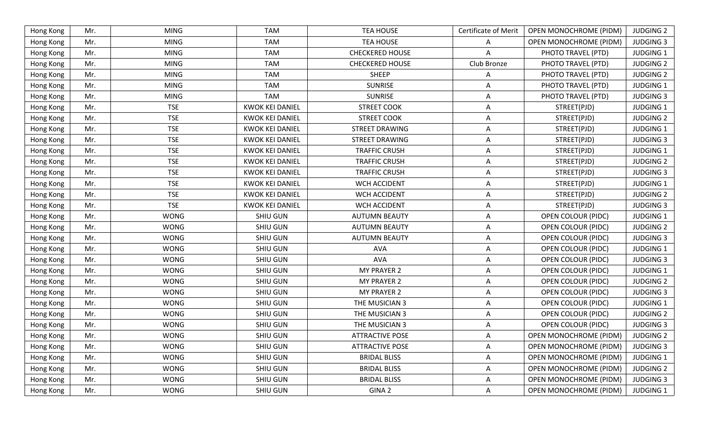| Hong Kong | Mr. | <b>MING</b> | <b>TAM</b>             | <b>TEA HOUSE</b>       | <b>Certificate of Merit</b> | <b>OPEN MONOCHROME (PIDM)</b> | <b>JUDGING 2</b> |
|-----------|-----|-------------|------------------------|------------------------|-----------------------------|-------------------------------|------------------|
| Hong Kong | Mr. | <b>MING</b> | <b>TAM</b>             | <b>TEA HOUSE</b>       | Α                           | <b>OPEN MONOCHROME (PIDM)</b> | <b>JUDGING 3</b> |
| Hong Kong | Mr. | <b>MING</b> | <b>TAM</b>             | <b>CHECKERED HOUSE</b> | A                           | PHOTO TRAVEL (PTD)            | <b>JUDGING 1</b> |
| Hong Kong | Mr. | <b>MING</b> | <b>TAM</b>             | <b>CHECKERED HOUSE</b> | Club Bronze                 | PHOTO TRAVEL (PTD)            | <b>JUDGING 2</b> |
| Hong Kong | Mr. | <b>MING</b> | <b>TAM</b>             | <b>SHEEP</b>           | A                           | PHOTO TRAVEL (PTD)            | <b>JUDGING 2</b> |
| Hong Kong | Mr. | <b>MING</b> | <b>TAM</b>             | <b>SUNRISE</b>         | A                           | PHOTO TRAVEL (PTD)            | <b>JUDGING 1</b> |
| Hong Kong | Mr. | <b>MING</b> | <b>TAM</b>             | <b>SUNRISE</b>         | Α                           | PHOTO TRAVEL (PTD)            | <b>JUDGING 3</b> |
| Hong Kong | Mr. | <b>TSE</b>  | <b>KWOK KEI DANIEL</b> | <b>STREET COOK</b>     | Α                           | STREET(PJD)                   | <b>JUDGING 1</b> |
| Hong Kong | Mr. | <b>TSE</b>  | <b>KWOK KEI DANIEL</b> | <b>STREET COOK</b>     | A                           | STREET(PJD)                   | <b>JUDGING 2</b> |
| Hong Kong | Mr. | <b>TSE</b>  | <b>KWOK KEI DANIEL</b> | <b>STREET DRAWING</b>  | Α                           | STREET(PJD)                   | <b>JUDGING 1</b> |
| Hong Kong | Mr. | <b>TSE</b>  | <b>KWOK KEI DANIEL</b> | STREET DRAWING         | A                           | STREET(PJD)                   | <b>JUDGING 3</b> |
| Hong Kong | Mr. | <b>TSE</b>  | <b>KWOK KEI DANIEL</b> | <b>TRAFFIC CRUSH</b>   | Α                           | STREET(PJD)                   | <b>JUDGING 1</b> |
| Hong Kong | Mr. | <b>TSE</b>  | <b>KWOK KEI DANIEL</b> | <b>TRAFFIC CRUSH</b>   | Α                           | STREET(PJD)                   | <b>JUDGING 2</b> |
| Hong Kong | Mr. | <b>TSE</b>  | <b>KWOK KEI DANIEL</b> | <b>TRAFFIC CRUSH</b>   | A                           | STREET(PJD)                   | <b>JUDGING 3</b> |
| Hong Kong | Mr. | <b>TSE</b>  | <b>KWOK KEI DANIEL</b> | <b>WCH ACCIDENT</b>    | Α                           | STREET(PJD)                   | <b>JUDGING 1</b> |
| Hong Kong | Mr. | <b>TSE</b>  | <b>KWOK KEI DANIEL</b> | WCH ACCIDENT           | A                           | STREET(PJD)                   | <b>JUDGING 2</b> |
| Hong Kong | Mr. | <b>TSE</b>  | <b>KWOK KEI DANIEL</b> | <b>WCH ACCIDENT</b>    | Α                           | STREET(PJD)                   | <b>JUDGING 3</b> |
| Hong Kong | Mr. | <b>WONG</b> | <b>SHIU GUN</b>        | <b>AUTUMN BEAUTY</b>   | A                           | <b>OPEN COLOUR (PIDC)</b>     | <b>JUDGING 1</b> |
| Hong Kong | Mr. | <b>WONG</b> | <b>SHIU GUN</b>        | <b>AUTUMN BEAUTY</b>   | Α                           | OPEN COLOUR (PIDC)            | <b>JUDGING 2</b> |
| Hong Kong | Mr. | <b>WONG</b> | <b>SHIU GUN</b>        | <b>AUTUMN BEAUTY</b>   | A                           | <b>OPEN COLOUR (PIDC)</b>     | <b>JUDGING 3</b> |
| Hong Kong | Mr. | <b>WONG</b> | <b>SHIU GUN</b>        | AVA                    | A                           | <b>OPEN COLOUR (PIDC)</b>     | <b>JUDGING 1</b> |
| Hong Kong | Mr. | <b>WONG</b> | <b>SHIU GUN</b>        | <b>AVA</b>             | A                           | <b>OPEN COLOUR (PIDC)</b>     | <b>JUDGING 3</b> |
| Hong Kong | Mr. | <b>WONG</b> | <b>SHIU GUN</b>        | <b>MY PRAYER 2</b>     | Α                           | <b>OPEN COLOUR (PIDC)</b>     | <b>JUDGING 1</b> |
| Hong Kong | Mr. | <b>WONG</b> | <b>SHIU GUN</b>        | MY PRAYER 2            | A                           | <b>OPEN COLOUR (PIDC)</b>     | <b>JUDGING 2</b> |
| Hong Kong | Mr. | <b>WONG</b> | <b>SHIU GUN</b>        | <b>MY PRAYER 2</b>     | A                           | <b>OPEN COLOUR (PIDC)</b>     | <b>JUDGING 3</b> |
| Hong Kong | Mr. | <b>WONG</b> | <b>SHIU GUN</b>        | THE MUSICIAN 3         | A                           | <b>OPEN COLOUR (PIDC)</b>     | <b>JUDGING 1</b> |
| Hong Kong | Mr. | <b>WONG</b> | <b>SHIU GUN</b>        | THE MUSICIAN 3         | Α                           | OPEN COLOUR (PIDC)            | <b>JUDGING 2</b> |
| Hong Kong | Mr. | <b>WONG</b> | <b>SHIU GUN</b>        | THE MUSICIAN 3         | A                           | <b>OPEN COLOUR (PIDC)</b>     | <b>JUDGING 3</b> |
| Hong Kong | Mr. | <b>WONG</b> | <b>SHIU GUN</b>        | <b>ATTRACTIVE POSE</b> | A                           | <b>OPEN MONOCHROME (PIDM)</b> | <b>JUDGING 2</b> |
| Hong Kong | Mr. | <b>WONG</b> | SHIU GUN               | <b>ATTRACTIVE POSE</b> | Α                           | OPEN MONOCHROME (PIDM)        | <b>JUDGING 3</b> |
| Hong Kong | Mr. | <b>WONG</b> | SHIU GUN               | <b>BRIDAL BLISS</b>    | Α                           | <b>OPEN MONOCHROME (PIDM)</b> | <b>JUDGING 1</b> |
| Hong Kong | Mr. | <b>WONG</b> | SHIU GUN               | <b>BRIDAL BLISS</b>    | Α                           | OPEN MONOCHROME (PIDM)        | <b>JUDGING 2</b> |
| Hong Kong | Mr. | <b>WONG</b> | SHIU GUN               | <b>BRIDAL BLISS</b>    | Α                           | <b>OPEN MONOCHROME (PIDM)</b> | <b>JUDGING 3</b> |
| Hong Kong | Mr. | <b>WONG</b> | SHIU GUN               | GINA 2                 | A                           | OPEN MONOCHROME (PIDM)        | <b>JUDGING 1</b> |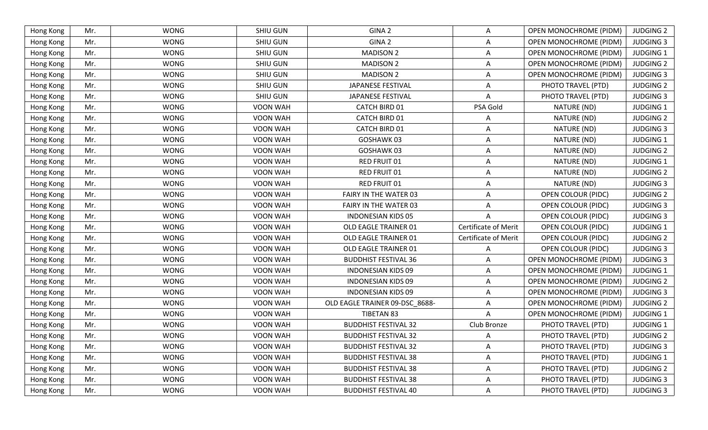| Hong Kong | Mr. | <b>WONG</b> | <b>SHIU GUN</b> | GINA 2                         | Α                           | OPEN MONOCHROME (PIDM)    | <b>JUDGING 2</b> |
|-----------|-----|-------------|-----------------|--------------------------------|-----------------------------|---------------------------|------------------|
| Hong Kong | Mr. | <b>WONG</b> | <b>SHIU GUN</b> | GINA 2                         | Α                           | OPEN MONOCHROME (PIDM)    | <b>JUDGING 3</b> |
| Hong Kong | Mr. | <b>WONG</b> | <b>SHIU GUN</b> | <b>MADISON 2</b>               | Α                           | OPEN MONOCHROME (PIDM)    | <b>JUDGING 1</b> |
| Hong Kong | Mr. | <b>WONG</b> | <b>SHIU GUN</b> | <b>MADISON 2</b>               | A                           | OPEN MONOCHROME (PIDM)    | <b>JUDGING 2</b> |
| Hong Kong | Mr. | <b>WONG</b> | <b>SHIU GUN</b> | <b>MADISON 2</b>               | A                           | OPEN MONOCHROME (PIDM)    | <b>JUDGING 3</b> |
| Hong Kong | Mr. | <b>WONG</b> | SHIU GUN        | JAPANESE FESTIVAL              | A                           | PHOTO TRAVEL (PTD)        | <b>JUDGING 2</b> |
| Hong Kong | Mr. | <b>WONG</b> | <b>SHIU GUN</b> | JAPANESE FESTIVAL              | A                           | PHOTO TRAVEL (PTD)        | <b>JUDGING 3</b> |
| Hong Kong | Mr. | <b>WONG</b> | <b>VOON WAH</b> | <b>CATCH BIRD 01</b>           | PSA Gold                    | NATURE (ND)               | <b>JUDGING 1</b> |
| Hong Kong | Mr. | <b>WONG</b> | <b>VOON WAH</b> | <b>CATCH BIRD 01</b>           | A                           | NATURE (ND)               | <b>JUDGING 2</b> |
| Hong Kong | Mr. | <b>WONG</b> | <b>VOON WAH</b> | CATCH BIRD 01                  | A                           | NATURE (ND)               | <b>JUDGING 3</b> |
| Hong Kong | Mr. | <b>WONG</b> | <b>VOON WAH</b> | GOSHAWK 03                     | Α                           | NATURE (ND)               | <b>JUDGING 1</b> |
| Hong Kong | Mr. | <b>WONG</b> | <b>VOON WAH</b> | GOSHAWK 03                     | A                           | NATURE (ND)               | <b>JUDGING 2</b> |
| Hong Kong | Mr. | <b>WONG</b> | VOON WAH        | RED FRUIT 01                   | Α                           | NATURE (ND)               | <b>JUDGING 1</b> |
| Hong Kong | Mr. | <b>WONG</b> | VOON WAH        | RED FRUIT 01                   | A                           | NATURE (ND)               | <b>JUDGING 2</b> |
| Hong Kong | Mr. | <b>WONG</b> | <b>VOON WAH</b> | RED FRUIT 01                   | A                           | NATURE (ND)               | <b>JUDGING 3</b> |
| Hong Kong | Mr. | <b>WONG</b> | VOON WAH        | FAIRY IN THE WATER 03          | A                           | OPEN COLOUR (PIDC)        | <b>JUDGING 2</b> |
| Hong Kong | Mr. | <b>WONG</b> | <b>VOON WAH</b> | FAIRY IN THE WATER 03          | A                           | OPEN COLOUR (PIDC)        | <b>JUDGING 3</b> |
| Hong Kong | Mr. | <b>WONG</b> | VOON WAH        | <b>INDONESIAN KIDS 05</b>      | А                           | <b>OPEN COLOUR (PIDC)</b> | <b>JUDGING 3</b> |
| Hong Kong | Mr. | <b>WONG</b> | VOON WAH        | OLD EAGLE TRAINER 01           | Certificate of Merit        | OPEN COLOUR (PIDC)        | <b>JUDGING 1</b> |
| Hong Kong | Mr. | <b>WONG</b> | VOON WAH        | OLD EAGLE TRAINER 01           | <b>Certificate of Merit</b> | OPEN COLOUR (PIDC)        | <b>JUDGING 2</b> |
| Hong Kong | Mr. | <b>WONG</b> | <b>VOON WAH</b> | OLD EAGLE TRAINER 01           | A                           | <b>OPEN COLOUR (PIDC)</b> | <b>JUDGING 3</b> |
| Hong Kong | Mr. | <b>WONG</b> | <b>VOON WAH</b> | <b>BUDDHIST FESTIVAL 36</b>    | Α                           | OPEN MONOCHROME (PIDM)    | <b>JUDGING 3</b> |
| Hong Kong | Mr. | <b>WONG</b> | VOON WAH        | <b>INDONESIAN KIDS 09</b>      | Α                           | OPEN MONOCHROME (PIDM)    | <b>JUDGING 1</b> |
| Hong Kong | Mr. | <b>WONG</b> | <b>VOON WAH</b> | <b>INDONESIAN KIDS 09</b>      | Α                           | OPEN MONOCHROME (PIDM)    | <b>JUDGING 2</b> |
| Hong Kong | Mr. | <b>WONG</b> | VOON WAH        | <b>INDONESIAN KIDS 09</b>      | A                           | OPEN MONOCHROME (PIDM)    | <b>JUDGING 3</b> |
| Hong Kong | Mr. | <b>WONG</b> | <b>VOON WAH</b> | OLD EAGLE TRAINER 09-DSC_8688- | Α                           | OPEN MONOCHROME (PIDM)    | <b>JUDGING 2</b> |
| Hong Kong | Mr. | <b>WONG</b> | <b>VOON WAH</b> | TIBETAN 83                     | A                           | OPEN MONOCHROME (PIDM)    | <b>JUDGING 1</b> |
| Hong Kong | Mr. | <b>WONG</b> | VOON WAH        | <b>BUDDHIST FESTIVAL 32</b>    | Club Bronze                 | PHOTO TRAVEL (PTD)        | <b>JUDGING 1</b> |
| Hong Kong | Mr. | <b>WONG</b> | <b>VOON WAH</b> | <b>BUDDHIST FESTIVAL 32</b>    | A                           | PHOTO TRAVEL (PTD)        | <b>JUDGING 2</b> |
| Hong Kong | Mr. | <b>WONG</b> | VOON WAH        | <b>BUDDHIST FESTIVAL 32</b>    | Α                           | PHOTO TRAVEL (PTD)        | <b>JUDGING 3</b> |
| Hong Kong | Mr. | <b>WONG</b> | VOON WAH        | <b>BUDDHIST FESTIVAL 38</b>    | Α                           | PHOTO TRAVEL (PTD)        | <b>JUDGING 1</b> |
| Hong Kong | Mr. | <b>WONG</b> | VOON WAH        | <b>BUDDHIST FESTIVAL 38</b>    | Α                           | PHOTO TRAVEL (PTD)        | <b>JUDGING 2</b> |
| Hong Kong | Mr. | <b>WONG</b> | VOON WAH        | <b>BUDDHIST FESTIVAL 38</b>    | Α                           | PHOTO TRAVEL (PTD)        | <b>JUDGING 3</b> |
| Hong Kong | Mr. | <b>WONG</b> | VOON WAH        | <b>BUDDHIST FESTIVAL 40</b>    | Α                           | PHOTO TRAVEL (PTD)        | <b>JUDGING 3</b> |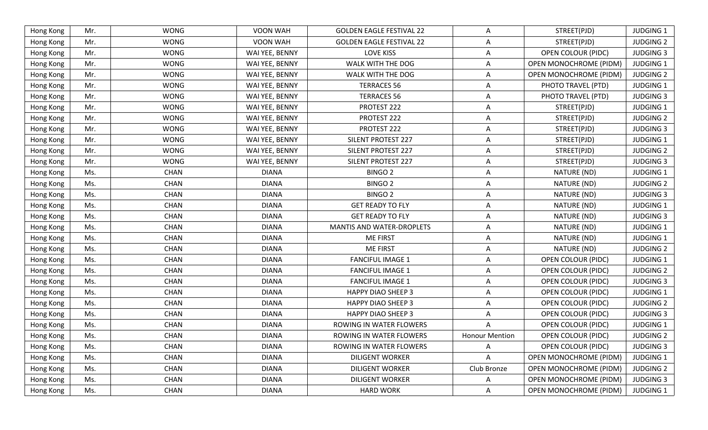| Hong Kong | Mr. | <b>WONG</b> | VOON WAH        | <b>GOLDEN EAGLE FESTIVAL 22</b>  | Α                     | STREET(PJD)                   | <b>JUDGING 1</b> |
|-----------|-----|-------------|-----------------|----------------------------------|-----------------------|-------------------------------|------------------|
| Hong Kong | Mr. | <b>WONG</b> | <b>VOON WAH</b> | <b>GOLDEN EAGLE FESTIVAL 22</b>  | A                     | STREET(PJD)                   | <b>JUDGING 2</b> |
| Hong Kong | Mr. | <b>WONG</b> | WAI YEE, BENNY  | <b>LOVE KISS</b>                 | Α                     | <b>OPEN COLOUR (PIDC)</b>     | <b>JUDGING 3</b> |
| Hong Kong | Mr. | <b>WONG</b> | WAI YEE, BENNY  | WALK WITH THE DOG                | Α                     | OPEN MONOCHROME (PIDM)        | <b>JUDGING 1</b> |
| Hong Kong | Mr. | <b>WONG</b> | WAI YEE, BENNY  | WALK WITH THE DOG                | Α                     | OPEN MONOCHROME (PIDM)        | <b>JUDGING 2</b> |
| Hong Kong | Mr. | <b>WONG</b> | WAI YEE, BENNY  | <b>TERRACES 56</b>               | Α                     | PHOTO TRAVEL (PTD)            | <b>JUDGING 1</b> |
| Hong Kong | Mr. | <b>WONG</b> | WAI YEE, BENNY  | <b>TERRACES 56</b>               | Α                     | PHOTO TRAVEL (PTD)            | <b>JUDGING 3</b> |
| Hong Kong | Mr. | <b>WONG</b> | WAI YEE, BENNY  | PROTEST 222                      | Α                     | STREET(PJD)                   | <b>JUDGING 1</b> |
| Hong Kong | Mr. | <b>WONG</b> | WAI YEE, BENNY  | PROTEST 222                      | A                     | STREET(PJD)                   | <b>JUDGING 2</b> |
| Hong Kong | Mr. | <b>WONG</b> | WAI YEE, BENNY  | PROTEST 222                      | Α                     | STREET(PJD)                   | <b>JUDGING 3</b> |
| Hong Kong | Mr. | <b>WONG</b> | WAI YEE, BENNY  | <b>SILENT PROTEST 227</b>        | Α                     | STREET(PJD)                   | <b>JUDGING 1</b> |
| Hong Kong | Mr. | <b>WONG</b> | WAI YEE, BENNY  | SILENT PROTEST 227               | Α                     | STREET(PJD)                   | <b>JUDGING 2</b> |
| Hong Kong | Mr. | <b>WONG</b> | WAI YEE, BENNY  | SILENT PROTEST 227               | Α                     | STREET(PJD)                   | <b>JUDGING 3</b> |
| Hong Kong | Ms. | <b>CHAN</b> | <b>DIANA</b>    | <b>BINGO 2</b>                   | Α                     | NATURE (ND)                   | <b>JUDGING 1</b> |
| Hong Kong | Ms. | <b>CHAN</b> | <b>DIANA</b>    | <b>BINGO 2</b>                   | Α                     | NATURE (ND)                   | <b>JUDGING 2</b> |
| Hong Kong | Ms. | <b>CHAN</b> | <b>DIANA</b>    | <b>BINGO 2</b>                   | A                     | NATURE (ND)                   | <b>JUDGING 3</b> |
| Hong Kong | Ms. | <b>CHAN</b> | <b>DIANA</b>    | <b>GET READY TO FLY</b>          | Α                     | NATURE (ND)                   | <b>JUDGING 1</b> |
| Hong Kong | Ms. | <b>CHAN</b> | <b>DIANA</b>    | <b>GET READY TO FLY</b>          | Α                     | NATURE (ND)                   | <b>JUDGING 3</b> |
| Hong Kong | Ms. | <b>CHAN</b> | <b>DIANA</b>    | <b>MANTIS AND WATER-DROPLETS</b> | A                     | NATURE (ND)                   | <b>JUDGING 1</b> |
| Hong Kong | Ms. | <b>CHAN</b> | <b>DIANA</b>    | <b>ME FIRST</b>                  | Α                     | NATURE (ND)                   | <b>JUDGING 1</b> |
| Hong Kong | Ms. | <b>CHAN</b> | <b>DIANA</b>    | <b>ME FIRST</b>                  | Α                     | NATURE (ND)                   | <b>JUDGING 2</b> |
| Hong Kong | Ms. | <b>CHAN</b> | <b>DIANA</b>    | <b>FANCIFUL IMAGE 1</b>          | Α                     | <b>OPEN COLOUR (PIDC)</b>     | <b>JUDGING 1</b> |
| Hong Kong | Ms. | <b>CHAN</b> | <b>DIANA</b>    | <b>FANCIFUL IMAGE 1</b>          | Α                     | <b>OPEN COLOUR (PIDC)</b>     | <b>JUDGING 2</b> |
| Hong Kong | Ms. | <b>CHAN</b> | <b>DIANA</b>    | <b>FANCIFUL IMAGE 1</b>          | Α                     | OPEN COLOUR (PIDC)            | <b>JUDGING 3</b> |
| Hong Kong | Ms. | <b>CHAN</b> | <b>DIANA</b>    | <b>HAPPY DIAO SHEEP 3</b>        | Α                     | OPEN COLOUR (PIDC)            | <b>JUDGING 1</b> |
| Hong Kong | Ms. | <b>CHAN</b> | <b>DIANA</b>    | <b>HAPPY DIAO SHEEP 3</b>        | Α                     | <b>OPEN COLOUR (PIDC)</b>     | <b>JUDGING 2</b> |
| Hong Kong | Ms. | <b>CHAN</b> | <b>DIANA</b>    | <b>HAPPY DIAO SHEEP 3</b>        | A                     | <b>OPEN COLOUR (PIDC)</b>     | <b>JUDGING 3</b> |
| Hong Kong | Ms. | <b>CHAN</b> | <b>DIANA</b>    | ROWING IN WATER FLOWERS          | A                     | <b>OPEN COLOUR (PIDC)</b>     | <b>JUDGING 1</b> |
| Hong Kong | Ms. | <b>CHAN</b> | <b>DIANA</b>    | ROWING IN WATER FLOWERS          | <b>Honour Mention</b> | OPEN COLOUR (PIDC)            | <b>JUDGING 2</b> |
| Hong Kong | Ms. | <b>CHAN</b> | <b>DIANA</b>    | ROWING IN WATER FLOWERS          | A                     | OPEN COLOUR (PIDC)            | <b>JUDGING 3</b> |
| Hong Kong | Ms. | CHAN        | <b>DIANA</b>    | <b>DILIGENT WORKER</b>           | A                     | <b>OPEN MONOCHROME (PIDM)</b> | <b>JUDGING 1</b> |
| Hong Kong | Ms. | <b>CHAN</b> | <b>DIANA</b>    | <b>DILIGENT WORKER</b>           | Club Bronze           | OPEN MONOCHROME (PIDM)        | <b>JUDGING 2</b> |
| Hong Kong | Ms. | <b>CHAN</b> | <b>DIANA</b>    | <b>DILIGENT WORKER</b>           | Α                     | <b>OPEN MONOCHROME (PIDM)</b> | <b>JUDGING 3</b> |
| Hong Kong | Ms. | CHAN        | <b>DIANA</b>    | <b>HARD WORK</b>                 | A                     | <b>OPEN MONOCHROME (PIDM)</b> | <b>JUDGING 1</b> |
|           |     |             |                 |                                  |                       |                               |                  |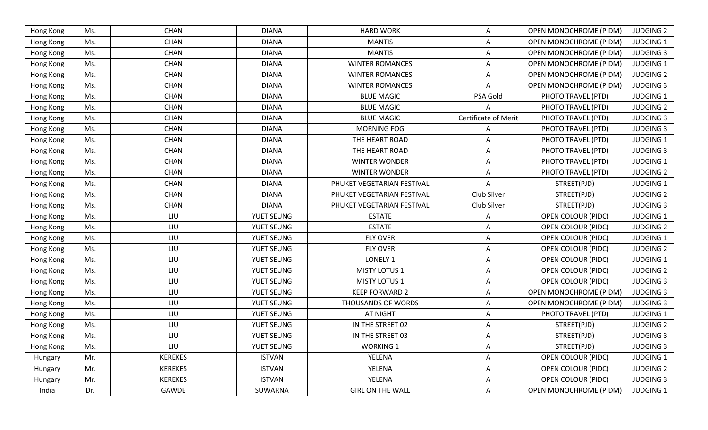| Hong Kong | Ms. | <b>CHAN</b>    | <b>DIANA</b>  | <b>HARD WORK</b>           | Α                    | OPEN MONOCHROME (PIDM)        | <b>JUDGING 2</b> |
|-----------|-----|----------------|---------------|----------------------------|----------------------|-------------------------------|------------------|
| Hong Kong | Ms. | <b>CHAN</b>    | <b>DIANA</b>  | <b>MANTIS</b>              | A                    | OPEN MONOCHROME (PIDM)        | <b>JUDGING 1</b> |
| Hong Kong | Ms. | <b>CHAN</b>    | <b>DIANA</b>  | <b>MANTIS</b>              | A                    | OPEN MONOCHROME (PIDM)        | <b>JUDGING 3</b> |
| Hong Kong | Ms. | <b>CHAN</b>    | <b>DIANA</b>  | <b>WINTER ROMANCES</b>     | A                    | <b>OPEN MONOCHROME (PIDM)</b> | <b>JUDGING 1</b> |
| Hong Kong | Ms. | <b>CHAN</b>    | <b>DIANA</b>  | <b>WINTER ROMANCES</b>     | A                    | OPEN MONOCHROME (PIDM)        | <b>JUDGING 2</b> |
| Hong Kong | Ms. | <b>CHAN</b>    | <b>DIANA</b>  | <b>WINTER ROMANCES</b>     | Α                    | OPEN MONOCHROME (PIDM)        | <b>JUDGING 3</b> |
| Hong Kong | Ms. | <b>CHAN</b>    | <b>DIANA</b>  | <b>BLUE MAGIC</b>          | PSA Gold             | PHOTO TRAVEL (PTD)            | <b>JUDGING 1</b> |
| Hong Kong | Ms. | <b>CHAN</b>    | <b>DIANA</b>  | <b>BLUE MAGIC</b>          | Α                    | PHOTO TRAVEL (PTD)            | <b>JUDGING 2</b> |
| Hong Kong | Ms. | <b>CHAN</b>    | <b>DIANA</b>  | <b>BLUE MAGIC</b>          | Certificate of Merit | PHOTO TRAVEL (PTD)            | <b>JUDGING 3</b> |
| Hong Kong | Ms. | <b>CHAN</b>    | <b>DIANA</b>  | MORNING FOG                | A                    | PHOTO TRAVEL (PTD)            | <b>JUDGING 3</b> |
| Hong Kong | Ms. | <b>CHAN</b>    | <b>DIANA</b>  | THE HEART ROAD             | A                    | PHOTO TRAVEL (PTD)            | <b>JUDGING 1</b> |
| Hong Kong | Ms. | <b>CHAN</b>    | <b>DIANA</b>  | THE HEART ROAD             | A                    | PHOTO TRAVEL (PTD)            | <b>JUDGING 3</b> |
| Hong Kong | Ms. | <b>CHAN</b>    | <b>DIANA</b>  | <b>WINTER WONDER</b>       | A                    | PHOTO TRAVEL (PTD)            | <b>JUDGING 1</b> |
| Hong Kong | Ms. | <b>CHAN</b>    | <b>DIANA</b>  | <b>WINTER WONDER</b>       | Α                    | PHOTO TRAVEL (PTD)            | <b>JUDGING 2</b> |
| Hong Kong | Ms. | <b>CHAN</b>    | <b>DIANA</b>  | PHUKET VEGETARIAN FESTIVAL |                      | STREET(PJD)                   | <b>JUDGING 1</b> |
| Hong Kong | Ms. | <b>CHAN</b>    | <b>DIANA</b>  | PHUKET VEGETARIAN FESTIVAL | Club Silver          | STREET(PJD)                   | <b>JUDGING 2</b> |
| Hong Kong | Ms. | <b>CHAN</b>    | <b>DIANA</b>  | PHUKET VEGETARIAN FESTIVAL | Club Silver          | STREET(PJD)                   | <b>JUDGING 3</b> |
| Hong Kong | Ms. | LIU            | YUET SEUNG    | <b>ESTATE</b>              | A                    | OPEN COLOUR (PIDC)            | <b>JUDGING 1</b> |
| Hong Kong | Ms. | LIU            | YUET SEUNG    | <b>ESTATE</b>              | A                    | <b>OPEN COLOUR (PIDC)</b>     | <b>JUDGING 2</b> |
| Hong Kong | Ms. | LIU            | YUET SEUNG    | <b>FLY OVER</b>            | A                    | OPEN COLOUR (PIDC)            | <b>JUDGING 1</b> |
| Hong Kong | Ms. | LIU            | YUET SEUNG    | <b>FLY OVER</b>            | Α                    | OPEN COLOUR (PIDC)            | <b>JUDGING 2</b> |
| Hong Kong | Ms. | LIU            | YUET SEUNG    | LONELY 1                   | A                    | <b>OPEN COLOUR (PIDC)</b>     | <b>JUDGING 1</b> |
| Hong Kong | Ms. | LIU            | YUET SEUNG    | <b>MISTY LOTUS 1</b>       | Α                    | <b>OPEN COLOUR (PIDC)</b>     | <b>JUDGING 2</b> |
| Hong Kong | Ms. | LIU            | YUET SEUNG    | <b>MISTY LOTUS 1</b>       | A                    | OPEN COLOUR (PIDC)            | <b>JUDGING 3</b> |
| Hong Kong | Ms. | LIU            | YUET SEUNG    | <b>KEEP FORWARD 2</b>      | Α                    | OPEN MONOCHROME (PIDM)        | <b>JUDGING 3</b> |
| Hong Kong | Ms. | LIU            | YUET SEUNG    | THOUSANDS OF WORDS         | Α                    | OPEN MONOCHROME (PIDM)        | <b>JUDGING 3</b> |
| Hong Kong | Ms. | LIU            | YUET SEUNG    | <b>AT NIGHT</b>            | A                    | PHOTO TRAVEL (PTD)            | <b>JUDGING 1</b> |
| Hong Kong | Ms. | LIU            | YUET SEUNG    | IN THE STREET 02           | A                    | STREET(PJD)                   | <b>JUDGING 2</b> |
| Hong Kong | Ms. | LIU            | YUET SEUNG    | IN THE STREET 03           | A                    | STREET(PJD)                   | <b>JUDGING 3</b> |
| Hong Kong | Ms. | LIU            | YUET SEUNG    | <b>WORKING 1</b>           | A                    | STREET(PJD)                   | <b>JUDGING 3</b> |
| Hungary   | Mr. | <b>KEREKES</b> | <b>ISTVAN</b> | YELENA                     | Α                    | <b>OPEN COLOUR (PIDC)</b>     | <b>JUDGING 1</b> |
| Hungary   | Mr. | <b>KEREKES</b> | <b>ISTVAN</b> | YELENA                     | A                    | <b>OPEN COLOUR (PIDC)</b>     | <b>JUDGING 2</b> |
| Hungary   | Mr. | <b>KEREKES</b> | <b>ISTVAN</b> | YELENA                     | Α                    | <b>OPEN COLOUR (PIDC)</b>     | <b>JUDGING 3</b> |
| India     | Dr. | GAWDE          | SUWARNA       | <b>GIRL ON THE WALL</b>    | Α                    | <b>OPEN MONOCHROME (PIDM)</b> | JUDGING 1        |
|           |     |                |               |                            |                      |                               |                  |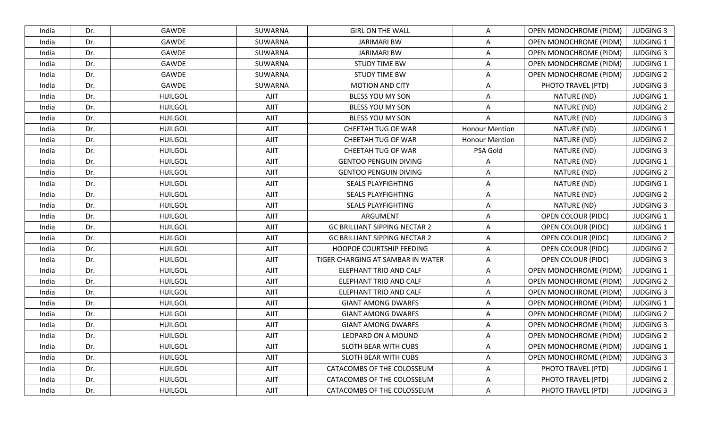| India | Dr. | <b>GAWDE</b>   | SUWARNA | <b>GIRL ON THE WALL</b>              | A                     | <b>OPEN MONOCHROME (PIDM)</b> | <b>JUDGING 3</b> |
|-------|-----|----------------|---------|--------------------------------------|-----------------------|-------------------------------|------------------|
| India | Dr. | <b>GAWDE</b>   | SUWARNA | <b>JARIMARI BW</b>                   | $\overline{A}$        | OPEN MONOCHROME (PIDM)        | <b>JUDGING 1</b> |
| India | Dr. | GAWDE          | SUWARNA | <b>JARIMARI BW</b>                   | Α                     | OPEN MONOCHROME (PIDM)        | <b>JUDGING 3</b> |
| India | Dr. | GAWDE          | SUWARNA | <b>STUDY TIME BW</b>                 | $\mathsf{A}$          | <b>OPEN MONOCHROME (PIDM)</b> | <b>JUDGING 1</b> |
| India | Dr. | <b>GAWDE</b>   | SUWARNA | <b>STUDY TIME BW</b>                 | A                     | <b>OPEN MONOCHROME (PIDM)</b> | <b>JUDGING 2</b> |
| India | Dr. | GAWDE          | SUWARNA | <b>MOTION AND CITY</b>               | A                     | PHOTO TRAVEL (PTD)            | <b>JUDGING 3</b> |
| India | Dr. | <b>HUILGOL</b> | AJIT    | BLESS YOU MY SON                     | $\overline{A}$        | NATURE (ND)                   | <b>JUDGING 1</b> |
| India | Dr. | <b>HUILGOL</b> | AJIT    | BLESS YOU MY SON                     | Α                     | NATURE (ND)                   | <b>JUDGING 2</b> |
| India | Dr. | <b>HUILGOL</b> | AJIT    | BLESS YOU MY SON                     | $\mathsf{A}$          | NATURE (ND)                   | <b>JUDGING 3</b> |
| India | Dr. | <b>HUILGOL</b> | AJIT    | CHEETAH TUG OF WAR                   | <b>Honour Mention</b> | NATURE (ND)                   | <b>JUDGING 1</b> |
| India | Dr. | <b>HUILGOL</b> | AJIT    | CHEETAH TUG OF WAR                   | <b>Honour Mention</b> | NATURE (ND)                   | <b>JUDGING 2</b> |
| India | Dr. | <b>HUILGOL</b> | AJIT    | CHEETAH TUG OF WAR                   | PSA Gold              | NATURE (ND)                   | <b>JUDGING 3</b> |
| India | Dr. | <b>HUILGOL</b> | AJIT    | <b>GENTOO PENGUIN DIVING</b>         | A                     | NATURE (ND)                   | <b>JUDGING 1</b> |
| India | Dr. | <b>HUILGOL</b> | AJIT    | <b>GENTOO PENGUIN DIVING</b>         | $\mathsf{A}$          | NATURE (ND)                   | <b>JUDGING 2</b> |
| India | Dr. | <b>HUILGOL</b> | AJIT    | <b>SEALS PLAYFIGHTING</b>            | A                     | NATURE (ND)                   | <b>JUDGING 1</b> |
| India | Dr. | <b>HUILGOL</b> | AJIT    | <b>SEALS PLAYFIGHTING</b>            | A                     | NATURE (ND)                   | <b>JUDGING 2</b> |
| India | Dr. | <b>HUILGOL</b> | AJIT    | <b>SEALS PLAYFIGHTING</b>            | A                     | NATURE (ND)                   | <b>JUDGING 3</b> |
| India | Dr. | <b>HUILGOL</b> | AJIT    | ARGUMENT                             | A                     | <b>OPEN COLOUR (PIDC)</b>     | <b>JUDGING 1</b> |
| India | Dr. | <b>HUILGOL</b> | AJIT    | <b>GC BRILLIANT SIPPING NECTAR 2</b> | $\mathsf{A}$          | <b>OPEN COLOUR (PIDC)</b>     | JUDGING 1        |
| India | Dr. | <b>HUILGOL</b> | AJIT    | <b>GC BRILLIANT SIPPING NECTAR 2</b> | $\mathsf{A}$          | OPEN COLOUR (PIDC)            | <b>JUDGING 2</b> |
| India | Dr. | <b>HUILGOL</b> | AJIT    | HOOPOE COURTSHIP FEEDING             | A                     | OPEN COLOUR (PIDC)            | <b>JUDGING 2</b> |
| India | Dr. | <b>HUILGOL</b> | AJIT    | TIGER CHARGING AT SAMBAR IN WATER    | $\mathsf{A}$          | <b>OPEN COLOUR (PIDC)</b>     | <b>JUDGING 3</b> |
| India | Dr. | <b>HUILGOL</b> | AJIT    | ELEPHANT TRIO AND CALF               | $\mathsf{A}$          | <b>OPEN MONOCHROME (PIDM)</b> | <b>JUDGING 1</b> |
| India | Dr. | <b>HUILGOL</b> | AJIT    | <b>ELEPHANT TRIO AND CALF</b>        | A                     | <b>OPEN MONOCHROME (PIDM)</b> | <b>JUDGING 2</b> |
| India | Dr. | <b>HUILGOL</b> | AJIT    | ELEPHANT TRIO AND CALF               | A                     | <b>OPEN MONOCHROME (PIDM)</b> | <b>JUDGING 3</b> |
| India | Dr. | <b>HUILGOL</b> | AJIT    | <b>GIANT AMONG DWARFS</b>            | $\mathsf{A}$          | OPEN MONOCHROME (PIDM)        | <b>JUDGING 1</b> |
| India | Dr. | <b>HUILGOL</b> | AJIT    | <b>GIANT AMONG DWARFS</b>            | $\mathsf{A}$          | <b>OPEN MONOCHROME (PIDM)</b> | <b>JUDGING 2</b> |
| India | Dr. | <b>HUILGOL</b> | AJIT    | <b>GIANT AMONG DWARFS</b>            | $\mathsf{A}$          | OPEN MONOCHROME (PIDM)        | <b>JUDGING 3</b> |
| India | Dr. | <b>HUILGOL</b> | AJIT    | LEOPARD ON A MOUND                   | Α                     | <b>OPEN MONOCHROME (PIDM)</b> | <b>JUDGING 2</b> |
| India | Dr. | <b>HUILGOL</b> | AJIT    | SLOTH BEAR WITH CUBS                 | A                     | <b>OPEN MONOCHROME (PIDM)</b> | JUDGING 1        |
| India | Dr. | <b>HUILGOL</b> | AJIT    | SLOTH BEAR WITH CUBS                 | $\mathsf{A}$          | <b>OPEN MONOCHROME (PIDM)</b> | <b>JUDGING 3</b> |
| India | Dr. | <b>HUILGOL</b> | AJIT    | CATACOMBS OF THE COLOSSEUM           | A                     | PHOTO TRAVEL (PTD)            | <b>JUDGING 1</b> |
| India | Dr. | <b>HUILGOL</b> | AJIT    | CATACOMBS OF THE COLOSSEUM           | A                     | PHOTO TRAVEL (PTD)            | <b>JUDGING 2</b> |
| India | Dr. | <b>HUILGOL</b> | AJIT    | CATACOMBS OF THE COLOSSEUM           | $\mathsf{A}$          | PHOTO TRAVEL (PTD)            | <b>JUDGING 3</b> |
|       |     |                |         |                                      |                       |                               |                  |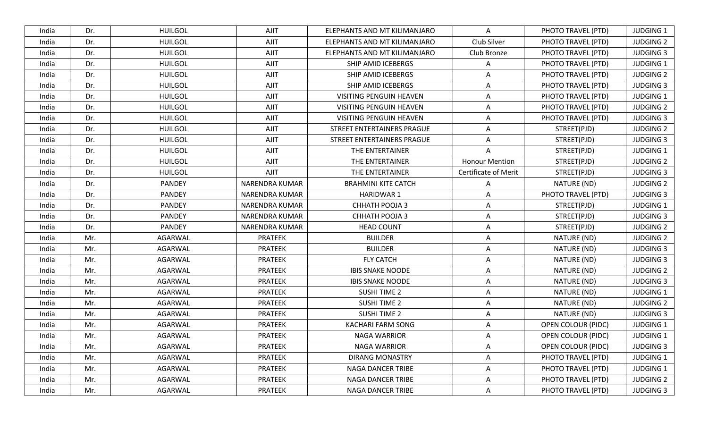| India | Dr. | <b>HUILGOL</b> | AJIT           | ELEPHANTS AND MT KILIMANJARO | A                           | PHOTO TRAVEL (PTD)        | <b>JUDGING 1</b> |
|-------|-----|----------------|----------------|------------------------------|-----------------------------|---------------------------|------------------|
| India | Dr. | <b>HUILGOL</b> | AJIT           | ELEPHANTS AND MT KILIMANJARO | Club Silver                 | PHOTO TRAVEL (PTD)        | <b>JUDGING 2</b> |
| India | Dr. | <b>HUILGOL</b> | <b>AJIT</b>    | ELEPHANTS AND MT KILIMANJARO | Club Bronze                 | PHOTO TRAVEL (PTD)        | <b>JUDGING 3</b> |
| India | Dr. | <b>HUILGOL</b> | AJIT           | SHIP AMID ICEBERGS           | A                           | PHOTO TRAVEL (PTD)        | <b>JUDGING 1</b> |
| India | Dr. | <b>HUILGOL</b> | AJIT           | SHIP AMID ICEBERGS           | A                           | PHOTO TRAVEL (PTD)        | <b>JUDGING 2</b> |
| India | Dr. | <b>HUILGOL</b> | AJIT           | SHIP AMID ICEBERGS           | A                           | PHOTO TRAVEL (PTD)        | <b>JUDGING 3</b> |
| India | Dr. | <b>HUILGOL</b> | AJIT           | VISITING PENGUIN HEAVEN      | A                           | PHOTO TRAVEL (PTD)        | <b>JUDGING 1</b> |
| India | Dr. | <b>HUILGOL</b> | AJIT           | VISITING PENGUIN HEAVEN      | A                           | PHOTO TRAVEL (PTD)        | <b>JUDGING 2</b> |
| India | Dr. | <b>HUILGOL</b> | AJIT           | VISITING PENGUIN HEAVEN      | A                           | PHOTO TRAVEL (PTD)        | <b>JUDGING 3</b> |
| India | Dr. | <b>HUILGOL</b> | <b>AJIT</b>    | STREET ENTERTAINERS PRAGUE   | A                           | STREET(PJD)               | <b>JUDGING 2</b> |
| India | Dr. | <b>HUILGOL</b> | AJIT           | STREET ENTERTAINERS PRAGUE   | A                           | STREET(PJD)               | <b>JUDGING 3</b> |
| India | Dr. | <b>HUILGOL</b> | AJIT           | THE ENTERTAINER              | A                           | STREET(PJD)               | <b>JUDGING 1</b> |
| India | Dr. | <b>HUILGOL</b> | AJIT           | THE ENTERTAINER              | <b>Honour Mention</b>       | STREET(PJD)               | <b>JUDGING 2</b> |
| India | Dr. | <b>HUILGOL</b> | AJIT           | THE ENTERTAINER              | <b>Certificate of Merit</b> | STREET(PJD)               | <b>JUDGING 3</b> |
| India | Dr. | <b>PANDEY</b>  | NARENDRA KUMAR | <b>BRAHMINI KITE CATCH</b>   | A                           | NATURE (ND)               | <b>JUDGING 2</b> |
| India | Dr. | PANDEY         | NARENDRA KUMAR | <b>HARIDWAR1</b>             | A                           | PHOTO TRAVEL (PTD)        | <b>JUDGING 3</b> |
| India | Dr. | PANDEY         | NARENDRA KUMAR | CHHATH POOJA 3               | A                           | STREET(PJD)               | <b>JUDGING 1</b> |
| India | Dr. | PANDEY         | NARENDRA KUMAR | CHHATH POOJA 3               | A                           | STREET(PJD)               | <b>JUDGING 3</b> |
| India | Dr. | <b>PANDEY</b>  | NARENDRA KUMAR | <b>HEAD COUNT</b>            | Α                           | STREET(PJD)               | <b>JUDGING 2</b> |
| India | Mr. | AGARWAL        | <b>PRATEEK</b> | <b>BUILDER</b>               | A                           | NATURE (ND)               | <b>JUDGING 2</b> |
| India | Mr. | AGARWAL        | <b>PRATEEK</b> | <b>BUILDER</b>               | A                           | NATURE (ND)               | <b>JUDGING 3</b> |
| India | Mr. | AGARWAL        | <b>PRATEEK</b> | <b>FLY CATCH</b>             | A                           | NATURE (ND)               | <b>JUDGING 3</b> |
| India | Mr. | AGARWAL        | <b>PRATEEK</b> | <b>IBIS SNAKE NOODE</b>      | A                           | NATURE (ND)               | <b>JUDGING 2</b> |
| India | Mr. | AGARWAL        | <b>PRATEEK</b> | <b>IBIS SNAKE NOODE</b>      | A                           | NATURE (ND)               | <b>JUDGING 3</b> |
| India | Mr. | AGARWAL        | <b>PRATEEK</b> | <b>SUSHI TIME 2</b>          | A                           | NATURE (ND)               | <b>JUDGING 1</b> |
| India | Mr. | AGARWAL        | <b>PRATEEK</b> | <b>SUSHI TIME 2</b>          | Α                           | NATURE (ND)               | <b>JUDGING 2</b> |
| India | Mr. | AGARWAL        | <b>PRATEEK</b> | <b>SUSHI TIME 2</b>          | A                           | NATURE (ND)               | <b>JUDGING 3</b> |
| India | Mr. | AGARWAL        | <b>PRATEEK</b> | KACHARI FARM SONG            | A                           | <b>OPEN COLOUR (PIDC)</b> | <b>JUDGING 1</b> |
| India | Mr. | AGARWAL        | <b>PRATEEK</b> | <b>NAGA WARRIOR</b>          | A                           | OPEN COLOUR (PIDC)        | <b>JUDGING 1</b> |
| India | Mr. | AGARWAL        | <b>PRATEEK</b> | <b>NAGA WARRIOR</b>          | A                           | <b>OPEN COLOUR (PIDC)</b> | <b>JUDGING 3</b> |
| India | Mr. | AGARWAL        | PRATEEK        | <b>DIRANG MONASTRY</b>       | Α                           | PHOTO TRAVEL (PTD)        | <b>JUDGING 1</b> |
| India | Mr. | AGARWAL        | <b>PRATEEK</b> | NAGA DANCER TRIBE            | Α                           | PHOTO TRAVEL (PTD)        | <b>JUDGING 1</b> |
| India | Mr. | AGARWAL        | PRATEEK        | NAGA DANCER TRIBE            | A                           | PHOTO TRAVEL (PTD)        | <b>JUDGING 2</b> |
| India | Mr. | AGARWAL        | PRATEEK        | NAGA DANCER TRIBE            | Α                           | PHOTO TRAVEL (PTD)        | <b>JUDGING 3</b> |
|       |     |                |                |                              |                             |                           |                  |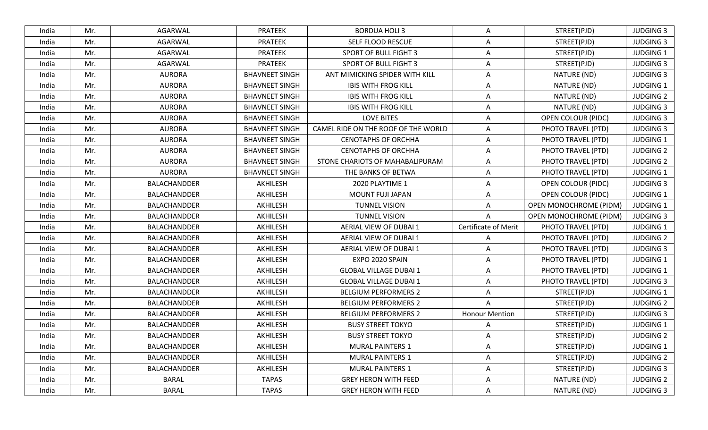| India | Mr. | AGARWAL             | <b>PRATEEK</b>        | <b>BORDUA HOLI 3</b>                | A                           | STREET(PJD)               | <b>JUDGING 3</b> |
|-------|-----|---------------------|-----------------------|-------------------------------------|-----------------------------|---------------------------|------------------|
| India | Mr. | AGARWAL             | <b>PRATEEK</b>        | SELF FLOOD RESCUE                   | Α                           | STREET(PJD)               | <b>JUDGING 3</b> |
| India | Mr. | AGARWAL             | <b>PRATEEK</b>        | <b>SPORT OF BULL FIGHT 3</b>        | $\overline{A}$              | STREET(PJD)               | <b>JUDGING 1</b> |
| India | Mr. | AGARWAL             | <b>PRATEEK</b>        | SPORT OF BULL FIGHT 3               | A                           | STREET(PJD)               | <b>JUDGING 3</b> |
| India | Mr. | <b>AURORA</b>       | <b>BHAVNEET SINGH</b> | ANT MIMICKING SPIDER WITH KILL      | A                           | NATURE (ND)               | <b>JUDGING 3</b> |
| India | Mr. | <b>AURORA</b>       | <b>BHAVNEET SINGH</b> | <b>IBIS WITH FROG KILL</b>          | A                           | NATURE (ND)               | <b>JUDGING 1</b> |
| India | Mr. | <b>AURORA</b>       | <b>BHAVNEET SINGH</b> | <b>IBIS WITH FROG KILL</b>          | Α                           | NATURE (ND)               | <b>JUDGING 2</b> |
| India | Mr. | <b>AURORA</b>       | <b>BHAVNEET SINGH</b> | <b>IBIS WITH FROG KILL</b>          | A                           | NATURE (ND)               | <b>JUDGING 3</b> |
| India | Mr. | <b>AURORA</b>       | <b>BHAVNEET SINGH</b> | <b>LOVE BITES</b>                   | Α                           | <b>OPEN COLOUR (PIDC)</b> | <b>JUDGING 3</b> |
| India | Mr. | <b>AURORA</b>       | <b>BHAVNEET SINGH</b> | CAMEL RIDE ON THE ROOF OF THE WORLD | A                           | PHOTO TRAVEL (PTD)        | <b>JUDGING 3</b> |
| India | Mr. | <b>AURORA</b>       | <b>BHAVNEET SINGH</b> | <b>CENOTAPHS OF ORCHHA</b>          | A                           | PHOTO TRAVEL (PTD)        | <b>JUDGING 1</b> |
| India | Mr. | <b>AURORA</b>       | <b>BHAVNEET SINGH</b> | <b>CENOTAPHS OF ORCHHA</b>          | Α                           | PHOTO TRAVEL (PTD)        | <b>JUDGING 2</b> |
| India | Mr. | <b>AURORA</b>       | <b>BHAVNEET SINGH</b> | STONE CHARIOTS OF MAHABALIPURAM     | A                           | PHOTO TRAVEL (PTD)        | <b>JUDGING 2</b> |
| India | Mr. | <b>AURORA</b>       | <b>BHAVNEET SINGH</b> | THE BANKS OF BETWA                  | Α                           | PHOTO TRAVEL (PTD)        | <b>JUDGING 1</b> |
| India | Mr. | BALACHANDDER        | AKHILESH              | 2020 PLAYTIME 1                     | A                           | <b>OPEN COLOUR (PIDC)</b> | <b>JUDGING 3</b> |
| India | Mr. | <b>BALACHANDDER</b> | AKHILESH              | MOUNT FUJI JAPAN                    | A                           | <b>OPEN COLOUR (PIDC)</b> | <b>JUDGING 1</b> |
| India | Mr. | <b>BALACHANDDER</b> | AKHILESH              | <b>TUNNEL VISION</b>                | A                           | OPEN MONOCHROME (PIDM)    | <b>JUDGING 1</b> |
| India | Mr. | <b>BALACHANDDER</b> | AKHILESH              | <b>TUNNEL VISION</b>                | $\overline{A}$              | OPEN MONOCHROME (PIDM)    | <b>JUDGING 3</b> |
| India | Mr. | <b>BALACHANDDER</b> | AKHILESH              | AERIAL VIEW OF DUBAI 1              | <b>Certificate of Merit</b> | PHOTO TRAVEL (PTD)        | <b>JUDGING 1</b> |
| India | Mr. | BALACHANDDER        | AKHILESH              | AERIAL VIEW OF DUBAI 1              | A                           | PHOTO TRAVEL (PTD)        | <b>JUDGING 2</b> |
| India | Mr. | <b>BALACHANDDER</b> | AKHILESH              | AERIAL VIEW OF DUBAI 1              | A                           | PHOTO TRAVEL (PTD)        | <b>JUDGING 3</b> |
| India | Mr. | <b>BALACHANDDER</b> | AKHILESH              | EXPO 2020 SPAIN                     | A                           | PHOTO TRAVEL (PTD)        | <b>JUDGING 1</b> |
| India | Mr. | <b>BALACHANDDER</b> | AKHILESH              | <b>GLOBAL VILLAGE DUBAI 1</b>       | A                           | PHOTO TRAVEL (PTD)        | <b>JUDGING 1</b> |
| India | Mr. | <b>BALACHANDDER</b> | AKHILESH              | <b>GLOBAL VILLAGE DUBAI 1</b>       | A                           | PHOTO TRAVEL (PTD)        | <b>JUDGING 3</b> |
| India | Mr. | <b>BALACHANDDER</b> | AKHILESH              | <b>BELGIUM PERFORMERS 2</b>         | A                           | STREET(PJD)               | <b>JUDGING 1</b> |
| India | Mr. | BALACHANDDER        | AKHILESH              | <b>BELGIUM PERFORMERS 2</b>         | A                           | STREET(PJD)               | <b>JUDGING 2</b> |
| India | Mr. | <b>BALACHANDDER</b> | AKHILESH              | <b>BELGIUM PERFORMERS 2</b>         | <b>Honour Mention</b>       | STREET(PJD)               | <b>JUDGING 3</b> |
| India | Mr. | <b>BALACHANDDER</b> | AKHILESH              | <b>BUSY STREET TOKYO</b>            | A                           | STREET(PJD)               | <b>JUDGING 1</b> |
| India | Mr. | BALACHANDDER        | AKHILESH              | <b>BUSY STREET TOKYO</b>            | A                           | STREET(PJD)               | <b>JUDGING 2</b> |
| India | Mr. | <b>BALACHANDDER</b> | AKHILESH              | <b>MURAL PAINTERS 1</b>             | A                           | STREET(PJD)               | <b>JUDGING 1</b> |
| India | Mr. | BALACHANDDER        | AKHILESH              | MURAL PAINTERS 1                    | Α                           | STREET(PJD)               | <b>JUDGING 2</b> |
| India | Mr. | <b>BALACHANDDER</b> | AKHILESH              | <b>MURAL PAINTERS 1</b>             | Α                           | STREET(PJD)               | <b>JUDGING 3</b> |
| India | Mr. | BARAL               | <b>TAPAS</b>          | <b>GREY HERON WITH FEED</b>         | A                           | NATURE (ND)               | <b>JUDGING 2</b> |
| India | Mr. | <b>BARAL</b>        | <b>TAPAS</b>          | <b>GREY HERON WITH FEED</b>         | A                           | NATURE (ND)               | <b>JUDGING 3</b> |
|       |     |                     |                       |                                     |                             |                           |                  |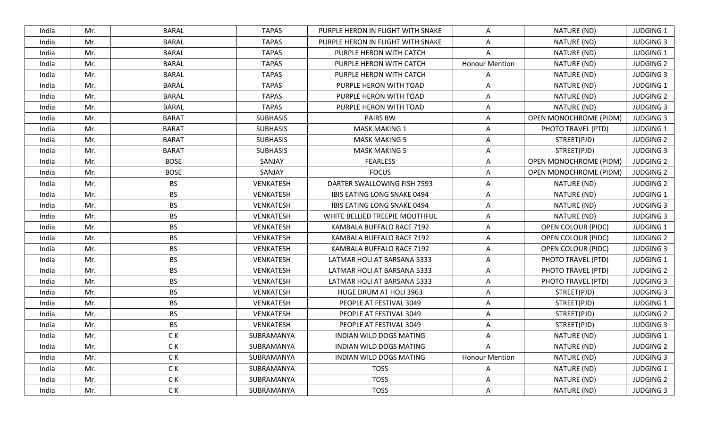| India | Mr. | <b>BARAL</b> | <b>TAPAS</b>    | PURPLE HERON IN FLIGHT WITH SNAKE | A                     | NATURE (ND)               | <b>JUDGING 1</b> |
|-------|-----|--------------|-----------------|-----------------------------------|-----------------------|---------------------------|------------------|
| India | Mr. | <b>BARAL</b> | <b>TAPAS</b>    | PURPLE HERON IN FLIGHT WITH SNAKE | A                     | NATURE (ND)               | <b>JUDGING 3</b> |
| India | Mr. | <b>BARAL</b> | <b>TAPAS</b>    | PURPLE HERON WITH CATCH           | $\overline{A}$        | NATURE (ND)               | <b>JUDGING 1</b> |
| India | Mr. | <b>BARAL</b> | <b>TAPAS</b>    | PURPLE HERON WITH CATCH           | <b>Honour Mention</b> | NATURE (ND)               | <b>JUDGING 2</b> |
| India | Mr. | <b>BARAL</b> | <b>TAPAS</b>    | PURPLE HERON WITH CATCH           | Α                     | NATURE (ND)               | <b>JUDGING 3</b> |
| India | Mr. | <b>BARAL</b> | <b>TAPAS</b>    | PURPLE HERON WITH TOAD            | A                     | NATURE (ND)               | <b>JUDGING 1</b> |
| India | Mr. | <b>BARAL</b> | <b>TAPAS</b>    | PURPLE HERON WITH TOAD            | Α                     | NATURE (ND)               | <b>JUDGING 2</b> |
| India | Mr. | <b>BARAL</b> | <b>TAPAS</b>    | PURPLE HERON WITH TOAD            | A                     | NATURE (ND)               | <b>JUDGING 3</b> |
| India | Mr. | <b>BARAT</b> | <b>SUBHASIS</b> | PAIRS BW                          | A                     | OPEN MONOCHROME (PIDM)    | <b>JUDGING 3</b> |
| India | Mr. | <b>BARAT</b> | <b>SUBHASIS</b> | <b>MASK MAKING 1</b>              | Α                     | PHOTO TRAVEL (PTD)        | <b>JUDGING 1</b> |
| India | Mr. | <b>BARAT</b> | <b>SUBHASIS</b> | <b>MASK MAKING 5</b>              | A                     | STREET(PJD)               | <b>JUDGING 2</b> |
| India | Mr. | <b>BARAT</b> | <b>SUBHASIS</b> | <b>MASK MAKING 5</b>              | Α                     | STREET(PJD)               | <b>JUDGING 3</b> |
| India | Mr. | <b>BOSE</b>  | SANJAY          | <b>FEARLESS</b>                   | A                     | OPEN MONOCHROME (PIDM)    | <b>JUDGING 2</b> |
| India | Mr. | <b>BOSE</b>  | SANJAY          | <b>FOCUS</b>                      | A                     | OPEN MONOCHROME (PIDM)    | <b>JUDGING 2</b> |
| India | Mr. | <b>BS</b>    | VENKATESH       | DARTER SWALLOWING FISH 7593       | A                     | NATURE (ND)               | <b>JUDGING 2</b> |
| India | Mr. | <b>BS</b>    | VENKATESH       | IBIS EATING LONG SNAKE 0494       | A                     | NATURE (ND)               | <b>JUDGING 1</b> |
| India | Mr. | <b>BS</b>    | VENKATESH       | IBIS EATING LONG SNAKE 0494       | A                     | NATURE (ND)               | <b>JUDGING 3</b> |
| India | Mr. | <b>BS</b>    | VENKATESH       | WHITE BELLIED TREEPIE MOUTHFUL    | A                     | NATURE (ND)               | <b>JUDGING 3</b> |
| India | Mr. | <b>BS</b>    | VENKATESH       | KAMBALA BUFFALO RACE 7192         | Α                     | <b>OPEN COLOUR (PIDC)</b> | <b>JUDGING 1</b> |
| India | Mr. | <b>BS</b>    | VENKATESH       | KAMBALA BUFFALO RACE 7192         | A                     | <b>OPEN COLOUR (PIDC)</b> | <b>JUDGING 2</b> |
| India | Mr. | <b>BS</b>    | VENKATESH       | KAMBALA BUFFALO RACE 7192         | A                     | <b>OPEN COLOUR (PIDC)</b> | <b>JUDGING 3</b> |
| India | Mr. | <b>BS</b>    | VENKATESH       | LATMAR HOLI AT BARSANA 5333       | A                     | PHOTO TRAVEL (PTD)        | JUDGING 1        |
| India | Mr. | <b>BS</b>    | VENKATESH       | LATMAR HOLI AT BARSANA 5333       | A                     | PHOTO TRAVEL (PTD)        | <b>JUDGING 2</b> |
| India | Mr. | <b>BS</b>    | VENKATESH       | LATMAR HOLI AT BARSANA 5333       | A                     | PHOTO TRAVEL (PTD)        | <b>JUDGING 3</b> |
| India | Mr. | <b>BS</b>    | VENKATESH       | HUGE DRUM AT HOLI 3963            | A                     | STREET(PJD)               | <b>JUDGING 3</b> |
| India | Mr. | <b>BS</b>    | VENKATESH       | PEOPLE AT FESTIVAL 3049           | A                     | STREET(PJD)               | <b>JUDGING 1</b> |
| India | Mr. | <b>BS</b>    | VENKATESH       | PEOPLE AT FESTIVAL 3049           | A                     | STREET(PJD)               | <b>JUDGING 2</b> |
| India | Mr. | <b>BS</b>    | VENKATESH       | PEOPLE AT FESTIVAL 3049           | A                     | STREET(PJD)               | <b>JUDGING 3</b> |
| India | Mr. | C K          | SUBRAMANYA      | INDIAN WILD DOGS MATING           | A                     | NATURE (ND)               | JUDGING 1        |
| India | Mr. | C K          | SUBRAMANYA      | INDIAN WILD DOGS MATING           | A                     | NATURE (ND)               | <b>JUDGING 2</b> |
| India | Mr. | C K          | SUBRAMANYA      | INDIAN WILD DOGS MATING           | <b>Honour Mention</b> | NATURE (ND)               | <b>JUDGING 3</b> |
| India | Mr. | C K          | SUBRAMANYA      | <b>TOSS</b>                       | Α                     | NATURE (ND)               | <b>JUDGING 1</b> |
| India | Mr. | C K          | SUBRAMANYA      | <b>TOSS</b>                       | A                     | NATURE (ND)               | <b>JUDGING 2</b> |
| India | Mr. | C K          | SUBRAMANYA      | <b>TOSS</b>                       | A                     | NATURE (ND)               | <b>JUDGING 3</b> |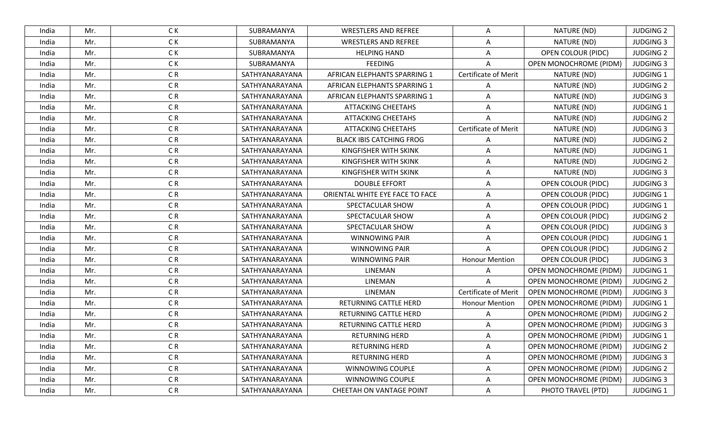| India | Mr. | C K            | SUBRAMANYA     | <b>WRESTLERS AND REFREE</b>     | A                           | NATURE (ND)                   | <b>JUDGING 2</b> |
|-------|-----|----------------|----------------|---------------------------------|-----------------------------|-------------------------------|------------------|
| India | Mr. | C K            | SUBRAMANYA     | <b>WRESTLERS AND REFREE</b>     | A                           | NATURE (ND)                   | <b>JUDGING 3</b> |
| India | Mr. | C K            | SUBRAMANYA     | <b>HELPING HAND</b>             | A                           | <b>OPEN COLOUR (PIDC)</b>     | <b>JUDGING 2</b> |
| India | Mr. | C K            | SUBRAMANYA     | <b>FEEDING</b>                  |                             | OPEN MONOCHROME (PIDM)        | <b>JUDGING 3</b> |
| India | Mr. | C <sub>R</sub> | SATHYANARAYANA | AFRICAN ELEPHANTS SPARRING 1    | Certificate of Merit        | NATURE (ND)                   | JUDGING 1        |
| India | Mr. | CR             | SATHYANARAYANA | AFRICAN ELEPHANTS SPARRING 1    | A                           | NATURE (ND)                   | <b>JUDGING 2</b> |
| India | Mr. | C <sub>R</sub> | SATHYANARAYANA | AFRICAN ELEPHANTS SPARRING 1    | A                           | NATURE (ND)                   | <b>JUDGING 3</b> |
| India | Mr. | CR             | SATHYANARAYANA | <b>ATTACKING CHEETAHS</b>       | A                           | NATURE (ND)                   | <b>JUDGING 1</b> |
| India | Mr. | CR             | SATHYANARAYANA | <b>ATTACKING CHEETAHS</b>       |                             | NATURE (ND)                   | <b>JUDGING 2</b> |
| India | Mr. | C <sub>R</sub> | SATHYANARAYANA | <b>ATTACKING CHEETAHS</b>       | <b>Certificate of Merit</b> | NATURE (ND)                   | <b>JUDGING 3</b> |
| India | Mr. | CR             | SATHYANARAYANA | <b>BLACK IBIS CATCHING FROG</b> | A                           | NATURE (ND)                   | <b>JUDGING 2</b> |
| India | Mr. | CR             | SATHYANARAYANA | KINGFISHER WITH SKINK           | A                           | NATURE (ND)                   | JUDGING 1        |
| India | Mr. | CR             | SATHYANARAYANA | KINGFISHER WITH SKINK           | A                           | NATURE (ND)                   | <b>JUDGING 2</b> |
| India | Mr. | CR             | SATHYANARAYANA | KINGFISHER WITH SKINK           | A                           | NATURE (ND)                   | <b>JUDGING 3</b> |
| India | Mr. | C <sub>R</sub> | SATHYANARAYANA | <b>DOUBLE EFFORT</b>            | A                           | <b>OPEN COLOUR (PIDC)</b>     | <b>JUDGING 3</b> |
| India | Mr. | C <sub>R</sub> | SATHYANARAYANA | ORIENTAL WHITE EYE FACE TO FACE | A                           | <b>OPEN COLOUR (PIDC)</b>     | <b>JUDGING 1</b> |
| India | Mr. | C <sub>R</sub> | SATHYANARAYANA | SPECTACULAR SHOW                | A                           | <b>OPEN COLOUR (PIDC)</b>     | <b>JUDGING 1</b> |
| India | Mr. | CR             | SATHYANARAYANA | SPECTACULAR SHOW                | A                           | <b>OPEN COLOUR (PIDC)</b>     | <b>JUDGING 2</b> |
| India | Mr. | C <sub>R</sub> | SATHYANARAYANA | SPECTACULAR SHOW                | A                           | <b>OPEN COLOUR (PIDC)</b>     | <b>JUDGING 3</b> |
| India | Mr. | C <sub>R</sub> | SATHYANARAYANA | <b>WINNOWING PAIR</b>           | A                           | <b>OPEN COLOUR (PIDC)</b>     | <b>JUDGING 1</b> |
| India | Mr. | CR             | SATHYANARAYANA | <b>WINNOWING PAIR</b>           |                             | <b>OPEN COLOUR (PIDC)</b>     | <b>JUDGING 2</b> |
| India | Mr. | CR             | SATHYANARAYANA | <b>WINNOWING PAIR</b>           | <b>Honour Mention</b>       | <b>OPEN COLOUR (PIDC)</b>     | <b>JUDGING 3</b> |
| India | Mr. | C <sub>R</sub> | SATHYANARAYANA | LINEMAN                         | $\overline{A}$              | OPEN MONOCHROME (PIDM)        | <b>JUDGING 1</b> |
| India | Mr. | CR             | SATHYANARAYANA | LINEMAN                         | $\overline{A}$              | OPEN MONOCHROME (PIDM)        | <b>JUDGING 2</b> |
| India | Mr. | CR             | SATHYANARAYANA | LINEMAN                         | Certificate of Merit        | <b>OPEN MONOCHROME (PIDM)</b> | <b>JUDGING 3</b> |
| India | Mr. | C <sub>R</sub> | SATHYANARAYANA | RETURNING CATTLE HERD           | <b>Honour Mention</b>       | OPEN MONOCHROME (PIDM)        | <b>JUDGING 1</b> |
| India | Mr. | C <sub>R</sub> | SATHYANARAYANA | RETURNING CATTLE HERD           | A                           | OPEN MONOCHROME (PIDM)        | <b>JUDGING 2</b> |
| India | Mr. | CR             | SATHYANARAYANA | RETURNING CATTLE HERD           | A                           | OPEN MONOCHROME (PIDM)        | <b>JUDGING 3</b> |
| India | Mr. | C <sub>R</sub> | SATHYANARAYANA | RETURNING HERD                  | A                           | <b>OPEN MONOCHROME (PIDM)</b> | <b>JUDGING 1</b> |
| India | Mr. | CR             | SATHYANARAYANA | <b>RETURNING HERD</b>           | A                           | <b>OPEN MONOCHROME (PIDM)</b> | <b>JUDGING 2</b> |
| India | Mr. | CR <sub></sub> | SATHYANARAYANA | RETURNING HERD                  | A                           | <b>OPEN MONOCHROME (PIDM)</b> | <b>JUDGING 3</b> |
| India | Mr. | CR             | SATHYANARAYANA | WINNOWING COUPLE                | A                           | OPEN MONOCHROME (PIDM)        | <b>JUDGING 2</b> |
| India | Mr. | CR             | SATHYANARAYANA | WINNOWING COUPLE                | A                           | OPEN MONOCHROME (PIDM)        | <b>JUDGING 3</b> |
| India | Mr. | C <sub>R</sub> | SATHYANARAYANA | CHEETAH ON VANTAGE POINT        | A                           | PHOTO TRAVEL (PTD)            | JUDGING 1        |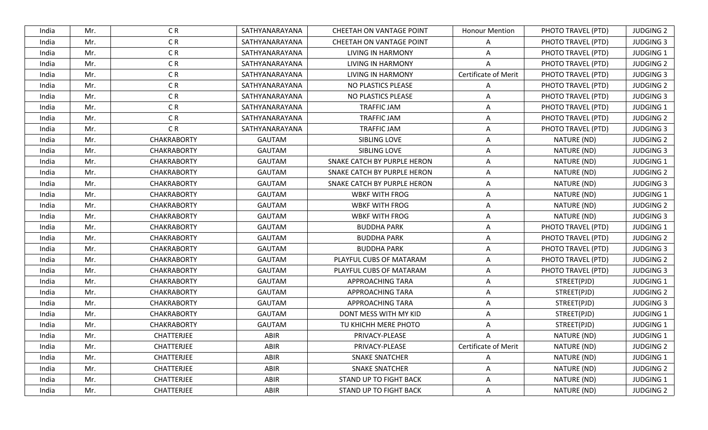| India | Mr. | C R                | SATHYANARAYANA | CHEETAH ON VANTAGE POINT    | <b>Honour Mention</b>       | PHOTO TRAVEL (PTD) | <b>JUDGING 2</b> |
|-------|-----|--------------------|----------------|-----------------------------|-----------------------------|--------------------|------------------|
| India | Mr. | C <sub>R</sub>     | SATHYANARAYANA | CHEETAH ON VANTAGE POINT    | A                           | PHOTO TRAVEL (PTD) | <b>JUDGING 3</b> |
| India | Mr. | C <sub>R</sub>     | SATHYANARAYANA | <b>LIVING IN HARMONY</b>    | A                           | PHOTO TRAVEL (PTD) | <b>JUDGING 1</b> |
| India | Mr. | C <sub>R</sub>     | SATHYANARAYANA | LIVING IN HARMONY           | Α                           | PHOTO TRAVEL (PTD) | <b>JUDGING 2</b> |
| India | Mr. | C <sub>R</sub>     | SATHYANARAYANA | <b>LIVING IN HARMONY</b>    | Certificate of Merit        | PHOTO TRAVEL (PTD) | <b>JUDGING 3</b> |
| India | Mr. | CR                 | SATHYANARAYANA | NO PLASTICS PLEASE          | Α                           | PHOTO TRAVEL (PTD) | <b>JUDGING 2</b> |
| India | Mr. | C <sub>R</sub>     | SATHYANARAYANA | NO PLASTICS PLEASE          | A                           | PHOTO TRAVEL (PTD) | <b>JUDGING 3</b> |
| India | Mr. | CR                 | SATHYANARAYANA | <b>TRAFFIC JAM</b>          | A                           | PHOTO TRAVEL (PTD) | <b>JUDGING 1</b> |
| India | Mr. | C <sub>R</sub>     | SATHYANARAYANA | <b>TRAFFIC JAM</b>          | Α                           | PHOTO TRAVEL (PTD) | <b>JUDGING 2</b> |
| India | Mr. | C <sub>R</sub>     | SATHYANARAYANA | <b>TRAFFIC JAM</b>          | $\overline{A}$              | PHOTO TRAVEL (PTD) | <b>JUDGING 3</b> |
| India | Mr. | <b>CHAKRABORTY</b> | <b>GAUTAM</b>  | SIBLING LOVE                | A                           | NATURE (ND)        | <b>JUDGING 2</b> |
| India | Mr. | <b>CHAKRABORTY</b> | <b>GAUTAM</b>  | SIBLING LOVE                | Α                           | NATURE (ND)        | <b>JUDGING 3</b> |
| India | Mr. | <b>CHAKRABORTY</b> | <b>GAUTAM</b>  | SNAKE CATCH BY PURPLE HERON | $\overline{A}$              | NATURE (ND)        | <b>JUDGING 1</b> |
| India | Mr. | <b>CHAKRABORTY</b> | <b>GAUTAM</b>  | SNAKE CATCH BY PURPLE HERON | Α                           | NATURE (ND)        | <b>JUDGING 2</b> |
| India | Mr. | <b>CHAKRABORTY</b> | <b>GAUTAM</b>  | SNAKE CATCH BY PURPLE HERON | A                           | NATURE (ND)        | <b>JUDGING 3</b> |
| India | Mr. | <b>CHAKRABORTY</b> | <b>GAUTAM</b>  | <b>WBKF WITH FROG</b>       | Α                           | NATURE (ND)        | <b>JUDGING 1</b> |
| India | Mr. | <b>CHAKRABORTY</b> | <b>GAUTAM</b>  | <b>WBKF WITH FROG</b>       | A                           | NATURE (ND)        | <b>JUDGING 2</b> |
| India | Mr. | <b>CHAKRABORTY</b> | <b>GAUTAM</b>  | <b>WBKF WITH FROG</b>       | A                           | NATURE (ND)        | <b>JUDGING 3</b> |
| India | Mr. | <b>CHAKRABORTY</b> | <b>GAUTAM</b>  | <b>BUDDHA PARK</b>          | Α                           | PHOTO TRAVEL (PTD) | <b>JUDGING 1</b> |
| India | Mr. | <b>CHAKRABORTY</b> | <b>GAUTAM</b>  | <b>BUDDHA PARK</b>          | A                           | PHOTO TRAVEL (PTD) | <b>JUDGING 2</b> |
| India | Mr. | <b>CHAKRABORTY</b> | <b>GAUTAM</b>  | <b>BUDDHA PARK</b>          | A                           | PHOTO TRAVEL (PTD) | <b>JUDGING 3</b> |
| India | Mr. | <b>CHAKRABORTY</b> | <b>GAUTAM</b>  | PLAYFUL CUBS OF MATARAM     | $\overline{A}$              | PHOTO TRAVEL (PTD) | <b>JUDGING 2</b> |
| India | Mr. | <b>CHAKRABORTY</b> | <b>GAUTAM</b>  | PLAYFUL CUBS OF MATARAM     | A                           | PHOTO TRAVEL (PTD) | <b>JUDGING 3</b> |
| India | Mr. | <b>CHAKRABORTY</b> | <b>GAUTAM</b>  | APPROACHING TARA            | A                           | STREET(PJD)        | <b>JUDGING 1</b> |
| India | Mr. | <b>CHAKRABORTY</b> | <b>GAUTAM</b>  | APPROACHING TARA            | A                           | STREET(PJD)        | <b>JUDGING 2</b> |
| India | Mr. | <b>CHAKRABORTY</b> | <b>GAUTAM</b>  | APPROACHING TARA            | A                           | STREET(PJD)        | <b>JUDGING 3</b> |
| India | Mr. | <b>CHAKRABORTY</b> | <b>GAUTAM</b>  | DONT MESS WITH MY KID       | A                           | STREET(PJD)        | <b>JUDGING 1</b> |
| India | Mr. | <b>CHAKRABORTY</b> | <b>GAUTAM</b>  | TU KHICHH MERE PHOTO        | A                           | STREET(PJD)        | <b>JUDGING 1</b> |
| India | Mr. | CHATTERJEE         | ABIR           | PRIVACY-PLEASE              | A                           | NATURE (ND)        | <b>JUDGING 1</b> |
| India | Mr. | CHATTERJEE         | ABIR           | PRIVACY-PLEASE              | <b>Certificate of Merit</b> | NATURE (ND)        | <b>JUDGING 2</b> |
| India | Mr. | CHATTERJEE         | ABIR           | <b>SNAKE SNATCHER</b>       | A                           | NATURE (ND)        | <b>JUDGING 1</b> |
| India | Mr. | CHATTERJEE         | ABIR           | <b>SNAKE SNATCHER</b>       | Α                           | NATURE (ND)        | <b>JUDGING 2</b> |
| India | Mr. | CHATTERJEE         | ABIR           | STAND UP TO FIGHT BACK      | Α                           | NATURE (ND)        | <b>JUDGING 1</b> |
| India | Mr. | <b>CHATTERJEE</b>  | ABIR           | STAND UP TO FIGHT BACK      | Α                           | NATURE (ND)        | <b>JUDGING 2</b> |
|       |     |                    |                |                             |                             |                    |                  |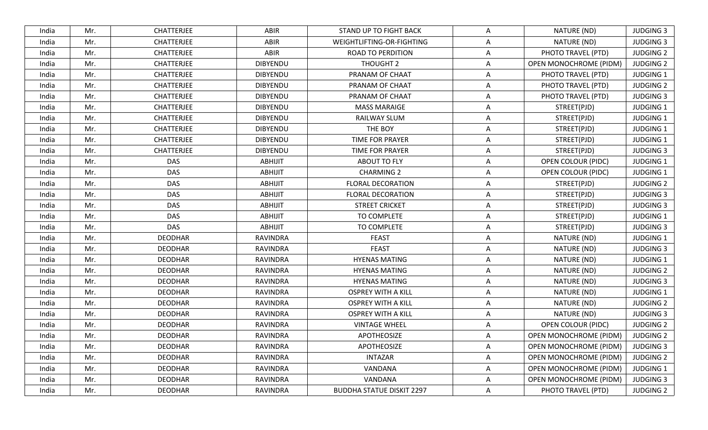| India | Mr. | CHATTERJEE        | ABIR            | STAND UP TO FIGHT BACK           | A              | NATURE (ND)                   | <b>JUDGING 3</b> |
|-------|-----|-------------------|-----------------|----------------------------------|----------------|-------------------------------|------------------|
| India | Mr. | CHATTERJEE        | ABIR            | WEIGHTLIFTING-OR-FIGHTING        | Α              | NATURE (ND)                   | <b>JUDGING 3</b> |
| India | Mr. | <b>CHATTERJEE</b> | ABIR            | <b>ROAD TO PERDITION</b>         | A              | PHOTO TRAVEL (PTD)            | <b>JUDGING 2</b> |
| India | Mr. | <b>CHATTERJEE</b> | <b>DIBYENDU</b> | THOUGHT 2                        | A              | <b>OPEN MONOCHROME (PIDM)</b> | <b>JUDGING 2</b> |
| India | Mr. | <b>CHATTERJEE</b> | <b>DIBYENDU</b> | PRANAM OF CHAAT                  | A              | PHOTO TRAVEL (PTD)            | <b>JUDGING 1</b> |
| India | Mr. | <b>CHATTERJEE</b> | <b>DIBYENDU</b> | PRANAM OF CHAAT                  | A              | PHOTO TRAVEL (PTD)            | <b>JUDGING 2</b> |
| India | Mr. | CHATTERJEE        | <b>DIBYENDU</b> | PRANAM OF CHAAT                  | A              | PHOTO TRAVEL (PTD)            | <b>JUDGING 3</b> |
| India | Mr. | CHATTERJEE        | <b>DIBYENDU</b> | <b>MASS MARAIGE</b>              | Α              | STREET(PJD)                   | <b>JUDGING 1</b> |
| India | Mr. | CHATTERJEE        | <b>DIBYENDU</b> | RAILWAY SLUM                     | A              | STREET(PJD)                   | <b>JUDGING 1</b> |
| India | Mr. | <b>CHATTERJEE</b> | <b>DIBYENDU</b> | THE BOY                          | A              | STREET(PJD)                   | <b>JUDGING 1</b> |
| India | Mr. | <b>CHATTERJEE</b> | <b>DIBYENDU</b> | TIME FOR PRAYER                  | A              | STREET(PJD)                   | <b>JUDGING 1</b> |
| India | Mr. | CHATTERJEE        | <b>DIBYENDU</b> | <b>TIME FOR PRAYER</b>           | Α              | STREET(PJD)                   | <b>JUDGING 3</b> |
| India | Mr. | <b>DAS</b>        | <b>ABHIJIT</b>  | <b>ABOUT TO FLY</b>              | $\overline{A}$ | <b>OPEN COLOUR (PIDC)</b>     | <b>JUDGING 1</b> |
| India | Mr. | <b>DAS</b>        | <b>ABHIJIT</b>  | <b>CHARMING 2</b>                | Α              | <b>OPEN COLOUR (PIDC)</b>     | <b>JUDGING 1</b> |
| India | Mr. | <b>DAS</b>        | <b>ABHIJIT</b>  | <b>FLORAL DECORATION</b>         | A              | STREET(PJD)                   | <b>JUDGING 2</b> |
| India | Mr. | <b>DAS</b>        | <b>ABHIJIT</b>  | <b>FLORAL DECORATION</b>         | Α              | STREET(PJD)                   | <b>JUDGING 3</b> |
| India | Mr. | <b>DAS</b>        | <b>ABHIJIT</b>  | <b>STREET CRICKET</b>            | A              | STREET(PJD)                   | <b>JUDGING 3</b> |
| India | Mr. | <b>DAS</b>        | <b>ABHIJIT</b>  | TO COMPLETE                      | A              | STREET(PJD)                   | <b>JUDGING 1</b> |
| India | Mr. | <b>DAS</b>        | <b>ABHIJIT</b>  | TO COMPLETE                      | Α              | STREET(PJD)                   | <b>JUDGING 3</b> |
| India | Mr. | <b>DEODHAR</b>    | RAVINDRA        | <b>FEAST</b>                     | A              | NATURE (ND)                   | <b>JUDGING 1</b> |
| India | Mr. | <b>DEODHAR</b>    | RAVINDRA        | <b>FEAST</b>                     | Α              | NATURE (ND)                   | <b>JUDGING 3</b> |
| India | Mr. | <b>DEODHAR</b>    | <b>RAVINDRA</b> | <b>HYENAS MATING</b>             | A              | NATURE (ND)                   | <b>JUDGING 1</b> |
| India | Mr. | <b>DEODHAR</b>    | <b>RAVINDRA</b> | <b>HYENAS MATING</b>             | Α              | NATURE (ND)                   | <b>JUDGING 2</b> |
| India | Mr. | <b>DEODHAR</b>    | <b>RAVINDRA</b> | <b>HYENAS MATING</b>             | A              | NATURE (ND)                   | <b>JUDGING 3</b> |
| India | Mr. | <b>DEODHAR</b>    | RAVINDRA        | <b>OSPREY WITH A KILL</b>        | Α              | NATURE (ND)                   | <b>JUDGING 1</b> |
| India | Mr. | <b>DEODHAR</b>    | RAVINDRA        | <b>OSPREY WITH A KILL</b>        | A              | NATURE (ND)                   | <b>JUDGING 2</b> |
| India | Mr. | <b>DEODHAR</b>    | RAVINDRA        | <b>OSPREY WITH A KILL</b>        | A              | NATURE (ND)                   | <b>JUDGING 3</b> |
| India | Mr. | <b>DEODHAR</b>    | <b>RAVINDRA</b> | <b>VINTAGE WHEEL</b>             | A              | <b>OPEN COLOUR (PIDC)</b>     | <b>JUDGING 2</b> |
| India | Mr. | <b>DEODHAR</b>    | <b>RAVINDRA</b> | APOTHEOSIZE                      | A              | <b>OPEN MONOCHROME (PIDM)</b> | <b>JUDGING 2</b> |
| India | Mr. | <b>DEODHAR</b>    | <b>RAVINDRA</b> | APOTHEOSIZE                      | Α              | <b>OPEN MONOCHROME (PIDM)</b> | <b>JUDGING 3</b> |
| India | Mr. | <b>DEODHAR</b>    | RAVINDRA        | <b>INTAZAR</b>                   | A              | <b>OPEN MONOCHROME (PIDM)</b> | <b>JUDGING 2</b> |
| India | Mr. | <b>DEODHAR</b>    | RAVINDRA        | VANDANA                          | Α              | <b>OPEN MONOCHROME (PIDM)</b> | <b>JUDGING 1</b> |
| India | Mr. | <b>DEODHAR</b>    | <b>RAVINDRA</b> | VANDANA                          | A              | <b>OPEN MONOCHROME (PIDM)</b> | <b>JUDGING 3</b> |
| India | Mr. | <b>DEODHAR</b>    | RAVINDRA        | <b>BUDDHA STATUE DISKIT 2297</b> | Α              | PHOTO TRAVEL (PTD)            | <b>JUDGING 2</b> |
|       |     |                   |                 |                                  |                |                               |                  |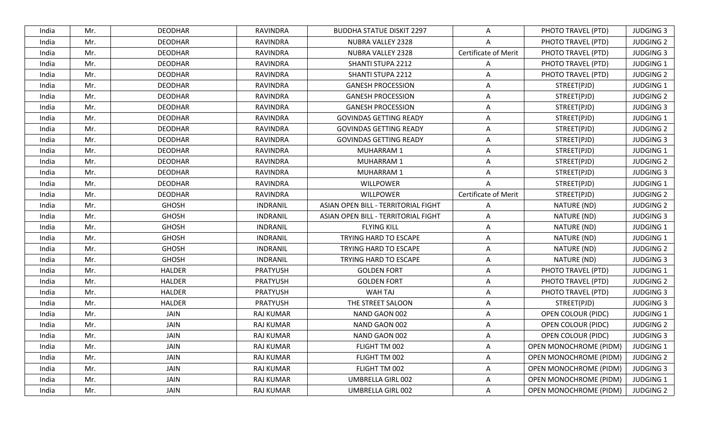| <b>DEODHAR</b><br>RAVINDRA<br><b>BUDDHA STATUE DISKIT 2297</b><br>PHOTO TRAVEL (PTD)<br><b>JUDGING 3</b><br>India<br>Mr.<br>A<br><b>JUDGING 2</b><br>Mr.<br><b>DEODHAR</b><br>RAVINDRA<br>NUBRA VALLEY 2328<br>PHOTO TRAVEL (PTD)<br>India<br>Α<br>Mr.<br><b>DEODHAR</b><br><b>RAVINDRA</b><br>NUBRA VALLEY 2328<br><b>Certificate of Merit</b><br>PHOTO TRAVEL (PTD)<br><b>JUDGING 3</b><br>India<br>Mr.<br><b>DEODHAR</b><br><b>RAVINDRA</b><br>SHANTI STUPA 2212<br>PHOTO TRAVEL (PTD)<br><b>JUDGING 1</b><br>India<br>A<br><b>DEODHAR</b><br>PHOTO TRAVEL (PTD)<br><b>JUDGING 2</b><br>India<br>Mr.<br>RAVINDRA<br>SHANTI STUPA 2212<br>A<br>STREET(PJD)<br><b>JUDGING 1</b><br>Mr.<br><b>DEODHAR</b><br><b>RAVINDRA</b><br><b>GANESH PROCESSION</b><br>India<br>Α<br>Mr.<br><b>DEODHAR</b><br><b>RAVINDRA</b><br><b>GANESH PROCESSION</b><br>Α<br>STREET(PJD)<br><b>JUDGING 2</b><br>India<br><b>DEODHAR</b><br><b>RAVINDRA</b><br>STREET(PJD)<br><b>JUDGING 3</b><br>Mr.<br><b>GANESH PROCESSION</b><br>A<br>India<br>STREET(PJD)<br><b>JUDGING 1</b><br>India<br>Mr.<br><b>DEODHAR</b><br><b>RAVINDRA</b><br><b>GOVINDAS GETTING READY</b><br>Α<br>STREET(PJD)<br>Mr.<br><b>DEODHAR</b><br><b>RAVINDRA</b><br><b>JUDGING 2</b><br>India<br><b>GOVINDAS GETTING READY</b><br>$\overline{A}$<br>STREET(PJD)<br><b>JUDGING 3</b><br>Mr.<br><b>DEODHAR</b><br><b>RAVINDRA</b><br><b>GOVINDAS GETTING READY</b><br>India<br>A<br><b>JUDGING 1</b><br>Mr.<br><b>DEODHAR</b><br>RAVINDRA<br>Α<br>STREET(PJD)<br>India<br><b>MUHARRAM1</b><br><b>MUHARRAM1</b><br>STREET(PJD)<br>Mr.<br><b>DEODHAR</b><br><b>RAVINDRA</b><br>A<br><b>JUDGING 2</b><br>India<br>STREET(PJD)<br><b>JUDGING 3</b><br>Mr.<br><b>DEODHAR</b><br><b>RAVINDRA</b><br>MUHARRAM 1<br>Α<br>India<br><b>WILLPOWER</b><br>STREET(PJD)<br>JUDGING 1<br><b>DEODHAR</b><br><b>RAVINDRA</b><br>India<br>Mr.<br>A<br><b>Certificate of Merit</b><br><b>WILLPOWER</b><br>STREET(PJD)<br><b>JUDGING 2</b><br>Mr.<br><b>DEODHAR</b><br><b>RAVINDRA</b><br>India<br>Mr.<br><b>GHOSH</b><br>ASIAN OPEN BILL - TERRITORIAL FIGHT<br><b>JUDGING 2</b><br>India<br><b>INDRANIL</b><br>NATURE (ND)<br>A<br><b>GHOSH</b><br>NATURE (ND)<br><b>JUDGING 3</b><br>Mr.<br><b>INDRANIL</b><br>ASIAN OPEN BILL - TERRITORIAL FIGHT<br>India<br>Α<br><b>GHOSH</b><br><b>FLYING KILL</b><br>NATURE (ND)<br><b>JUDGING 1</b><br>Mr.<br><b>INDRANIL</b><br>Α<br>India<br><b>GHOSH</b><br>TRYING HARD TO ESCAPE<br>NATURE (ND)<br><b>JUDGING 1</b><br>India<br>Mr.<br><b>INDRANIL</b><br>A<br><b>GHOSH</b><br><b>INDRANIL</b><br><b>JUDGING 2</b><br>Mr.<br>TRYING HARD TO ESCAPE<br>NATURE (ND)<br>India<br>A<br><b>GHOSH</b><br><b>JUDGING 3</b><br><b>INDRANIL</b><br>TRYING HARD TO ESCAPE<br>NATURE (ND)<br>Mr.<br>A<br>India<br>Mr.<br><b>HALDER</b><br><b>PRATYUSH</b><br><b>GOLDEN FORT</b><br>PHOTO TRAVEL (PTD)<br><b>JUDGING 1</b><br>India<br>Α<br><b>HALDER</b><br><b>GOLDEN FORT</b><br><b>JUDGING 2</b><br>India<br>Mr.<br><b>PRATYUSH</b><br>Α<br>PHOTO TRAVEL (PTD)<br>WAH TAJ<br><b>HALDER</b><br><b>PRATYUSH</b><br>PHOTO TRAVEL (PTD)<br><b>JUDGING 3</b><br>Mr.<br>India<br>Α<br><b>HALDER</b><br>THE STREET SALOON<br>STREET(PJD)<br><b>JUDGING 3</b><br>Mr.<br><b>PRATYUSH</b><br>Α<br>India<br>JAIN<br><b>RAJ KUMAR</b><br><b>OPEN COLOUR (PIDC)</b><br><b>JUDGING 1</b><br>India<br>Mr.<br>NAND GAON 002<br>A<br>JAIN<br>Mr.<br>RAJ KUMAR<br>NAND GAON 002<br><b>OPEN COLOUR (PIDC)</b><br><b>JUDGING 2</b><br>India<br>Α<br>JAIN<br><b>JUDGING 3</b><br>India<br>Mr.<br><b>RAJ KUMAR</b><br>NAND GAON 002<br>A<br><b>OPEN COLOUR (PIDC)</b><br>RAJ KUMAR<br>FLIGHT TM 002<br>OPEN MONOCHROME (PIDM)<br><b>JUDGING 1</b><br>India<br>Mr.<br>JAIN<br>A<br>Mr.<br>JAIN<br>FLIGHT TM 002<br>A<br><b>OPEN MONOCHROME (PIDM)</b><br>RAJ KUMAR<br><b>JUDGING 2</b><br>India<br><b>OPEN MONOCHROME (PIDM)</b><br>Mr.<br>JAIN<br>FLIGHT TM 002<br>India<br>RAJ KUMAR<br>Α<br><b>JUDGING 3</b><br><b>OPEN MONOCHROME (PIDM)</b><br>Mr.<br>JAIN<br>RAJ KUMAR<br>UMBRELLA GIRL 002<br>Α<br><b>JUDGING 1</b><br>India<br>JAIN<br>UMBRELLA GIRL 002<br><b>OPEN MONOCHROME (PIDM)</b><br><b>JUDGING 2</b><br>India<br>Mr.<br>RAJ KUMAR<br>Α |  |  |  |  |  |
|-------------------------------------------------------------------------------------------------------------------------------------------------------------------------------------------------------------------------------------------------------------------------------------------------------------------------------------------------------------------------------------------------------------------------------------------------------------------------------------------------------------------------------------------------------------------------------------------------------------------------------------------------------------------------------------------------------------------------------------------------------------------------------------------------------------------------------------------------------------------------------------------------------------------------------------------------------------------------------------------------------------------------------------------------------------------------------------------------------------------------------------------------------------------------------------------------------------------------------------------------------------------------------------------------------------------------------------------------------------------------------------------------------------------------------------------------------------------------------------------------------------------------------------------------------------------------------------------------------------------------------------------------------------------------------------------------------------------------------------------------------------------------------------------------------------------------------------------------------------------------------------------------------------------------------------------------------------------------------------------------------------------------------------------------------------------------------------------------------------------------------------------------------------------------------------------------------------------------------------------------------------------------------------------------------------------------------------------------------------------------------------------------------------------------------------------------------------------------------------------------------------------------------------------------------------------------------------------------------------------------------------------------------------------------------------------------------------------------------------------------------------------------------------------------------------------------------------------------------------------------------------------------------------------------------------------------------------------------------------------------------------------------------------------------------------------------------------------------------------------------------------------------------------------------------------------------------------------------------------------------------------------------------------------------------------------------------------------------------------------------------------------------------------------------------------------------------------------------------------------------------------------------------------------------------------------------------------------------------------------------------------------------------------------------------------------------------------------------------------------------------------------------------------------------------------------------------------------------------------------------------------------------------------------------------------------------------------------------------------------------------------------------------------------------------------------------------------------------------------------------------------------------------------------------------------------------|--|--|--|--|--|
|                                                                                                                                                                                                                                                                                                                                                                                                                                                                                                                                                                                                                                                                                                                                                                                                                                                                                                                                                                                                                                                                                                                                                                                                                                                                                                                                                                                                                                                                                                                                                                                                                                                                                                                                                                                                                                                                                                                                                                                                                                                                                                                                                                                                                                                                                                                                                                                                                                                                                                                                                                                                                                                                                                                                                                                                                                                                                                                                                                                                                                                                                                                                                                                                                                                                                                                                                                                                                                                                                                                                                                                                                                                                                                                                                                                                                                                                                                                                                                                                                                                                                                                                                                                                 |  |  |  |  |  |
|                                                                                                                                                                                                                                                                                                                                                                                                                                                                                                                                                                                                                                                                                                                                                                                                                                                                                                                                                                                                                                                                                                                                                                                                                                                                                                                                                                                                                                                                                                                                                                                                                                                                                                                                                                                                                                                                                                                                                                                                                                                                                                                                                                                                                                                                                                                                                                                                                                                                                                                                                                                                                                                                                                                                                                                                                                                                                                                                                                                                                                                                                                                                                                                                                                                                                                                                                                                                                                                                                                                                                                                                                                                                                                                                                                                                                                                                                                                                                                                                                                                                                                                                                                                                 |  |  |  |  |  |
|                                                                                                                                                                                                                                                                                                                                                                                                                                                                                                                                                                                                                                                                                                                                                                                                                                                                                                                                                                                                                                                                                                                                                                                                                                                                                                                                                                                                                                                                                                                                                                                                                                                                                                                                                                                                                                                                                                                                                                                                                                                                                                                                                                                                                                                                                                                                                                                                                                                                                                                                                                                                                                                                                                                                                                                                                                                                                                                                                                                                                                                                                                                                                                                                                                                                                                                                                                                                                                                                                                                                                                                                                                                                                                                                                                                                                                                                                                                                                                                                                                                                                                                                                                                                 |  |  |  |  |  |
|                                                                                                                                                                                                                                                                                                                                                                                                                                                                                                                                                                                                                                                                                                                                                                                                                                                                                                                                                                                                                                                                                                                                                                                                                                                                                                                                                                                                                                                                                                                                                                                                                                                                                                                                                                                                                                                                                                                                                                                                                                                                                                                                                                                                                                                                                                                                                                                                                                                                                                                                                                                                                                                                                                                                                                                                                                                                                                                                                                                                                                                                                                                                                                                                                                                                                                                                                                                                                                                                                                                                                                                                                                                                                                                                                                                                                                                                                                                                                                                                                                                                                                                                                                                                 |  |  |  |  |  |
|                                                                                                                                                                                                                                                                                                                                                                                                                                                                                                                                                                                                                                                                                                                                                                                                                                                                                                                                                                                                                                                                                                                                                                                                                                                                                                                                                                                                                                                                                                                                                                                                                                                                                                                                                                                                                                                                                                                                                                                                                                                                                                                                                                                                                                                                                                                                                                                                                                                                                                                                                                                                                                                                                                                                                                                                                                                                                                                                                                                                                                                                                                                                                                                                                                                                                                                                                                                                                                                                                                                                                                                                                                                                                                                                                                                                                                                                                                                                                                                                                                                                                                                                                                                                 |  |  |  |  |  |
|                                                                                                                                                                                                                                                                                                                                                                                                                                                                                                                                                                                                                                                                                                                                                                                                                                                                                                                                                                                                                                                                                                                                                                                                                                                                                                                                                                                                                                                                                                                                                                                                                                                                                                                                                                                                                                                                                                                                                                                                                                                                                                                                                                                                                                                                                                                                                                                                                                                                                                                                                                                                                                                                                                                                                                                                                                                                                                                                                                                                                                                                                                                                                                                                                                                                                                                                                                                                                                                                                                                                                                                                                                                                                                                                                                                                                                                                                                                                                                                                                                                                                                                                                                                                 |  |  |  |  |  |
|                                                                                                                                                                                                                                                                                                                                                                                                                                                                                                                                                                                                                                                                                                                                                                                                                                                                                                                                                                                                                                                                                                                                                                                                                                                                                                                                                                                                                                                                                                                                                                                                                                                                                                                                                                                                                                                                                                                                                                                                                                                                                                                                                                                                                                                                                                                                                                                                                                                                                                                                                                                                                                                                                                                                                                                                                                                                                                                                                                                                                                                                                                                                                                                                                                                                                                                                                                                                                                                                                                                                                                                                                                                                                                                                                                                                                                                                                                                                                                                                                                                                                                                                                                                                 |  |  |  |  |  |
|                                                                                                                                                                                                                                                                                                                                                                                                                                                                                                                                                                                                                                                                                                                                                                                                                                                                                                                                                                                                                                                                                                                                                                                                                                                                                                                                                                                                                                                                                                                                                                                                                                                                                                                                                                                                                                                                                                                                                                                                                                                                                                                                                                                                                                                                                                                                                                                                                                                                                                                                                                                                                                                                                                                                                                                                                                                                                                                                                                                                                                                                                                                                                                                                                                                                                                                                                                                                                                                                                                                                                                                                                                                                                                                                                                                                                                                                                                                                                                                                                                                                                                                                                                                                 |  |  |  |  |  |
|                                                                                                                                                                                                                                                                                                                                                                                                                                                                                                                                                                                                                                                                                                                                                                                                                                                                                                                                                                                                                                                                                                                                                                                                                                                                                                                                                                                                                                                                                                                                                                                                                                                                                                                                                                                                                                                                                                                                                                                                                                                                                                                                                                                                                                                                                                                                                                                                                                                                                                                                                                                                                                                                                                                                                                                                                                                                                                                                                                                                                                                                                                                                                                                                                                                                                                                                                                                                                                                                                                                                                                                                                                                                                                                                                                                                                                                                                                                                                                                                                                                                                                                                                                                                 |  |  |  |  |  |
|                                                                                                                                                                                                                                                                                                                                                                                                                                                                                                                                                                                                                                                                                                                                                                                                                                                                                                                                                                                                                                                                                                                                                                                                                                                                                                                                                                                                                                                                                                                                                                                                                                                                                                                                                                                                                                                                                                                                                                                                                                                                                                                                                                                                                                                                                                                                                                                                                                                                                                                                                                                                                                                                                                                                                                                                                                                                                                                                                                                                                                                                                                                                                                                                                                                                                                                                                                                                                                                                                                                                                                                                                                                                                                                                                                                                                                                                                                                                                                                                                                                                                                                                                                                                 |  |  |  |  |  |
|                                                                                                                                                                                                                                                                                                                                                                                                                                                                                                                                                                                                                                                                                                                                                                                                                                                                                                                                                                                                                                                                                                                                                                                                                                                                                                                                                                                                                                                                                                                                                                                                                                                                                                                                                                                                                                                                                                                                                                                                                                                                                                                                                                                                                                                                                                                                                                                                                                                                                                                                                                                                                                                                                                                                                                                                                                                                                                                                                                                                                                                                                                                                                                                                                                                                                                                                                                                                                                                                                                                                                                                                                                                                                                                                                                                                                                                                                                                                                                                                                                                                                                                                                                                                 |  |  |  |  |  |
|                                                                                                                                                                                                                                                                                                                                                                                                                                                                                                                                                                                                                                                                                                                                                                                                                                                                                                                                                                                                                                                                                                                                                                                                                                                                                                                                                                                                                                                                                                                                                                                                                                                                                                                                                                                                                                                                                                                                                                                                                                                                                                                                                                                                                                                                                                                                                                                                                                                                                                                                                                                                                                                                                                                                                                                                                                                                                                                                                                                                                                                                                                                                                                                                                                                                                                                                                                                                                                                                                                                                                                                                                                                                                                                                                                                                                                                                                                                                                                                                                                                                                                                                                                                                 |  |  |  |  |  |
|                                                                                                                                                                                                                                                                                                                                                                                                                                                                                                                                                                                                                                                                                                                                                                                                                                                                                                                                                                                                                                                                                                                                                                                                                                                                                                                                                                                                                                                                                                                                                                                                                                                                                                                                                                                                                                                                                                                                                                                                                                                                                                                                                                                                                                                                                                                                                                                                                                                                                                                                                                                                                                                                                                                                                                                                                                                                                                                                                                                                                                                                                                                                                                                                                                                                                                                                                                                                                                                                                                                                                                                                                                                                                                                                                                                                                                                                                                                                                                                                                                                                                                                                                                                                 |  |  |  |  |  |
|                                                                                                                                                                                                                                                                                                                                                                                                                                                                                                                                                                                                                                                                                                                                                                                                                                                                                                                                                                                                                                                                                                                                                                                                                                                                                                                                                                                                                                                                                                                                                                                                                                                                                                                                                                                                                                                                                                                                                                                                                                                                                                                                                                                                                                                                                                                                                                                                                                                                                                                                                                                                                                                                                                                                                                                                                                                                                                                                                                                                                                                                                                                                                                                                                                                                                                                                                                                                                                                                                                                                                                                                                                                                                                                                                                                                                                                                                                                                                                                                                                                                                                                                                                                                 |  |  |  |  |  |
|                                                                                                                                                                                                                                                                                                                                                                                                                                                                                                                                                                                                                                                                                                                                                                                                                                                                                                                                                                                                                                                                                                                                                                                                                                                                                                                                                                                                                                                                                                                                                                                                                                                                                                                                                                                                                                                                                                                                                                                                                                                                                                                                                                                                                                                                                                                                                                                                                                                                                                                                                                                                                                                                                                                                                                                                                                                                                                                                                                                                                                                                                                                                                                                                                                                                                                                                                                                                                                                                                                                                                                                                                                                                                                                                                                                                                                                                                                                                                                                                                                                                                                                                                                                                 |  |  |  |  |  |
|                                                                                                                                                                                                                                                                                                                                                                                                                                                                                                                                                                                                                                                                                                                                                                                                                                                                                                                                                                                                                                                                                                                                                                                                                                                                                                                                                                                                                                                                                                                                                                                                                                                                                                                                                                                                                                                                                                                                                                                                                                                                                                                                                                                                                                                                                                                                                                                                                                                                                                                                                                                                                                                                                                                                                                                                                                                                                                                                                                                                                                                                                                                                                                                                                                                                                                                                                                                                                                                                                                                                                                                                                                                                                                                                                                                                                                                                                                                                                                                                                                                                                                                                                                                                 |  |  |  |  |  |
|                                                                                                                                                                                                                                                                                                                                                                                                                                                                                                                                                                                                                                                                                                                                                                                                                                                                                                                                                                                                                                                                                                                                                                                                                                                                                                                                                                                                                                                                                                                                                                                                                                                                                                                                                                                                                                                                                                                                                                                                                                                                                                                                                                                                                                                                                                                                                                                                                                                                                                                                                                                                                                                                                                                                                                                                                                                                                                                                                                                                                                                                                                                                                                                                                                                                                                                                                                                                                                                                                                                                                                                                                                                                                                                                                                                                                                                                                                                                                                                                                                                                                                                                                                                                 |  |  |  |  |  |
|                                                                                                                                                                                                                                                                                                                                                                                                                                                                                                                                                                                                                                                                                                                                                                                                                                                                                                                                                                                                                                                                                                                                                                                                                                                                                                                                                                                                                                                                                                                                                                                                                                                                                                                                                                                                                                                                                                                                                                                                                                                                                                                                                                                                                                                                                                                                                                                                                                                                                                                                                                                                                                                                                                                                                                                                                                                                                                                                                                                                                                                                                                                                                                                                                                                                                                                                                                                                                                                                                                                                                                                                                                                                                                                                                                                                                                                                                                                                                                                                                                                                                                                                                                                                 |  |  |  |  |  |
|                                                                                                                                                                                                                                                                                                                                                                                                                                                                                                                                                                                                                                                                                                                                                                                                                                                                                                                                                                                                                                                                                                                                                                                                                                                                                                                                                                                                                                                                                                                                                                                                                                                                                                                                                                                                                                                                                                                                                                                                                                                                                                                                                                                                                                                                                                                                                                                                                                                                                                                                                                                                                                                                                                                                                                                                                                                                                                                                                                                                                                                                                                                                                                                                                                                                                                                                                                                                                                                                                                                                                                                                                                                                                                                                                                                                                                                                                                                                                                                                                                                                                                                                                                                                 |  |  |  |  |  |
|                                                                                                                                                                                                                                                                                                                                                                                                                                                                                                                                                                                                                                                                                                                                                                                                                                                                                                                                                                                                                                                                                                                                                                                                                                                                                                                                                                                                                                                                                                                                                                                                                                                                                                                                                                                                                                                                                                                                                                                                                                                                                                                                                                                                                                                                                                                                                                                                                                                                                                                                                                                                                                                                                                                                                                                                                                                                                                                                                                                                                                                                                                                                                                                                                                                                                                                                                                                                                                                                                                                                                                                                                                                                                                                                                                                                                                                                                                                                                                                                                                                                                                                                                                                                 |  |  |  |  |  |
|                                                                                                                                                                                                                                                                                                                                                                                                                                                                                                                                                                                                                                                                                                                                                                                                                                                                                                                                                                                                                                                                                                                                                                                                                                                                                                                                                                                                                                                                                                                                                                                                                                                                                                                                                                                                                                                                                                                                                                                                                                                                                                                                                                                                                                                                                                                                                                                                                                                                                                                                                                                                                                                                                                                                                                                                                                                                                                                                                                                                                                                                                                                                                                                                                                                                                                                                                                                                                                                                                                                                                                                                                                                                                                                                                                                                                                                                                                                                                                                                                                                                                                                                                                                                 |  |  |  |  |  |
|                                                                                                                                                                                                                                                                                                                                                                                                                                                                                                                                                                                                                                                                                                                                                                                                                                                                                                                                                                                                                                                                                                                                                                                                                                                                                                                                                                                                                                                                                                                                                                                                                                                                                                                                                                                                                                                                                                                                                                                                                                                                                                                                                                                                                                                                                                                                                                                                                                                                                                                                                                                                                                                                                                                                                                                                                                                                                                                                                                                                                                                                                                                                                                                                                                                                                                                                                                                                                                                                                                                                                                                                                                                                                                                                                                                                                                                                                                                                                                                                                                                                                                                                                                                                 |  |  |  |  |  |
|                                                                                                                                                                                                                                                                                                                                                                                                                                                                                                                                                                                                                                                                                                                                                                                                                                                                                                                                                                                                                                                                                                                                                                                                                                                                                                                                                                                                                                                                                                                                                                                                                                                                                                                                                                                                                                                                                                                                                                                                                                                                                                                                                                                                                                                                                                                                                                                                                                                                                                                                                                                                                                                                                                                                                                                                                                                                                                                                                                                                                                                                                                                                                                                                                                                                                                                                                                                                                                                                                                                                                                                                                                                                                                                                                                                                                                                                                                                                                                                                                                                                                                                                                                                                 |  |  |  |  |  |
|                                                                                                                                                                                                                                                                                                                                                                                                                                                                                                                                                                                                                                                                                                                                                                                                                                                                                                                                                                                                                                                                                                                                                                                                                                                                                                                                                                                                                                                                                                                                                                                                                                                                                                                                                                                                                                                                                                                                                                                                                                                                                                                                                                                                                                                                                                                                                                                                                                                                                                                                                                                                                                                                                                                                                                                                                                                                                                                                                                                                                                                                                                                                                                                                                                                                                                                                                                                                                                                                                                                                                                                                                                                                                                                                                                                                                                                                                                                                                                                                                                                                                                                                                                                                 |  |  |  |  |  |
|                                                                                                                                                                                                                                                                                                                                                                                                                                                                                                                                                                                                                                                                                                                                                                                                                                                                                                                                                                                                                                                                                                                                                                                                                                                                                                                                                                                                                                                                                                                                                                                                                                                                                                                                                                                                                                                                                                                                                                                                                                                                                                                                                                                                                                                                                                                                                                                                                                                                                                                                                                                                                                                                                                                                                                                                                                                                                                                                                                                                                                                                                                                                                                                                                                                                                                                                                                                                                                                                                                                                                                                                                                                                                                                                                                                                                                                                                                                                                                                                                                                                                                                                                                                                 |  |  |  |  |  |
|                                                                                                                                                                                                                                                                                                                                                                                                                                                                                                                                                                                                                                                                                                                                                                                                                                                                                                                                                                                                                                                                                                                                                                                                                                                                                                                                                                                                                                                                                                                                                                                                                                                                                                                                                                                                                                                                                                                                                                                                                                                                                                                                                                                                                                                                                                                                                                                                                                                                                                                                                                                                                                                                                                                                                                                                                                                                                                                                                                                                                                                                                                                                                                                                                                                                                                                                                                                                                                                                                                                                                                                                                                                                                                                                                                                                                                                                                                                                                                                                                                                                                                                                                                                                 |  |  |  |  |  |
|                                                                                                                                                                                                                                                                                                                                                                                                                                                                                                                                                                                                                                                                                                                                                                                                                                                                                                                                                                                                                                                                                                                                                                                                                                                                                                                                                                                                                                                                                                                                                                                                                                                                                                                                                                                                                                                                                                                                                                                                                                                                                                                                                                                                                                                                                                                                                                                                                                                                                                                                                                                                                                                                                                                                                                                                                                                                                                                                                                                                                                                                                                                                                                                                                                                                                                                                                                                                                                                                                                                                                                                                                                                                                                                                                                                                                                                                                                                                                                                                                                                                                                                                                                                                 |  |  |  |  |  |
|                                                                                                                                                                                                                                                                                                                                                                                                                                                                                                                                                                                                                                                                                                                                                                                                                                                                                                                                                                                                                                                                                                                                                                                                                                                                                                                                                                                                                                                                                                                                                                                                                                                                                                                                                                                                                                                                                                                                                                                                                                                                                                                                                                                                                                                                                                                                                                                                                                                                                                                                                                                                                                                                                                                                                                                                                                                                                                                                                                                                                                                                                                                                                                                                                                                                                                                                                                                                                                                                                                                                                                                                                                                                                                                                                                                                                                                                                                                                                                                                                                                                                                                                                                                                 |  |  |  |  |  |
|                                                                                                                                                                                                                                                                                                                                                                                                                                                                                                                                                                                                                                                                                                                                                                                                                                                                                                                                                                                                                                                                                                                                                                                                                                                                                                                                                                                                                                                                                                                                                                                                                                                                                                                                                                                                                                                                                                                                                                                                                                                                                                                                                                                                                                                                                                                                                                                                                                                                                                                                                                                                                                                                                                                                                                                                                                                                                                                                                                                                                                                                                                                                                                                                                                                                                                                                                                                                                                                                                                                                                                                                                                                                                                                                                                                                                                                                                                                                                                                                                                                                                                                                                                                                 |  |  |  |  |  |
|                                                                                                                                                                                                                                                                                                                                                                                                                                                                                                                                                                                                                                                                                                                                                                                                                                                                                                                                                                                                                                                                                                                                                                                                                                                                                                                                                                                                                                                                                                                                                                                                                                                                                                                                                                                                                                                                                                                                                                                                                                                                                                                                                                                                                                                                                                                                                                                                                                                                                                                                                                                                                                                                                                                                                                                                                                                                                                                                                                                                                                                                                                                                                                                                                                                                                                                                                                                                                                                                                                                                                                                                                                                                                                                                                                                                                                                                                                                                                                                                                                                                                                                                                                                                 |  |  |  |  |  |
|                                                                                                                                                                                                                                                                                                                                                                                                                                                                                                                                                                                                                                                                                                                                                                                                                                                                                                                                                                                                                                                                                                                                                                                                                                                                                                                                                                                                                                                                                                                                                                                                                                                                                                                                                                                                                                                                                                                                                                                                                                                                                                                                                                                                                                                                                                                                                                                                                                                                                                                                                                                                                                                                                                                                                                                                                                                                                                                                                                                                                                                                                                                                                                                                                                                                                                                                                                                                                                                                                                                                                                                                                                                                                                                                                                                                                                                                                                                                                                                                                                                                                                                                                                                                 |  |  |  |  |  |
|                                                                                                                                                                                                                                                                                                                                                                                                                                                                                                                                                                                                                                                                                                                                                                                                                                                                                                                                                                                                                                                                                                                                                                                                                                                                                                                                                                                                                                                                                                                                                                                                                                                                                                                                                                                                                                                                                                                                                                                                                                                                                                                                                                                                                                                                                                                                                                                                                                                                                                                                                                                                                                                                                                                                                                                                                                                                                                                                                                                                                                                                                                                                                                                                                                                                                                                                                                                                                                                                                                                                                                                                                                                                                                                                                                                                                                                                                                                                                                                                                                                                                                                                                                                                 |  |  |  |  |  |
|                                                                                                                                                                                                                                                                                                                                                                                                                                                                                                                                                                                                                                                                                                                                                                                                                                                                                                                                                                                                                                                                                                                                                                                                                                                                                                                                                                                                                                                                                                                                                                                                                                                                                                                                                                                                                                                                                                                                                                                                                                                                                                                                                                                                                                                                                                                                                                                                                                                                                                                                                                                                                                                                                                                                                                                                                                                                                                                                                                                                                                                                                                                                                                                                                                                                                                                                                                                                                                                                                                                                                                                                                                                                                                                                                                                                                                                                                                                                                                                                                                                                                                                                                                                                 |  |  |  |  |  |
|                                                                                                                                                                                                                                                                                                                                                                                                                                                                                                                                                                                                                                                                                                                                                                                                                                                                                                                                                                                                                                                                                                                                                                                                                                                                                                                                                                                                                                                                                                                                                                                                                                                                                                                                                                                                                                                                                                                                                                                                                                                                                                                                                                                                                                                                                                                                                                                                                                                                                                                                                                                                                                                                                                                                                                                                                                                                                                                                                                                                                                                                                                                                                                                                                                                                                                                                                                                                                                                                                                                                                                                                                                                                                                                                                                                                                                                                                                                                                                                                                                                                                                                                                                                                 |  |  |  |  |  |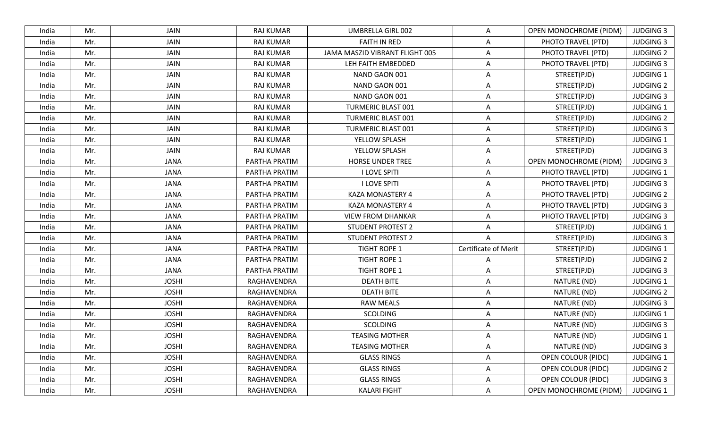| India | Mr. | JAIN         | <b>RAJ KUMAR</b> | UMBRELLA GIRL 002              | A                    | <b>OPEN MONOCHROME (PIDM)</b> | <b>JUDGING 3</b> |
|-------|-----|--------------|------------------|--------------------------------|----------------------|-------------------------------|------------------|
| India | Mr. | JAIN         | <b>RAJ KUMAR</b> | <b>FAITH IN RED</b>            | A                    | PHOTO TRAVEL (PTD)            | <b>JUDGING 3</b> |
| India | Mr. | JAIN         | <b>RAJ KUMAR</b> | JAMA MASZID VIBRANT FLIGHT 005 | A                    | PHOTO TRAVEL (PTD)            | <b>JUDGING 2</b> |
| India | Mr. | JAIN         | <b>RAJ KUMAR</b> | LEH FAITH EMBEDDED             | A                    | PHOTO TRAVEL (PTD)            | <b>JUDGING 3</b> |
| India | Mr. | JAIN         | RAJ KUMAR        | NAND GAON 001                  | A                    | STREET(PJD)                   | <b>JUDGING 1</b> |
| India | Mr. | JAIN         | <b>RAJ KUMAR</b> | NAND GAON 001                  | A                    | STREET(PJD)                   | <b>JUDGING 2</b> |
| India | Mr. | JAIN         | <b>RAJ KUMAR</b> | NAND GAON 001                  | A                    | STREET(PJD)                   | <b>JUDGING 3</b> |
| India | Mr. | JAIN         | <b>RAJ KUMAR</b> | <b>TURMERIC BLAST 001</b>      | A                    | STREET(PJD)                   | <b>JUDGING 1</b> |
| India | Mr. | JAIN         | <b>RAJ KUMAR</b> | <b>TURMERIC BLAST 001</b>      | Α                    | STREET(PJD)                   | <b>JUDGING 2</b> |
| India | Mr. | JAIN         | <b>RAJ KUMAR</b> | <b>TURMERIC BLAST 001</b>      | A                    | STREET(PJD)                   | <b>JUDGING 3</b> |
| India | Mr. | JAIN         | RAJ KUMAR        | YELLOW SPLASH                  | A                    | STREET(PJD)                   | <b>JUDGING 1</b> |
| India | Mr. | JAIN         | RAJ KUMAR        | YELLOW SPLASH                  | A                    | STREET(PJD)                   | <b>JUDGING 3</b> |
| India | Mr. | <b>JANA</b>  | PARTHA PRATIM    | <b>HORSE UNDER TREE</b>        | A                    | OPEN MONOCHROME (PIDM)        | <b>JUDGING 3</b> |
| India | Mr. | <b>JANA</b>  | PARTHA PRATIM    | <b>I LOVE SPITI</b>            | A                    | PHOTO TRAVEL (PTD)            | <b>JUDGING 1</b> |
| India | Mr. | <b>JANA</b>  | PARTHA PRATIM    | <b>I LOVE SPITI</b>            | A                    | PHOTO TRAVEL (PTD)            | <b>JUDGING 3</b> |
| India | Mr. | <b>JANA</b>  | PARTHA PRATIM    | <b>KAZA MONASTERY 4</b>        | A                    | PHOTO TRAVEL (PTD)            | <b>JUDGING 2</b> |
| India | Mr. | <b>JANA</b>  | PARTHA PRATIM    | <b>KAZA MONASTERY 4</b>        | A                    | PHOTO TRAVEL (PTD)            | <b>JUDGING 3</b> |
| India | Mr. | <b>JANA</b>  | PARTHA PRATIM    | <b>VIEW FROM DHANKAR</b>       | A                    | PHOTO TRAVEL (PTD)            | <b>JUDGING 3</b> |
| India | Mr. | <b>JANA</b>  | PARTHA PRATIM    | <b>STUDENT PROTEST 2</b>       | Α                    | STREET(PJD)                   | <b>JUDGING 1</b> |
| India | Mr. | <b>JANA</b>  | PARTHA PRATIM    | <b>STUDENT PROTEST 2</b>       | Α                    | STREET(PJD)                   | <b>JUDGING 3</b> |
| India | Mr. | <b>JANA</b>  | PARTHA PRATIM    | <b>TIGHT ROPE 1</b>            | Certificate of Merit | STREET(PJD)                   | <b>JUDGING 1</b> |
| India | Mr. | <b>JANA</b>  | PARTHA PRATIM    | <b>TIGHT ROPE 1</b>            | A                    | STREET(PJD)                   | <b>JUDGING 2</b> |
| India | Mr. | <b>JANA</b>  | PARTHA PRATIM    | <b>TIGHT ROPE 1</b>            | A                    | STREET(PJD)                   | <b>JUDGING 3</b> |
| India | Mr. | <b>JOSHI</b> | RAGHAVENDRA      | <b>DEATH BITE</b>              | A                    | NATURE (ND)                   | <b>JUDGING 1</b> |
| India | Mr. | <b>JOSHI</b> | RAGHAVENDRA      | <b>DEATH BITE</b>              | A                    | NATURE (ND)                   | <b>JUDGING 2</b> |
| India | Mr. | <b>JOSHI</b> | RAGHAVENDRA      | <b>RAW MEALS</b>               | Α                    | NATURE (ND)                   | <b>JUDGING 3</b> |
| India | Mr. | <b>JOSHI</b> | RAGHAVENDRA      | <b>SCOLDING</b>                | A                    | NATURE (ND)                   | <b>JUDGING 1</b> |
| India | Mr. | <b>JOSHI</b> | RAGHAVENDRA      | SCOLDING                       | A                    | NATURE (ND)                   | <b>JUDGING 3</b> |
| India | Mr. | <b>JOSHI</b> | RAGHAVENDRA      | <b>TEASING MOTHER</b>          | A                    | NATURE (ND)                   | JUDGING 1        |
| India | Mr. | <b>JOSHI</b> | RAGHAVENDRA      | <b>TEASING MOTHER</b>          | Α                    | NATURE (ND)                   | <b>JUDGING 3</b> |
| India | Mr. | <b>JOSHI</b> | RAGHAVENDRA      | <b>GLASS RINGS</b>             | Α                    | <b>OPEN COLOUR (PIDC)</b>     | <b>JUDGING 1</b> |
| India | Mr. | <b>JOSHI</b> | RAGHAVENDRA      | <b>GLASS RINGS</b>             | Α                    | <b>OPEN COLOUR (PIDC)</b>     | <b>JUDGING 2</b> |
| India | Mr. | <b>JOSHI</b> | RAGHAVENDRA      | <b>GLASS RINGS</b>             | A                    | <b>OPEN COLOUR (PIDC)</b>     | <b>JUDGING 3</b> |
| India | Mr. | <b>JOSHI</b> | RAGHAVENDRA      | <b>KALARI FIGHT</b>            | A                    | <b>OPEN MONOCHROME (PIDM)</b> | JUDGING 1        |
|       |     |              |                  |                                |                      |                               |                  |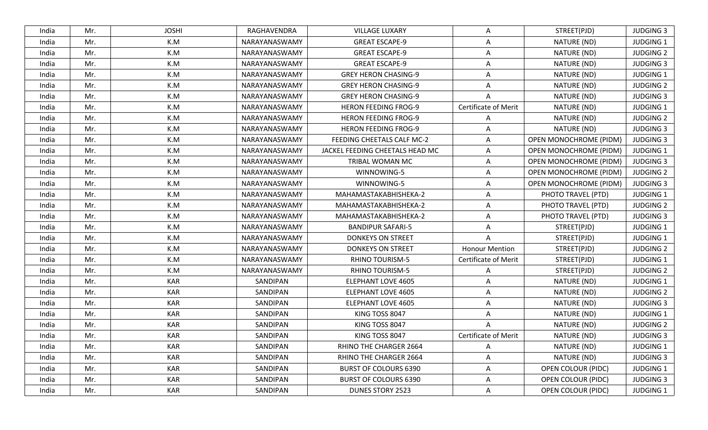| India | Mr. | <b>JOSHI</b> | RAGHAVENDRA   | <b>VILLAGE LUXARY</b>           | A                           | STREET(PJD)                   | <b>JUDGING 3</b> |
|-------|-----|--------------|---------------|---------------------------------|-----------------------------|-------------------------------|------------------|
| India | Mr. | K.M          | NARAYANASWAMY | <b>GREAT ESCAPE-9</b>           | Α                           | NATURE (ND)                   | <b>JUDGING 1</b> |
| India | Mr. | K.M          | NARAYANASWAMY | <b>GREAT ESCAPE-9</b>           | A                           | NATURE (ND)                   | <b>JUDGING 2</b> |
| India | Mr. | K.M          | NARAYANASWAMY | <b>GREAT ESCAPE-9</b>           | A                           | NATURE (ND)                   | <b>JUDGING 3</b> |
| India | Mr. | K.M          | NARAYANASWAMY | <b>GREY HERON CHASING-9</b>     | A                           | NATURE (ND)                   | JUDGING 1        |
| India | Mr. | K.M          | NARAYANASWAMY | <b>GREY HERON CHASING-9</b>     | A                           | NATURE (ND)                   | <b>JUDGING 2</b> |
| India | Mr. | K.M          | NARAYANASWAMY | <b>GREY HERON CHASING-9</b>     | A                           | NATURE (ND)                   | <b>JUDGING 3</b> |
| India | Mr. | K.M          | NARAYANASWAMY | <b>HERON FEEDING FROG-9</b>     | Certificate of Merit        | NATURE (ND)                   | <b>JUDGING 1</b> |
| India | Mr. | K.M          | NARAYANASWAMY | <b>HERON FEEDING FROG-9</b>     | A                           | NATURE (ND)                   | <b>JUDGING 2</b> |
| India | Mr. | K.M          | NARAYANASWAMY | <b>HERON FEEDING FROG-9</b>     | $\overline{A}$              | NATURE (ND)                   | <b>JUDGING 3</b> |
| India | Mr. | K.M          | NARAYANASWAMY | FEEDING CHEETALS CALF MC-2      | A                           | OPEN MONOCHROME (PIDM)        | <b>JUDGING 3</b> |
| India | Mr. | K.M          | NARAYANASWAMY | JACKEL FEEDING CHEETALS HEAD MC | A                           | <b>OPEN MONOCHROME (PIDM)</b> | <b>JUDGING 1</b> |
| India | Mr. | K.M          | NARAYANASWAMY | TRIBAL WOMAN MC                 | Α                           | <b>OPEN MONOCHROME (PIDM)</b> | <b>JUDGING 3</b> |
| India | Mr. | K.M          | NARAYANASWAMY | WINNOWING-5                     | Α                           | <b>OPEN MONOCHROME (PIDM)</b> | <b>JUDGING 2</b> |
| India | Mr. | K.M          | NARAYANASWAMY | WINNOWING-5                     | A                           | OPEN MONOCHROME (PIDM)        | <b>JUDGING 3</b> |
| India | Mr. | K.M          | NARAYANASWAMY | MAHAMASTAKABHISHEKA-2           | Α                           | PHOTO TRAVEL (PTD)            | <b>JUDGING 1</b> |
| India | Mr. | K.M          | NARAYANASWAMY | MAHAMASTAKABHISHEKA-2           | $\overline{A}$              | PHOTO TRAVEL (PTD)            | <b>JUDGING 2</b> |
| India | Mr. | K.M          | NARAYANASWAMY | MAHAMASTAKABHISHEKA-2           | A                           | PHOTO TRAVEL (PTD)            | <b>JUDGING 3</b> |
| India | Mr. | K.M          | NARAYANASWAMY | <b>BANDIPUR SAFARI-5</b>        | A                           | STREET(PJD)                   | <b>JUDGING 1</b> |
| India | Mr. | K.M          | NARAYANASWAMY | <b>DONKEYS ON STREET</b>        | A                           | STREET(PJD)                   | <b>JUDGING 1</b> |
| India | Mr. | K.M          | NARAYANASWAMY | <b>DONKEYS ON STREET</b>        | <b>Honour Mention</b>       | STREET(PJD)                   | <b>JUDGING 2</b> |
| India | Mr. | K.M          | NARAYANASWAMY | <b>RHINO TOURISM-5</b>          | <b>Certificate of Merit</b> | STREET(PJD)                   | <b>JUDGING 1</b> |
| India | Mr. | K.M          | NARAYANASWAMY | <b>RHINO TOURISM-5</b>          | A                           | STREET(PJD)                   | <b>JUDGING 2</b> |
| India | Mr. | <b>KAR</b>   | SANDIPAN      | <b>ELEPHANT LOVE 4605</b>       | A                           | NATURE (ND)                   | <b>JUDGING 1</b> |
| India | Mr. | <b>KAR</b>   | SANDIPAN      | <b>ELEPHANT LOVE 4605</b>       | Α                           | NATURE (ND)                   | <b>JUDGING 2</b> |
| India | Mr. | <b>KAR</b>   | SANDIPAN      | <b>ELEPHANT LOVE 4605</b>       | Α                           | NATURE (ND)                   | <b>JUDGING 3</b> |
| India | Mr. | <b>KAR</b>   | SANDIPAN      | KING TOSS 8047                  | A                           | NATURE (ND)                   | <b>JUDGING 1</b> |
| India | Mr. | <b>KAR</b>   | SANDIPAN      | KING TOSS 8047                  | Α                           | NATURE (ND)                   | <b>JUDGING 2</b> |
| India | Mr. | <b>KAR</b>   | SANDIPAN      | KING TOSS 8047                  | <b>Certificate of Merit</b> | NATURE (ND)                   | <b>JUDGING 3</b> |
| India | Mr. | <b>KAR</b>   | SANDIPAN      | RHINO THE CHARGER 2664          | A                           | NATURE (ND)                   | <b>JUDGING 1</b> |
| India | Mr. | <b>KAR</b>   | SANDIPAN      | RHINO THE CHARGER 2664          | A                           | NATURE (ND)                   | <b>JUDGING 3</b> |
| India | Mr. | <b>KAR</b>   | SANDIPAN      | <b>BURST OF COLOURS 6390</b>    | Α                           | <b>OPEN COLOUR (PIDC)</b>     | <b>JUDGING 1</b> |
| India | Mr. | <b>KAR</b>   | SANDIPAN      | <b>BURST OF COLOURS 6390</b>    | A                           | <b>OPEN COLOUR (PIDC)</b>     | <b>JUDGING 3</b> |
| India | Mr. | <b>KAR</b>   | SANDIPAN      | DUNES STORY 2523                | A                           | <b>OPEN COLOUR (PIDC)</b>     | JUDGING 1        |
|       |     |              |               |                                 |                             |                               |                  |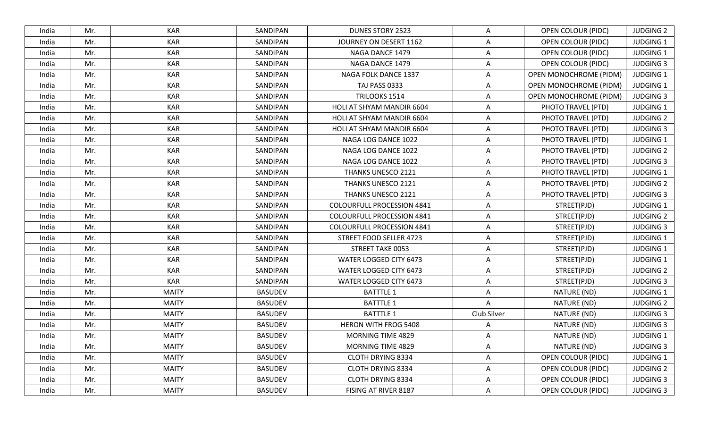| India | Mr. | KAR          | SANDIPAN       | <b>DUNES STORY 2523</b>           | A                       | <b>OPEN COLOUR (PIDC)</b>     | <b>JUDGING 2</b> |
|-------|-----|--------------|----------------|-----------------------------------|-------------------------|-------------------------------|------------------|
| India | Mr. | <b>KAR</b>   | SANDIPAN       | JOURNEY ON DESERT 1162            | $\mathsf{A}$            | <b>OPEN COLOUR (PIDC)</b>     | <b>JUDGING 1</b> |
| India | Mr. | <b>KAR</b>   | SANDIPAN       | NAGA DANCE 1479                   | $\overline{A}$          | <b>OPEN COLOUR (PIDC)</b>     | <b>JUDGING 1</b> |
| India | Mr. | <b>KAR</b>   | SANDIPAN       | NAGA DANCE 1479                   | A                       | <b>OPEN COLOUR (PIDC)</b>     | <b>JUDGING 3</b> |
| India | Mr. | <b>KAR</b>   | SANDIPAN       | NAGA FOLK DANCE 1337              | $\overline{A}$          | <b>OPEN MONOCHROME (PIDM)</b> | <b>JUDGING 1</b> |
| India | Mr. | <b>KAR</b>   | SANDIPAN       | TAJ PASS 0333                     | A                       | <b>OPEN MONOCHROME (PIDM)</b> | <b>JUDGING 1</b> |
| India | Mr. | <b>KAR</b>   | SANDIPAN       | TRILOOKS 1514                     | A                       | <b>OPEN MONOCHROME (PIDM)</b> | <b>JUDGING 3</b> |
| India | Mr. | <b>KAR</b>   | SANDIPAN       | HOLI AT SHYAM MANDIR 6604         | A                       | PHOTO TRAVEL (PTD)            | <b>JUDGING 1</b> |
| India | Mr. | <b>KAR</b>   | SANDIPAN       | HOLI AT SHYAM MANDIR 6604         | $\mathsf{A}$            | PHOTO TRAVEL (PTD)            | <b>JUDGING 2</b> |
| India | Mr. | <b>KAR</b>   | SANDIPAN       | HOLI AT SHYAM MANDIR 6604         | $\overline{A}$          | PHOTO TRAVEL (PTD)            | <b>JUDGING 3</b> |
| India | Mr. | <b>KAR</b>   | SANDIPAN       | NAGA LOG DANCE 1022               | A                       | PHOTO TRAVEL (PTD)            | <b>JUDGING 1</b> |
| India | Mr. | <b>KAR</b>   | SANDIPAN       | NAGA LOG DANCE 1022               | A                       | PHOTO TRAVEL (PTD)            | <b>JUDGING 2</b> |
| India | Mr. | <b>KAR</b>   | SANDIPAN       | NAGA LOG DANCE 1022               | A                       | PHOTO TRAVEL (PTD)            | <b>JUDGING 3</b> |
| India | Mr. | <b>KAR</b>   | SANDIPAN       | THANKS UNESCO 2121                | A                       | PHOTO TRAVEL (PTD)            | <b>JUDGING 1</b> |
| India | Mr. | <b>KAR</b>   | SANDIPAN       | THANKS UNESCO 2121                | $\overline{A}$          | PHOTO TRAVEL (PTD)            | <b>JUDGING 2</b> |
| India | Mr. | <b>KAR</b>   | SANDIPAN       | THANKS UNESCO 2121                | A                       | PHOTO TRAVEL (PTD)            | <b>JUDGING 3</b> |
| India | Mr. | <b>KAR</b>   | SANDIPAN       | <b>COLOURFULL PROCESSION 4841</b> | $\overline{A}$          | STREET(PJD)                   | <b>JUDGING 1</b> |
| India | Mr. | <b>KAR</b>   | SANDIPAN       | <b>COLOURFULL PROCESSION 4841</b> | A                       | STREET(PJD)                   | <b>JUDGING 2</b> |
| India | Mr. | <b>KAR</b>   | SANDIPAN       | <b>COLOURFULL PROCESSION 4841</b> | $\overline{A}$          | STREET(PJD)                   | <b>JUDGING 3</b> |
| India | Mr. | <b>KAR</b>   | SANDIPAN       | STREET FOOD SELLER 4723           | A                       | STREET(PJD)                   | <b>JUDGING 1</b> |
| India | Mr. | <b>KAR</b>   | SANDIPAN       | STREET TAKE 0053                  | $\mathsf{A}$            | STREET(PJD)                   | <b>JUDGING 1</b> |
| India | Mr. | <b>KAR</b>   | SANDIPAN       | WATER LOGGED CITY 6473            | $\overline{A}$          | STREET(PJD)                   | <b>JUDGING 1</b> |
| India | Mr. | <b>KAR</b>   | SANDIPAN       | WATER LOGGED CITY 6473            | $\overline{A}$          | STREET(PJD)                   | <b>JUDGING 2</b> |
| India | Mr. | <b>KAR</b>   | SANDIPAN       | WATER LOGGED CITY 6473            | $\overline{A}$          | STREET(PJD)                   | <b>JUDGING 3</b> |
| India | Mr. | <b>MAITY</b> | <b>BASUDEV</b> | <b>BATTTLE 1</b>                  | A                       | NATURE (ND)                   | <b>JUDGING 1</b> |
| India | Mr. | <b>MAITY</b> | <b>BASUDEV</b> | <b>BATTTLE 1</b>                  | $\overline{A}$          | NATURE (ND)                   | <b>JUDGING 2</b> |
| India | Mr. | <b>MAITY</b> | <b>BASUDEV</b> | <b>BATTTLE 1</b>                  | Club Silver             | NATURE (ND)                   | <b>JUDGING 3</b> |
| India | Mr. | <b>MAITY</b> | <b>BASUDEV</b> | <b>HERON WITH FROG 5408</b>       | A                       | NATURE (ND)                   | <b>JUDGING 3</b> |
| India | Mr. | <b>MAITY</b> | <b>BASUDEV</b> | <b>MORNING TIME 4829</b>          | $\mathsf{A}$            | NATURE (ND)                   | <b>JUDGING 1</b> |
| India | Mr. | <b>MAITY</b> | <b>BASUDEV</b> | <b>MORNING TIME 4829</b>          | A                       | NATURE (ND)                   | <b>JUDGING 3</b> |
| India | Mr. | <b>MAITY</b> | <b>BASUDEV</b> | <b>CLOTH DRYING 8334</b>          | $\overline{\mathsf{A}}$ | <b>OPEN COLOUR (PIDC)</b>     | <b>JUDGING 1</b> |
| India | Mr. | <b>MAITY</b> | <b>BASUDEV</b> | CLOTH DRYING 8334                 | $\mathsf{A}$            | <b>OPEN COLOUR (PIDC)</b>     | <b>JUDGING 2</b> |
| India | Mr. | <b>MAITY</b> | <b>BASUDEV</b> | <b>CLOTH DRYING 8334</b>          | A                       | OPEN COLOUR (PIDC)            | <b>JUDGING 3</b> |
| India | Mr. | <b>MAITY</b> | <b>BASUDEV</b> | FISING AT RIVER 8187              | $\mathsf{A}$            | <b>OPEN COLOUR (PIDC)</b>     | <b>JUDGING 3</b> |
|       |     |              |                |                                   |                         |                               |                  |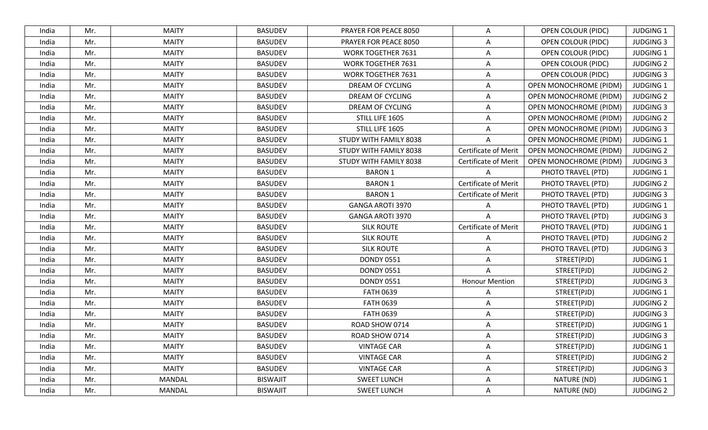| India | Mr. | <b>MAITY</b>  | <b>BASUDEV</b>  | PRAYER FOR PEACE 8050     | A                           | <b>OPEN COLOUR (PIDC)</b>     | <b>JUDGING 1</b> |
|-------|-----|---------------|-----------------|---------------------------|-----------------------------|-------------------------------|------------------|
| India | Mr. | <b>MAITY</b>  | <b>BASUDEV</b>  | PRAYER FOR PEACE 8050     | Α                           | <b>OPEN COLOUR (PIDC)</b>     | <b>JUDGING 3</b> |
| India | Mr. | <b>MAITY</b>  | <b>BASUDEV</b>  | <b>WORK TOGETHER 7631</b> | $\overline{A}$              | <b>OPEN COLOUR (PIDC)</b>     | <b>JUDGING 1</b> |
| India | Mr. | <b>MAITY</b>  | <b>BASUDEV</b>  | <b>WORK TOGETHER 7631</b> | A                           | <b>OPEN COLOUR (PIDC)</b>     | <b>JUDGING 2</b> |
| India | Mr. | <b>MAITY</b>  | <b>BASUDEV</b>  | <b>WORK TOGETHER 7631</b> | Α                           | <b>OPEN COLOUR (PIDC)</b>     | <b>JUDGING 3</b> |
| India | Mr. | <b>MAITY</b>  | <b>BASUDEV</b>  | DREAM OF CYCLING          | Α                           | OPEN MONOCHROME (PIDM)        | <b>JUDGING 1</b> |
| India | Mr. | <b>MAITY</b>  | <b>BASUDEV</b>  | DREAM OF CYCLING          | A                           | <b>OPEN MONOCHROME (PIDM)</b> | <b>JUDGING 2</b> |
| India | Mr. | <b>MAITY</b>  | <b>BASUDEV</b>  | DREAM OF CYCLING          | A                           | OPEN MONOCHROME (PIDM)        | <b>JUDGING 3</b> |
| India | Mr. | <b>MAITY</b>  | <b>BASUDEV</b>  | STILL LIFE 1605           | Α                           | OPEN MONOCHROME (PIDM)        | <b>JUDGING 2</b> |
| India | Mr. | <b>MAITY</b>  | <b>BASUDEV</b>  | STILL LIFE 1605           | $\overline{A}$              | <b>OPEN MONOCHROME (PIDM)</b> | <b>JUDGING 3</b> |
| India | Mr. | <b>MAITY</b>  | <b>BASUDEV</b>  | STUDY WITH FAMILY 8038    | A                           | OPEN MONOCHROME (PIDM)        | <b>JUDGING 1</b> |
| India | Mr. | <b>MAITY</b>  | <b>BASUDEV</b>  | STUDY WITH FAMILY 8038    | Certificate of Merit        | <b>OPEN MONOCHROME (PIDM)</b> | <b>JUDGING 2</b> |
| India | Mr. | <b>MAITY</b>  | <b>BASUDEV</b>  | STUDY WITH FAMILY 8038    | <b>Certificate of Merit</b> | OPEN MONOCHROME (PIDM)        | <b>JUDGING 3</b> |
| India | Mr. | <b>MAITY</b>  | <b>BASUDEV</b>  | <b>BARON 1</b>            |                             | PHOTO TRAVEL (PTD)            | <b>JUDGING 1</b> |
| India | Mr. | <b>MAITY</b>  | <b>BASUDEV</b>  | <b>BARON 1</b>            | <b>Certificate of Merit</b> | PHOTO TRAVEL (PTD)            | <b>JUDGING 2</b> |
| India | Mr. | <b>MAITY</b>  | <b>BASUDEV</b>  | <b>BARON 1</b>            | <b>Certificate of Merit</b> | PHOTO TRAVEL (PTD)            | <b>JUDGING 3</b> |
| India | Mr. | <b>MAITY</b>  | <b>BASUDEV</b>  | <b>GANGA AROTI 3970</b>   | A                           | PHOTO TRAVEL (PTD)            | <b>JUDGING 1</b> |
| India | Mr. | <b>MAITY</b>  | <b>BASUDEV</b>  | <b>GANGA AROTI 3970</b>   | A                           | PHOTO TRAVEL (PTD)            | <b>JUDGING 3</b> |
| India | Mr. | <b>MAITY</b>  | <b>BASUDEV</b>  | <b>SILK ROUTE</b>         | Certificate of Merit        | PHOTO TRAVEL (PTD)            | <b>JUDGING 1</b> |
| India | Mr. | <b>MAITY</b>  | <b>BASUDEV</b>  | <b>SILK ROUTE</b>         | A                           | PHOTO TRAVEL (PTD)            | <b>JUDGING 2</b> |
| India | Mr. | <b>MAITY</b>  | <b>BASUDEV</b>  | <b>SILK ROUTE</b>         | A                           | PHOTO TRAVEL (PTD)            | <b>JUDGING 3</b> |
| India | Mr. | <b>MAITY</b>  | <b>BASUDEV</b>  | <b>DONDY 0551</b>         | A                           | STREET(PJD)                   | <b>JUDGING 1</b> |
| India | Mr. | <b>MAITY</b>  | <b>BASUDEV</b>  | <b>DONDY 0551</b>         | $\overline{A}$              | STREET(PJD)                   | <b>JUDGING 2</b> |
| India | Mr. | <b>MAITY</b>  | <b>BASUDEV</b>  | <b>DONDY 0551</b>         | <b>Honour Mention</b>       | STREET(PJD)                   | <b>JUDGING 3</b> |
| India | Mr. | <b>MAITY</b>  | <b>BASUDEV</b>  | <b>FATH 0639</b>          | Α                           | STREET(PJD)                   | <b>JUDGING 1</b> |
| India | Mr. | <b>MAITY</b>  | <b>BASUDEV</b>  | <b>FATH 0639</b>          | A                           | STREET(PJD)                   | <b>JUDGING 2</b> |
| India | Mr. | <b>MAITY</b>  | <b>BASUDEV</b>  | <b>FATH 0639</b>          | A                           | STREET(PJD)                   | <b>JUDGING 3</b> |
| India | Mr. | <b>MAITY</b>  | <b>BASUDEV</b>  | ROAD SHOW 0714            | A                           | STREET(PJD)                   | <b>JUDGING 1</b> |
| India | Mr. | <b>MAITY</b>  | <b>BASUDEV</b>  | ROAD SHOW 0714            | Α                           | STREET(PJD)                   | <b>JUDGING 3</b> |
| India | Mr. | <b>MAITY</b>  | <b>BASUDEV</b>  | <b>VINTAGE CAR</b>        | Α                           | STREET(PJD)                   | <b>JUDGING 1</b> |
| India | Mr. | <b>MAITY</b>  | <b>BASUDEV</b>  | <b>VINTAGE CAR</b>        | Α                           | STREET(PJD)                   | <b>JUDGING 2</b> |
| India | Mr. | <b>MAITY</b>  | <b>BASUDEV</b>  | <b>VINTAGE CAR</b>        | A                           | STREET(PJD)                   | <b>JUDGING 3</b> |
| India | Mr. | <b>MANDAL</b> | <b>BISWAJIT</b> | <b>SWEET LUNCH</b>        | A                           | NATURE (ND)                   | <b>JUDGING 1</b> |
| India | Mr. | MANDAL        | <b>BISWAJIT</b> | <b>SWEET LUNCH</b>        | A                           | NATURE (ND)                   | <b>JUDGING 2</b> |
|       |     |               |                 |                           |                             |                               |                  |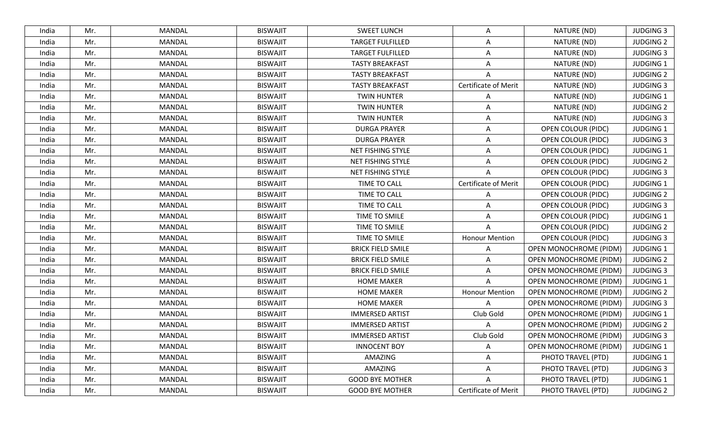| <b>JUDGING 3</b><br>Mr.<br><b>MANDAL</b><br><b>BISWAJIT</b><br><b>SWEET LUNCH</b><br>NATURE (ND)<br>India<br>Α<br><b>MANDAL</b><br><b>TARGET FULFILLED</b><br>NATURE (ND)<br><b>JUDGING 2</b><br>Mr.<br><b>BISWAJIT</b><br>Α<br>India<br>Mr.<br><b>MANDAL</b><br><b>BISWAJIT</b><br><b>TARGET FULFILLED</b><br>NATURE (ND)<br><b>JUDGING 3</b><br>India<br>A<br>Mr.<br><b>MANDAL</b><br><b>BISWAJIT</b><br><b>TASTY BREAKFAST</b><br>NATURE (ND)<br><b>JUDGING 1</b><br>India<br>A<br><b>JUDGING 2</b><br>Mr.<br>MANDAL<br><b>BISWAJIT</b><br>NATURE (ND)<br>India<br><b>TASTY BREAKFAST</b><br>A<br><b>Certificate of Merit</b><br><b>BISWAJIT</b><br><b>TASTY BREAKFAST</b><br>NATURE (ND)<br><b>JUDGING 3</b><br>Mr.<br>MANDAL<br>India<br>Mr.<br>MANDAL<br><b>BISWAJIT</b><br><b>TWIN HUNTER</b><br>NATURE (ND)<br><b>JUDGING 1</b><br>India<br>A<br><b>MANDAL</b><br><b>BISWAJIT</b><br><b>TWIN HUNTER</b><br>NATURE (ND)<br><b>JUDGING 2</b><br>India<br>Mr.<br>A<br>Mr.<br><b>MANDAL</b><br><b>BISWAJIT</b><br><b>TWIN HUNTER</b><br>NATURE (ND)<br><b>JUDGING 3</b><br>India<br>Α<br>Mr.<br><b>MANDAL</b><br><b>BISWAJIT</b><br><b>DURGA PRAYER</b><br><b>OPEN COLOUR (PIDC)</b><br><b>JUDGING 1</b><br>India<br>$\overline{A}$<br><b>BISWAJIT</b><br><b>DURGA PRAYER</b><br><b>JUDGING 3</b><br>Mr.<br>MANDAL<br><b>OPEN COLOUR (PIDC)</b><br>India<br>A<br><b>MANDAL</b><br><b>BISWAJIT</b><br><b>JUDGING 1</b><br>Mr.<br>NET FISHING STYLE<br>Α<br><b>OPEN COLOUR (PIDC)</b><br>India<br>NET FISHING STYLE<br>Mr.<br><b>MANDAL</b><br><b>BISWAJIT</b><br><b>OPEN COLOUR (PIDC)</b><br><b>JUDGING 2</b><br>India<br>A<br>Mr.<br><b>JUDGING 3</b><br>India<br>MANDAL<br><b>BISWAJIT</b><br>NET FISHING STYLE<br>$\overline{A}$<br><b>OPEN COLOUR (PIDC)</b><br><b>MANDAL</b><br><b>BISWAJIT</b><br>TIME TO CALL<br>Certificate of Merit<br><b>JUDGING 1</b><br>Mr.<br><b>OPEN COLOUR (PIDC)</b><br>India<br><b>MANDAL</b><br><b>BISWAJIT</b><br>TIME TO CALL<br><b>JUDGING 2</b><br>Mr.<br>OPEN COLOUR (PIDC)<br>India<br>A<br>Mr.<br>TIME TO CALL<br><b>JUDGING 3</b><br>India<br>MANDAL<br><b>BISWAJIT</b><br>$\overline{A}$<br><b>OPEN COLOUR (PIDC)</b><br><b>MANDAL</b><br><b>BISWAJIT</b><br>TIME TO SMILE<br><b>OPEN COLOUR (PIDC)</b><br><b>JUDGING 1</b><br>Mr.<br>India<br>Α<br>MANDAL<br><b>BISWAJIT</b><br>TIME TO SMILE<br><b>JUDGING 2</b><br>Mr.<br>A<br>OPEN COLOUR (PIDC)<br>India<br>Mr.<br><b>MANDAL</b><br><b>BISWAJIT</b><br>TIME TO SMILE<br><b>OPEN COLOUR (PIDC)</b><br><b>JUDGING 3</b><br>India<br><b>Honour Mention</b><br><b>MANDAL</b><br><b>BISWAJIT</b><br><b>BRICK FIELD SMILE</b><br>OPEN MONOCHROME (PIDM)<br><b>JUDGING 1</b><br>Mr.<br>India<br>A<br><b>MANDAL</b><br><b>BISWAJIT</b><br><b>BRICK FIELD SMILE</b><br><b>OPEN MONOCHROME (PIDM)</b><br><b>JUDGING 2</b><br>India<br>Mr.<br>A<br>OPEN MONOCHROME (PIDM)<br>Mr.<br>MANDAL<br><b>BISWAJIT</b><br><b>BRICK FIELD SMILE</b><br><b>JUDGING 3</b><br>India<br>A<br>Mr.<br><b>MANDAL</b><br><b>BISWAJIT</b><br>OPEN MONOCHROME (PIDM)<br><b>JUDGING 1</b><br>India<br><b>HOME MAKER</b><br>A<br><b>MANDAL</b><br><b>BISWAJIT</b><br><b>HOME MAKER</b><br><b>Honour Mention</b><br>OPEN MONOCHROME (PIDM)<br>Mr.<br><b>JUDGING 2</b><br>India<br>MANDAL<br><b>BISWAJIT</b><br><b>HOME MAKER</b><br>OPEN MONOCHROME (PIDM)<br><b>JUDGING 3</b><br>Mr.<br>$\overline{A}$<br>India<br>Mr.<br><b>MANDAL</b><br><b>BISWAJIT</b><br><b>IMMERSED ARTIST</b><br>Club Gold<br><b>OPEN MONOCHROME (PIDM)</b><br><b>JUDGING 1</b><br>India<br>OPEN MONOCHROME (PIDM)<br>Mr.<br><b>MANDAL</b><br><b>BISWAJIT</b><br><b>IMMERSED ARTIST</b><br><b>JUDGING 2</b><br>India<br><b>MANDAL</b><br><b>BISWAJIT</b><br>Club Gold<br><b>OPEN MONOCHROME (PIDM)</b><br><b>JUDGING 3</b><br>India<br>Mr.<br><b>IMMERSED ARTIST</b><br><b>BISWAJIT</b><br><b>INNOCENT BOY</b><br><b>OPEN MONOCHROME (PIDM)</b><br><b>JUDGING 1</b><br>India<br>Mr.<br>MANDAL<br>A<br>Mr.<br>MANDAL<br><b>BISWAJIT</b><br>AMAZING<br>A<br>PHOTO TRAVEL (PTD)<br><b>JUDGING 1</b><br>India<br>Mr.<br><b>MANDAL</b><br>AMAZING<br>PHOTO TRAVEL (PTD)<br><b>JUDGING 3</b><br>India<br><b>BISWAJIT</b><br>A<br>PHOTO TRAVEL (PTD)<br><b>JUDGING 1</b><br>Mr.<br>MANDAL<br><b>BISWAJIT</b><br><b>GOOD BYE MOTHER</b><br>A<br>India<br>Certificate of Merit<br>MANDAL<br><b>BISWAJIT</b><br><b>GOOD BYE MOTHER</b><br>PHOTO TRAVEL (PTD)<br><b>JUDGING 2</b><br>India<br>Mr. |  |  |  |  |  |
|----------------------------------------------------------------------------------------------------------------------------------------------------------------------------------------------------------------------------------------------------------------------------------------------------------------------------------------------------------------------------------------------------------------------------------------------------------------------------------------------------------------------------------------------------------------------------------------------------------------------------------------------------------------------------------------------------------------------------------------------------------------------------------------------------------------------------------------------------------------------------------------------------------------------------------------------------------------------------------------------------------------------------------------------------------------------------------------------------------------------------------------------------------------------------------------------------------------------------------------------------------------------------------------------------------------------------------------------------------------------------------------------------------------------------------------------------------------------------------------------------------------------------------------------------------------------------------------------------------------------------------------------------------------------------------------------------------------------------------------------------------------------------------------------------------------------------------------------------------------------------------------------------------------------------------------------------------------------------------------------------------------------------------------------------------------------------------------------------------------------------------------------------------------------------------------------------------------------------------------------------------------------------------------------------------------------------------------------------------------------------------------------------------------------------------------------------------------------------------------------------------------------------------------------------------------------------------------------------------------------------------------------------------------------------------------------------------------------------------------------------------------------------------------------------------------------------------------------------------------------------------------------------------------------------------------------------------------------------------------------------------------------------------------------------------------------------------------------------------------------------------------------------------------------------------------------------------------------------------------------------------------------------------------------------------------------------------------------------------------------------------------------------------------------------------------------------------------------------------------------------------------------------------------------------------------------------------------------------------------------------------------------------------------------------------------------------------------------------------------------------------------------------------------------------------------------------------------------------------------------------------------------------------------------------------------------------------------------------------------------------------------------------------------------------------------------------------------------------------------------------------------------------------------------------------------------------------------------------------------------------------------------------------------------------------------------------------------------------------------------------------------------------------------------------------|--|--|--|--|--|
|                                                                                                                                                                                                                                                                                                                                                                                                                                                                                                                                                                                                                                                                                                                                                                                                                                                                                                                                                                                                                                                                                                                                                                                                                                                                                                                                                                                                                                                                                                                                                                                                                                                                                                                                                                                                                                                                                                                                                                                                                                                                                                                                                                                                                                                                                                                                                                                                                                                                                                                                                                                                                                                                                                                                                                                                                                                                                                                                                                                                                                                                                                                                                                                                                                                                                                                                                                                                                                                                                                                                                                                                                                                                                                                                                                                                                                                                                                                                                                                                                                                                                                                                                                                                                                                                                                                                                                                                                                  |  |  |  |  |  |
|                                                                                                                                                                                                                                                                                                                                                                                                                                                                                                                                                                                                                                                                                                                                                                                                                                                                                                                                                                                                                                                                                                                                                                                                                                                                                                                                                                                                                                                                                                                                                                                                                                                                                                                                                                                                                                                                                                                                                                                                                                                                                                                                                                                                                                                                                                                                                                                                                                                                                                                                                                                                                                                                                                                                                                                                                                                                                                                                                                                                                                                                                                                                                                                                                                                                                                                                                                                                                                                                                                                                                                                                                                                                                                                                                                                                                                                                                                                                                                                                                                                                                                                                                                                                                                                                                                                                                                                                                                  |  |  |  |  |  |
|                                                                                                                                                                                                                                                                                                                                                                                                                                                                                                                                                                                                                                                                                                                                                                                                                                                                                                                                                                                                                                                                                                                                                                                                                                                                                                                                                                                                                                                                                                                                                                                                                                                                                                                                                                                                                                                                                                                                                                                                                                                                                                                                                                                                                                                                                                                                                                                                                                                                                                                                                                                                                                                                                                                                                                                                                                                                                                                                                                                                                                                                                                                                                                                                                                                                                                                                                                                                                                                                                                                                                                                                                                                                                                                                                                                                                                                                                                                                                                                                                                                                                                                                                                                                                                                                                                                                                                                                                                  |  |  |  |  |  |
|                                                                                                                                                                                                                                                                                                                                                                                                                                                                                                                                                                                                                                                                                                                                                                                                                                                                                                                                                                                                                                                                                                                                                                                                                                                                                                                                                                                                                                                                                                                                                                                                                                                                                                                                                                                                                                                                                                                                                                                                                                                                                                                                                                                                                                                                                                                                                                                                                                                                                                                                                                                                                                                                                                                                                                                                                                                                                                                                                                                                                                                                                                                                                                                                                                                                                                                                                                                                                                                                                                                                                                                                                                                                                                                                                                                                                                                                                                                                                                                                                                                                                                                                                                                                                                                                                                                                                                                                                                  |  |  |  |  |  |
|                                                                                                                                                                                                                                                                                                                                                                                                                                                                                                                                                                                                                                                                                                                                                                                                                                                                                                                                                                                                                                                                                                                                                                                                                                                                                                                                                                                                                                                                                                                                                                                                                                                                                                                                                                                                                                                                                                                                                                                                                                                                                                                                                                                                                                                                                                                                                                                                                                                                                                                                                                                                                                                                                                                                                                                                                                                                                                                                                                                                                                                                                                                                                                                                                                                                                                                                                                                                                                                                                                                                                                                                                                                                                                                                                                                                                                                                                                                                                                                                                                                                                                                                                                                                                                                                                                                                                                                                                                  |  |  |  |  |  |
|                                                                                                                                                                                                                                                                                                                                                                                                                                                                                                                                                                                                                                                                                                                                                                                                                                                                                                                                                                                                                                                                                                                                                                                                                                                                                                                                                                                                                                                                                                                                                                                                                                                                                                                                                                                                                                                                                                                                                                                                                                                                                                                                                                                                                                                                                                                                                                                                                                                                                                                                                                                                                                                                                                                                                                                                                                                                                                                                                                                                                                                                                                                                                                                                                                                                                                                                                                                                                                                                                                                                                                                                                                                                                                                                                                                                                                                                                                                                                                                                                                                                                                                                                                                                                                                                                                                                                                                                                                  |  |  |  |  |  |
|                                                                                                                                                                                                                                                                                                                                                                                                                                                                                                                                                                                                                                                                                                                                                                                                                                                                                                                                                                                                                                                                                                                                                                                                                                                                                                                                                                                                                                                                                                                                                                                                                                                                                                                                                                                                                                                                                                                                                                                                                                                                                                                                                                                                                                                                                                                                                                                                                                                                                                                                                                                                                                                                                                                                                                                                                                                                                                                                                                                                                                                                                                                                                                                                                                                                                                                                                                                                                                                                                                                                                                                                                                                                                                                                                                                                                                                                                                                                                                                                                                                                                                                                                                                                                                                                                                                                                                                                                                  |  |  |  |  |  |
|                                                                                                                                                                                                                                                                                                                                                                                                                                                                                                                                                                                                                                                                                                                                                                                                                                                                                                                                                                                                                                                                                                                                                                                                                                                                                                                                                                                                                                                                                                                                                                                                                                                                                                                                                                                                                                                                                                                                                                                                                                                                                                                                                                                                                                                                                                                                                                                                                                                                                                                                                                                                                                                                                                                                                                                                                                                                                                                                                                                                                                                                                                                                                                                                                                                                                                                                                                                                                                                                                                                                                                                                                                                                                                                                                                                                                                                                                                                                                                                                                                                                                                                                                                                                                                                                                                                                                                                                                                  |  |  |  |  |  |
|                                                                                                                                                                                                                                                                                                                                                                                                                                                                                                                                                                                                                                                                                                                                                                                                                                                                                                                                                                                                                                                                                                                                                                                                                                                                                                                                                                                                                                                                                                                                                                                                                                                                                                                                                                                                                                                                                                                                                                                                                                                                                                                                                                                                                                                                                                                                                                                                                                                                                                                                                                                                                                                                                                                                                                                                                                                                                                                                                                                                                                                                                                                                                                                                                                                                                                                                                                                                                                                                                                                                                                                                                                                                                                                                                                                                                                                                                                                                                                                                                                                                                                                                                                                                                                                                                                                                                                                                                                  |  |  |  |  |  |
|                                                                                                                                                                                                                                                                                                                                                                                                                                                                                                                                                                                                                                                                                                                                                                                                                                                                                                                                                                                                                                                                                                                                                                                                                                                                                                                                                                                                                                                                                                                                                                                                                                                                                                                                                                                                                                                                                                                                                                                                                                                                                                                                                                                                                                                                                                                                                                                                                                                                                                                                                                                                                                                                                                                                                                                                                                                                                                                                                                                                                                                                                                                                                                                                                                                                                                                                                                                                                                                                                                                                                                                                                                                                                                                                                                                                                                                                                                                                                                                                                                                                                                                                                                                                                                                                                                                                                                                                                                  |  |  |  |  |  |
|                                                                                                                                                                                                                                                                                                                                                                                                                                                                                                                                                                                                                                                                                                                                                                                                                                                                                                                                                                                                                                                                                                                                                                                                                                                                                                                                                                                                                                                                                                                                                                                                                                                                                                                                                                                                                                                                                                                                                                                                                                                                                                                                                                                                                                                                                                                                                                                                                                                                                                                                                                                                                                                                                                                                                                                                                                                                                                                                                                                                                                                                                                                                                                                                                                                                                                                                                                                                                                                                                                                                                                                                                                                                                                                                                                                                                                                                                                                                                                                                                                                                                                                                                                                                                                                                                                                                                                                                                                  |  |  |  |  |  |
|                                                                                                                                                                                                                                                                                                                                                                                                                                                                                                                                                                                                                                                                                                                                                                                                                                                                                                                                                                                                                                                                                                                                                                                                                                                                                                                                                                                                                                                                                                                                                                                                                                                                                                                                                                                                                                                                                                                                                                                                                                                                                                                                                                                                                                                                                                                                                                                                                                                                                                                                                                                                                                                                                                                                                                                                                                                                                                                                                                                                                                                                                                                                                                                                                                                                                                                                                                                                                                                                                                                                                                                                                                                                                                                                                                                                                                                                                                                                                                                                                                                                                                                                                                                                                                                                                                                                                                                                                                  |  |  |  |  |  |
|                                                                                                                                                                                                                                                                                                                                                                                                                                                                                                                                                                                                                                                                                                                                                                                                                                                                                                                                                                                                                                                                                                                                                                                                                                                                                                                                                                                                                                                                                                                                                                                                                                                                                                                                                                                                                                                                                                                                                                                                                                                                                                                                                                                                                                                                                                                                                                                                                                                                                                                                                                                                                                                                                                                                                                                                                                                                                                                                                                                                                                                                                                                                                                                                                                                                                                                                                                                                                                                                                                                                                                                                                                                                                                                                                                                                                                                                                                                                                                                                                                                                                                                                                                                                                                                                                                                                                                                                                                  |  |  |  |  |  |
|                                                                                                                                                                                                                                                                                                                                                                                                                                                                                                                                                                                                                                                                                                                                                                                                                                                                                                                                                                                                                                                                                                                                                                                                                                                                                                                                                                                                                                                                                                                                                                                                                                                                                                                                                                                                                                                                                                                                                                                                                                                                                                                                                                                                                                                                                                                                                                                                                                                                                                                                                                                                                                                                                                                                                                                                                                                                                                                                                                                                                                                                                                                                                                                                                                                                                                                                                                                                                                                                                                                                                                                                                                                                                                                                                                                                                                                                                                                                                                                                                                                                                                                                                                                                                                                                                                                                                                                                                                  |  |  |  |  |  |
|                                                                                                                                                                                                                                                                                                                                                                                                                                                                                                                                                                                                                                                                                                                                                                                                                                                                                                                                                                                                                                                                                                                                                                                                                                                                                                                                                                                                                                                                                                                                                                                                                                                                                                                                                                                                                                                                                                                                                                                                                                                                                                                                                                                                                                                                                                                                                                                                                                                                                                                                                                                                                                                                                                                                                                                                                                                                                                                                                                                                                                                                                                                                                                                                                                                                                                                                                                                                                                                                                                                                                                                                                                                                                                                                                                                                                                                                                                                                                                                                                                                                                                                                                                                                                                                                                                                                                                                                                                  |  |  |  |  |  |
|                                                                                                                                                                                                                                                                                                                                                                                                                                                                                                                                                                                                                                                                                                                                                                                                                                                                                                                                                                                                                                                                                                                                                                                                                                                                                                                                                                                                                                                                                                                                                                                                                                                                                                                                                                                                                                                                                                                                                                                                                                                                                                                                                                                                                                                                                                                                                                                                                                                                                                                                                                                                                                                                                                                                                                                                                                                                                                                                                                                                                                                                                                                                                                                                                                                                                                                                                                                                                                                                                                                                                                                                                                                                                                                                                                                                                                                                                                                                                                                                                                                                                                                                                                                                                                                                                                                                                                                                                                  |  |  |  |  |  |
|                                                                                                                                                                                                                                                                                                                                                                                                                                                                                                                                                                                                                                                                                                                                                                                                                                                                                                                                                                                                                                                                                                                                                                                                                                                                                                                                                                                                                                                                                                                                                                                                                                                                                                                                                                                                                                                                                                                                                                                                                                                                                                                                                                                                                                                                                                                                                                                                                                                                                                                                                                                                                                                                                                                                                                                                                                                                                                                                                                                                                                                                                                                                                                                                                                                                                                                                                                                                                                                                                                                                                                                                                                                                                                                                                                                                                                                                                                                                                                                                                                                                                                                                                                                                                                                                                                                                                                                                                                  |  |  |  |  |  |
|                                                                                                                                                                                                                                                                                                                                                                                                                                                                                                                                                                                                                                                                                                                                                                                                                                                                                                                                                                                                                                                                                                                                                                                                                                                                                                                                                                                                                                                                                                                                                                                                                                                                                                                                                                                                                                                                                                                                                                                                                                                                                                                                                                                                                                                                                                                                                                                                                                                                                                                                                                                                                                                                                                                                                                                                                                                                                                                                                                                                                                                                                                                                                                                                                                                                                                                                                                                                                                                                                                                                                                                                                                                                                                                                                                                                                                                                                                                                                                                                                                                                                                                                                                                                                                                                                                                                                                                                                                  |  |  |  |  |  |
|                                                                                                                                                                                                                                                                                                                                                                                                                                                                                                                                                                                                                                                                                                                                                                                                                                                                                                                                                                                                                                                                                                                                                                                                                                                                                                                                                                                                                                                                                                                                                                                                                                                                                                                                                                                                                                                                                                                                                                                                                                                                                                                                                                                                                                                                                                                                                                                                                                                                                                                                                                                                                                                                                                                                                                                                                                                                                                                                                                                                                                                                                                                                                                                                                                                                                                                                                                                                                                                                                                                                                                                                                                                                                                                                                                                                                                                                                                                                                                                                                                                                                                                                                                                                                                                                                                                                                                                                                                  |  |  |  |  |  |
|                                                                                                                                                                                                                                                                                                                                                                                                                                                                                                                                                                                                                                                                                                                                                                                                                                                                                                                                                                                                                                                                                                                                                                                                                                                                                                                                                                                                                                                                                                                                                                                                                                                                                                                                                                                                                                                                                                                                                                                                                                                                                                                                                                                                                                                                                                                                                                                                                                                                                                                                                                                                                                                                                                                                                                                                                                                                                                                                                                                                                                                                                                                                                                                                                                                                                                                                                                                                                                                                                                                                                                                                                                                                                                                                                                                                                                                                                                                                                                                                                                                                                                                                                                                                                                                                                                                                                                                                                                  |  |  |  |  |  |
|                                                                                                                                                                                                                                                                                                                                                                                                                                                                                                                                                                                                                                                                                                                                                                                                                                                                                                                                                                                                                                                                                                                                                                                                                                                                                                                                                                                                                                                                                                                                                                                                                                                                                                                                                                                                                                                                                                                                                                                                                                                                                                                                                                                                                                                                                                                                                                                                                                                                                                                                                                                                                                                                                                                                                                                                                                                                                                                                                                                                                                                                                                                                                                                                                                                                                                                                                                                                                                                                                                                                                                                                                                                                                                                                                                                                                                                                                                                                                                                                                                                                                                                                                                                                                                                                                                                                                                                                                                  |  |  |  |  |  |
|                                                                                                                                                                                                                                                                                                                                                                                                                                                                                                                                                                                                                                                                                                                                                                                                                                                                                                                                                                                                                                                                                                                                                                                                                                                                                                                                                                                                                                                                                                                                                                                                                                                                                                                                                                                                                                                                                                                                                                                                                                                                                                                                                                                                                                                                                                                                                                                                                                                                                                                                                                                                                                                                                                                                                                                                                                                                                                                                                                                                                                                                                                                                                                                                                                                                                                                                                                                                                                                                                                                                                                                                                                                                                                                                                                                                                                                                                                                                                                                                                                                                                                                                                                                                                                                                                                                                                                                                                                  |  |  |  |  |  |
|                                                                                                                                                                                                                                                                                                                                                                                                                                                                                                                                                                                                                                                                                                                                                                                                                                                                                                                                                                                                                                                                                                                                                                                                                                                                                                                                                                                                                                                                                                                                                                                                                                                                                                                                                                                                                                                                                                                                                                                                                                                                                                                                                                                                                                                                                                                                                                                                                                                                                                                                                                                                                                                                                                                                                                                                                                                                                                                                                                                                                                                                                                                                                                                                                                                                                                                                                                                                                                                                                                                                                                                                                                                                                                                                                                                                                                                                                                                                                                                                                                                                                                                                                                                                                                                                                                                                                                                                                                  |  |  |  |  |  |
|                                                                                                                                                                                                                                                                                                                                                                                                                                                                                                                                                                                                                                                                                                                                                                                                                                                                                                                                                                                                                                                                                                                                                                                                                                                                                                                                                                                                                                                                                                                                                                                                                                                                                                                                                                                                                                                                                                                                                                                                                                                                                                                                                                                                                                                                                                                                                                                                                                                                                                                                                                                                                                                                                                                                                                                                                                                                                                                                                                                                                                                                                                                                                                                                                                                                                                                                                                                                                                                                                                                                                                                                                                                                                                                                                                                                                                                                                                                                                                                                                                                                                                                                                                                                                                                                                                                                                                                                                                  |  |  |  |  |  |
|                                                                                                                                                                                                                                                                                                                                                                                                                                                                                                                                                                                                                                                                                                                                                                                                                                                                                                                                                                                                                                                                                                                                                                                                                                                                                                                                                                                                                                                                                                                                                                                                                                                                                                                                                                                                                                                                                                                                                                                                                                                                                                                                                                                                                                                                                                                                                                                                                                                                                                                                                                                                                                                                                                                                                                                                                                                                                                                                                                                                                                                                                                                                                                                                                                                                                                                                                                                                                                                                                                                                                                                                                                                                                                                                                                                                                                                                                                                                                                                                                                                                                                                                                                                                                                                                                                                                                                                                                                  |  |  |  |  |  |
|                                                                                                                                                                                                                                                                                                                                                                                                                                                                                                                                                                                                                                                                                                                                                                                                                                                                                                                                                                                                                                                                                                                                                                                                                                                                                                                                                                                                                                                                                                                                                                                                                                                                                                                                                                                                                                                                                                                                                                                                                                                                                                                                                                                                                                                                                                                                                                                                                                                                                                                                                                                                                                                                                                                                                                                                                                                                                                                                                                                                                                                                                                                                                                                                                                                                                                                                                                                                                                                                                                                                                                                                                                                                                                                                                                                                                                                                                                                                                                                                                                                                                                                                                                                                                                                                                                                                                                                                                                  |  |  |  |  |  |
|                                                                                                                                                                                                                                                                                                                                                                                                                                                                                                                                                                                                                                                                                                                                                                                                                                                                                                                                                                                                                                                                                                                                                                                                                                                                                                                                                                                                                                                                                                                                                                                                                                                                                                                                                                                                                                                                                                                                                                                                                                                                                                                                                                                                                                                                                                                                                                                                                                                                                                                                                                                                                                                                                                                                                                                                                                                                                                                                                                                                                                                                                                                                                                                                                                                                                                                                                                                                                                                                                                                                                                                                                                                                                                                                                                                                                                                                                                                                                                                                                                                                                                                                                                                                                                                                                                                                                                                                                                  |  |  |  |  |  |
|                                                                                                                                                                                                                                                                                                                                                                                                                                                                                                                                                                                                                                                                                                                                                                                                                                                                                                                                                                                                                                                                                                                                                                                                                                                                                                                                                                                                                                                                                                                                                                                                                                                                                                                                                                                                                                                                                                                                                                                                                                                                                                                                                                                                                                                                                                                                                                                                                                                                                                                                                                                                                                                                                                                                                                                                                                                                                                                                                                                                                                                                                                                                                                                                                                                                                                                                                                                                                                                                                                                                                                                                                                                                                                                                                                                                                                                                                                                                                                                                                                                                                                                                                                                                                                                                                                                                                                                                                                  |  |  |  |  |  |
|                                                                                                                                                                                                                                                                                                                                                                                                                                                                                                                                                                                                                                                                                                                                                                                                                                                                                                                                                                                                                                                                                                                                                                                                                                                                                                                                                                                                                                                                                                                                                                                                                                                                                                                                                                                                                                                                                                                                                                                                                                                                                                                                                                                                                                                                                                                                                                                                                                                                                                                                                                                                                                                                                                                                                                                                                                                                                                                                                                                                                                                                                                                                                                                                                                                                                                                                                                                                                                                                                                                                                                                                                                                                                                                                                                                                                                                                                                                                                                                                                                                                                                                                                                                                                                                                                                                                                                                                                                  |  |  |  |  |  |
|                                                                                                                                                                                                                                                                                                                                                                                                                                                                                                                                                                                                                                                                                                                                                                                                                                                                                                                                                                                                                                                                                                                                                                                                                                                                                                                                                                                                                                                                                                                                                                                                                                                                                                                                                                                                                                                                                                                                                                                                                                                                                                                                                                                                                                                                                                                                                                                                                                                                                                                                                                                                                                                                                                                                                                                                                                                                                                                                                                                                                                                                                                                                                                                                                                                                                                                                                                                                                                                                                                                                                                                                                                                                                                                                                                                                                                                                                                                                                                                                                                                                                                                                                                                                                                                                                                                                                                                                                                  |  |  |  |  |  |
|                                                                                                                                                                                                                                                                                                                                                                                                                                                                                                                                                                                                                                                                                                                                                                                                                                                                                                                                                                                                                                                                                                                                                                                                                                                                                                                                                                                                                                                                                                                                                                                                                                                                                                                                                                                                                                                                                                                                                                                                                                                                                                                                                                                                                                                                                                                                                                                                                                                                                                                                                                                                                                                                                                                                                                                                                                                                                                                                                                                                                                                                                                                                                                                                                                                                                                                                                                                                                                                                                                                                                                                                                                                                                                                                                                                                                                                                                                                                                                                                                                                                                                                                                                                                                                                                                                                                                                                                                                  |  |  |  |  |  |
|                                                                                                                                                                                                                                                                                                                                                                                                                                                                                                                                                                                                                                                                                                                                                                                                                                                                                                                                                                                                                                                                                                                                                                                                                                                                                                                                                                                                                                                                                                                                                                                                                                                                                                                                                                                                                                                                                                                                                                                                                                                                                                                                                                                                                                                                                                                                                                                                                                                                                                                                                                                                                                                                                                                                                                                                                                                                                                                                                                                                                                                                                                                                                                                                                                                                                                                                                                                                                                                                                                                                                                                                                                                                                                                                                                                                                                                                                                                                                                                                                                                                                                                                                                                                                                                                                                                                                                                                                                  |  |  |  |  |  |
|                                                                                                                                                                                                                                                                                                                                                                                                                                                                                                                                                                                                                                                                                                                                                                                                                                                                                                                                                                                                                                                                                                                                                                                                                                                                                                                                                                                                                                                                                                                                                                                                                                                                                                                                                                                                                                                                                                                                                                                                                                                                                                                                                                                                                                                                                                                                                                                                                                                                                                                                                                                                                                                                                                                                                                                                                                                                                                                                                                                                                                                                                                                                                                                                                                                                                                                                                                                                                                                                                                                                                                                                                                                                                                                                                                                                                                                                                                                                                                                                                                                                                                                                                                                                                                                                                                                                                                                                                                  |  |  |  |  |  |
|                                                                                                                                                                                                                                                                                                                                                                                                                                                                                                                                                                                                                                                                                                                                                                                                                                                                                                                                                                                                                                                                                                                                                                                                                                                                                                                                                                                                                                                                                                                                                                                                                                                                                                                                                                                                                                                                                                                                                                                                                                                                                                                                                                                                                                                                                                                                                                                                                                                                                                                                                                                                                                                                                                                                                                                                                                                                                                                                                                                                                                                                                                                                                                                                                                                                                                                                                                                                                                                                                                                                                                                                                                                                                                                                                                                                                                                                                                                                                                                                                                                                                                                                                                                                                                                                                                                                                                                                                                  |  |  |  |  |  |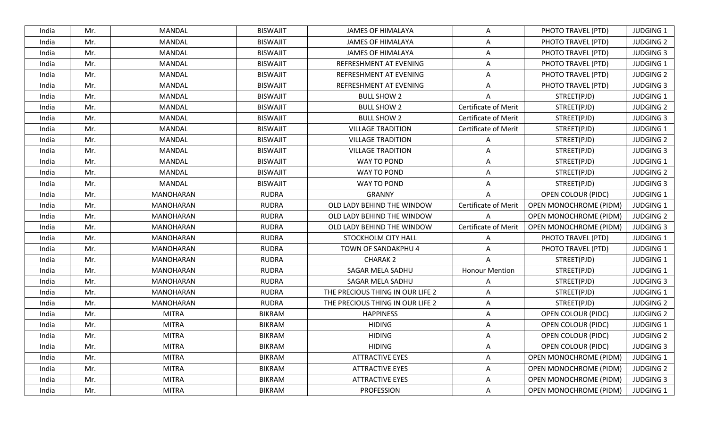| India | Mr. | <b>MANDAL</b>    | <b>BISWAJIT</b> | <b>JAMES OF HIMALAYA</b>         | A                           | PHOTO TRAVEL (PTD)            | <b>JUDGING 1</b> |
|-------|-----|------------------|-----------------|----------------------------------|-----------------------------|-------------------------------|------------------|
| India | Mr. | MANDAL           | <b>BISWAJIT</b> | <b>JAMES OF HIMALAYA</b>         | Α                           | PHOTO TRAVEL (PTD)            | <b>JUDGING 2</b> |
| India | Mr. | <b>MANDAL</b>    | <b>BISWAJIT</b> | <b>JAMES OF HIMALAYA</b>         | $\overline{A}$              | PHOTO TRAVEL (PTD)            | <b>JUDGING 3</b> |
| India | Mr. | <b>MANDAL</b>    | <b>BISWAJIT</b> | REFRESHMENT AT EVENING           | A                           | PHOTO TRAVEL (PTD)            | <b>JUDGING 1</b> |
| India | Mr. | <b>MANDAL</b>    | <b>BISWAJIT</b> | REFRESHMENT AT EVENING           | A                           | PHOTO TRAVEL (PTD)            | <b>JUDGING 2</b> |
| India | Mr. | MANDAL           | <b>BISWAJIT</b> | REFRESHMENT AT EVENING           | Α                           | PHOTO TRAVEL (PTD)            | <b>JUDGING 3</b> |
| India | Mr. | <b>MANDAL</b>    | <b>BISWAJIT</b> | <b>BULL SHOW 2</b>               | A                           | STREET(PJD)                   | <b>JUDGING 1</b> |
| India | Mr. | <b>MANDAL</b>    | <b>BISWAJIT</b> | <b>BULL SHOW 2</b>               | Certificate of Merit        | STREET(PJD)                   | <b>JUDGING 2</b> |
| India | Mr. | <b>MANDAL</b>    | <b>BISWAJIT</b> | <b>BULL SHOW 2</b>               | <b>Certificate of Merit</b> | STREET(PJD)                   | <b>JUDGING 3</b> |
| India | Mr. | <b>MANDAL</b>    | <b>BISWAJIT</b> | <b>VILLAGE TRADITION</b>         | <b>Certificate of Merit</b> | STREET(PJD)                   | <b>JUDGING 1</b> |
| India | Mr. | <b>MANDAL</b>    | <b>BISWAJIT</b> | <b>VILLAGE TRADITION</b>         | A                           | STREET(PJD)                   | <b>JUDGING 2</b> |
| India | Mr. | <b>MANDAL</b>    | <b>BISWAJIT</b> | <b>VILLAGE TRADITION</b>         | A                           | STREET(PJD)                   | <b>JUDGING 3</b> |
| India | Mr. | MANDAL           | <b>BISWAJIT</b> | WAY TO POND                      | A                           | STREET(PJD)                   | <b>JUDGING 1</b> |
| India | Mr. | MANDAL           | <b>BISWAJIT</b> | WAY TO POND                      | Α                           | STREET(PJD)                   | <b>JUDGING 2</b> |
| India | Mr. | <b>MANDAL</b>    | <b>BISWAJIT</b> | WAY TO POND                      | A                           | STREET(PJD)                   | <b>JUDGING 3</b> |
| India | Mr. | MANOHARAN        | <b>RUDRA</b>    | <b>GRANNY</b>                    | A                           | <b>OPEN COLOUR (PIDC)</b>     | <b>JUDGING 1</b> |
| India | Mr. | MANOHARAN        | <b>RUDRA</b>    | OLD LADY BEHIND THE WINDOW       | <b>Certificate of Merit</b> | <b>OPEN MONOCHROME (PIDM)</b> | <b>JUDGING 1</b> |
| India | Mr. | MANOHARAN        | RUDRA           | OLD LADY BEHIND THE WINDOW       | A                           | <b>OPEN MONOCHROME (PIDM)</b> | <b>JUDGING 2</b> |
| India | Mr. | MANOHARAN        | <b>RUDRA</b>    | OLD LADY BEHIND THE WINDOW       | <b>Certificate of Merit</b> | <b>OPEN MONOCHROME (PIDM)</b> | <b>JUDGING 3</b> |
| India | Mr. | MANOHARAN        | <b>RUDRA</b>    | STOCKHOLM CITY HALL              | A                           | PHOTO TRAVEL (PTD)            | <b>JUDGING 1</b> |
| India | Mr. | MANOHARAN        | <b>RUDRA</b>    | TOWN OF SANDAKPHU 4              | A                           | PHOTO TRAVEL (PTD)            | <b>JUDGING 1</b> |
| India | Mr. | <b>MANOHARAN</b> | <b>RUDRA</b>    | <b>CHARAK 2</b>                  | A                           | STREET(PJD)                   | <b>JUDGING 1</b> |
| India | Mr. | MANOHARAN        | <b>RUDRA</b>    | SAGAR MELA SADHU                 | <b>Honour Mention</b>       | STREET(PJD)                   | <b>JUDGING 1</b> |
| India | Mr. | MANOHARAN        | <b>RUDRA</b>    | SAGAR MELA SADHU                 | A                           | STREET(PJD)                   | <b>JUDGING 3</b> |
| India | Mr. | <b>MANOHARAN</b> | <b>RUDRA</b>    | THE PRECIOUS THING IN OUR LIFE 2 | A                           | STREET(PJD)                   | <b>JUDGING 1</b> |
| India | Mr. | MANOHARAN        | <b>RUDRA</b>    | THE PRECIOUS THING IN OUR LIFE 2 | Α                           | STREET(PJD)                   | <b>JUDGING 2</b> |
| India | Mr. | <b>MITRA</b>     | <b>BIKRAM</b>   | <b>HAPPINESS</b>                 | A                           | <b>OPEN COLOUR (PIDC)</b>     | <b>JUDGING 2</b> |
| India | Mr. | <b>MITRA</b>     | <b>BIKRAM</b>   | <b>HIDING</b>                    | A                           | <b>OPEN COLOUR (PIDC)</b>     | <b>JUDGING 1</b> |
| India | Mr. | <b>MITRA</b>     | <b>BIKRAM</b>   | <b>HIDING</b>                    | A                           | <b>OPEN COLOUR (PIDC)</b>     | <b>JUDGING 2</b> |
| India | Mr. | <b>MITRA</b>     | <b>BIKRAM</b>   | <b>HIDING</b>                    | Α                           | <b>OPEN COLOUR (PIDC)</b>     | <b>JUDGING 3</b> |
| India | Mr. | <b>MITRA</b>     | <b>BIKRAM</b>   | <b>ATTRACTIVE EYES</b>           | A                           | OPEN MONOCHROME (PIDM)        | <b>JUDGING 1</b> |
| India | Mr. | <b>MITRA</b>     | <b>BIKRAM</b>   | <b>ATTRACTIVE EYES</b>           | A                           | <b>OPEN MONOCHROME (PIDM)</b> | <b>JUDGING 2</b> |
| India | Mr. | <b>MITRA</b>     | <b>BIKRAM</b>   | <b>ATTRACTIVE EYES</b>           | A                           | <b>OPEN MONOCHROME (PIDM)</b> | <b>JUDGING 3</b> |
| India | Mr. | <b>MITRA</b>     | <b>BIKRAM</b>   | PROFESSION                       | A                           | <b>OPEN MONOCHROME (PIDM)</b> | <b>JUDGING 1</b> |
|       |     |                  |                 |                                  |                             |                               |                  |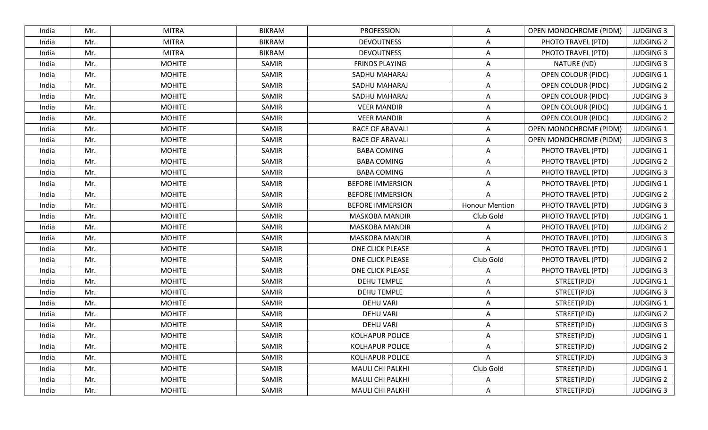| India | Mr. | <b>MITRA</b>  | <b>BIKRAM</b> | <b>PROFESSION</b>       | A                     | OPEN MONOCHROME (PIDM)    | <b>JUDGING 3</b> |
|-------|-----|---------------|---------------|-------------------------|-----------------------|---------------------------|------------------|
| India | Mr. | <b>MITRA</b>  | <b>BIKRAM</b> | <b>DEVOUTNESS</b>       | Α                     | PHOTO TRAVEL (PTD)        | <b>JUDGING 2</b> |
| India | Mr. | <b>MITRA</b>  | <b>BIKRAM</b> | <b>DEVOUTNESS</b>       | $\overline{A}$        | PHOTO TRAVEL (PTD)        | <b>JUDGING 3</b> |
| India | Mr. | <b>MOHITE</b> | SAMIR         | <b>FRINDS PLAYING</b>   | Α                     | NATURE (ND)               | <b>JUDGING 3</b> |
| India | Mr. | <b>MOHITE</b> | SAMIR         | SADHU MAHARAJ           | A                     | <b>OPEN COLOUR (PIDC)</b> | <b>JUDGING 1</b> |
| India | Mr. | <b>MOHITE</b> | SAMIR         | SADHU MAHARAJ           | A                     | <b>OPEN COLOUR (PIDC)</b> | <b>JUDGING 2</b> |
| India | Mr. | <b>MOHITE</b> | SAMIR         | SADHU MAHARAJ           | A                     | <b>OPEN COLOUR (PIDC)</b> | <b>JUDGING 3</b> |
| India | Mr. | <b>MOHITE</b> | SAMIR         | <b>VEER MANDIR</b>      | A                     | <b>OPEN COLOUR (PIDC)</b> | <b>JUDGING 1</b> |
| India | Mr. | <b>MOHITE</b> | SAMIR         | <b>VEER MANDIR</b>      | Α                     | <b>OPEN COLOUR (PIDC)</b> | <b>JUDGING 2</b> |
| India | Mr. | <b>MOHITE</b> | SAMIR         | <b>RACE OF ARAVALI</b>  | A                     | OPEN MONOCHROME (PIDM)    | JUDGING 1        |
| India | Mr. | <b>MOHITE</b> | SAMIR         | <b>RACE OF ARAVALI</b>  | A                     | OPEN MONOCHROME (PIDM)    | <b>JUDGING 3</b> |
| India | Mr. | <b>MOHITE</b> | SAMIR         | <b>BABA COMING</b>      | A                     | PHOTO TRAVEL (PTD)        | <b>JUDGING 1</b> |
| India | Mr. | <b>MOHITE</b> | SAMIR         | <b>BABA COMING</b>      | A                     | PHOTO TRAVEL (PTD)        | <b>JUDGING 2</b> |
| India | Mr. | <b>MOHITE</b> | SAMIR         | <b>BABA COMING</b>      | Α                     | PHOTO TRAVEL (PTD)        | <b>JUDGING 3</b> |
| India | Mr. | <b>MOHITE</b> | SAMIR         | <b>BEFORE IMMERSION</b> | A                     | PHOTO TRAVEL (PTD)        | JUDGING 1        |
| India | Mr. | <b>MOHITE</b> | SAMIR         | <b>BEFORE IMMERSION</b> | $\overline{A}$        | PHOTO TRAVEL (PTD)        | <b>JUDGING 2</b> |
| India | Mr. | <b>MOHITE</b> | SAMIR         | <b>BEFORE IMMERSION</b> | <b>Honour Mention</b> | PHOTO TRAVEL (PTD)        | <b>JUDGING 3</b> |
| India | Mr. | <b>MOHITE</b> | SAMIR         | <b>MASKOBA MANDIR</b>   | Club Gold             | PHOTO TRAVEL (PTD)        | <b>JUDGING 1</b> |
| India | Mr. | <b>MOHITE</b> | SAMIR         | <b>MASKOBA MANDIR</b>   | A                     | PHOTO TRAVEL (PTD)        | <b>JUDGING 2</b> |
| India | Mr. | <b>MOHITE</b> | SAMIR         | <b>MASKOBA MANDIR</b>   | A                     | PHOTO TRAVEL (PTD)        | <b>JUDGING 3</b> |
| India | Mr. | <b>MOHITE</b> | SAMIR         | <b>ONE CLICK PLEASE</b> | Α                     | PHOTO TRAVEL (PTD)        | <b>JUDGING 1</b> |
| India | Mr. | <b>MOHITE</b> | SAMIR         | <b>ONE CLICK PLEASE</b> | Club Gold             | PHOTO TRAVEL (PTD)        | <b>JUDGING 2</b> |
| India | Mr. | <b>MOHITE</b> | SAMIR         | <b>ONE CLICK PLEASE</b> | A                     | PHOTO TRAVEL (PTD)        | <b>JUDGING 3</b> |
| India | Mr. | <b>MOHITE</b> | SAMIR         | <b>DEHU TEMPLE</b>      | Α                     | STREET(PJD)               | <b>JUDGING 1</b> |
| India | Mr. | <b>MOHITE</b> | SAMIR         | <b>DEHU TEMPLE</b>      | Α                     | STREET(PJD)               | <b>JUDGING 3</b> |
| India | Mr. | <b>MOHITE</b> | SAMIR         | <b>DEHU VARI</b>        | A                     | STREET(PJD)               | <b>JUDGING 1</b> |
| India | Mr. | <b>MOHITE</b> | SAMIR         | <b>DEHU VARI</b>        | A                     | STREET(PJD)               | <b>JUDGING 2</b> |
| India | Mr. | <b>MOHITE</b> | SAMIR         | <b>DEHU VARI</b>        | A                     | STREET(PJD)               | <b>JUDGING 3</b> |
| India | Mr. | <b>MOHITE</b> | SAMIR         | <b>KOLHAPUR POLICE</b>  | Α                     | STREET(PJD)               | <b>JUDGING 1</b> |
| India | Mr. | <b>MOHITE</b> | SAMIR         | <b>KOLHAPUR POLICE</b>  | Α                     | STREET(PJD)               | <b>JUDGING 2</b> |
| India | Mr. | <b>MOHITE</b> | SAMIR         | <b>KOLHAPUR POLICE</b>  | A                     | STREET(PJD)               | <b>JUDGING 3</b> |
| India | Mr. | <b>MOHITE</b> | SAMIR         | MAULI CHI PALKHI        | Club Gold             | STREET(PJD)               | <b>JUDGING 1</b> |
| India | Mr. | <b>MOHITE</b> | SAMIR         | <b>MAULI CHI PALKHI</b> | Α                     | STREET(PJD)               | <b>JUDGING 2</b> |
| India | Mr. | <b>MOHITE</b> | SAMIR         | MAULI CHI PALKHI        | A                     | STREET(PJD)               | <b>JUDGING 3</b> |
|       |     |               |               |                         |                       |                           |                  |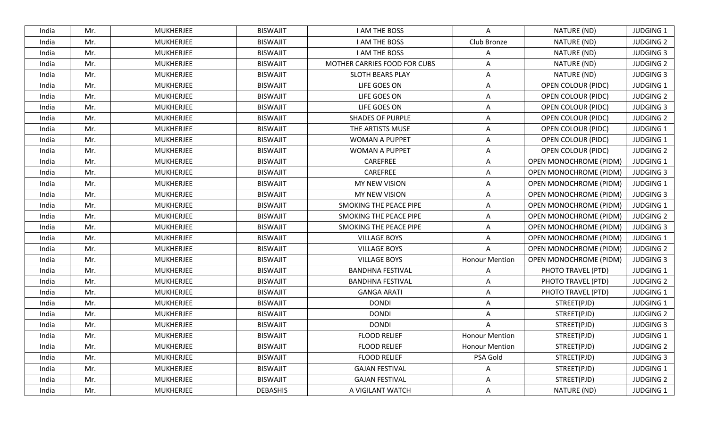| India | Mr. | <b>MUKHERJEE</b> | <b>BISWAJIT</b> | <b>I AM THE BOSS</b>         | Α                     | NATURE (ND)                   | <b>JUDGING 1</b> |
|-------|-----|------------------|-----------------|------------------------------|-----------------------|-------------------------------|------------------|
| India | Mr. | <b>MUKHERJEE</b> | <b>BISWAJIT</b> | I AM THE BOSS                | Club Bronze           | NATURE (ND)                   | <b>JUDGING 2</b> |
| India | Mr. | <b>MUKHERJEE</b> | <b>BISWAJIT</b> | <b>I AM THE BOSS</b>         | Α                     | NATURE (ND)                   | <b>JUDGING 3</b> |
| India | Mr. | <b>MUKHERJEE</b> | <b>BISWAJIT</b> | MOTHER CARRIES FOOD FOR CUBS | A                     | NATURE (ND)                   | <b>JUDGING 2</b> |
| India | Mr. | <b>MUKHERJEE</b> | <b>BISWAJIT</b> | <b>SLOTH BEARS PLAY</b>      | A                     | NATURE (ND)                   | <b>JUDGING 3</b> |
| India | Mr. | <b>MUKHERJEE</b> | <b>BISWAJIT</b> | LIFE GOES ON                 | A                     | <b>OPEN COLOUR (PIDC)</b>     | <b>JUDGING 1</b> |
| India | Mr. | MUKHERJEE        | <b>BISWAJIT</b> | LIFE GOES ON                 | Α                     | <b>OPEN COLOUR (PIDC)</b>     | <b>JUDGING 2</b> |
| India | Mr. | <b>MUKHERJEE</b> | <b>BISWAJIT</b> | LIFE GOES ON                 | A                     | <b>OPEN COLOUR (PIDC)</b>     | <b>JUDGING 3</b> |
| India | Mr. | <b>MUKHERJEE</b> | <b>BISWAJIT</b> | <b>SHADES OF PURPLE</b>      | Α                     | OPEN COLOUR (PIDC)            | <b>JUDGING 2</b> |
| India | Mr. | <b>MUKHERJEE</b> | <b>BISWAJIT</b> | THE ARTISTS MUSE             | A                     | <b>OPEN COLOUR (PIDC)</b>     | <b>JUDGING 1</b> |
| India | Mr. | <b>MUKHERJEE</b> | <b>BISWAJIT</b> | <b>WOMAN A PUPPET</b>        | A                     | <b>OPEN COLOUR (PIDC)</b>     | <b>JUDGING 1</b> |
| India | Mr. | <b>MUKHERJEE</b> | <b>BISWAJIT</b> | <b>WOMAN A PUPPET</b>        | A                     | <b>OPEN COLOUR (PIDC)</b>     | <b>JUDGING 2</b> |
| India | Mr. | <b>MUKHERJEE</b> | <b>BISWAJIT</b> | CAREFREE                     | A                     | OPEN MONOCHROME (PIDM)        | <b>JUDGING 1</b> |
| India | Mr. | <b>MUKHERJEE</b> | <b>BISWAJIT</b> | CAREFREE                     | Α                     | <b>OPEN MONOCHROME (PIDM)</b> | <b>JUDGING 3</b> |
| India | Mr. | <b>MUKHERJEE</b> | <b>BISWAJIT</b> | MY NEW VISION                | A                     | <b>OPEN MONOCHROME (PIDM)</b> | JUDGING 1        |
| India | Mr. | <b>MUKHERJEE</b> | <b>BISWAJIT</b> | MY NEW VISION                | A                     | OPEN MONOCHROME (PIDM)        | <b>JUDGING 3</b> |
| India | Mr. | <b>MUKHERJEE</b> | <b>BISWAJIT</b> | SMOKING THE PEACE PIPE       | Α                     | <b>OPEN MONOCHROME (PIDM)</b> | <b>JUDGING 1</b> |
| India | Mr. | <b>MUKHERJEE</b> | <b>BISWAJIT</b> | SMOKING THE PEACE PIPE       | Α                     | OPEN MONOCHROME (PIDM)        | <b>JUDGING 2</b> |
| India | Mr. | MUKHERJEE        | <b>BISWAJIT</b> | SMOKING THE PEACE PIPE       | A                     | <b>OPEN MONOCHROME (PIDM)</b> | <b>JUDGING 3</b> |
| India | Mr. | <b>MUKHERJEE</b> | <b>BISWAJIT</b> | <b>VILLAGE BOYS</b>          | $\overline{A}$        | OPEN MONOCHROME (PIDM)        | <b>JUDGING 1</b> |
| India | Mr. | <b>MUKHERJEE</b> | <b>BISWAJIT</b> | <b>VILLAGE BOYS</b>          | Α                     | OPEN MONOCHROME (PIDM)        | <b>JUDGING 2</b> |
| India | Mr. | <b>MUKHERJEE</b> | <b>BISWAJIT</b> | <b>VILLAGE BOYS</b>          | <b>Honour Mention</b> | OPEN MONOCHROME (PIDM)        | <b>JUDGING 3</b> |
| India | Mr. | <b>MUKHERJEE</b> | <b>BISWAJIT</b> | <b>BANDHNA FESTIVAL</b>      | A                     | PHOTO TRAVEL (PTD)            | <b>JUDGING 1</b> |
| India | Mr. | <b>MUKHERJEE</b> | <b>BISWAJIT</b> | <b>BANDHNA FESTIVAL</b>      | Α                     | PHOTO TRAVEL (PTD)            | <b>JUDGING 2</b> |
| India | Mr. | <b>MUKHERJEE</b> | <b>BISWAJIT</b> | <b>GANGA ARATI</b>           | A                     | PHOTO TRAVEL (PTD)            | <b>JUDGING 1</b> |
| India | Mr. | <b>MUKHERJEE</b> | <b>BISWAJIT</b> | <b>DONDI</b>                 | A                     | STREET(PJD)                   | <b>JUDGING 1</b> |
| India | Mr. | <b>MUKHERJEE</b> | <b>BISWAJIT</b> | <b>DONDI</b>                 | A                     | STREET(PJD)                   | <b>JUDGING 2</b> |
| India | Mr. | <b>MUKHERJEE</b> | <b>BISWAJIT</b> | <b>DONDI</b>                 | A                     | STREET(PJD)                   | <b>JUDGING 3</b> |
| India | Mr. | <b>MUKHERJEE</b> | <b>BISWAJIT</b> | <b>FLOOD RELIEF</b>          | <b>Honour Mention</b> | STREET(PJD)                   | <b>JUDGING 1</b> |
| India | Mr. | <b>MUKHERJEE</b> | <b>BISWAJIT</b> | <b>FLOOD RELIEF</b>          | <b>Honour Mention</b> | STREET(PJD)                   | <b>JUDGING 2</b> |
| India | Mr. | MUKHERJEE        | <b>BISWAJIT</b> | <b>FLOOD RELIEF</b>          | PSA Gold              | STREET(PJD)                   | <b>JUDGING 3</b> |
| India | Mr. | MUKHERJEE        | <b>BISWAJIT</b> | <b>GAJAN FESTIVAL</b>        | Α                     | STREET(PJD)                   | <b>JUDGING 1</b> |
| India | Mr. | <b>MUKHERJEE</b> | <b>BISWAJIT</b> | <b>GAJAN FESTIVAL</b>        | Α                     | STREET(PJD)                   | <b>JUDGING 2</b> |
| India | Mr. | <b>MUKHERJEE</b> | <b>DEBASHIS</b> | A VIGILANT WATCH             | A                     | NATURE (ND)                   | JUDGING 1        |
|       |     |                  |                 |                              |                       |                               |                  |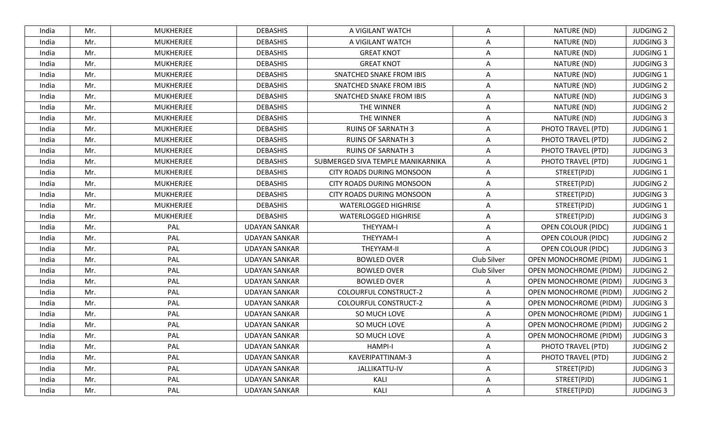| India | Mr. | <b>MUKHERJEE</b><br><b>DEBASHIS</b> | A VIGILANT WATCH                  | Α           | NATURE (ND)                   | <b>JUDGING 2</b> |
|-------|-----|-------------------------------------|-----------------------------------|-------------|-------------------------------|------------------|
| India | Mr. | <b>MUKHERJEE</b><br><b>DEBASHIS</b> | A VIGILANT WATCH                  | Α           | NATURE (ND)                   | <b>JUDGING 3</b> |
| India | Mr. | <b>DEBASHIS</b><br><b>MUKHERJEE</b> | <b>GREAT KNOT</b>                 | A           | NATURE (ND)                   | <b>JUDGING 1</b> |
| India | Mr. | <b>MUKHERJEE</b><br><b>DEBASHIS</b> | <b>GREAT KNOT</b>                 | A           | NATURE (ND)                   | <b>JUDGING 3</b> |
| India | Mr. | <b>DEBASHIS</b><br><b>MUKHERJEE</b> | SNATCHED SNAKE FROM IBIS          | A           | NATURE (ND)                   | <b>JUDGING 1</b> |
| India | Mr. | <b>DEBASHIS</b><br><b>MUKHERJEE</b> | SNATCHED SNAKE FROM IBIS          | A           | NATURE (ND)                   | <b>JUDGING 2</b> |
| India | Mr. | <b>MUKHERJEE</b><br><b>DEBASHIS</b> | SNATCHED SNAKE FROM IBIS          | A           | NATURE (ND)                   | <b>JUDGING 3</b> |
| India | Mr. | <b>MUKHERJEE</b><br><b>DEBASHIS</b> | THE WINNER                        | A           | NATURE (ND)                   | <b>JUDGING 2</b> |
| India | Mr. | <b>MUKHERJEE</b><br><b>DEBASHIS</b> | THE WINNER                        | Α           | NATURE (ND)                   | <b>JUDGING 3</b> |
| India | Mr. | <b>DEBASHIS</b><br><b>MUKHERJEE</b> | <b>RUINS OF SARNATH 3</b>         | Α           | PHOTO TRAVEL (PTD)            | <b>JUDGING 1</b> |
| India | Mr. | <b>MUKHERJEE</b><br><b>DEBASHIS</b> | <b>RUINS OF SARNATH 3</b>         | A           | PHOTO TRAVEL (PTD)            | <b>JUDGING 2</b> |
| India | Mr. | <b>DEBASHIS</b><br>MUKHERJEE        | <b>RUINS OF SARNATH 3</b>         | A           | PHOTO TRAVEL (PTD)            | <b>JUDGING 3</b> |
| India | Mr. | <b>MUKHERJEE</b><br><b>DEBASHIS</b> | SUBMERGED SIVA TEMPLE MANIKARNIKA | Α           | PHOTO TRAVEL (PTD)            | <b>JUDGING 1</b> |
| India | Mr. | <b>MUKHERJEE</b><br><b>DEBASHIS</b> | <b>CITY ROADS DURING MONSOON</b>  | Α           | STREET(PJD)                   | <b>JUDGING 1</b> |
| India | Mr. | <b>MUKHERJEE</b><br><b>DEBASHIS</b> | CITY ROADS DURING MONSOON         | A           | STREET(PJD)                   | <b>JUDGING 2</b> |
| India | Mr. | <b>MUKHERJEE</b><br><b>DEBASHIS</b> | <b>CITY ROADS DURING MONSOON</b>  | Α           | STREET(PJD)                   | <b>JUDGING 3</b> |
| India | Mr. | <b>MUKHERJEE</b><br><b>DEBASHIS</b> | <b>WATERLOGGED HIGHRISE</b>       | A           | STREET(PJD)                   | <b>JUDGING 1</b> |
| India | Mr. | <b>MUKHERJEE</b><br><b>DEBASHIS</b> | <b>WATERLOGGED HIGHRISE</b>       | A           | STREET(PJD)                   | <b>JUDGING 3</b> |
| India | Mr. | PAL<br><b>UDAYAN SANKAR</b>         | THEYYAM-I                         | A           | OPEN COLOUR (PIDC)            | <b>JUDGING 1</b> |
| India | Mr. | PAL<br><b>UDAYAN SANKAR</b>         | THEYYAM-I                         | A           | <b>OPEN COLOUR (PIDC)</b>     | <b>JUDGING 2</b> |
| India | Mr. | PAL<br>UDAYAN SANKAR                | THEYYAM-II                        | A           | <b>OPEN COLOUR (PIDC)</b>     | <b>JUDGING 3</b> |
| India | Mr. | PAL<br><b>UDAYAN SANKAR</b>         | <b>BOWLED OVER</b>                | Club Silver | OPEN MONOCHROME (PIDM)        | <b>JUDGING 1</b> |
| India | Mr. | PAL<br><b>UDAYAN SANKAR</b>         | <b>BOWLED OVER</b>                | Club Silver | <b>OPEN MONOCHROME (PIDM)</b> | <b>JUDGING 2</b> |
| India | Mr. | PAL<br><b>UDAYAN SANKAR</b>         | <b>BOWLED OVER</b>                | A           | <b>OPEN MONOCHROME (PIDM)</b> | <b>JUDGING 3</b> |
| India | Mr. | PAL<br><b>UDAYAN SANKAR</b>         | <b>COLOURFUL CONSTRUCT-2</b>      | Α           | <b>OPEN MONOCHROME (PIDM)</b> | <b>JUDGING 2</b> |
| India | Mr. | PAL<br><b>UDAYAN SANKAR</b>         | <b>COLOURFUL CONSTRUCT-2</b>      | Α           | OPEN MONOCHROME (PIDM)        | <b>JUDGING 3</b> |
| India | Mr. | PAL<br><b>UDAYAN SANKAR</b>         | SO MUCH LOVE                      | A           | OPEN MONOCHROME (PIDM)        | <b>JUDGING 1</b> |
| India | Mr. | PAL<br><b>UDAYAN SANKAR</b>         | SO MUCH LOVE                      | A           | <b>OPEN MONOCHROME (PIDM)</b> | <b>JUDGING 2</b> |
| India | Mr. | PAL<br><b>UDAYAN SANKAR</b>         | SO MUCH LOVE                      | A           | <b>OPEN MONOCHROME (PIDM)</b> | <b>JUDGING 3</b> |
| India | Mr. | PAL<br><b>UDAYAN SANKAR</b>         | <b>HAMPI-I</b>                    | Α           | PHOTO TRAVEL (PTD)            | <b>JUDGING 2</b> |
| India | Mr. | PAL<br><b>UDAYAN SANKAR</b>         | KAVERIPATTINAM-3                  | A           | PHOTO TRAVEL (PTD)            | <b>JUDGING 2</b> |
| India | Mr. | PAL<br><b>UDAYAN SANKAR</b>         | JALLIKATTU-IV                     | Α           | STREET(PJD)                   | <b>JUDGING 3</b> |
| India | Mr. | PAL<br><b>UDAYAN SANKAR</b>         | KALI                              | Α           | STREET(PJD)                   | <b>JUDGING 1</b> |
| India | Mr. | PAL<br><b>UDAYAN SANKAR</b>         | KALI                              | A           | STREET(PJD)                   | <b>JUDGING 3</b> |
|       |     |                                     |                                   |             |                               |                  |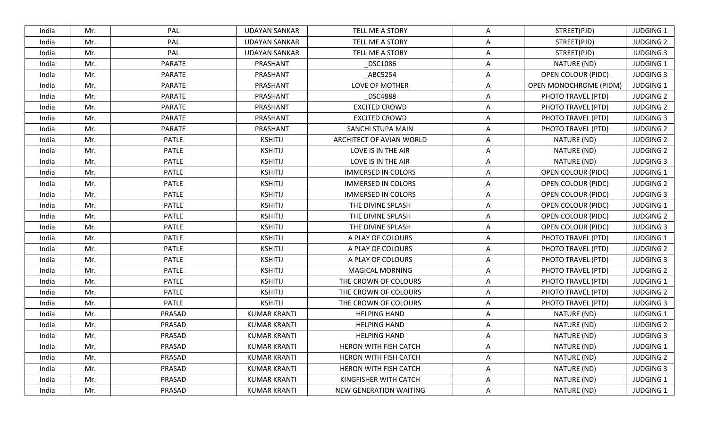| India | Mr. | PAL           | <b>UDAYAN SANKAR</b> | <b>TELL ME A STORY</b>    | A              | STREET(PJD)               | <b>JUDGING 1</b> |
|-------|-----|---------------|----------------------|---------------------------|----------------|---------------------------|------------------|
| India | Mr. | PAL           | <b>UDAYAN SANKAR</b> | TELL ME A STORY           | $\mathsf{A}$   | STREET(PJD)               | <b>JUDGING 2</b> |
| India | Mr. | PAL           | <b>UDAYAN SANKAR</b> | TELL ME A STORY           | A              | STREET(PJD)               | <b>JUDGING 3</b> |
| India | Mr. | <b>PARATE</b> | PRASHANT             | _DSC1086                  | A              | NATURE (ND)               | <b>JUDGING 1</b> |
| India | Mr. | <b>PARATE</b> | PRASHANT             | ABC5254                   | A              | OPEN COLOUR (PIDC)        | <b>JUDGING 3</b> |
| India | Mr. | <b>PARATE</b> | PRASHANT             | LOVE OF MOTHER            | A              | OPEN MONOCHROME (PIDM)    | <b>JUDGING 1</b> |
| India | Mr. | <b>PARATE</b> | PRASHANT             | _DSC4888                  | A              | PHOTO TRAVEL (PTD)        | <b>JUDGING 2</b> |
| India | Mr. | <b>PARATE</b> | PRASHANT             | <b>EXCITED CROWD</b>      | A              | PHOTO TRAVEL (PTD)        | <b>JUDGING 2</b> |
| India | Mr. | <b>PARATE</b> | PRASHANT             | <b>EXCITED CROWD</b>      | A              | PHOTO TRAVEL (PTD)        | <b>JUDGING 3</b> |
| India | Mr. | <b>PARATE</b> | PRASHANT             | SANCHI STUPA MAIN         | $\mathsf{A}$   | PHOTO TRAVEL (PTD)        | <b>JUDGING 2</b> |
| India | Mr. | <b>PATLE</b>  | <b>KSHITIJ</b>       | ARCHITECT OF AVIAN WORLD  | A              | NATURE (ND)               | <b>JUDGING 2</b> |
| India | Mr. | <b>PATLE</b>  | <b>KSHITIJ</b>       | LOVE IS IN THE AIR        | A              | NATURE (ND)               | <b>JUDGING 2</b> |
| India | Mr. | <b>PATLE</b>  | <b>KSHITIJ</b>       | LOVE IS IN THE AIR        | A              | NATURE (ND)               | <b>JUDGING 3</b> |
| India | Mr. | <b>PATLE</b>  | <b>KSHITIJ</b>       | <b>IMMERSED IN COLORS</b> | A              | <b>OPEN COLOUR (PIDC)</b> | JUDGING 1        |
| India | Mr. | <b>PATLE</b>  | <b>KSHITIJ</b>       | <b>IMMERSED IN COLORS</b> | A              | <b>OPEN COLOUR (PIDC)</b> | <b>JUDGING 2</b> |
| India | Mr. | <b>PATLE</b>  | <b>KSHITIJ</b>       | <b>IMMERSED IN COLORS</b> | A              | OPEN COLOUR (PIDC)        | <b>JUDGING 3</b> |
| India | Mr. | <b>PATLE</b>  | <b>KSHITIJ</b>       | THE DIVINE SPLASH         | A              | <b>OPEN COLOUR (PIDC)</b> | <b>JUDGING 1</b> |
| India | Mr. | <b>PATLE</b>  | <b>KSHITIJ</b>       | THE DIVINE SPLASH         | A              | <b>OPEN COLOUR (PIDC)</b> | <b>JUDGING 2</b> |
| India | Mr. | <b>PATLE</b>  | <b>KSHITIJ</b>       | THE DIVINE SPLASH         | A              | <b>OPEN COLOUR (PIDC)</b> | <b>JUDGING 3</b> |
| India | Mr. | <b>PATLE</b>  | <b>KSHITIJ</b>       | A PLAY OF COLOURS         | A              | PHOTO TRAVEL (PTD)        | <b>JUDGING 1</b> |
| India | Mr. | <b>PATLE</b>  | <b>KSHITIJ</b>       | A PLAY OF COLOURS         | A              | PHOTO TRAVEL (PTD)        | <b>JUDGING 2</b> |
| India | Mr. | <b>PATLE</b>  | <b>KSHITIJ</b>       | A PLAY OF COLOURS         | $\mathsf{A}$   | PHOTO TRAVEL (PTD)        | <b>JUDGING 3</b> |
| India | Mr. | <b>PATLE</b>  | <b>KSHITIJ</b>       | <b>MAGICAL MORNING</b>    | A              | PHOTO TRAVEL (PTD)        | <b>JUDGING 2</b> |
| India | Mr. | <b>PATLE</b>  | <b>KSHITIJ</b>       | THE CROWN OF COLOURS      | $\mathsf{A}$   | PHOTO TRAVEL (PTD)        | <b>JUDGING 1</b> |
| India | Mr. | <b>PATLE</b>  | <b>KSHITIJ</b>       | THE CROWN OF COLOURS      | A              | PHOTO TRAVEL (PTD)        | <b>JUDGING 2</b> |
| India | Mr. | <b>PATLE</b>  | <b>KSHITIJ</b>       | THE CROWN OF COLOURS      | $\overline{A}$ | PHOTO TRAVEL (PTD)        | <b>JUDGING 3</b> |
| India | Mr. | PRASAD        | <b>KUMAR KRANTI</b>  | <b>HELPING HAND</b>       | A              | NATURE (ND)               | <b>JUDGING 1</b> |
| India | Mr. | PRASAD        | <b>KUMAR KRANTI</b>  | <b>HELPING HAND</b>       | A              | NATURE (ND)               | <b>JUDGING 2</b> |
| India | Mr. | PRASAD        | <b>KUMAR KRANTI</b>  | <b>HELPING HAND</b>       | A              | NATURE (ND)               | <b>JUDGING 3</b> |
| India | Mr. | PRASAD        | <b>KUMAR KRANTI</b>  | HERON WITH FISH CATCH     | $\mathsf{A}$   | NATURE (ND)               | JUDGING 1        |
| India | Mr. | PRASAD        | <b>KUMAR KRANTI</b>  | HERON WITH FISH CATCH     | A              | NATURE (ND)               | <b>JUDGING 2</b> |
| India | Mr. | PRASAD        | <b>KUMAR KRANTI</b>  | HERON WITH FISH CATCH     | A              | NATURE (ND)               | <b>JUDGING 3</b> |
| India | Mr. | PRASAD        | <b>KUMAR KRANTI</b>  | KINGFISHER WITH CATCH     | $\mathsf{A}$   | NATURE (ND)               | JUDGING 1        |
| India | Mr. | PRASAD        | <b>KUMAR KRANTI</b>  | NEW GENERATION WAITING    | $\mathsf{A}$   | NATURE (ND)               | JUDGING 1        |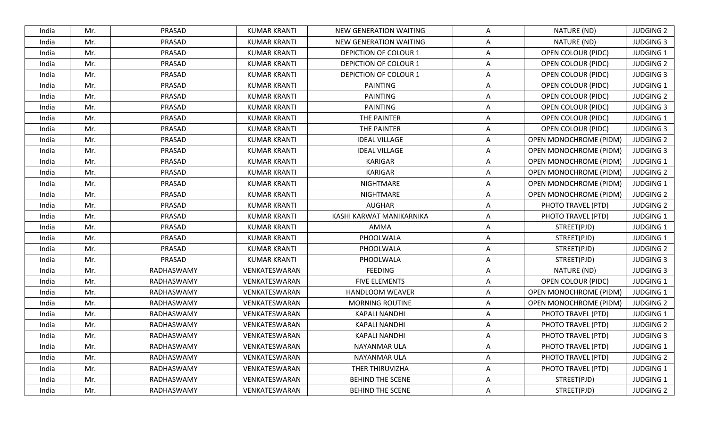| PRASAD<br>Mr.<br><b>KUMAR KRANTI</b><br><b>NEW GENERATION WAITING</b><br>NATURE (ND)<br>India<br>A<br>PRASAD<br>NATURE (ND)<br>Mr.<br><b>KUMAR KRANTI</b><br><b>NEW GENERATION WAITING</b><br>India<br>A<br>PRASAD<br><b>KUMAR KRANTI</b><br><b>DEPICTION OF COLOUR 1</b><br>OPEN COLOUR (PIDC)<br>Mr.<br>India<br>Α<br>PRASAD<br>Mr.<br><b>KUMAR KRANTI</b><br><b>DEPICTION OF COLOUR 1</b><br><b>OPEN COLOUR (PIDC)</b><br>India<br>Α<br>PRASAD<br>Mr.<br><b>KUMAR KRANTI</b><br><b>DEPICTION OF COLOUR 1</b><br><b>OPEN COLOUR (PIDC)</b><br>India<br>A<br>PRASAD<br>Mr.<br><b>KUMAR KRANTI</b><br>PAINTING<br><b>OPEN COLOUR (PIDC)</b><br>India<br>A<br>PRASAD<br>PAINTING<br>Mr.<br><b>KUMAR KRANTI</b><br>A<br>OPEN COLOUR (PIDC)<br>India<br>PRASAD<br><b>KUMAR KRANTI</b><br>PAINTING<br>Mr.<br><b>OPEN COLOUR (PIDC)</b><br>India<br>A<br>PRASAD<br>Mr.<br><b>KUMAR KRANTI</b><br>THE PAINTER<br><b>OPEN COLOUR (PIDC)</b><br>India<br>Α<br>PRASAD<br>THE PAINTER<br><b>OPEN COLOUR (PIDC)</b><br>Mr.<br><b>KUMAR KRANTI</b><br>India<br>Α<br>PRASAD<br>Mr.<br><b>KUMAR KRANTI</b><br><b>IDEAL VILLAGE</b><br><b>OPEN MONOCHROME (PIDM)</b><br>India<br>A<br>Mr.<br>PRASAD<br><b>IDEAL VILLAGE</b><br>OPEN MONOCHROME (PIDM)<br><b>KUMAR KRANTI</b><br>India<br>A<br>PRASAD<br><b>KARIGAR</b><br>Mr.<br><b>KUMAR KRANTI</b><br><b>OPEN MONOCHROME (PIDM)</b><br>India<br>A<br>PRASAD<br>Mr.<br><b>KUMAR KRANTI</b><br>KARIGAR<br>OPEN MONOCHROME (PIDM)<br>India<br>Α<br>PRASAD<br><b>KUMAR KRANTI</b><br>NIGHTMARE<br>OPEN MONOCHROME (PIDM)<br>Mr.<br>India<br>A<br>PRASAD<br>Mr.<br><b>KUMAR KRANTI</b><br><b>NIGHTMARE</b><br><b>OPEN MONOCHROME (PIDM)</b><br>India<br>Α<br>PRASAD<br>Mr.<br><b>AUGHAR</b><br>PHOTO TRAVEL (PTD)<br><b>KUMAR KRANTI</b><br>India<br>Α<br>PRASAD<br>PHOTO TRAVEL (PTD)<br>Mr.<br><b>KUMAR KRANTI</b><br>KASHI KARWAT MANIKARNIKA<br>India<br>A<br>PRASAD<br>Mr.<br><b>KUMAR KRANTI</b><br>AMMA<br>A<br>STREET(PJD)<br>India<br>PRASAD<br>STREET(PJD)<br>Mr.<br><b>KUMAR KRANTI</b><br>PHOOLWALA<br>India<br>A<br>PRASAD<br>Mr.<br><b>KUMAR KRANTI</b><br>PHOOLWALA<br>STREET(PJD)<br>India<br>Α<br>PRASAD<br>STREET(PJD)<br><b>KUMAR KRANTI</b><br>PHOOLWALA<br>India<br>Mr.<br>Α<br><b>FEEDING</b><br>Mr.<br>RADHASWAMY<br>VENKATESWARAN<br>NATURE (ND)<br>India<br>Α<br>Mr.<br>RADHASWAMY<br>VENKATESWARAN<br><b>FIVE ELEMENTS</b><br><b>OPEN COLOUR (PIDC)</b><br>India<br>Α<br>Mr.<br>RADHASWAMY<br>VENKATESWARAN<br><b>HANDLOOM WEAVER</b><br>OPEN MONOCHROME (PIDM)<br>Α<br>India<br>Mr.<br>RADHASWAMY<br>VENKATESWARAN<br><b>MORNING ROUTINE</b><br>A<br><b>OPEN MONOCHROME (PIDM)</b><br>India<br>VENKATESWARAN<br>PHOTO TRAVEL (PTD)<br>Mr.<br>RADHASWAMY<br><b>KAPALI NANDHI</b><br>India<br>Α<br>Mr.<br>RADHASWAMY<br><b>KAPALI NANDHI</b><br>PHOTO TRAVEL (PTD)<br>VENKATESWARAN<br>India<br>A<br>VENKATESWARAN<br>PHOTO TRAVEL (PTD)<br>RADHASWAMY<br><b>KAPALI NANDHI</b><br>India<br>Mr.<br>A<br>RADHASWAMY<br>VENKATESWARAN<br>PHOTO TRAVEL (PTD)<br>India<br>Mr.<br>NAYANMAR ULA<br>A<br>Mr.<br>RADHASWAMY<br>VENKATESWARAN<br>Α<br>PHOTO TRAVEL (PTD)<br>NAYANMAR ULA<br>India<br>VENKATESWARAN<br>THER THIRUVIZHA<br>PHOTO TRAVEL (PTD)<br>Mr.<br>RADHASWAMY<br>Α<br>India<br>STREET(PJD)<br>Mr.<br>RADHASWAMY<br>VENKATESWARAN<br>BEHIND THE SCENE<br>India<br>Α |       |     |            |               |                         |   |             |                  |
|------------------------------------------------------------------------------------------------------------------------------------------------------------------------------------------------------------------------------------------------------------------------------------------------------------------------------------------------------------------------------------------------------------------------------------------------------------------------------------------------------------------------------------------------------------------------------------------------------------------------------------------------------------------------------------------------------------------------------------------------------------------------------------------------------------------------------------------------------------------------------------------------------------------------------------------------------------------------------------------------------------------------------------------------------------------------------------------------------------------------------------------------------------------------------------------------------------------------------------------------------------------------------------------------------------------------------------------------------------------------------------------------------------------------------------------------------------------------------------------------------------------------------------------------------------------------------------------------------------------------------------------------------------------------------------------------------------------------------------------------------------------------------------------------------------------------------------------------------------------------------------------------------------------------------------------------------------------------------------------------------------------------------------------------------------------------------------------------------------------------------------------------------------------------------------------------------------------------------------------------------------------------------------------------------------------------------------------------------------------------------------------------------------------------------------------------------------------------------------------------------------------------------------------------------------------------------------------------------------------------------------------------------------------------------------------------------------------------------------------------------------------------------------------------------------------------------------------------------------------------------------------------------------------------------------------------------------------------------------------------------------------------------------------------------------------------------------------------------------------------------------------------------------------------------------------------------------------------------------------------------------------------------------------------------------------------------------|-------|-----|------------|---------------|-------------------------|---|-------------|------------------|
|                                                                                                                                                                                                                                                                                                                                                                                                                                                                                                                                                                                                                                                                                                                                                                                                                                                                                                                                                                                                                                                                                                                                                                                                                                                                                                                                                                                                                                                                                                                                                                                                                                                                                                                                                                                                                                                                                                                                                                                                                                                                                                                                                                                                                                                                                                                                                                                                                                                                                                                                                                                                                                                                                                                                                                                                                                                                                                                                                                                                                                                                                                                                                                                                                                                                                                                                    |       |     |            |               |                         |   |             | <b>JUDGING 2</b> |
|                                                                                                                                                                                                                                                                                                                                                                                                                                                                                                                                                                                                                                                                                                                                                                                                                                                                                                                                                                                                                                                                                                                                                                                                                                                                                                                                                                                                                                                                                                                                                                                                                                                                                                                                                                                                                                                                                                                                                                                                                                                                                                                                                                                                                                                                                                                                                                                                                                                                                                                                                                                                                                                                                                                                                                                                                                                                                                                                                                                                                                                                                                                                                                                                                                                                                                                                    |       |     |            |               |                         |   |             | <b>JUDGING 3</b> |
|                                                                                                                                                                                                                                                                                                                                                                                                                                                                                                                                                                                                                                                                                                                                                                                                                                                                                                                                                                                                                                                                                                                                                                                                                                                                                                                                                                                                                                                                                                                                                                                                                                                                                                                                                                                                                                                                                                                                                                                                                                                                                                                                                                                                                                                                                                                                                                                                                                                                                                                                                                                                                                                                                                                                                                                                                                                                                                                                                                                                                                                                                                                                                                                                                                                                                                                                    |       |     |            |               |                         |   |             | <b>JUDGING 1</b> |
|                                                                                                                                                                                                                                                                                                                                                                                                                                                                                                                                                                                                                                                                                                                                                                                                                                                                                                                                                                                                                                                                                                                                                                                                                                                                                                                                                                                                                                                                                                                                                                                                                                                                                                                                                                                                                                                                                                                                                                                                                                                                                                                                                                                                                                                                                                                                                                                                                                                                                                                                                                                                                                                                                                                                                                                                                                                                                                                                                                                                                                                                                                                                                                                                                                                                                                                                    |       |     |            |               |                         |   |             | <b>JUDGING 2</b> |
|                                                                                                                                                                                                                                                                                                                                                                                                                                                                                                                                                                                                                                                                                                                                                                                                                                                                                                                                                                                                                                                                                                                                                                                                                                                                                                                                                                                                                                                                                                                                                                                                                                                                                                                                                                                                                                                                                                                                                                                                                                                                                                                                                                                                                                                                                                                                                                                                                                                                                                                                                                                                                                                                                                                                                                                                                                                                                                                                                                                                                                                                                                                                                                                                                                                                                                                                    |       |     |            |               |                         |   |             | <b>JUDGING 3</b> |
|                                                                                                                                                                                                                                                                                                                                                                                                                                                                                                                                                                                                                                                                                                                                                                                                                                                                                                                                                                                                                                                                                                                                                                                                                                                                                                                                                                                                                                                                                                                                                                                                                                                                                                                                                                                                                                                                                                                                                                                                                                                                                                                                                                                                                                                                                                                                                                                                                                                                                                                                                                                                                                                                                                                                                                                                                                                                                                                                                                                                                                                                                                                                                                                                                                                                                                                                    |       |     |            |               |                         |   |             | <b>JUDGING 1</b> |
|                                                                                                                                                                                                                                                                                                                                                                                                                                                                                                                                                                                                                                                                                                                                                                                                                                                                                                                                                                                                                                                                                                                                                                                                                                                                                                                                                                                                                                                                                                                                                                                                                                                                                                                                                                                                                                                                                                                                                                                                                                                                                                                                                                                                                                                                                                                                                                                                                                                                                                                                                                                                                                                                                                                                                                                                                                                                                                                                                                                                                                                                                                                                                                                                                                                                                                                                    |       |     |            |               |                         |   |             | <b>JUDGING 2</b> |
|                                                                                                                                                                                                                                                                                                                                                                                                                                                                                                                                                                                                                                                                                                                                                                                                                                                                                                                                                                                                                                                                                                                                                                                                                                                                                                                                                                                                                                                                                                                                                                                                                                                                                                                                                                                                                                                                                                                                                                                                                                                                                                                                                                                                                                                                                                                                                                                                                                                                                                                                                                                                                                                                                                                                                                                                                                                                                                                                                                                                                                                                                                                                                                                                                                                                                                                                    |       |     |            |               |                         |   |             | <b>JUDGING 3</b> |
|                                                                                                                                                                                                                                                                                                                                                                                                                                                                                                                                                                                                                                                                                                                                                                                                                                                                                                                                                                                                                                                                                                                                                                                                                                                                                                                                                                                                                                                                                                                                                                                                                                                                                                                                                                                                                                                                                                                                                                                                                                                                                                                                                                                                                                                                                                                                                                                                                                                                                                                                                                                                                                                                                                                                                                                                                                                                                                                                                                                                                                                                                                                                                                                                                                                                                                                                    |       |     |            |               |                         |   |             | <b>JUDGING 1</b> |
|                                                                                                                                                                                                                                                                                                                                                                                                                                                                                                                                                                                                                                                                                                                                                                                                                                                                                                                                                                                                                                                                                                                                                                                                                                                                                                                                                                                                                                                                                                                                                                                                                                                                                                                                                                                                                                                                                                                                                                                                                                                                                                                                                                                                                                                                                                                                                                                                                                                                                                                                                                                                                                                                                                                                                                                                                                                                                                                                                                                                                                                                                                                                                                                                                                                                                                                                    |       |     |            |               |                         |   |             | <b>JUDGING 3</b> |
|                                                                                                                                                                                                                                                                                                                                                                                                                                                                                                                                                                                                                                                                                                                                                                                                                                                                                                                                                                                                                                                                                                                                                                                                                                                                                                                                                                                                                                                                                                                                                                                                                                                                                                                                                                                                                                                                                                                                                                                                                                                                                                                                                                                                                                                                                                                                                                                                                                                                                                                                                                                                                                                                                                                                                                                                                                                                                                                                                                                                                                                                                                                                                                                                                                                                                                                                    |       |     |            |               |                         |   |             | <b>JUDGING 2</b> |
|                                                                                                                                                                                                                                                                                                                                                                                                                                                                                                                                                                                                                                                                                                                                                                                                                                                                                                                                                                                                                                                                                                                                                                                                                                                                                                                                                                                                                                                                                                                                                                                                                                                                                                                                                                                                                                                                                                                                                                                                                                                                                                                                                                                                                                                                                                                                                                                                                                                                                                                                                                                                                                                                                                                                                                                                                                                                                                                                                                                                                                                                                                                                                                                                                                                                                                                                    |       |     |            |               |                         |   |             | <b>JUDGING 3</b> |
|                                                                                                                                                                                                                                                                                                                                                                                                                                                                                                                                                                                                                                                                                                                                                                                                                                                                                                                                                                                                                                                                                                                                                                                                                                                                                                                                                                                                                                                                                                                                                                                                                                                                                                                                                                                                                                                                                                                                                                                                                                                                                                                                                                                                                                                                                                                                                                                                                                                                                                                                                                                                                                                                                                                                                                                                                                                                                                                                                                                                                                                                                                                                                                                                                                                                                                                                    |       |     |            |               |                         |   |             | <b>JUDGING 1</b> |
|                                                                                                                                                                                                                                                                                                                                                                                                                                                                                                                                                                                                                                                                                                                                                                                                                                                                                                                                                                                                                                                                                                                                                                                                                                                                                                                                                                                                                                                                                                                                                                                                                                                                                                                                                                                                                                                                                                                                                                                                                                                                                                                                                                                                                                                                                                                                                                                                                                                                                                                                                                                                                                                                                                                                                                                                                                                                                                                                                                                                                                                                                                                                                                                                                                                                                                                                    |       |     |            |               |                         |   |             | <b>JUDGING 2</b> |
|                                                                                                                                                                                                                                                                                                                                                                                                                                                                                                                                                                                                                                                                                                                                                                                                                                                                                                                                                                                                                                                                                                                                                                                                                                                                                                                                                                                                                                                                                                                                                                                                                                                                                                                                                                                                                                                                                                                                                                                                                                                                                                                                                                                                                                                                                                                                                                                                                                                                                                                                                                                                                                                                                                                                                                                                                                                                                                                                                                                                                                                                                                                                                                                                                                                                                                                                    |       |     |            |               |                         |   |             | <b>JUDGING 1</b> |
|                                                                                                                                                                                                                                                                                                                                                                                                                                                                                                                                                                                                                                                                                                                                                                                                                                                                                                                                                                                                                                                                                                                                                                                                                                                                                                                                                                                                                                                                                                                                                                                                                                                                                                                                                                                                                                                                                                                                                                                                                                                                                                                                                                                                                                                                                                                                                                                                                                                                                                                                                                                                                                                                                                                                                                                                                                                                                                                                                                                                                                                                                                                                                                                                                                                                                                                                    |       |     |            |               |                         |   |             | <b>JUDGING 2</b> |
|                                                                                                                                                                                                                                                                                                                                                                                                                                                                                                                                                                                                                                                                                                                                                                                                                                                                                                                                                                                                                                                                                                                                                                                                                                                                                                                                                                                                                                                                                                                                                                                                                                                                                                                                                                                                                                                                                                                                                                                                                                                                                                                                                                                                                                                                                                                                                                                                                                                                                                                                                                                                                                                                                                                                                                                                                                                                                                                                                                                                                                                                                                                                                                                                                                                                                                                                    |       |     |            |               |                         |   |             | <b>JUDGING 2</b> |
|                                                                                                                                                                                                                                                                                                                                                                                                                                                                                                                                                                                                                                                                                                                                                                                                                                                                                                                                                                                                                                                                                                                                                                                                                                                                                                                                                                                                                                                                                                                                                                                                                                                                                                                                                                                                                                                                                                                                                                                                                                                                                                                                                                                                                                                                                                                                                                                                                                                                                                                                                                                                                                                                                                                                                                                                                                                                                                                                                                                                                                                                                                                                                                                                                                                                                                                                    |       |     |            |               |                         |   |             | <b>JUDGING 1</b> |
|                                                                                                                                                                                                                                                                                                                                                                                                                                                                                                                                                                                                                                                                                                                                                                                                                                                                                                                                                                                                                                                                                                                                                                                                                                                                                                                                                                                                                                                                                                                                                                                                                                                                                                                                                                                                                                                                                                                                                                                                                                                                                                                                                                                                                                                                                                                                                                                                                                                                                                                                                                                                                                                                                                                                                                                                                                                                                                                                                                                                                                                                                                                                                                                                                                                                                                                                    |       |     |            |               |                         |   |             | <b>JUDGING 1</b> |
|                                                                                                                                                                                                                                                                                                                                                                                                                                                                                                                                                                                                                                                                                                                                                                                                                                                                                                                                                                                                                                                                                                                                                                                                                                                                                                                                                                                                                                                                                                                                                                                                                                                                                                                                                                                                                                                                                                                                                                                                                                                                                                                                                                                                                                                                                                                                                                                                                                                                                                                                                                                                                                                                                                                                                                                                                                                                                                                                                                                                                                                                                                                                                                                                                                                                                                                                    |       |     |            |               |                         |   |             | <b>JUDGING 1</b> |
|                                                                                                                                                                                                                                                                                                                                                                                                                                                                                                                                                                                                                                                                                                                                                                                                                                                                                                                                                                                                                                                                                                                                                                                                                                                                                                                                                                                                                                                                                                                                                                                                                                                                                                                                                                                                                                                                                                                                                                                                                                                                                                                                                                                                                                                                                                                                                                                                                                                                                                                                                                                                                                                                                                                                                                                                                                                                                                                                                                                                                                                                                                                                                                                                                                                                                                                                    |       |     |            |               |                         |   |             | <b>JUDGING 2</b> |
|                                                                                                                                                                                                                                                                                                                                                                                                                                                                                                                                                                                                                                                                                                                                                                                                                                                                                                                                                                                                                                                                                                                                                                                                                                                                                                                                                                                                                                                                                                                                                                                                                                                                                                                                                                                                                                                                                                                                                                                                                                                                                                                                                                                                                                                                                                                                                                                                                                                                                                                                                                                                                                                                                                                                                                                                                                                                                                                                                                                                                                                                                                                                                                                                                                                                                                                                    |       |     |            |               |                         |   |             | <b>JUDGING 3</b> |
|                                                                                                                                                                                                                                                                                                                                                                                                                                                                                                                                                                                                                                                                                                                                                                                                                                                                                                                                                                                                                                                                                                                                                                                                                                                                                                                                                                                                                                                                                                                                                                                                                                                                                                                                                                                                                                                                                                                                                                                                                                                                                                                                                                                                                                                                                                                                                                                                                                                                                                                                                                                                                                                                                                                                                                                                                                                                                                                                                                                                                                                                                                                                                                                                                                                                                                                                    |       |     |            |               |                         |   |             | <b>JUDGING 3</b> |
|                                                                                                                                                                                                                                                                                                                                                                                                                                                                                                                                                                                                                                                                                                                                                                                                                                                                                                                                                                                                                                                                                                                                                                                                                                                                                                                                                                                                                                                                                                                                                                                                                                                                                                                                                                                                                                                                                                                                                                                                                                                                                                                                                                                                                                                                                                                                                                                                                                                                                                                                                                                                                                                                                                                                                                                                                                                                                                                                                                                                                                                                                                                                                                                                                                                                                                                                    |       |     |            |               |                         |   |             | <b>JUDGING 1</b> |
|                                                                                                                                                                                                                                                                                                                                                                                                                                                                                                                                                                                                                                                                                                                                                                                                                                                                                                                                                                                                                                                                                                                                                                                                                                                                                                                                                                                                                                                                                                                                                                                                                                                                                                                                                                                                                                                                                                                                                                                                                                                                                                                                                                                                                                                                                                                                                                                                                                                                                                                                                                                                                                                                                                                                                                                                                                                                                                                                                                                                                                                                                                                                                                                                                                                                                                                                    |       |     |            |               |                         |   |             | <b>JUDGING 1</b> |
|                                                                                                                                                                                                                                                                                                                                                                                                                                                                                                                                                                                                                                                                                                                                                                                                                                                                                                                                                                                                                                                                                                                                                                                                                                                                                                                                                                                                                                                                                                                                                                                                                                                                                                                                                                                                                                                                                                                                                                                                                                                                                                                                                                                                                                                                                                                                                                                                                                                                                                                                                                                                                                                                                                                                                                                                                                                                                                                                                                                                                                                                                                                                                                                                                                                                                                                                    |       |     |            |               |                         |   |             | <b>JUDGING 2</b> |
|                                                                                                                                                                                                                                                                                                                                                                                                                                                                                                                                                                                                                                                                                                                                                                                                                                                                                                                                                                                                                                                                                                                                                                                                                                                                                                                                                                                                                                                                                                                                                                                                                                                                                                                                                                                                                                                                                                                                                                                                                                                                                                                                                                                                                                                                                                                                                                                                                                                                                                                                                                                                                                                                                                                                                                                                                                                                                                                                                                                                                                                                                                                                                                                                                                                                                                                                    |       |     |            |               |                         |   |             | <b>JUDGING 1</b> |
|                                                                                                                                                                                                                                                                                                                                                                                                                                                                                                                                                                                                                                                                                                                                                                                                                                                                                                                                                                                                                                                                                                                                                                                                                                                                                                                                                                                                                                                                                                                                                                                                                                                                                                                                                                                                                                                                                                                                                                                                                                                                                                                                                                                                                                                                                                                                                                                                                                                                                                                                                                                                                                                                                                                                                                                                                                                                                                                                                                                                                                                                                                                                                                                                                                                                                                                                    |       |     |            |               |                         |   |             | <b>JUDGING 2</b> |
|                                                                                                                                                                                                                                                                                                                                                                                                                                                                                                                                                                                                                                                                                                                                                                                                                                                                                                                                                                                                                                                                                                                                                                                                                                                                                                                                                                                                                                                                                                                                                                                                                                                                                                                                                                                                                                                                                                                                                                                                                                                                                                                                                                                                                                                                                                                                                                                                                                                                                                                                                                                                                                                                                                                                                                                                                                                                                                                                                                                                                                                                                                                                                                                                                                                                                                                                    |       |     |            |               |                         |   |             | <b>JUDGING 3</b> |
|                                                                                                                                                                                                                                                                                                                                                                                                                                                                                                                                                                                                                                                                                                                                                                                                                                                                                                                                                                                                                                                                                                                                                                                                                                                                                                                                                                                                                                                                                                                                                                                                                                                                                                                                                                                                                                                                                                                                                                                                                                                                                                                                                                                                                                                                                                                                                                                                                                                                                                                                                                                                                                                                                                                                                                                                                                                                                                                                                                                                                                                                                                                                                                                                                                                                                                                                    |       |     |            |               |                         |   |             | <b>JUDGING 1</b> |
|                                                                                                                                                                                                                                                                                                                                                                                                                                                                                                                                                                                                                                                                                                                                                                                                                                                                                                                                                                                                                                                                                                                                                                                                                                                                                                                                                                                                                                                                                                                                                                                                                                                                                                                                                                                                                                                                                                                                                                                                                                                                                                                                                                                                                                                                                                                                                                                                                                                                                                                                                                                                                                                                                                                                                                                                                                                                                                                                                                                                                                                                                                                                                                                                                                                                                                                                    |       |     |            |               |                         |   |             | <b>JUDGING 2</b> |
|                                                                                                                                                                                                                                                                                                                                                                                                                                                                                                                                                                                                                                                                                                                                                                                                                                                                                                                                                                                                                                                                                                                                                                                                                                                                                                                                                                                                                                                                                                                                                                                                                                                                                                                                                                                                                                                                                                                                                                                                                                                                                                                                                                                                                                                                                                                                                                                                                                                                                                                                                                                                                                                                                                                                                                                                                                                                                                                                                                                                                                                                                                                                                                                                                                                                                                                                    |       |     |            |               |                         |   |             | <b>JUDGING 1</b> |
|                                                                                                                                                                                                                                                                                                                                                                                                                                                                                                                                                                                                                                                                                                                                                                                                                                                                                                                                                                                                                                                                                                                                                                                                                                                                                                                                                                                                                                                                                                                                                                                                                                                                                                                                                                                                                                                                                                                                                                                                                                                                                                                                                                                                                                                                                                                                                                                                                                                                                                                                                                                                                                                                                                                                                                                                                                                                                                                                                                                                                                                                                                                                                                                                                                                                                                                                    |       |     |            |               |                         |   |             | <b>JUDGING 1</b> |
|                                                                                                                                                                                                                                                                                                                                                                                                                                                                                                                                                                                                                                                                                                                                                                                                                                                                                                                                                                                                                                                                                                                                                                                                                                                                                                                                                                                                                                                                                                                                                                                                                                                                                                                                                                                                                                                                                                                                                                                                                                                                                                                                                                                                                                                                                                                                                                                                                                                                                                                                                                                                                                                                                                                                                                                                                                                                                                                                                                                                                                                                                                                                                                                                                                                                                                                                    | India | Mr. | RADHASWAMY | VENKATESWARAN | <b>BEHIND THE SCENE</b> | Α | STREET(PJD) | <b>JUDGING 2</b> |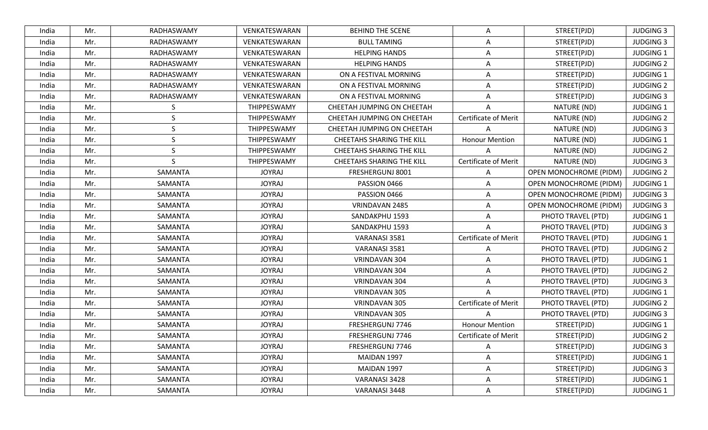| India | Mr. | RADHASWAMY | VENKATESWARAN | <b>BEHIND THE SCENE</b>          | A                           | STREET(PJD)                   | <b>JUDGING 3</b> |
|-------|-----|------------|---------------|----------------------------------|-----------------------------|-------------------------------|------------------|
| India | Mr. | RADHASWAMY | VENKATESWARAN | <b>BULL TAMING</b>               | Α                           | STREET(PJD)                   | <b>JUDGING 3</b> |
| India | Mr. | RADHASWAMY | VENKATESWARAN | <b>HELPING HANDS</b>             | A                           | STREET(PJD)                   | <b>JUDGING 1</b> |
| India | Mr. | RADHASWAMY | VENKATESWARAN | <b>HELPING HANDS</b>             | A                           | STREET(PJD)                   | <b>JUDGING 2</b> |
| India | Mr. | RADHASWAMY | VENKATESWARAN | ON A FESTIVAL MORNING            | A                           | STREET(PJD)                   | <b>JUDGING 1</b> |
| India | Mr. | RADHASWAMY | VENKATESWARAN | ON A FESTIVAL MORNING            | A                           | STREET(PJD)                   | <b>JUDGING 2</b> |
| India | Mr. | RADHASWAMY | VENKATESWARAN | ON A FESTIVAL MORNING            | A                           | STREET(PJD)                   | <b>JUDGING 3</b> |
| India | Mr. | S          | THIPPESWAMY   | CHEETAH JUMPING ON CHEETAH       | A                           | NATURE (ND)                   | <b>JUDGING 1</b> |
| India | Mr. | S          | THIPPESWAMY   | CHEETAH JUMPING ON CHEETAH       | Certificate of Merit        | NATURE (ND)                   | <b>JUDGING 2</b> |
| India | Mr. | S          | THIPPESWAMY   | CHEETAH JUMPING ON CHEETAH       | $\overline{A}$              | NATURE (ND)                   | <b>JUDGING 3</b> |
| India | Mr. | S          | THIPPESWAMY   | <b>CHEETAHS SHARING THE KILL</b> | <b>Honour Mention</b>       | NATURE (ND)                   | <b>JUDGING 1</b> |
| India | Mr. | S          | THIPPESWAMY   | <b>CHEETAHS SHARING THE KILL</b> | A                           | NATURE (ND)                   | <b>JUDGING 2</b> |
| India | Mr. | S          | THIPPESWAMY   | <b>CHEETAHS SHARING THE KILL</b> | <b>Certificate of Merit</b> | NATURE (ND)                   | <b>JUDGING 3</b> |
| India | Mr. | SAMANTA    | <b>JOYRAJ</b> | FRESHERGUNJ 8001                 | Α                           | OPEN MONOCHROME (PIDM)        | <b>JUDGING 2</b> |
| India | Mr. | SAMANTA    | <b>JOYRAJ</b> | PASSION 0466                     | A                           | OPEN MONOCHROME (PIDM)        | <b>JUDGING 1</b> |
| India | Mr. | SAMANTA    | <b>JOYRAJ</b> | PASSION 0466                     | Α                           | OPEN MONOCHROME (PIDM)        | <b>JUDGING 3</b> |
| India | Mr. | SAMANTA    | <b>JOYRAJ</b> | VRINDAVAN 2485                   | $\overline{A}$              | <b>OPEN MONOCHROME (PIDM)</b> | <b>JUDGING 3</b> |
| India | Mr. | SAMANTA    | <b>JOYRAJ</b> | SANDAKPHU 1593                   | A                           | PHOTO TRAVEL (PTD)            | <b>JUDGING 1</b> |
| India | Mr. | SAMANTA    | <b>JOYRAJ</b> | SANDAKPHU 1593                   | A                           | PHOTO TRAVEL (PTD)            | <b>JUDGING 3</b> |
| India | Mr. | SAMANTA    | <b>JOYRAJ</b> | VARANASI 3581                    | <b>Certificate of Merit</b> | PHOTO TRAVEL (PTD)            | <b>JUDGING 1</b> |
| India | Mr. | SAMANTA    | <b>JOYRAJ</b> | VARANASI 3581                    | A                           | PHOTO TRAVEL (PTD)            | <b>JUDGING 2</b> |
| India | Mr. | SAMANTA    | <b>JOYRAJ</b> | VRINDAVAN 304                    | $\overline{A}$              | PHOTO TRAVEL (PTD)            | <b>JUDGING 1</b> |
| India | Mr. | SAMANTA    | <b>JOYRAJ</b> | VRINDAVAN 304                    | A                           | PHOTO TRAVEL (PTD)            | <b>JUDGING 2</b> |
| India | Mr. | SAMANTA    | <b>JOYRAJ</b> | VRINDAVAN 304                    | $\overline{A}$              | PHOTO TRAVEL (PTD)            | <b>JUDGING 3</b> |
| India | Mr. | SAMANTA    | <b>JOYRAJ</b> | VRINDAVAN 305                    | A                           | PHOTO TRAVEL (PTD)            | <b>JUDGING 1</b> |
| India | Mr. | SAMANTA    | <b>JOYRAJ</b> | VRINDAVAN 305                    | Certificate of Merit        | PHOTO TRAVEL (PTD)            | <b>JUDGING 2</b> |
| India | Mr. | SAMANTA    | <b>JOYRAJ</b> | VRINDAVAN 305                    | A                           | PHOTO TRAVEL (PTD)            | <b>JUDGING 3</b> |
| India | Mr. | SAMANTA    | <b>JOYRAJ</b> | FRESHERGUNJ 7746                 | <b>Honour Mention</b>       | STREET(PJD)                   | <b>JUDGING 1</b> |
| India | Mr. | SAMANTA    | <b>JOYRAJ</b> | FRESHERGUNJ 7746                 | <b>Certificate of Merit</b> | STREET(PJD)                   | <b>JUDGING 2</b> |
| India | Mr. | SAMANTA    | <b>JOYRAJ</b> | FRESHERGUNJ 7746                 | Α                           | STREET(PJD)                   | <b>JUDGING 3</b> |
| India | Mr. | SAMANTA    | <b>JOYRAJ</b> | MAIDAN 1997                      | A                           | STREET(PJD)                   | <b>JUDGING 1</b> |
| India | Mr. | SAMANTA    | <b>JOYRAJ</b> | MAIDAN 1997                      | Α                           | STREET(PJD)                   | <b>JUDGING 3</b> |
| India | Mr. | SAMANTA    | <b>JOYRAJ</b> | VARANASI 3428                    | Α                           | STREET(PJD)                   | <b>JUDGING 1</b> |
| India | Mr. | SAMANTA    | <b>JOYRAJ</b> | VARANASI 3448                    | Α                           | STREET(PJD)                   | <b>JUDGING 1</b> |
|       |     |            |               |                                  |                             |                               |                  |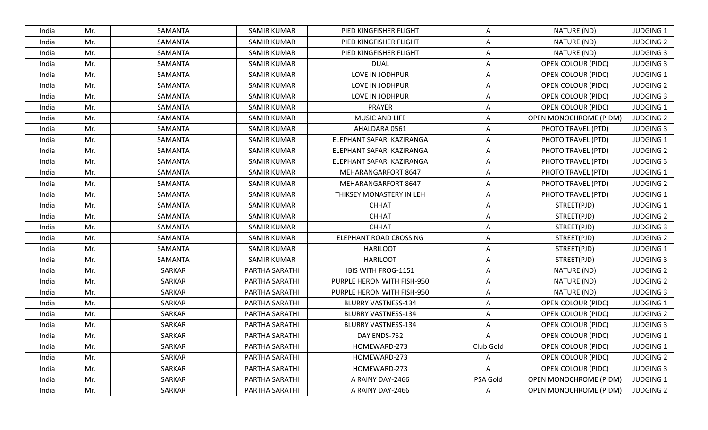| India | Mr. | SAMANTA | <b>SAMIR KUMAR</b> | PIED KINGFISHER FLIGHT     | A         | NATURE (ND)               | <b>JUDGING 1</b> |
|-------|-----|---------|--------------------|----------------------------|-----------|---------------------------|------------------|
| India | Mr. | SAMANTA | <b>SAMIR KUMAR</b> | PIED KINGFISHER FLIGHT     | A         | NATURE (ND)               | <b>JUDGING 2</b> |
| India | Mr. | SAMANTA | <b>SAMIR KUMAR</b> | PIED KINGFISHER FLIGHT     | A         | NATURE (ND)               | <b>JUDGING 3</b> |
| India | Mr. | SAMANTA | <b>SAMIR KUMAR</b> | <b>DUAL</b>                | Α         | <b>OPEN COLOUR (PIDC)</b> | <b>JUDGING 3</b> |
| India | Mr. | SAMANTA | <b>SAMIR KUMAR</b> | LOVE IN JODHPUR            | A         | <b>OPEN COLOUR (PIDC)</b> | <b>JUDGING 1</b> |
| India | Mr. | SAMANTA | <b>SAMIR KUMAR</b> | LOVE IN JODHPUR            | A         | OPEN COLOUR (PIDC)        | <b>JUDGING 2</b> |
| India | Mr. | SAMANTA | <b>SAMIR KUMAR</b> | LOVE IN JODHPUR            | A         | <b>OPEN COLOUR (PIDC)</b> | <b>JUDGING 3</b> |
| India | Mr. | SAMANTA | <b>SAMIR KUMAR</b> | <b>PRAYER</b>              | A         | <b>OPEN COLOUR (PIDC)</b> | <b>JUDGING 1</b> |
| India | Mr. | SAMANTA | <b>SAMIR KUMAR</b> | MUSIC AND LIFE             | Α         | OPEN MONOCHROME (PIDM)    | <b>JUDGING 2</b> |
| India | Mr. | SAMANTA | <b>SAMIR KUMAR</b> | AHALDARA 0561              | A         | PHOTO TRAVEL (PTD)        | <b>JUDGING 3</b> |
| India | Mr. | SAMANTA | <b>SAMIR KUMAR</b> | ELEPHANT SAFARI KAZIRANGA  | A         | PHOTO TRAVEL (PTD)        | <b>JUDGING 1</b> |
| India | Mr. | SAMANTA | <b>SAMIR KUMAR</b> | ELEPHANT SAFARI KAZIRANGA  | A         | PHOTO TRAVEL (PTD)        | <b>JUDGING 2</b> |
| India | Mr. | SAMANTA | <b>SAMIR KUMAR</b> | ELEPHANT SAFARI KAZIRANGA  | A         | PHOTO TRAVEL (PTD)        | <b>JUDGING 3</b> |
| India | Mr. | SAMANTA | <b>SAMIR KUMAR</b> | MEHARANGARFORT 8647        | A         | PHOTO TRAVEL (PTD)        | <b>JUDGING 1</b> |
| India | Mr. | SAMANTA | <b>SAMIR KUMAR</b> | MEHARANGARFORT 8647        | A         | PHOTO TRAVEL (PTD)        | <b>JUDGING 2</b> |
| India | Mr. | SAMANTA | <b>SAMIR KUMAR</b> | THIKSEY MONASTERY IN LEH   | Α         | PHOTO TRAVEL (PTD)        | <b>JUDGING 1</b> |
| India | Mr. | SAMANTA | <b>SAMIR KUMAR</b> | <b>CHHAT</b>               | A         | STREET(PJD)               | <b>JUDGING 1</b> |
| India | Mr. | SAMANTA | <b>SAMIR KUMAR</b> | <b>CHHAT</b>               | A         | STREET(PJD)               | <b>JUDGING 2</b> |
| India | Mr. | SAMANTA | <b>SAMIR KUMAR</b> | <b>CHHAT</b>               | A         | STREET(PJD)               | <b>JUDGING 3</b> |
| India | Mr. | SAMANTA | <b>SAMIR KUMAR</b> | ELEPHANT ROAD CROSSING     | Α         | STREET(PJD)               | <b>JUDGING 2</b> |
| India | Mr. | SAMANTA | <b>SAMIR KUMAR</b> | <b>HARILOOT</b>            | Α         | STREET(PJD)               | <b>JUDGING 1</b> |
| India | Mr. | SAMANTA | <b>SAMIR KUMAR</b> | <b>HARILOOT</b>            | A         | STREET(PJD)               | <b>JUDGING 3</b> |
| India | Mr. | SARKAR  | PARTHA SARATHI     | IBIS WITH FROG-1151        | Α         | NATURE (ND)               | <b>JUDGING 2</b> |
| India | Mr. | SARKAR  | PARTHA SARATHI     | PURPLE HERON WITH FISH-950 | A         | NATURE (ND)               | <b>JUDGING 2</b> |
| India | Mr. | SARKAR  | PARTHA SARATHI     | PURPLE HERON WITH FISH-950 | A         | NATURE (ND)               | <b>JUDGING 3</b> |
| India | Mr. | SARKAR  | PARTHA SARATHI     | <b>BLURRY VASTNESS-134</b> | Α         | OPEN COLOUR (PIDC)        | <b>JUDGING 1</b> |
| India | Mr. | SARKAR  | PARTHA SARATHI     | <b>BLURRY VASTNESS-134</b> | A         | OPEN COLOUR (PIDC)        | <b>JUDGING 2</b> |
| India | Mr. | SARKAR  | PARTHA SARATHI     | <b>BLURRY VASTNESS-134</b> | A         | OPEN COLOUR (PIDC)        | <b>JUDGING 3</b> |
| India | Mr. | SARKAR  | PARTHA SARATHI     | DAY ENDS-752               | A         | <b>OPEN COLOUR (PIDC)</b> | <b>JUDGING 1</b> |
| India | Mr. | SARKAR  | PARTHA SARATHI     | HOMEWARD-273               | Club Gold | <b>OPEN COLOUR (PIDC)</b> | <b>JUDGING 1</b> |
| India | Mr. | SARKAR  | PARTHA SARATHI     | HOMEWARD-273               | A         | <b>OPEN COLOUR (PIDC)</b> | <b>JUDGING 2</b> |
| India | Mr. | SARKAR  | PARTHA SARATHI     | HOMEWARD-273               | A         | <b>OPEN COLOUR (PIDC)</b> | <b>JUDGING 3</b> |
| India | Mr. | SARKAR  | PARTHA SARATHI     | A RAINY DAY-2466           | PSA Gold  | OPEN MONOCHROME (PIDM)    | <b>JUDGING 1</b> |
| India | Mr. | SARKAR  | PARTHA SARATHI     | A RAINY DAY-2466           | A         | OPEN MONOCHROME (PIDM)    | <b>JUDGING 2</b> |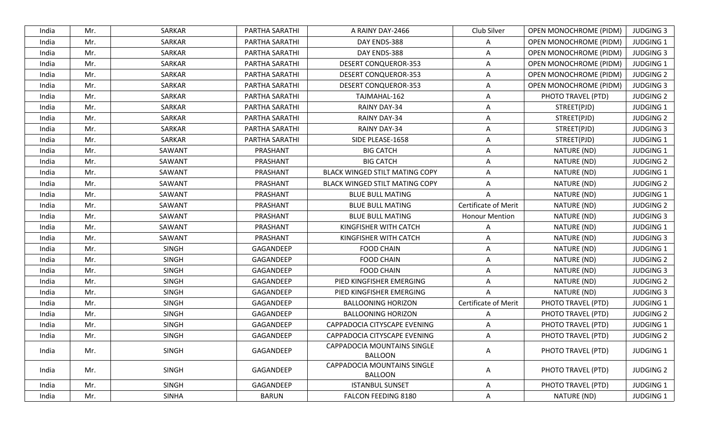|       |     |               | PARTHA SARATHI | A RAINY DAY-2466                              | Club Silver                 | <b>OPEN MONOCHROME (PIDM)</b> | <b>JUDGING 3</b> |
|-------|-----|---------------|----------------|-----------------------------------------------|-----------------------------|-------------------------------|------------------|
| India | Mr. | <b>SARKAR</b> | PARTHA SARATHI | DAY ENDS-388                                  | A                           | <b>OPEN MONOCHROME (PIDM)</b> | <b>JUDGING 1</b> |
| India | Mr. | SARKAR        | PARTHA SARATHI | DAY ENDS-388                                  | A                           | <b>OPEN MONOCHROME (PIDM)</b> | <b>JUDGING 3</b> |
| India | Mr. | SARKAR        | PARTHA SARATHI | <b>DESERT CONQUEROR-353</b>                   | $\Delta$                    | OPEN MONOCHROME (PIDM)        | <b>JUDGING 1</b> |
| India | Mr. | <b>SARKAR</b> | PARTHA SARATHI | <b>DESERT CONQUEROR-353</b>                   | $\overline{A}$              | <b>OPEN MONOCHROME (PIDM)</b> | <b>JUDGING 2</b> |
| India | Mr. | SARKAR        | PARTHA SARATHI | <b>DESERT CONQUEROR-353</b>                   | A                           | <b>OPEN MONOCHROME (PIDM)</b> | <b>JUDGING 3</b> |
| India | Mr. | SARKAR        | PARTHA SARATHI | TAJMAHAL-162                                  | A                           | PHOTO TRAVEL (PTD)            | <b>JUDGING 2</b> |
| India | Mr. | SARKAR        | PARTHA SARATHI | RAINY DAY-34                                  | A                           | STREET(PJD)                   | <b>JUDGING 1</b> |
| India | Mr. | SARKAR        | PARTHA SARATHI | RAINY DAY-34                                  | A                           | STREET(PJD)                   | <b>JUDGING 2</b> |
| India | Mr. | SARKAR        | PARTHA SARATHI | RAINY DAY-34                                  | A                           | STREET(PJD)                   | <b>JUDGING 3</b> |
| India | Mr. | SARKAR        | PARTHA SARATHI | SIDE PLEASE-1658                              | A                           | STREET(PJD)                   | <b>JUDGING 1</b> |
| India | Mr. | SAWANT        | PRASHANT       | <b>BIG CATCH</b>                              | $\overline{A}$              | NATURE (ND)                   | <b>JUDGING 1</b> |
| India | Mr. | SAWANT        | PRASHANT       | <b>BIG CATCH</b>                              | $\Delta$                    | NATURE (ND)                   | <b>JUDGING 2</b> |
| India | Mr. | SAWANT        | PRASHANT       | BLACK WINGED STILT MATING COPY                | A                           | NATURE (ND)                   | <b>JUDGING 1</b> |
| India | Mr. | SAWANT        | PRASHANT       | <b>BLACK WINGED STILT MATING COPY</b>         | A                           | NATURE (ND)                   | <b>JUDGING 2</b> |
| India | Mr. | SAWANT        | PRASHANT       | <b>BLUE BULL MATING</b>                       | A                           | NATURE (ND)                   | <b>JUDGING 1</b> |
| India | Mr. | SAWANT        | PRASHANT       | <b>BLUE BULL MATING</b>                       | <b>Certificate of Merit</b> | NATURE (ND)                   | <b>JUDGING 2</b> |
| India | Mr. | SAWANT        | PRASHANT       | <b>BLUE BULL MATING</b>                       | <b>Honour Mention</b>       | NATURE (ND)                   | <b>JUDGING 3</b> |
| India | Mr. | SAWANT        | PRASHANT       | KINGFISHER WITH CATCH                         | $\overline{A}$              | NATURE (ND)                   | <b>JUDGING 1</b> |
| India | Mr. | SAWANT        | PRASHANT       | KINGFISHER WITH CATCH                         | A                           | NATURE (ND)                   | <b>JUDGING 3</b> |
| India | Mr. | <b>SINGH</b>  | GAGANDEEP      | <b>FOOD CHAIN</b>                             | A                           | NATURE (ND)                   | <b>JUDGING 1</b> |
| India | Mr. | <b>SINGH</b>  | GAGANDEEP      | <b>FOOD CHAIN</b>                             | A                           | NATURE (ND)                   | <b>JUDGING 2</b> |
| India | Mr. | <b>SINGH</b>  | GAGANDEEP      | <b>FOOD CHAIN</b>                             | A                           | NATURE (ND)                   | <b>JUDGING 3</b> |
| India | Mr. | <b>SINGH</b>  | GAGANDEEP      | PIED KINGFISHER EMERGING                      | A                           | NATURE (ND)                   | <b>JUDGING 2</b> |
| India | Mr. | <b>SINGH</b>  | GAGANDEEP      | PIED KINGFISHER EMERGING                      |                             | NATURE (ND)                   | <b>JUDGING 3</b> |
| India | Mr. | <b>SINGH</b>  | GAGANDEEP      | <b>BALLOONING HORIZON</b>                     | Certificate of Merit        | PHOTO TRAVEL (PTD)            | <b>JUDGING 1</b> |
| India | Mr. | <b>SINGH</b>  | GAGANDEEP      | <b>BALLOONING HORIZON</b>                     | A                           | PHOTO TRAVEL (PTD)            | <b>JUDGING 2</b> |
| India | Mr. | <b>SINGH</b>  | GAGANDEEP      | CAPPADOCIA CITYSCAPE EVENING                  | $\overline{A}$              | PHOTO TRAVEL (PTD)            | <b>JUDGING 1</b> |
| India | Mr. | <b>SINGH</b>  | GAGANDEEP      | CAPPADOCIA CITYSCAPE EVENING                  | A                           | PHOTO TRAVEL (PTD)            | <b>JUDGING 2</b> |
| India | Mr. | <b>SINGH</b>  | GAGANDEEP      | CAPPADOCIA MOUNTAINS SINGLE<br><b>BALLOON</b> | A                           | PHOTO TRAVEL (PTD)            | <b>JUDGING 1</b> |
| India | Mr. | <b>SINGH</b>  | GAGANDEEP      | CAPPADOCIA MOUNTAINS SINGLE<br><b>BALLOON</b> | A                           | PHOTO TRAVEL (PTD)            | <b>JUDGING 2</b> |
| India | Mr. | <b>SINGH</b>  | GAGANDEEP      | <b>ISTANBUL SUNSET</b>                        | A                           | PHOTO TRAVEL (PTD)            | JUDGING 1        |
| India | Mr. | <b>SINHA</b>  | <b>BARUN</b>   | FALCON FEEDING 8180                           | A                           | NATURE (ND)                   | JUDGING 1        |
|       |     |               |                |                                               |                             |                               |                  |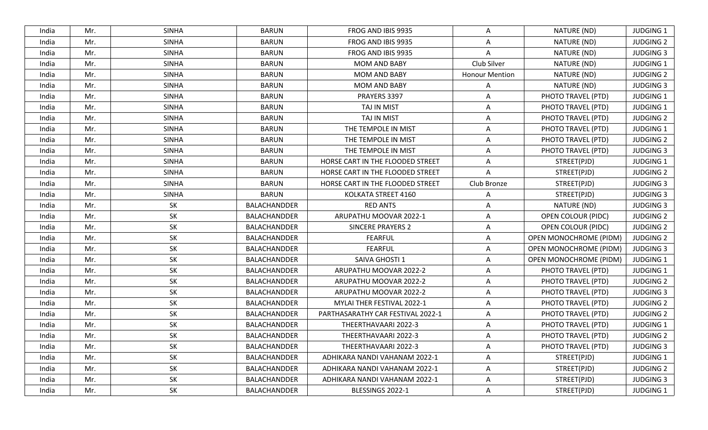| India | Mr. | <b>SINHA</b> | <b>BARUN</b>        | FROG AND IBIS 9935                | A                     | NATURE (ND)                   | <b>JUDGING 1</b> |
|-------|-----|--------------|---------------------|-----------------------------------|-----------------------|-------------------------------|------------------|
| India | Mr. | <b>SINHA</b> | <b>BARUN</b>        | FROG AND IBIS 9935                | A                     | NATURE (ND)                   | <b>JUDGING 2</b> |
| India | Mr. | <b>SINHA</b> | <b>BARUN</b>        | FROG AND IBIS 9935                | A                     | NATURE (ND)                   | <b>JUDGING 3</b> |
| India | Mr. | <b>SINHA</b> | <b>BARUN</b>        | <b>MOM AND BABY</b>               | Club Silver           | NATURE (ND)                   | <b>JUDGING 1</b> |
| India | Mr. | <b>SINHA</b> | <b>BARUN</b>        | <b>MOM AND BABY</b>               | <b>Honour Mention</b> | NATURE (ND)                   | <b>JUDGING 2</b> |
| India | Mr. | <b>SINHA</b> | <b>BARUN</b>        | <b>MOM AND BABY</b>               | A                     | NATURE (ND)                   | <b>JUDGING 3</b> |
| India | Mr. | <b>SINHA</b> | <b>BARUN</b>        | PRAYERS 3397                      | A                     | PHOTO TRAVEL (PTD)            | <b>JUDGING 1</b> |
| India | Mr. | <b>SINHA</b> | <b>BARUN</b>        | TAJ IN MIST                       | A                     | PHOTO TRAVEL (PTD)            | <b>JUDGING 1</b> |
| India | Mr. | <b>SINHA</b> | <b>BARUN</b>        | TAJ IN MIST                       | Α                     | PHOTO TRAVEL (PTD)            | <b>JUDGING 2</b> |
| India | Mr. | <b>SINHA</b> | <b>BARUN</b>        | THE TEMPOLE IN MIST               | A                     | PHOTO TRAVEL (PTD)            | <b>JUDGING 1</b> |
| India | Mr. | <b>SINHA</b> | <b>BARUN</b>        | THE TEMPOLE IN MIST               | A                     | PHOTO TRAVEL (PTD)            | <b>JUDGING 2</b> |
| India | Mr. | <b>SINHA</b> | <b>BARUN</b>        | THE TEMPOLE IN MIST               | Α                     | PHOTO TRAVEL (PTD)            | <b>JUDGING 3</b> |
| India | Mr. | <b>SINHA</b> | <b>BARUN</b>        | HORSE CART IN THE FLOODED STREET  | A                     | STREET(PJD)                   | <b>JUDGING 1</b> |
| India | Mr. | <b>SINHA</b> | <b>BARUN</b>        | HORSE CART IN THE FLOODED STREET  | A                     | STREET(PJD)                   | <b>JUDGING 2</b> |
| India | Mr. | <b>SINHA</b> | <b>BARUN</b>        | HORSE CART IN THE FLOODED STREET  | Club Bronze           | STREET(PJD)                   | <b>JUDGING 3</b> |
| India | Mr. | <b>SINHA</b> | <b>BARUN</b>        | KOLKATA STREET 4160               | A                     | STREET(PJD)                   | <b>JUDGING 3</b> |
| India | Mr. | SK           | BALACHANDDER        | RED ANTS                          | A                     | NATURE (ND)                   | <b>JUDGING 3</b> |
| India | Mr. | SK           | <b>BALACHANDDER</b> | ARUPATHU MOOVAR 2022-1            | A                     | <b>OPEN COLOUR (PIDC)</b>     | <b>JUDGING 2</b> |
| India | Mr. | SK           | BALACHANDDER        | <b>SINCERE PRAYERS 2</b>          | Α                     | OPEN COLOUR (PIDC)            | <b>JUDGING 2</b> |
| India | Mr. | <b>SK</b>    | BALACHANDDER        | <b>FEARFUL</b>                    | A                     | <b>OPEN MONOCHROME (PIDM)</b> | <b>JUDGING 2</b> |
| India | Mr. | SK           | BALACHANDDER        | <b>FEARFUL</b>                    | A                     | <b>OPEN MONOCHROME (PIDM)</b> | <b>JUDGING 3</b> |
| India | Mr. | <b>SK</b>    | BALACHANDDER        | SAIVA GHOSTI 1                    | A                     | <b>OPEN MONOCHROME (PIDM)</b> | <b>JUDGING 1</b> |
| India | Mr. | SK           | BALACHANDDER        | ARUPATHU MOOVAR 2022-2            | A                     | PHOTO TRAVEL (PTD)            | <b>JUDGING 1</b> |
| India | Mr. | <b>SK</b>    | BALACHANDDER        | ARUPATHU MOOVAR 2022-2            | Α                     | PHOTO TRAVEL (PTD)            | <b>JUDGING 2</b> |
| India | Mr. | SK           | BALACHANDDER        | ARUPATHU MOOVAR 2022-2            | A                     | PHOTO TRAVEL (PTD)            | <b>JUDGING 3</b> |
| India | Mr. | SK           | BALACHANDDER        | MYLAI THER FESTIVAL 2022-1        | Α                     | PHOTO TRAVEL (PTD)            | <b>JUDGING 2</b> |
| India | Mr. | SK           | BALACHANDDER        | PARTHASARATHY CAR FESTIVAL 2022-1 | A                     | PHOTO TRAVEL (PTD)            | <b>JUDGING 2</b> |
| India | Mr. | SK           | BALACHANDDER        | THEERTHAVAARI 2022-3              | A                     | PHOTO TRAVEL (PTD)            | <b>JUDGING 1</b> |
| India | Mr. | SK           | BALACHANDDER        | THEERTHAVAARI 2022-3              | A                     | PHOTO TRAVEL (PTD)            | <b>JUDGING 2</b> |
| India | Mr. | <b>SK</b>    | BALACHANDDER        | THEERTHAVAARI 2022-3              | A                     | PHOTO TRAVEL (PTD)            | <b>JUDGING 3</b> |
| India | Mr. | SK           | BALACHANDDER        | ADHIKARA NANDI VAHANAM 2022-1     | Α                     | STREET(PJD)                   | <b>JUDGING 1</b> |
| India | Mr. | SK           | BALACHANDDER        | ADHIKARA NANDI VAHANAM 2022-1     | Α                     | STREET(PJD)                   | <b>JUDGING 2</b> |
| India | Mr. | SK           | BALACHANDDER        | ADHIKARA NANDI VAHANAM 2022-1     | A                     | STREET(PJD)                   | <b>JUDGING 3</b> |
| India | Mr. | SK           | BALACHANDDER        | BLESSINGS 2022-1                  | A                     | STREET(PJD)                   | JUDGING 1        |
|       |     |              |                     |                                   |                       |                               |                  |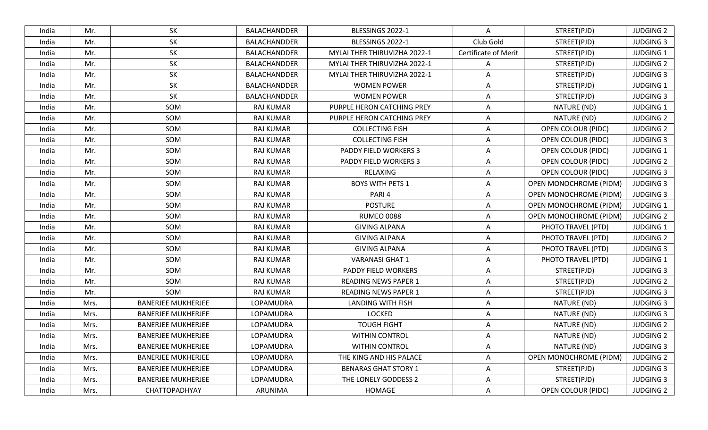| <b>SK</b><br><b>JUDGING 2</b><br>India<br>Mr.<br>BALACHANDDER<br>BLESSINGS 2022-1<br>A<br>STREET(PJD)<br>SK<br>Club Gold<br>BLESSINGS 2022-1<br>STREET(PJD)<br><b>JUDGING 3</b><br>India<br>Mr.<br>BALACHANDDER<br><b>SK</b><br><b>Certificate of Merit</b><br>BALACHANDDER<br>MYLAI THER THIRUVIZHA 2022-1<br>STREET(PJD)<br><b>JUDGING 1</b><br>India<br>Mr.<br>Mr.<br>SK<br><b>JUDGING 2</b><br>India<br>BALACHANDDER<br>MYLAI THER THIRUVIZHA 2022-1<br>STREET(PJD)<br>A<br>SK<br><b>JUDGING 3</b><br>Mr.<br>BALACHANDDER<br>MYLAI THER THIRUVIZHA 2022-1<br>A<br>STREET(PJD)<br>India<br>SK<br>Mr.<br>STREET(PJD)<br><b>JUDGING 1</b><br>India<br>BALACHANDDER<br><b>WOMEN POWER</b><br>A<br>SK<br><b>JUDGING 3</b><br>India<br>Mr.<br>BALACHANDDER<br><b>WOMEN POWER</b><br>A<br>STREET(PJD)<br>SOM<br>PURPLE HERON CATCHING PREY<br>NATURE (ND)<br><b>JUDGING 1</b><br>India<br>Mr.<br><b>RAJ KUMAR</b><br>A<br>SOM<br><b>JUDGING 2</b><br>India<br>Mr.<br><b>RAJ KUMAR</b><br>PURPLE HERON CATCHING PREY<br>A<br>NATURE (ND)<br>SOM<br>India<br>Mr.<br><b>RAJ KUMAR</b><br><b>COLLECTING FISH</b><br><b>OPEN COLOUR (PIDC)</b><br><b>JUDGING 2</b><br>A<br>SOM<br><b>COLLECTING FISH</b><br><b>OPEN COLOUR (PIDC)</b><br><b>JUDGING 3</b><br>India<br>Mr.<br><b>RAJ KUMAR</b><br>A<br>SOM<br><b>JUDGING 1</b><br>India<br>Mr.<br>RAJ KUMAR<br>PADDY FIELD WORKERS 3<br>A<br><b>OPEN COLOUR (PIDC)</b><br>SOM<br><b>JUDGING 2</b><br>India<br>Mr.<br><b>RAJ KUMAR</b><br>PADDY FIELD WORKERS 3<br>A<br>OPEN COLOUR (PIDC)<br>SOM<br><b>OPEN COLOUR (PIDC)</b><br><b>JUDGING 3</b><br>India<br>Mr.<br><b>RAJ KUMAR</b><br>RELAXING<br>A<br>SOM<br><b>BOYS WITH PETS 1</b><br><b>JUDGING 3</b><br><b>RAJ KUMAR</b><br>OPEN MONOCHROME (PIDM)<br>India<br>Mr.<br>$\Delta$<br>SOM<br><b>OPEN MONOCHROME (PIDM)</b><br><b>JUDGING 3</b><br>India<br>Mr.<br><b>RAJ KUMAR</b><br>PARI <sub>4</sub><br>$\Delta$<br>SOM<br>Mr.<br><b>POSTURE</b><br><b>OPEN MONOCHROME (PIDM)</b><br><b>JUDGING 1</b><br>India<br><b>RAJ KUMAR</b><br>A<br>SOM<br><b>RUMEO 0088</b><br>India<br>Mr.<br><b>RAJ KUMAR</b><br><b>OPEN MONOCHROME (PIDM)</b><br><b>JUDGING 2</b><br>A<br>SOM<br><b>GIVING ALPANA</b><br>A<br><b>JUDGING 1</b><br>India<br>Mr.<br><b>RAJ KUMAR</b><br>PHOTO TRAVEL (PTD)<br>SOM<br><b>GIVING ALPANA</b><br><b>JUDGING 2</b><br>India<br>Mr.<br><b>RAJ KUMAR</b><br>A<br>PHOTO TRAVEL (PTD)<br>SOM<br>PHOTO TRAVEL (PTD)<br>India<br>Mr.<br><b>RAJ KUMAR</b><br><b>GIVING ALPANA</b><br><b>JUDGING 3</b><br>A<br><b>JUDGING 1</b><br>Mr.<br>SOM<br><b>RAJ KUMAR</b><br><b>VARANASI GHAT 1</b><br>PHOTO TRAVEL (PTD)<br>India<br>A<br>SOM<br>STREET(PJD)<br><b>JUDGING 3</b><br>India<br>Mr.<br><b>RAJ KUMAR</b><br>PADDY FIELD WORKERS<br>A<br>SOM<br>Mr.<br>A<br>STREET(PJD)<br><b>JUDGING 2</b><br>India<br>RAJ KUMAR<br><b>READING NEWS PAPER 1</b><br>SOM<br>STREET(PJD)<br><b>JUDGING 3</b><br>Mr.<br>RAJ KUMAR<br><b>READING NEWS PAPER 1</b><br>A<br>India<br><b>BANERJEE MUKHERJEE</b><br><b>JUDGING 3</b><br>Mrs.<br>LOPAMUDRA<br><b>LANDING WITH FISH</b><br>A<br>NATURE (ND)<br>India<br><b>LOCKED</b><br>NATURE (ND)<br><b>JUDGING 3</b><br>India<br>Mrs.<br><b>BANERJEE MUKHERJEE</b><br>LOPAMUDRA<br>A<br><b>BANERJEE MUKHERJEE</b><br>LOPAMUDRA<br><b>TOUGH FIGHT</b><br>NATURE (ND)<br><b>JUDGING 2</b><br>India<br>Mrs.<br>A<br><b>JUDGING 2</b><br><b>WITHIN CONTROL</b><br>NATURE (ND)<br>India<br><b>BANERJEE MUKHERJEE</b><br>LOPAMUDRA<br>A<br>Mrs.<br><b>JUDGING 3</b><br>India<br><b>BANERJEE MUKHERJEE</b><br>LOPAMUDRA<br><b>WITHIN CONTROL</b><br>NATURE (ND)<br>Mrs.<br>A<br>OPEN MONOCHROME (PIDM)<br><b>JUDGING 2</b><br>India<br>Mrs.<br><b>BANERJEE MUKHERJEE</b><br>LOPAMUDRA<br>THE KING AND HIS PALACE<br>A<br><b>BENARAS GHAT STORY 1</b><br>STREET(PJD)<br><b>JUDGING 3</b><br>India<br>Mrs.<br><b>BANERJEE MUKHERJEE</b><br>LOPAMUDRA<br>A<br>STREET(PJD)<br><b>JUDGING 3</b><br>India<br>Mrs.<br><b>BANERJEE MUKHERJEE</b><br>LOPAMUDRA<br>THE LONELY GODDESS 2<br>A<br><b>JUDGING 2</b><br>CHATTOPADHYAY<br>ARUNIMA<br>HOMAGE<br><b>OPEN COLOUR (PIDC)</b><br>India<br>Mrs.<br>A |  |  |  |  |
|----------------------------------------------------------------------------------------------------------------------------------------------------------------------------------------------------------------------------------------------------------------------------------------------------------------------------------------------------------------------------------------------------------------------------------------------------------------------------------------------------------------------------------------------------------------------------------------------------------------------------------------------------------------------------------------------------------------------------------------------------------------------------------------------------------------------------------------------------------------------------------------------------------------------------------------------------------------------------------------------------------------------------------------------------------------------------------------------------------------------------------------------------------------------------------------------------------------------------------------------------------------------------------------------------------------------------------------------------------------------------------------------------------------------------------------------------------------------------------------------------------------------------------------------------------------------------------------------------------------------------------------------------------------------------------------------------------------------------------------------------------------------------------------------------------------------------------------------------------------------------------------------------------------------------------------------------------------------------------------------------------------------------------------------------------------------------------------------------------------------------------------------------------------------------------------------------------------------------------------------------------------------------------------------------------------------------------------------------------------------------------------------------------------------------------------------------------------------------------------------------------------------------------------------------------------------------------------------------------------------------------------------------------------------------------------------------------------------------------------------------------------------------------------------------------------------------------------------------------------------------------------------------------------------------------------------------------------------------------------------------------------------------------------------------------------------------------------------------------------------------------------------------------------------------------------------------------------------------------------------------------------------------------------------------------------------------------------------------------------------------------------------------------------------------------------------------------------------------------------------------------------------------------------------------------------------------------------------------------------------------------------------------------------------------------------------------------------------------------------------------------------------------------------------------------------------------------------------------------------------------------------------------------------------------------------------------------------------------------------------------------------------------------------------------------------------------------------------------------------------------------|--|--|--|--|
|                                                                                                                                                                                                                                                                                                                                                                                                                                                                                                                                                                                                                                                                                                                                                                                                                                                                                                                                                                                                                                                                                                                                                                                                                                                                                                                                                                                                                                                                                                                                                                                                                                                                                                                                                                                                                                                                                                                                                                                                                                                                                                                                                                                                                                                                                                                                                                                                                                                                                                                                                                                                                                                                                                                                                                                                                                                                                                                                                                                                                                                                                                                                                                                                                                                                                                                                                                                                                                                                                                                                                                                                                                                                                                                                                                                                                                                                                                                                                                                                                                                                                                                                  |  |  |  |  |
|                                                                                                                                                                                                                                                                                                                                                                                                                                                                                                                                                                                                                                                                                                                                                                                                                                                                                                                                                                                                                                                                                                                                                                                                                                                                                                                                                                                                                                                                                                                                                                                                                                                                                                                                                                                                                                                                                                                                                                                                                                                                                                                                                                                                                                                                                                                                                                                                                                                                                                                                                                                                                                                                                                                                                                                                                                                                                                                                                                                                                                                                                                                                                                                                                                                                                                                                                                                                                                                                                                                                                                                                                                                                                                                                                                                                                                                                                                                                                                                                                                                                                                                                  |  |  |  |  |
|                                                                                                                                                                                                                                                                                                                                                                                                                                                                                                                                                                                                                                                                                                                                                                                                                                                                                                                                                                                                                                                                                                                                                                                                                                                                                                                                                                                                                                                                                                                                                                                                                                                                                                                                                                                                                                                                                                                                                                                                                                                                                                                                                                                                                                                                                                                                                                                                                                                                                                                                                                                                                                                                                                                                                                                                                                                                                                                                                                                                                                                                                                                                                                                                                                                                                                                                                                                                                                                                                                                                                                                                                                                                                                                                                                                                                                                                                                                                                                                                                                                                                                                                  |  |  |  |  |
|                                                                                                                                                                                                                                                                                                                                                                                                                                                                                                                                                                                                                                                                                                                                                                                                                                                                                                                                                                                                                                                                                                                                                                                                                                                                                                                                                                                                                                                                                                                                                                                                                                                                                                                                                                                                                                                                                                                                                                                                                                                                                                                                                                                                                                                                                                                                                                                                                                                                                                                                                                                                                                                                                                                                                                                                                                                                                                                                                                                                                                                                                                                                                                                                                                                                                                                                                                                                                                                                                                                                                                                                                                                                                                                                                                                                                                                                                                                                                                                                                                                                                                                                  |  |  |  |  |
|                                                                                                                                                                                                                                                                                                                                                                                                                                                                                                                                                                                                                                                                                                                                                                                                                                                                                                                                                                                                                                                                                                                                                                                                                                                                                                                                                                                                                                                                                                                                                                                                                                                                                                                                                                                                                                                                                                                                                                                                                                                                                                                                                                                                                                                                                                                                                                                                                                                                                                                                                                                                                                                                                                                                                                                                                                                                                                                                                                                                                                                                                                                                                                                                                                                                                                                                                                                                                                                                                                                                                                                                                                                                                                                                                                                                                                                                                                                                                                                                                                                                                                                                  |  |  |  |  |
|                                                                                                                                                                                                                                                                                                                                                                                                                                                                                                                                                                                                                                                                                                                                                                                                                                                                                                                                                                                                                                                                                                                                                                                                                                                                                                                                                                                                                                                                                                                                                                                                                                                                                                                                                                                                                                                                                                                                                                                                                                                                                                                                                                                                                                                                                                                                                                                                                                                                                                                                                                                                                                                                                                                                                                                                                                                                                                                                                                                                                                                                                                                                                                                                                                                                                                                                                                                                                                                                                                                                                                                                                                                                                                                                                                                                                                                                                                                                                                                                                                                                                                                                  |  |  |  |  |
|                                                                                                                                                                                                                                                                                                                                                                                                                                                                                                                                                                                                                                                                                                                                                                                                                                                                                                                                                                                                                                                                                                                                                                                                                                                                                                                                                                                                                                                                                                                                                                                                                                                                                                                                                                                                                                                                                                                                                                                                                                                                                                                                                                                                                                                                                                                                                                                                                                                                                                                                                                                                                                                                                                                                                                                                                                                                                                                                                                                                                                                                                                                                                                                                                                                                                                                                                                                                                                                                                                                                                                                                                                                                                                                                                                                                                                                                                                                                                                                                                                                                                                                                  |  |  |  |  |
|                                                                                                                                                                                                                                                                                                                                                                                                                                                                                                                                                                                                                                                                                                                                                                                                                                                                                                                                                                                                                                                                                                                                                                                                                                                                                                                                                                                                                                                                                                                                                                                                                                                                                                                                                                                                                                                                                                                                                                                                                                                                                                                                                                                                                                                                                                                                                                                                                                                                                                                                                                                                                                                                                                                                                                                                                                                                                                                                                                                                                                                                                                                                                                                                                                                                                                                                                                                                                                                                                                                                                                                                                                                                                                                                                                                                                                                                                                                                                                                                                                                                                                                                  |  |  |  |  |
|                                                                                                                                                                                                                                                                                                                                                                                                                                                                                                                                                                                                                                                                                                                                                                                                                                                                                                                                                                                                                                                                                                                                                                                                                                                                                                                                                                                                                                                                                                                                                                                                                                                                                                                                                                                                                                                                                                                                                                                                                                                                                                                                                                                                                                                                                                                                                                                                                                                                                                                                                                                                                                                                                                                                                                                                                                                                                                                                                                                                                                                                                                                                                                                                                                                                                                                                                                                                                                                                                                                                                                                                                                                                                                                                                                                                                                                                                                                                                                                                                                                                                                                                  |  |  |  |  |
|                                                                                                                                                                                                                                                                                                                                                                                                                                                                                                                                                                                                                                                                                                                                                                                                                                                                                                                                                                                                                                                                                                                                                                                                                                                                                                                                                                                                                                                                                                                                                                                                                                                                                                                                                                                                                                                                                                                                                                                                                                                                                                                                                                                                                                                                                                                                                                                                                                                                                                                                                                                                                                                                                                                                                                                                                                                                                                                                                                                                                                                                                                                                                                                                                                                                                                                                                                                                                                                                                                                                                                                                                                                                                                                                                                                                                                                                                                                                                                                                                                                                                                                                  |  |  |  |  |
|                                                                                                                                                                                                                                                                                                                                                                                                                                                                                                                                                                                                                                                                                                                                                                                                                                                                                                                                                                                                                                                                                                                                                                                                                                                                                                                                                                                                                                                                                                                                                                                                                                                                                                                                                                                                                                                                                                                                                                                                                                                                                                                                                                                                                                                                                                                                                                                                                                                                                                                                                                                                                                                                                                                                                                                                                                                                                                                                                                                                                                                                                                                                                                                                                                                                                                                                                                                                                                                                                                                                                                                                                                                                                                                                                                                                                                                                                                                                                                                                                                                                                                                                  |  |  |  |  |
|                                                                                                                                                                                                                                                                                                                                                                                                                                                                                                                                                                                                                                                                                                                                                                                                                                                                                                                                                                                                                                                                                                                                                                                                                                                                                                                                                                                                                                                                                                                                                                                                                                                                                                                                                                                                                                                                                                                                                                                                                                                                                                                                                                                                                                                                                                                                                                                                                                                                                                                                                                                                                                                                                                                                                                                                                                                                                                                                                                                                                                                                                                                                                                                                                                                                                                                                                                                                                                                                                                                                                                                                                                                                                                                                                                                                                                                                                                                                                                                                                                                                                                                                  |  |  |  |  |
|                                                                                                                                                                                                                                                                                                                                                                                                                                                                                                                                                                                                                                                                                                                                                                                                                                                                                                                                                                                                                                                                                                                                                                                                                                                                                                                                                                                                                                                                                                                                                                                                                                                                                                                                                                                                                                                                                                                                                                                                                                                                                                                                                                                                                                                                                                                                                                                                                                                                                                                                                                                                                                                                                                                                                                                                                                                                                                                                                                                                                                                                                                                                                                                                                                                                                                                                                                                                                                                                                                                                                                                                                                                                                                                                                                                                                                                                                                                                                                                                                                                                                                                                  |  |  |  |  |
|                                                                                                                                                                                                                                                                                                                                                                                                                                                                                                                                                                                                                                                                                                                                                                                                                                                                                                                                                                                                                                                                                                                                                                                                                                                                                                                                                                                                                                                                                                                                                                                                                                                                                                                                                                                                                                                                                                                                                                                                                                                                                                                                                                                                                                                                                                                                                                                                                                                                                                                                                                                                                                                                                                                                                                                                                                                                                                                                                                                                                                                                                                                                                                                                                                                                                                                                                                                                                                                                                                                                                                                                                                                                                                                                                                                                                                                                                                                                                                                                                                                                                                                                  |  |  |  |  |
|                                                                                                                                                                                                                                                                                                                                                                                                                                                                                                                                                                                                                                                                                                                                                                                                                                                                                                                                                                                                                                                                                                                                                                                                                                                                                                                                                                                                                                                                                                                                                                                                                                                                                                                                                                                                                                                                                                                                                                                                                                                                                                                                                                                                                                                                                                                                                                                                                                                                                                                                                                                                                                                                                                                                                                                                                                                                                                                                                                                                                                                                                                                                                                                                                                                                                                                                                                                                                                                                                                                                                                                                                                                                                                                                                                                                                                                                                                                                                                                                                                                                                                                                  |  |  |  |  |
|                                                                                                                                                                                                                                                                                                                                                                                                                                                                                                                                                                                                                                                                                                                                                                                                                                                                                                                                                                                                                                                                                                                                                                                                                                                                                                                                                                                                                                                                                                                                                                                                                                                                                                                                                                                                                                                                                                                                                                                                                                                                                                                                                                                                                                                                                                                                                                                                                                                                                                                                                                                                                                                                                                                                                                                                                                                                                                                                                                                                                                                                                                                                                                                                                                                                                                                                                                                                                                                                                                                                                                                                                                                                                                                                                                                                                                                                                                                                                                                                                                                                                                                                  |  |  |  |  |
|                                                                                                                                                                                                                                                                                                                                                                                                                                                                                                                                                                                                                                                                                                                                                                                                                                                                                                                                                                                                                                                                                                                                                                                                                                                                                                                                                                                                                                                                                                                                                                                                                                                                                                                                                                                                                                                                                                                                                                                                                                                                                                                                                                                                                                                                                                                                                                                                                                                                                                                                                                                                                                                                                                                                                                                                                                                                                                                                                                                                                                                                                                                                                                                                                                                                                                                                                                                                                                                                                                                                                                                                                                                                                                                                                                                                                                                                                                                                                                                                                                                                                                                                  |  |  |  |  |
|                                                                                                                                                                                                                                                                                                                                                                                                                                                                                                                                                                                                                                                                                                                                                                                                                                                                                                                                                                                                                                                                                                                                                                                                                                                                                                                                                                                                                                                                                                                                                                                                                                                                                                                                                                                                                                                                                                                                                                                                                                                                                                                                                                                                                                                                                                                                                                                                                                                                                                                                                                                                                                                                                                                                                                                                                                                                                                                                                                                                                                                                                                                                                                                                                                                                                                                                                                                                                                                                                                                                                                                                                                                                                                                                                                                                                                                                                                                                                                                                                                                                                                                                  |  |  |  |  |
|                                                                                                                                                                                                                                                                                                                                                                                                                                                                                                                                                                                                                                                                                                                                                                                                                                                                                                                                                                                                                                                                                                                                                                                                                                                                                                                                                                                                                                                                                                                                                                                                                                                                                                                                                                                                                                                                                                                                                                                                                                                                                                                                                                                                                                                                                                                                                                                                                                                                                                                                                                                                                                                                                                                                                                                                                                                                                                                                                                                                                                                                                                                                                                                                                                                                                                                                                                                                                                                                                                                                                                                                                                                                                                                                                                                                                                                                                                                                                                                                                                                                                                                                  |  |  |  |  |
|                                                                                                                                                                                                                                                                                                                                                                                                                                                                                                                                                                                                                                                                                                                                                                                                                                                                                                                                                                                                                                                                                                                                                                                                                                                                                                                                                                                                                                                                                                                                                                                                                                                                                                                                                                                                                                                                                                                                                                                                                                                                                                                                                                                                                                                                                                                                                                                                                                                                                                                                                                                                                                                                                                                                                                                                                                                                                                                                                                                                                                                                                                                                                                                                                                                                                                                                                                                                                                                                                                                                                                                                                                                                                                                                                                                                                                                                                                                                                                                                                                                                                                                                  |  |  |  |  |
|                                                                                                                                                                                                                                                                                                                                                                                                                                                                                                                                                                                                                                                                                                                                                                                                                                                                                                                                                                                                                                                                                                                                                                                                                                                                                                                                                                                                                                                                                                                                                                                                                                                                                                                                                                                                                                                                                                                                                                                                                                                                                                                                                                                                                                                                                                                                                                                                                                                                                                                                                                                                                                                                                                                                                                                                                                                                                                                                                                                                                                                                                                                                                                                                                                                                                                                                                                                                                                                                                                                                                                                                                                                                                                                                                                                                                                                                                                                                                                                                                                                                                                                                  |  |  |  |  |
|                                                                                                                                                                                                                                                                                                                                                                                                                                                                                                                                                                                                                                                                                                                                                                                                                                                                                                                                                                                                                                                                                                                                                                                                                                                                                                                                                                                                                                                                                                                                                                                                                                                                                                                                                                                                                                                                                                                                                                                                                                                                                                                                                                                                                                                                                                                                                                                                                                                                                                                                                                                                                                                                                                                                                                                                                                                                                                                                                                                                                                                                                                                                                                                                                                                                                                                                                                                                                                                                                                                                                                                                                                                                                                                                                                                                                                                                                                                                                                                                                                                                                                                                  |  |  |  |  |
|                                                                                                                                                                                                                                                                                                                                                                                                                                                                                                                                                                                                                                                                                                                                                                                                                                                                                                                                                                                                                                                                                                                                                                                                                                                                                                                                                                                                                                                                                                                                                                                                                                                                                                                                                                                                                                                                                                                                                                                                                                                                                                                                                                                                                                                                                                                                                                                                                                                                                                                                                                                                                                                                                                                                                                                                                                                                                                                                                                                                                                                                                                                                                                                                                                                                                                                                                                                                                                                                                                                                                                                                                                                                                                                                                                                                                                                                                                                                                                                                                                                                                                                                  |  |  |  |  |
|                                                                                                                                                                                                                                                                                                                                                                                                                                                                                                                                                                                                                                                                                                                                                                                                                                                                                                                                                                                                                                                                                                                                                                                                                                                                                                                                                                                                                                                                                                                                                                                                                                                                                                                                                                                                                                                                                                                                                                                                                                                                                                                                                                                                                                                                                                                                                                                                                                                                                                                                                                                                                                                                                                                                                                                                                                                                                                                                                                                                                                                                                                                                                                                                                                                                                                                                                                                                                                                                                                                                                                                                                                                                                                                                                                                                                                                                                                                                                                                                                                                                                                                                  |  |  |  |  |
|                                                                                                                                                                                                                                                                                                                                                                                                                                                                                                                                                                                                                                                                                                                                                                                                                                                                                                                                                                                                                                                                                                                                                                                                                                                                                                                                                                                                                                                                                                                                                                                                                                                                                                                                                                                                                                                                                                                                                                                                                                                                                                                                                                                                                                                                                                                                                                                                                                                                                                                                                                                                                                                                                                                                                                                                                                                                                                                                                                                                                                                                                                                                                                                                                                                                                                                                                                                                                                                                                                                                                                                                                                                                                                                                                                                                                                                                                                                                                                                                                                                                                                                                  |  |  |  |  |
|                                                                                                                                                                                                                                                                                                                                                                                                                                                                                                                                                                                                                                                                                                                                                                                                                                                                                                                                                                                                                                                                                                                                                                                                                                                                                                                                                                                                                                                                                                                                                                                                                                                                                                                                                                                                                                                                                                                                                                                                                                                                                                                                                                                                                                                                                                                                                                                                                                                                                                                                                                                                                                                                                                                                                                                                                                                                                                                                                                                                                                                                                                                                                                                                                                                                                                                                                                                                                                                                                                                                                                                                                                                                                                                                                                                                                                                                                                                                                                                                                                                                                                                                  |  |  |  |  |
|                                                                                                                                                                                                                                                                                                                                                                                                                                                                                                                                                                                                                                                                                                                                                                                                                                                                                                                                                                                                                                                                                                                                                                                                                                                                                                                                                                                                                                                                                                                                                                                                                                                                                                                                                                                                                                                                                                                                                                                                                                                                                                                                                                                                                                                                                                                                                                                                                                                                                                                                                                                                                                                                                                                                                                                                                                                                                                                                                                                                                                                                                                                                                                                                                                                                                                                                                                                                                                                                                                                                                                                                                                                                                                                                                                                                                                                                                                                                                                                                                                                                                                                                  |  |  |  |  |
|                                                                                                                                                                                                                                                                                                                                                                                                                                                                                                                                                                                                                                                                                                                                                                                                                                                                                                                                                                                                                                                                                                                                                                                                                                                                                                                                                                                                                                                                                                                                                                                                                                                                                                                                                                                                                                                                                                                                                                                                                                                                                                                                                                                                                                                                                                                                                                                                                                                                                                                                                                                                                                                                                                                                                                                                                                                                                                                                                                                                                                                                                                                                                                                                                                                                                                                                                                                                                                                                                                                                                                                                                                                                                                                                                                                                                                                                                                                                                                                                                                                                                                                                  |  |  |  |  |
|                                                                                                                                                                                                                                                                                                                                                                                                                                                                                                                                                                                                                                                                                                                                                                                                                                                                                                                                                                                                                                                                                                                                                                                                                                                                                                                                                                                                                                                                                                                                                                                                                                                                                                                                                                                                                                                                                                                                                                                                                                                                                                                                                                                                                                                                                                                                                                                                                                                                                                                                                                                                                                                                                                                                                                                                                                                                                                                                                                                                                                                                                                                                                                                                                                                                                                                                                                                                                                                                                                                                                                                                                                                                                                                                                                                                                                                                                                                                                                                                                                                                                                                                  |  |  |  |  |
|                                                                                                                                                                                                                                                                                                                                                                                                                                                                                                                                                                                                                                                                                                                                                                                                                                                                                                                                                                                                                                                                                                                                                                                                                                                                                                                                                                                                                                                                                                                                                                                                                                                                                                                                                                                                                                                                                                                                                                                                                                                                                                                                                                                                                                                                                                                                                                                                                                                                                                                                                                                                                                                                                                                                                                                                                                                                                                                                                                                                                                                                                                                                                                                                                                                                                                                                                                                                                                                                                                                                                                                                                                                                                                                                                                                                                                                                                                                                                                                                                                                                                                                                  |  |  |  |  |
|                                                                                                                                                                                                                                                                                                                                                                                                                                                                                                                                                                                                                                                                                                                                                                                                                                                                                                                                                                                                                                                                                                                                                                                                                                                                                                                                                                                                                                                                                                                                                                                                                                                                                                                                                                                                                                                                                                                                                                                                                                                                                                                                                                                                                                                                                                                                                                                                                                                                                                                                                                                                                                                                                                                                                                                                                                                                                                                                                                                                                                                                                                                                                                                                                                                                                                                                                                                                                                                                                                                                                                                                                                                                                                                                                                                                                                                                                                                                                                                                                                                                                                                                  |  |  |  |  |
|                                                                                                                                                                                                                                                                                                                                                                                                                                                                                                                                                                                                                                                                                                                                                                                                                                                                                                                                                                                                                                                                                                                                                                                                                                                                                                                                                                                                                                                                                                                                                                                                                                                                                                                                                                                                                                                                                                                                                                                                                                                                                                                                                                                                                                                                                                                                                                                                                                                                                                                                                                                                                                                                                                                                                                                                                                                                                                                                                                                                                                                                                                                                                                                                                                                                                                                                                                                                                                                                                                                                                                                                                                                                                                                                                                                                                                                                                                                                                                                                                                                                                                                                  |  |  |  |  |
|                                                                                                                                                                                                                                                                                                                                                                                                                                                                                                                                                                                                                                                                                                                                                                                                                                                                                                                                                                                                                                                                                                                                                                                                                                                                                                                                                                                                                                                                                                                                                                                                                                                                                                                                                                                                                                                                                                                                                                                                                                                                                                                                                                                                                                                                                                                                                                                                                                                                                                                                                                                                                                                                                                                                                                                                                                                                                                                                                                                                                                                                                                                                                                                                                                                                                                                                                                                                                                                                                                                                                                                                                                                                                                                                                                                                                                                                                                                                                                                                                                                                                                                                  |  |  |  |  |
|                                                                                                                                                                                                                                                                                                                                                                                                                                                                                                                                                                                                                                                                                                                                                                                                                                                                                                                                                                                                                                                                                                                                                                                                                                                                                                                                                                                                                                                                                                                                                                                                                                                                                                                                                                                                                                                                                                                                                                                                                                                                                                                                                                                                                                                                                                                                                                                                                                                                                                                                                                                                                                                                                                                                                                                                                                                                                                                                                                                                                                                                                                                                                                                                                                                                                                                                                                                                                                                                                                                                                                                                                                                                                                                                                                                                                                                                                                                                                                                                                                                                                                                                  |  |  |  |  |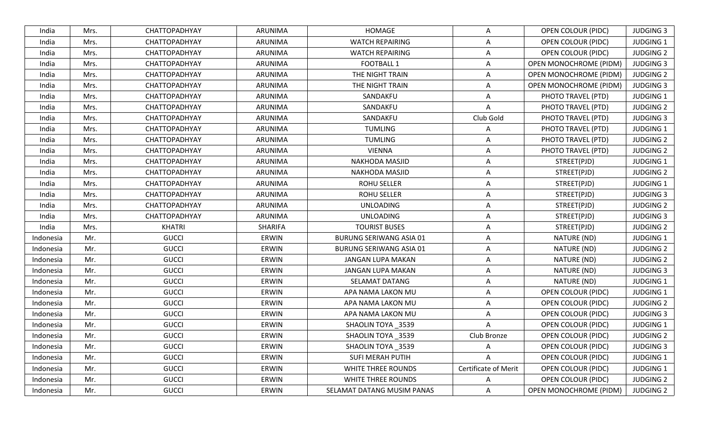| India     | Mrs. | <b>CHATTOPADHYAY</b> | ARUNIMA      | HOMAGE                         | A                           | <b>OPEN COLOUR (PIDC)</b>     | <b>JUDGING 3</b> |
|-----------|------|----------------------|--------------|--------------------------------|-----------------------------|-------------------------------|------------------|
| India     | Mrs. | CHATTOPADHYAY        | ARUNIMA      | <b>WATCH REPAIRING</b>         | A                           | <b>OPEN COLOUR (PIDC)</b>     | <b>JUDGING 1</b> |
| India     | Mrs. | CHATTOPADHYAY        | ARUNIMA      | <b>WATCH REPAIRING</b>         | A                           | <b>OPEN COLOUR (PIDC)</b>     | <b>JUDGING 2</b> |
| India     | Mrs. | CHATTOPADHYAY        | ARUNIMA      | <b>FOOTBALL 1</b>              | A                           | <b>OPEN MONOCHROME (PIDM)</b> | <b>JUDGING 3</b> |
| India     | Mrs. | CHATTOPADHYAY        | ARUNIMA      | THE NIGHT TRAIN                | A                           | <b>OPEN MONOCHROME (PIDM)</b> | <b>JUDGING 2</b> |
| India     | Mrs. | CHATTOPADHYAY        | ARUNIMA      | THE NIGHT TRAIN                | $\overline{A}$              | OPEN MONOCHROME (PIDM)        | <b>JUDGING 3</b> |
| India     | Mrs. | <b>CHATTOPADHYAY</b> | ARUNIMA      | SANDAKFU                       | A                           | PHOTO TRAVEL (PTD)            | <b>JUDGING 1</b> |
| India     | Mrs. | CHATTOPADHYAY        | ARUNIMA      | SANDAKFU                       | A                           | PHOTO TRAVEL (PTD)            | <b>JUDGING 2</b> |
| India     | Mrs. | CHATTOPADHYAY        | ARUNIMA      | SANDAKFU                       | Club Gold                   | PHOTO TRAVEL (PTD)            | <b>JUDGING 3</b> |
| India     | Mrs. | CHATTOPADHYAY        | ARUNIMA      | <b>TUMLING</b>                 | A                           | PHOTO TRAVEL (PTD)            | <b>JUDGING 1</b> |
| India     | Mrs. | CHATTOPADHYAY        | ARUNIMA      | <b>TUMLING</b>                 | A                           | PHOTO TRAVEL (PTD)            | <b>JUDGING 2</b> |
| India     | Mrs. | CHATTOPADHYAY        | ARUNIMA      | <b>VIENNA</b>                  | A                           | PHOTO TRAVEL (PTD)            | <b>JUDGING 2</b> |
| India     | Mrs. | CHATTOPADHYAY        | ARUNIMA      | <b>NAKHODA MASJID</b>          | A                           | STREET(PJD)                   | <b>JUDGING 1</b> |
| India     | Mrs. | CHATTOPADHYAY        | ARUNIMA      | <b>NAKHODA MASJID</b>          | A                           | STREET(PJD)                   | <b>JUDGING 2</b> |
| India     | Mrs. | <b>CHATTOPADHYAY</b> | ARUNIMA      | <b>ROHU SELLER</b>             | A                           | STREET(PJD)                   | <b>JUDGING 1</b> |
| India     | Mrs. | CHATTOPADHYAY        | ARUNIMA      | <b>ROHU SELLER</b>             | A                           | STREET(PJD)                   | <b>JUDGING 3</b> |
| India     | Mrs. | CHATTOPADHYAY        | ARUNIMA      | <b>UNLOADING</b>               | A                           | STREET(PJD)                   | <b>JUDGING 2</b> |
| India     | Mrs. | CHATTOPADHYAY        | ARUNIMA      | <b>UNLOADING</b>               | A                           | STREET(PJD)                   | <b>JUDGING 3</b> |
| India     | Mrs. | <b>KHATRI</b>        | SHARIFA      | <b>TOURIST BUSES</b>           | A                           | STREET(PJD)                   | <b>JUDGING 2</b> |
| Indonesia | Mr.  | <b>GUCCI</b>         | <b>ERWIN</b> | <b>BURUNG SERIWANG ASIA 01</b> | A                           | NATURE (ND)                   | <b>JUDGING 1</b> |
| Indonesia | Mr.  | <b>GUCCI</b>         | <b>ERWIN</b> | <b>BURUNG SERIWANG ASIA 01</b> | A                           | NATURE (ND)                   | <b>JUDGING 2</b> |
| Indonesia | Mr.  | <b>GUCCI</b>         | <b>ERWIN</b> | JANGAN LUPA MAKAN              | A                           | NATURE (ND)                   | <b>JUDGING 2</b> |
| Indonesia | Mr.  | <b>GUCCI</b>         | <b>ERWIN</b> | JANGAN LUPA MAKAN              | A                           | NATURE (ND)                   | <b>JUDGING 3</b> |
| Indonesia | Mr.  | <b>GUCCI</b>         | <b>ERWIN</b> | SELAMAT DATANG                 | A                           | NATURE (ND)                   | <b>JUDGING 1</b> |
| Indonesia | Mr.  | <b>GUCCI</b>         | <b>ERWIN</b> | APA NAMA LAKON MU              | A                           | <b>OPEN COLOUR (PIDC)</b>     | <b>JUDGING 1</b> |
| Indonesia | Mr.  | <b>GUCCI</b>         | <b>ERWIN</b> | APA NAMA LAKON MU              | A                           | <b>OPEN COLOUR (PIDC)</b>     | <b>JUDGING 2</b> |
| Indonesia | Mr.  | <b>GUCCI</b>         | <b>ERWIN</b> | APA NAMA LAKON MU              | A                           | <b>OPEN COLOUR (PIDC)</b>     | <b>JUDGING 3</b> |
| Indonesia | Mr.  | <b>GUCCI</b>         | ERWIN        | SHAOLIN TOYA _3539             | A                           | <b>OPEN COLOUR (PIDC)</b>     | <b>JUDGING 1</b> |
| Indonesia | Mr.  | <b>GUCCI</b>         | ERWIN        | SHAOLIN TOYA 3539              | Club Bronze                 | <b>OPEN COLOUR (PIDC)</b>     | <b>JUDGING 2</b> |
| Indonesia | Mr.  | <b>GUCCI</b>         | <b>ERWIN</b> | SHAOLIN TOYA _3539             | A                           | OPEN COLOUR (PIDC)            | <b>JUDGING 3</b> |
| Indonesia | Mr.  | <b>GUCCI</b>         | ERWIN        | SUFI MERAH PUTIH               | A                           | <b>OPEN COLOUR (PIDC)</b>     | <b>JUDGING 1</b> |
| Indonesia | Mr.  | <b>GUCCI</b>         | ERWIN        | WHITE THREE ROUNDS             | <b>Certificate of Merit</b> | <b>OPEN COLOUR (PIDC)</b>     | <b>JUDGING 1</b> |
| Indonesia | Mr.  | <b>GUCCI</b>         | ERWIN        | WHITE THREE ROUNDS             | A                           | <b>OPEN COLOUR (PIDC)</b>     | <b>JUDGING 2</b> |
| Indonesia | Mr.  | <b>GUCCI</b>         | ERWIN        | SELAMAT DATANG MUSIM PANAS     | A                           | <b>OPEN MONOCHROME (PIDM)</b> | <b>JUDGING 2</b> |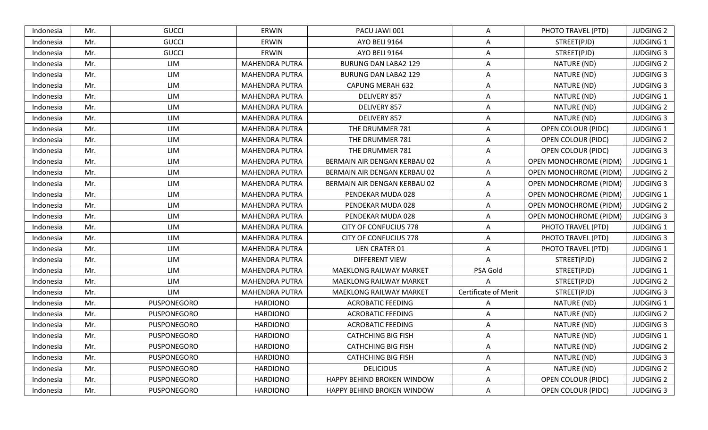| Indonesia | Mr. | <b>GUCCI</b> | ERWIN                 | PACU JAWI 001                  | A                    | PHOTO TRAVEL (PTD)            | <b>JUDGING 2</b> |
|-----------|-----|--------------|-----------------------|--------------------------------|----------------------|-------------------------------|------------------|
| Indonesia | Mr. | <b>GUCCI</b> | ERWIN                 | <b>AYO BELI 9164</b>           | A                    | STREET(PJD)                   | <b>JUDGING 1</b> |
| Indonesia | Mr. | <b>GUCCI</b> | ERWIN                 | <b>AYO BELI 9164</b>           | A                    | STREET(PJD)                   | <b>JUDGING 3</b> |
| Indonesia | Mr. | LIM          | <b>MAHENDRA PUTRA</b> | <b>BURUNG DAN LABA2 129</b>    | $\overline{A}$       | NATURE (ND)                   | <b>JUDGING 2</b> |
| Indonesia | Mr. | LIM          | <b>MAHENDRA PUTRA</b> | <b>BURUNG DAN LABA2 129</b>    | $\Delta$             | NATURE (ND)                   | <b>JUDGING 3</b> |
| Indonesia | Mr. | LIM          | <b>MAHENDRA PUTRA</b> | <b>CAPUNG MERAH 632</b>        | A                    | NATURE (ND)                   | <b>JUDGING 3</b> |
| Indonesia | Mr. | LIM          | <b>MAHENDRA PUTRA</b> | DELIVERY 857                   | A                    | NATURE (ND)                   | <b>JUDGING 1</b> |
| Indonesia | Mr. | LIM          | <b>MAHENDRA PUTRA</b> | DELIVERY 857                   | A                    | NATURE (ND)                   | <b>JUDGING 2</b> |
| Indonesia | Mr. | LIM          | <b>MAHENDRA PUTRA</b> | DELIVERY 857                   | A                    | NATURE (ND)                   | <b>JUDGING 3</b> |
| Indonesia | Mr. | LIM          | <b>MAHENDRA PUTRA</b> | THE DRUMMER 781                | A                    | OPEN COLOUR (PIDC)            | <b>JUDGING 1</b> |
| Indonesia | Mr. | LIM          | <b>MAHENDRA PUTRA</b> | THE DRUMMER 781                | A                    | <b>OPEN COLOUR (PIDC)</b>     | <b>JUDGING 2</b> |
| Indonesia | Mr. | LIM          | <b>MAHENDRA PUTRA</b> | THE DRUMMER 781                | $\Delta$             | <b>OPEN COLOUR (PIDC)</b>     | <b>JUDGING 3</b> |
| Indonesia | Mr. | LIM          | <b>MAHENDRA PUTRA</b> | BERMAIN AIR DENGAN KERBAU 02   | A                    | OPEN MONOCHROME (PIDM)        | <b>JUDGING 1</b> |
| Indonesia | Mr. | LIM          | <b>MAHENDRA PUTRA</b> | BERMAIN AIR DENGAN KERBAU 02   | A                    | <b>OPEN MONOCHROME (PIDM)</b> | <b>JUDGING 2</b> |
| Indonesia | Mr. | LIM          | <b>MAHENDRA PUTRA</b> | BERMAIN AIR DENGAN KERBAU 02   | A                    | OPEN MONOCHROME (PIDM)        | <b>JUDGING 3</b> |
| Indonesia | Mr. | LIM          | <b>MAHENDRA PUTRA</b> | PENDEKAR MUDA 028              | $\overline{A}$       | <b>OPEN MONOCHROME (PIDM)</b> | <b>JUDGING 1</b> |
| Indonesia | Mr. | LIM          | <b>MAHENDRA PUTRA</b> | PENDEKAR MUDA 028              | A                    | <b>OPEN MONOCHROME (PIDM)</b> | <b>JUDGING 2</b> |
| Indonesia | Mr. | LIM          | <b>MAHENDRA PUTRA</b> | PENDEKAR MUDA 028              | $\overline{A}$       | OPEN MONOCHROME (PIDM)        | <b>JUDGING 3</b> |
| Indonesia | Mr. | LIM          | <b>MAHENDRA PUTRA</b> | <b>CITY OF CONFUCIUS 778</b>   | A                    | PHOTO TRAVEL (PTD)            | <b>JUDGING 1</b> |
| Indonesia | Mr. | LIM          | <b>MAHENDRA PUTRA</b> | <b>CITY OF CONFUCIUS 778</b>   | A                    | PHOTO TRAVEL (PTD)            | <b>JUDGING 3</b> |
| Indonesia | Mr. | LIM          | <b>MAHENDRA PUTRA</b> | <b>IJEN CRATER 01</b>          | A                    | PHOTO TRAVEL (PTD)            | <b>JUDGING 1</b> |
| Indonesia | Mr. | LIM          | <b>MAHENDRA PUTRA</b> | <b>DIFFERENT VIEW</b>          | A                    | STREET(PJD)                   | <b>JUDGING 2</b> |
| Indonesia | Mr. | LIM          | <b>MAHENDRA PUTRA</b> | <b>MAEKLONG RAILWAY MARKET</b> | PSA Gold             | STREET(PJD)                   | <b>JUDGING 1</b> |
| Indonesia | Mr. | LIM          | <b>MAHENDRA PUTRA</b> | <b>MAEKLONG RAILWAY MARKET</b> | A                    | STREET(PJD)                   | <b>JUDGING 2</b> |
| Indonesia | Mr. | LIM          | <b>MAHENDRA PUTRA</b> | <b>MAEKLONG RAILWAY MARKET</b> | Certificate of Merit | STREET(PJD)                   | <b>JUDGING 3</b> |
| Indonesia | Mr. | PUSPONEGORO  | <b>HARDIONO</b>       | <b>ACROBATIC FEEDING</b>       | A                    | NATURE (ND)                   | <b>JUDGING 1</b> |
| Indonesia | Mr. | PUSPONEGORO  | <b>HARDIONO</b>       | <b>ACROBATIC FEEDING</b>       | A                    | NATURE (ND)                   | <b>JUDGING 2</b> |
| Indonesia | Mr. | PUSPONEGORO  | <b>HARDIONO</b>       | <b>ACROBATIC FEEDING</b>       | A                    | NATURE (ND)                   | <b>JUDGING 3</b> |
| Indonesia | Mr. | PUSPONEGORO  | <b>HARDIONO</b>       | <b>CATHCHING BIG FISH</b>      | A                    | NATURE (ND)                   | <b>JUDGING 1</b> |
| Indonesia | Mr. | PUSPONEGORO  | <b>HARDIONO</b>       | <b>CATHCHING BIG FISH</b>      | A                    | NATURE (ND)                   | <b>JUDGING 2</b> |
| Indonesia | Mr. | PUSPONEGORO  | <b>HARDIONO</b>       | <b>CATHCHING BIG FISH</b>      | A                    | NATURE (ND)                   | <b>JUDGING 3</b> |
| Indonesia | Mr. | PUSPONEGORO  | HARDIONO              | <b>DELICIOUS</b>               | A                    | NATURE (ND)                   | <b>JUDGING 2</b> |
| Indonesia | Mr. | PUSPONEGORO  | <b>HARDIONO</b>       | HAPPY BEHIND BROKEN WINDOW     | A                    | <b>OPEN COLOUR (PIDC)</b>     | <b>JUDGING 2</b> |
| Indonesia | Mr. | PUSPONEGORO  | <b>HARDIONO</b>       | HAPPY BEHIND BROKEN WINDOW     | A                    | OPEN COLOUR (PIDC)            | <b>JUDGING 3</b> |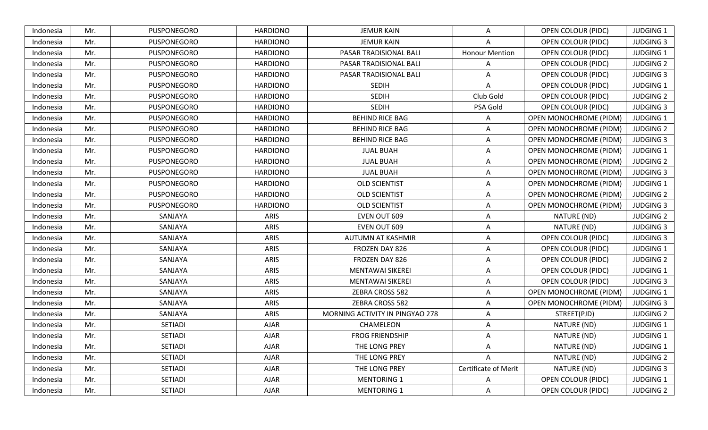| Indonesia | Mr. | PUSPONEGORO    | <b>HARDIONO</b> | <b>JEMUR KAIN</b>               | A                     | OPEN COLOUR (PIDC)            | <b>JUDGING 1</b> |
|-----------|-----|----------------|-----------------|---------------------------------|-----------------------|-------------------------------|------------------|
| Indonesia | Mr. | PUSPONEGORO    | <b>HARDIONO</b> | <b>JEMUR KAIN</b>               | A                     | <b>OPEN COLOUR (PIDC)</b>     | <b>JUDGING 3</b> |
| Indonesia | Mr. | PUSPONEGORO    | <b>HARDIONO</b> | PASAR TRADISIONAL BALI          | <b>Honour Mention</b> | OPEN COLOUR (PIDC)            | <b>JUDGING 1</b> |
| Indonesia | Mr. | PUSPONEGORO    | <b>HARDIONO</b> | PASAR TRADISIONAL BALI          | А                     | OPEN COLOUR (PIDC)            | <b>JUDGING 2</b> |
| Indonesia | Mr. | PUSPONEGORO    | <b>HARDIONO</b> | PASAR TRADISIONAL BALI          | Α                     | <b>OPEN COLOUR (PIDC)</b>     | <b>JUDGING 3</b> |
| Indonesia | Mr. | PUSPONEGORO    | <b>HARDIONO</b> | <b>SEDIH</b>                    | Α                     | <b>OPEN COLOUR (PIDC)</b>     | <b>JUDGING 1</b> |
| Indonesia | Mr. | PUSPONEGORO    | <b>HARDIONO</b> | <b>SEDIH</b>                    | Club Gold             | OPEN COLOUR (PIDC)            | <b>JUDGING 2</b> |
| Indonesia | Mr. | PUSPONEGORO    | <b>HARDIONO</b> | <b>SEDIH</b>                    | PSA Gold              | OPEN COLOUR (PIDC)            | <b>JUDGING 3</b> |
| Indonesia | Mr. | PUSPONEGORO    | <b>HARDIONO</b> | <b>BEHIND RICE BAG</b>          | A                     | <b>OPEN MONOCHROME (PIDM)</b> | <b>JUDGING 1</b> |
| Indonesia | Mr. | PUSPONEGORO    | <b>HARDIONO</b> | <b>BEHIND RICE BAG</b>          | A                     | OPEN MONOCHROME (PIDM)        | <b>JUDGING 2</b> |
| Indonesia | Mr. | PUSPONEGORO    | <b>HARDIONO</b> | <b>BEHIND RICE BAG</b>          | Α                     | <b>OPEN MONOCHROME (PIDM)</b> | <b>JUDGING 3</b> |
| Indonesia | Mr. | PUSPONEGORO    | <b>HARDIONO</b> | <b>JUAL BUAH</b>                | Α                     | <b>OPEN MONOCHROME (PIDM)</b> | <b>JUDGING 1</b> |
| Indonesia | Mr. | PUSPONEGORO    | <b>HARDIONO</b> | <b>JUAL BUAH</b>                | A                     | OPEN MONOCHROME (PIDM)        | <b>JUDGING 2</b> |
| Indonesia | Mr. | PUSPONEGORO    | <b>HARDIONO</b> | <b>JUAL BUAH</b>                | Α                     | <b>OPEN MONOCHROME (PIDM)</b> | <b>JUDGING 3</b> |
| Indonesia | Mr. | PUSPONEGORO    | <b>HARDIONO</b> | <b>OLD SCIENTIST</b>            | A                     | OPEN MONOCHROME (PIDM)        | <b>JUDGING 1</b> |
| Indonesia | Mr. | PUSPONEGORO    | <b>HARDIONO</b> | <b>OLD SCIENTIST</b>            | Α                     | <b>OPEN MONOCHROME (PIDM)</b> | <b>JUDGING 2</b> |
| Indonesia | Mr. | PUSPONEGORO    | <b>HARDIONO</b> | <b>OLD SCIENTIST</b>            | Α                     | <b>OPEN MONOCHROME (PIDM)</b> | <b>JUDGING 3</b> |
| Indonesia | Mr. | SANJAYA        | ARIS            | EVEN OUT 609                    | Α                     | NATURE (ND)                   | <b>JUDGING 2</b> |
| Indonesia | Mr. | SANJAYA        | ARIS            | EVEN OUT 609                    | Α                     | NATURE (ND)                   | <b>JUDGING 3</b> |
| Indonesia | Mr. | SANJAYA        | <b>ARIS</b>     | AUTUMN AT KASHMIR               | A                     | OPEN COLOUR (PIDC)            | <b>JUDGING 3</b> |
| Indonesia | Mr. | SANJAYA        | ARIS            | FROZEN DAY 826                  | Α                     | <b>OPEN COLOUR (PIDC)</b>     | <b>JUDGING 1</b> |
| Indonesia | Mr. | SANJAYA        | <b>ARIS</b>     | FROZEN DAY 826                  | A                     | <b>OPEN COLOUR (PIDC)</b>     | <b>JUDGING 2</b> |
| Indonesia | Mr. | SANJAYA        | ARIS            | MENTAWAI SIKEREI                | Α                     | <b>OPEN COLOUR (PIDC)</b>     | <b>JUDGING 1</b> |
| Indonesia | Mr. | SANJAYA        | <b>ARIS</b>     | <b>MENTAWAI SIKEREI</b>         | A                     | OPEN COLOUR (PIDC)            | <b>JUDGING 3</b> |
| Indonesia | Mr. | SANJAYA        | ARIS            | ZEBRA CROSS 582                 | A                     | OPEN MONOCHROME (PIDM)        | <b>JUDGING 1</b> |
| Indonesia | Mr. | SANJAYA        | ARIS            | ZEBRA CROSS 582                 | Α                     | OPEN MONOCHROME (PIDM)        | <b>JUDGING 3</b> |
| Indonesia | Mr. | SANJAYA        | ARIS            | MORNING ACTIVITY IN PINGYAO 278 | A                     | STREET(PJD)                   | <b>JUDGING 2</b> |
| Indonesia | Mr. | <b>SETIADI</b> | <b>AJAR</b>     | CHAMELEON                       | A                     | NATURE (ND)                   | <b>JUDGING 1</b> |
| Indonesia | Mr. | <b>SETIADI</b> | <b>AJAR</b>     | <b>FROG FRIENDSHIP</b>          | A                     | NATURE (ND)                   | <b>JUDGING 1</b> |
| Indonesia | Mr. | <b>SETIADI</b> | AJAR            | THE LONG PREY                   | A                     | NATURE (ND)                   | <b>JUDGING 1</b> |
| Indonesia | Mr. | SETIADI        | AJAR            | THE LONG PREY                   | A                     | NATURE (ND)                   | <b>JUDGING 2</b> |
| Indonesia | Mr. | SETIADI        | AJAR            | THE LONG PREY                   | Certificate of Merit  | NATURE (ND)                   | <b>JUDGING 3</b> |
| Indonesia | Mr. | <b>SETIADI</b> | AJAR            | <b>MENTORING 1</b>              | Α                     | <b>OPEN COLOUR (PIDC)</b>     | <b>JUDGING 1</b> |
| Indonesia | Mr. | SETIADI        | AJAR            | <b>MENTORING 1</b>              | Α                     | <b>OPEN COLOUR (PIDC)</b>     | <b>JUDGING 2</b> |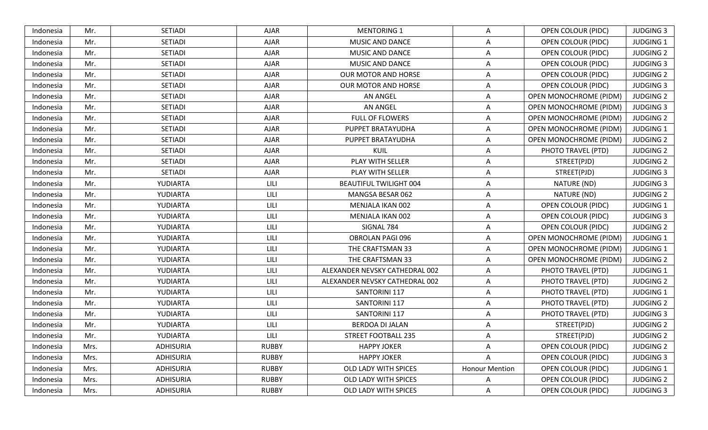| Indonesia | Mr.  | <b>SETIADI</b>   | <b>AJAR</b>  | <b>MENTORING 1</b>             | A                     | <b>OPEN COLOUR (PIDC)</b>     | <b>JUDGING 3</b> |
|-----------|------|------------------|--------------|--------------------------------|-----------------------|-------------------------------|------------------|
| Indonesia | Mr.  | <b>SETIADI</b>   | <b>AJAR</b>  | MUSIC AND DANCE                | A                     | OPEN COLOUR (PIDC)            | <b>JUDGING 1</b> |
| Indonesia | Mr.  | <b>SETIADI</b>   | <b>AJAR</b>  | <b>MUSIC AND DANCE</b>         | A                     | <b>OPEN COLOUR (PIDC)</b>     | <b>JUDGING 2</b> |
| Indonesia | Mr.  | <b>SETIADI</b>   | <b>AJAR</b>  | MUSIC AND DANCE                | A                     | <b>OPEN COLOUR (PIDC)</b>     | <b>JUDGING 3</b> |
| Indonesia | Mr.  | <b>SETIADI</b>   | <b>AJAR</b>  | <b>OUR MOTOR AND HORSE</b>     | $\overline{A}$        | <b>OPEN COLOUR (PIDC)</b>     | <b>JUDGING 2</b> |
| Indonesia | Mr.  | <b>SETIADI</b>   | AJAR         | <b>OUR MOTOR AND HORSE</b>     | A                     | <b>OPEN COLOUR (PIDC)</b>     | <b>JUDGING 3</b> |
| Indonesia | Mr.  | <b>SETIADI</b>   | AJAR         | <b>AN ANGEL</b>                | A                     | <b>OPEN MONOCHROME (PIDM)</b> | <b>JUDGING 2</b> |
| Indonesia | Mr.  | <b>SETIADI</b>   | <b>AJAR</b>  | <b>AN ANGEL</b>                | A                     | OPEN MONOCHROME (PIDM)        | <b>JUDGING 3</b> |
| Indonesia | Mr.  | <b>SETIADI</b>   | <b>AJAR</b>  | <b>FULL OF FLOWERS</b>         | A                     | OPEN MONOCHROME (PIDM)        | <b>JUDGING 2</b> |
| Indonesia | Mr.  | <b>SETIADI</b>   | <b>AJAR</b>  | PUPPET BRATAYUDHA              | $\overline{A}$        | <b>OPEN MONOCHROME (PIDM)</b> | <b>JUDGING 1</b> |
| Indonesia | Mr.  | <b>SETIADI</b>   | <b>AJAR</b>  | PUPPET BRATAYUDHA              | A                     | OPEN MONOCHROME (PIDM)        | <b>JUDGING 2</b> |
| Indonesia | Mr.  | <b>SETIADI</b>   | <b>AJAR</b>  | KUIL                           | A                     | PHOTO TRAVEL (PTD)            | <b>JUDGING 2</b> |
| Indonesia | Mr.  | <b>SETIADI</b>   | <b>AJAR</b>  | PLAY WITH SELLER               | $\overline{A}$        | STREET(PJD)                   | <b>JUDGING 2</b> |
| Indonesia | Mr.  | <b>SETIADI</b>   | <b>AJAR</b>  | PLAY WITH SELLER               | A                     | STREET(PJD)                   | <b>JUDGING 3</b> |
| Indonesia | Mr.  | YUDIARTA         | LILI         | <b>BEAUTIFUL TWILIGHT 004</b>  | A                     | NATURE (ND)                   | <b>JUDGING 3</b> |
| Indonesia | Mr.  | YUDIARTA         | LILI         | MANGSA BESAR 062               | A                     | NATURE (ND)                   | <b>JUDGING 2</b> |
| Indonesia | Mr.  | YUDIARTA         | LILI         | MENJALA IKAN 002               | A                     | <b>OPEN COLOUR (PIDC)</b>     | <b>JUDGING 1</b> |
| Indonesia | Mr.  | YUDIARTA         | LILI         | MENJALA IKAN 002               | A                     | <b>OPEN COLOUR (PIDC)</b>     | <b>JUDGING 3</b> |
| Indonesia | Mr.  | YUDIARTA         | LILI         | SIGNAL 784                     | A                     | <b>OPEN COLOUR (PIDC)</b>     | <b>JUDGING 2</b> |
| Indonesia | Mr.  | YUDIARTA         | LILI         | OBROLAN PAGI 096               | A                     | OPEN MONOCHROME (PIDM)        | <b>JUDGING 1</b> |
| Indonesia | Mr.  | YUDIARTA         | LILI         | THE CRAFTSMAN 33               | A                     | <b>OPEN MONOCHROME (PIDM)</b> | <b>JUDGING 1</b> |
| Indonesia | Mr.  | YUDIARTA         | LILI         | THE CRAFTSMAN 33               | $\overline{A}$        | <b>OPEN MONOCHROME (PIDM)</b> | <b>JUDGING 2</b> |
| Indonesia | Mr.  | YUDIARTA         | LILI         | ALEXANDER NEVSKY CATHEDRAL 002 | A                     | PHOTO TRAVEL (PTD)            | <b>JUDGING 1</b> |
| Indonesia | Mr.  | YUDIARTA         | LILI         | ALEXANDER NEVSKY CATHEDRAL 002 | $\overline{A}$        | PHOTO TRAVEL (PTD)            | <b>JUDGING 2</b> |
| Indonesia | Mr.  | YUDIARTA         | LILI         | SANTORINI 117                  | A                     | PHOTO TRAVEL (PTD)            | <b>JUDGING 1</b> |
| Indonesia | Mr.  | YUDIARTA         | LILI         | <b>SANTORINI 117</b>           | A                     | PHOTO TRAVEL (PTD)            | <b>JUDGING 2</b> |
| Indonesia | Mr.  | YUDIARTA         | LILI         | SANTORINI 117                  | A                     | PHOTO TRAVEL (PTD)            | <b>JUDGING 3</b> |
| Indonesia | Mr.  | YUDIARTA         | LILI         | BERDOA DI JALAN                | A                     | STREET(PJD)                   | <b>JUDGING 2</b> |
| Indonesia | Mr.  | YUDIARTA         | LILI         | STREET FOOTBALL 235            | A                     | STREET(PJD)                   | <b>JUDGING 2</b> |
| Indonesia | Mrs. | <b>ADHISURIA</b> | <b>RUBBY</b> | <b>HAPPY JOKER</b>             | A                     | <b>OPEN COLOUR (PIDC)</b>     | <b>JUDGING 2</b> |
| Indonesia | Mrs. | <b>ADHISURIA</b> | <b>RUBBY</b> | <b>HAPPY JOKER</b>             | A                     | <b>OPEN COLOUR (PIDC)</b>     | <b>JUDGING 3</b> |
| Indonesia | Mrs. | ADHISURIA        | <b>RUBBY</b> | OLD LADY WITH SPICES           | <b>Honour Mention</b> | <b>OPEN COLOUR (PIDC)</b>     | <b>JUDGING 1</b> |
| Indonesia | Mrs. | <b>ADHISURIA</b> | <b>RUBBY</b> | OLD LADY WITH SPICES           | A                     | OPEN COLOUR (PIDC)            | <b>JUDGING 2</b> |
| Indonesia | Mrs. | <b>ADHISURIA</b> | <b>RUBBY</b> | OLD LADY WITH SPICES           | A                     | OPEN COLOUR (PIDC)            | <b>JUDGING 3</b> |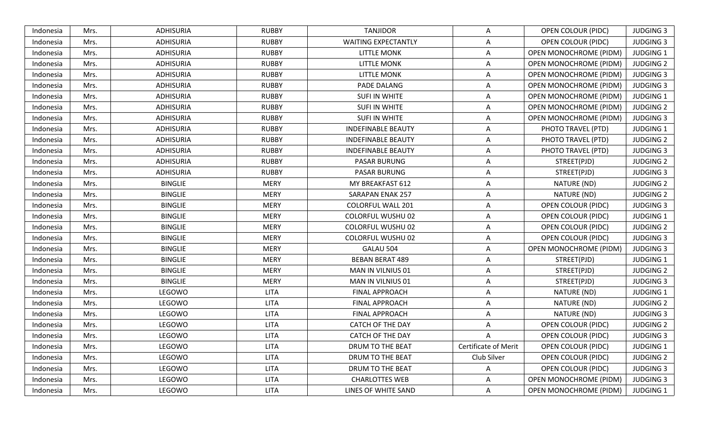| Indonesia | Mrs. | ADHISURIA        | <b>RUBBY</b> | <b>TANJIDOR</b>            | A                           | OPEN COLOUR (PIDC)            | <b>JUDGING 3</b> |
|-----------|------|------------------|--------------|----------------------------|-----------------------------|-------------------------------|------------------|
| Indonesia | Mrs. | <b>ADHISURIA</b> | <b>RUBBY</b> | <b>WAITING EXPECTANTLY</b> | A                           | <b>OPEN COLOUR (PIDC)</b>     | <b>JUDGING 3</b> |
| Indonesia | Mrs. | <b>ADHISURIA</b> | <b>RUBBY</b> | <b>LITTLE MONK</b>         | $\overline{A}$              | <b>OPEN MONOCHROME (PIDM)</b> | <b>JUDGING 1</b> |
| Indonesia | Mrs. | <b>ADHISURIA</b> | <b>RUBBY</b> | <b>LITTLE MONK</b>         | $\overline{A}$              | <b>OPEN MONOCHROME (PIDM)</b> | <b>JUDGING 2</b> |
| Indonesia | Mrs. | <b>ADHISURIA</b> | <b>RUBBY</b> | <b>LITTLE MONK</b>         | A                           | <b>OPEN MONOCHROME (PIDM)</b> | <b>JUDGING 3</b> |
| Indonesia | Mrs. | <b>ADHISURIA</b> | <b>RUBBY</b> | PADE DALANG                | $\overline{A}$              | <b>OPEN MONOCHROME (PIDM)</b> | <b>JUDGING 3</b> |
| Indonesia | Mrs. | ADHISURIA        | <b>RUBBY</b> | SUFI IN WHITE              | A                           | OPEN MONOCHROME (PIDM)        | <b>JUDGING 1</b> |
| Indonesia | Mrs. | <b>ADHISURIA</b> | <b>RUBBY</b> | <b>SUFI IN WHITE</b>       | $\overline{A}$              | OPEN MONOCHROME (PIDM)        | <b>JUDGING 2</b> |
| Indonesia | Mrs. | <b>ADHISURIA</b> | <b>RUBBY</b> | SUFI IN WHITE              | A                           | <b>OPEN MONOCHROME (PIDM)</b> | <b>JUDGING 3</b> |
| Indonesia | Mrs. | <b>ADHISURIA</b> | <b>RUBBY</b> | <b>INDEFINABLE BEAUTY</b>  | A                           | PHOTO TRAVEL (PTD)            | <b>JUDGING 1</b> |
| Indonesia | Mrs. | <b>ADHISURIA</b> | <b>RUBBY</b> | <b>INDEFINABLE BEAUTY</b>  | A                           | PHOTO TRAVEL (PTD)            | <b>JUDGING 2</b> |
| Indonesia | Mrs. | ADHISURIA        | <b>RUBBY</b> | <b>INDEFINABLE BEAUTY</b>  | A                           | PHOTO TRAVEL (PTD)            | <b>JUDGING 3</b> |
| Indonesia | Mrs. | ADHISURIA        | <b>RUBBY</b> | <b>PASAR BURUNG</b>        | A                           | STREET(PJD)                   | <b>JUDGING 2</b> |
| Indonesia | Mrs. | <b>ADHISURIA</b> | <b>RUBBY</b> | <b>PASAR BURUNG</b>        | A                           | STREET(PJD)                   | <b>JUDGING 3</b> |
| Indonesia | Mrs. | <b>BINGLIE</b>   | <b>MERY</b>  | MY BREAKFAST 612           | $\overline{A}$              | NATURE (ND)                   | <b>JUDGING 2</b> |
| Indonesia | Mrs. | <b>BINGLIE</b>   | <b>MERY</b>  | <b>SARAPAN ENAK 257</b>    | A                           | NATURE (ND)                   | <b>JUDGING 2</b> |
| Indonesia | Mrs. | <b>BINGLIE</b>   | <b>MERY</b>  | COLORFUL WALL 201          | $\overline{A}$              | OPEN COLOUR (PIDC)            | <b>JUDGING 3</b> |
| Indonesia | Mrs. | <b>BINGLIE</b>   | <b>MERY</b>  | <b>COLORFUL WUSHU 02</b>   | A                           | <b>OPEN COLOUR (PIDC)</b>     | <b>JUDGING 1</b> |
| Indonesia | Mrs. | <b>BINGLIE</b>   | <b>MERY</b>  | <b>COLORFUL WUSHU 02</b>   | A                           | <b>OPEN COLOUR (PIDC)</b>     | <b>JUDGING 2</b> |
| Indonesia | Mrs. | <b>BINGLIE</b>   | <b>MERY</b>  | <b>COLORFUL WUSHU 02</b>   | A                           | OPEN COLOUR (PIDC)            | <b>JUDGING 3</b> |
| Indonesia | Mrs. | <b>BINGLIE</b>   | <b>MERY</b>  | GALAU 504                  | A                           | OPEN MONOCHROME (PIDM)        | <b>JUDGING 3</b> |
| Indonesia | Mrs. | <b>BINGLIE</b>   | <b>MERY</b>  | <b>BEBAN BERAT 489</b>     | $\overline{A}$              | STREET(PJD)                   | <b>JUDGING 1</b> |
| Indonesia | Mrs. | <b>BINGLIE</b>   | <b>MERY</b>  | MAN IN VILNIUS 01          | A                           | STREET(PJD)                   | <b>JUDGING 2</b> |
| Indonesia | Mrs. | <b>BINGLIE</b>   | <b>MERY</b>  | MAN IN VILNIUS 01          | $\overline{A}$              | STREET(PJD)                   | <b>JUDGING 3</b> |
| Indonesia | Mrs. | LEGOWO           | <b>LITA</b>  | <b>FINAL APPROACH</b>      | A                           | NATURE (ND)                   | <b>JUDGING 1</b> |
| Indonesia | Mrs. | LEGOWO           | <b>LITA</b>  | FINAL APPROACH             | A                           | NATURE (ND)                   | <b>JUDGING 2</b> |
| Indonesia | Mrs. | LEGOWO           | <b>LITA</b>  | <b>FINAL APPROACH</b>      | $\overline{A}$              | NATURE (ND)                   | <b>JUDGING 3</b> |
| Indonesia | Mrs. | LEGOWO           | <b>LITA</b>  | <b>CATCH OF THE DAY</b>    | $\overline{A}$              | <b>OPEN COLOUR (PIDC)</b>     | <b>JUDGING 2</b> |
| Indonesia | Mrs. | LEGOWO           | <b>LITA</b>  | <b>CATCH OF THE DAY</b>    | A                           | <b>OPEN COLOUR (PIDC)</b>     | <b>JUDGING 3</b> |
| Indonesia | Mrs. | LEGOWO           | LITA         | DRUM TO THE BEAT           | <b>Certificate of Merit</b> | <b>OPEN COLOUR (PIDC)</b>     | <b>JUDGING 1</b> |
| Indonesia | Mrs. | LEGOWO           | <b>LITA</b>  | DRUM TO THE BEAT           | Club Silver                 | OPEN COLOUR (PIDC)            | <b>JUDGING 2</b> |
| Indonesia | Mrs. | LEGOWO           | <b>LITA</b>  | DRUM TO THE BEAT           | A                           | <b>OPEN COLOUR (PIDC)</b>     | <b>JUDGING 3</b> |
| Indonesia | Mrs. | LEGOWO           | <b>LITA</b>  | <b>CHARLOTTES WEB</b>      | A                           | <b>OPEN MONOCHROME (PIDM)</b> | <b>JUDGING 3</b> |
| Indonesia | Mrs. | LEGOWO           | <b>LITA</b>  | LINES OF WHITE SAND        | A                           | <b>OPEN MONOCHROME (PIDM)</b> | JUDGING 1        |
|           |      |                  |              |                            |                             |                               |                  |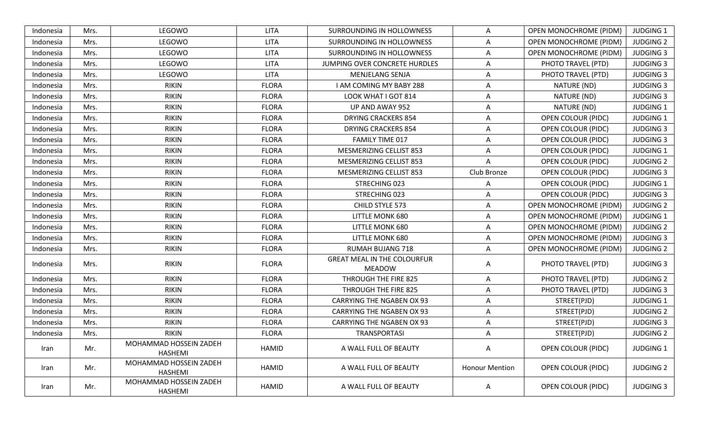| Indonesia | Mrs. | LEGOWO                                   | <b>LITA</b>  | SURROUNDING IN HOLLOWNESS                           | A                     | <b>OPEN MONOCHROME (PIDM)</b> | <b>JUDGING 1</b> |
|-----------|------|------------------------------------------|--------------|-----------------------------------------------------|-----------------------|-------------------------------|------------------|
| Indonesia | Mrs. | LEGOWO                                   | <b>LITA</b>  | SURROUNDING IN HOLLOWNESS                           | A                     | <b>OPEN MONOCHROME (PIDM)</b> | <b>JUDGING 2</b> |
| Indonesia | Mrs. | LEGOWO                                   | <b>LITA</b>  | SURROUNDING IN HOLLOWNESS                           | A                     | OPEN MONOCHROME (PIDM)        | <b>JUDGING 3</b> |
| Indonesia | Mrs. | LEGOWO                                   | <b>LITA</b>  | JUMPING OVER CONCRETE HURDLES                       | A                     | PHOTO TRAVEL (PTD)            | <b>JUDGING 3</b> |
| Indonesia | Mrs. | LEGOWO                                   | <b>LITA</b>  | MENJELANG SENJA                                     | A                     | PHOTO TRAVEL (PTD)            | <b>JUDGING 3</b> |
| Indonesia | Mrs. | <b>RIKIN</b>                             | <b>FLORA</b> | I AM COMING MY BABY 288                             | Α                     | NATURE (ND)                   | <b>JUDGING 3</b> |
| Indonesia | Mrs. | <b>RIKIN</b>                             | <b>FLORA</b> | LOOK WHAT I GOT 814                                 | A                     | NATURE (ND)                   | <b>JUDGING 3</b> |
| Indonesia | Mrs. | <b>RIKIN</b>                             | <b>FLORA</b> | UP AND AWAY 952                                     | A                     | NATURE (ND)                   | <b>JUDGING 1</b> |
| Indonesia | Mrs. | <b>RIKIN</b>                             | <b>FLORA</b> | <b>DRYING CRACKERS 854</b>                          | A                     | OPEN COLOUR (PIDC)            | <b>JUDGING 1</b> |
| Indonesia | Mrs. | <b>RIKIN</b>                             | <b>FLORA</b> | <b>DRYING CRACKERS 854</b>                          | A                     | <b>OPEN COLOUR (PIDC)</b>     | <b>JUDGING 3</b> |
| Indonesia | Mrs. | <b>RIKIN</b>                             | <b>FLORA</b> | <b>FAMILY TIME 017</b>                              | A                     | <b>OPEN COLOUR (PIDC)</b>     | <b>JUDGING 3</b> |
| Indonesia | Mrs. | <b>RIKIN</b>                             | <b>FLORA</b> | MESMERIZING CELLIST 853                             | A                     | OPEN COLOUR (PIDC)            | <b>JUDGING 1</b> |
| Indonesia | Mrs. | <b>RIKIN</b>                             | <b>FLORA</b> | MESMERIZING CELLIST 853                             | A                     | OPEN COLOUR (PIDC)            | <b>JUDGING 2</b> |
| Indonesia | Mrs. | <b>RIKIN</b>                             | <b>FLORA</b> | MESMERIZING CELLIST 853                             | Club Bronze           | <b>OPEN COLOUR (PIDC)</b>     | <b>JUDGING 3</b> |
| Indonesia | Mrs. | <b>RIKIN</b>                             | <b>FLORA</b> | STRECHING 023                                       | A                     | <b>OPEN COLOUR (PIDC)</b>     | <b>JUDGING 1</b> |
| Indonesia | Mrs. | <b>RIKIN</b>                             | <b>FLORA</b> | STRECHING 023                                       | A                     | <b>OPEN COLOUR (PIDC)</b>     | <b>JUDGING 3</b> |
| Indonesia | Mrs. | <b>RIKIN</b>                             | <b>FLORA</b> | CHILD STYLE 573                                     | A                     | OPEN MONOCHROME (PIDM)        | <b>JUDGING 2</b> |
| Indonesia | Mrs. | <b>RIKIN</b>                             | <b>FLORA</b> | LITTLE MONK 680                                     | Α                     | <b>OPEN MONOCHROME (PIDM)</b> | <b>JUDGING 1</b> |
| Indonesia | Mrs. | <b>RIKIN</b>                             | <b>FLORA</b> | LITTLE MONK 680                                     | A                     | OPEN MONOCHROME (PIDM)        | <b>JUDGING 2</b> |
| Indonesia | Mrs. | <b>RIKIN</b>                             | <b>FLORA</b> | <b>LITTLE MONK 680</b>                              | Α                     | <b>OPEN MONOCHROME (PIDM)</b> | <b>JUDGING 3</b> |
| Indonesia | Mrs. | <b>RIKIN</b>                             | <b>FLORA</b> | <b>RUMAH BUJANG 718</b>                             | A                     | <b>OPEN MONOCHROME (PIDM)</b> | <b>JUDGING 2</b> |
| Indonesia | Mrs. | <b>RIKIN</b>                             | <b>FLORA</b> | <b>GREAT MEAL IN THE COLOURFUR</b><br><b>MEADOW</b> | A                     | PHOTO TRAVEL (PTD)            | <b>JUDGING 3</b> |
| Indonesia | Mrs. | <b>RIKIN</b>                             | <b>FLORA</b> | THROUGH THE FIRE 825                                | A                     | PHOTO TRAVEL (PTD)            | <b>JUDGING 2</b> |
| Indonesia | Mrs. | <b>RIKIN</b>                             | <b>FLORA</b> | THROUGH THE FIRE 825                                | A                     | PHOTO TRAVEL (PTD)            | <b>JUDGING 3</b> |
| Indonesia | Mrs. | <b>RIKIN</b>                             | <b>FLORA</b> | <b>CARRYING THE NGABEN OX 93</b>                    | A                     | STREET(PJD)                   | <b>JUDGING 1</b> |
| Indonesia | Mrs. | <b>RIKIN</b>                             | <b>FLORA</b> | <b>CARRYING THE NGABEN OX 93</b>                    | A                     | STREET(PJD)                   | <b>JUDGING 2</b> |
| Indonesia | Mrs. | <b>RIKIN</b>                             | <b>FLORA</b> | <b>CARRYING THE NGABEN OX 93</b>                    | A                     | STREET(PJD)                   | <b>JUDGING 3</b> |
| Indonesia | Mrs. | <b>RIKIN</b>                             | <b>FLORA</b> | TRANSPORTASI                                        | A                     | STREET(PJD)                   | <b>JUDGING 2</b> |
| Iran      | Mr.  | MOHAMMAD HOSSEIN ZADEH<br><b>HASHEMI</b> | HAMID        | A WALL FULL OF BEAUTY                               | Α                     | <b>OPEN COLOUR (PIDC)</b>     | <b>JUDGING 1</b> |
| Iran      | Mr.  | MOHAMMAD HOSSEIN ZADEH<br><b>HASHEMI</b> | HAMID        | A WALL FULL OF BEAUTY                               | <b>Honour Mention</b> | <b>OPEN COLOUR (PIDC)</b>     | <b>JUDGING 2</b> |
| Iran      | Mr.  | MOHAMMAD HOSSEIN ZADEH<br>HASHEMI        | HAMID        | A WALL FULL OF BEAUTY                               | A                     | <b>OPEN COLOUR (PIDC)</b>     | <b>JUDGING 3</b> |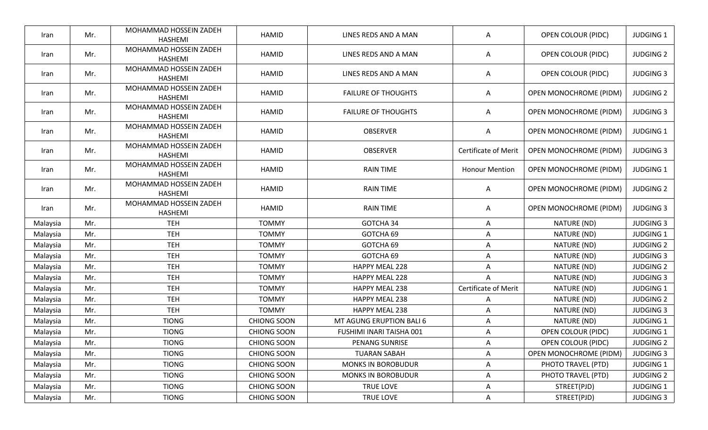| Iran     | Mr. | MOHAMMAD HOSSEIN ZADEH<br><b>HASHEMI</b> | <b>HAMID</b>       | LINES REDS AND A MAN       | A                           | <b>OPEN COLOUR (PIDC)</b>     | <b>JUDGING 1</b> |
|----------|-----|------------------------------------------|--------------------|----------------------------|-----------------------------|-------------------------------|------------------|
| Iran     | Mr. | MOHAMMAD HOSSEIN ZADEH<br>HASHEMI        | <b>HAMID</b>       | LINES REDS AND A MAN       | A                           | OPEN COLOUR (PIDC)            | <b>JUDGING 2</b> |
| Iran     | Mr. | MOHAMMAD HOSSEIN ZADEH<br><b>HASHEMI</b> | <b>HAMID</b>       | LINES REDS AND A MAN       | Α                           | OPEN COLOUR (PIDC)            | <b>JUDGING 3</b> |
| Iran     | Mr. | MOHAMMAD HOSSEIN ZADEH<br><b>HASHEMI</b> | <b>HAMID</b>       | <b>FAILURE OF THOUGHTS</b> | Α                           | OPEN MONOCHROME (PIDM)        | <b>JUDGING 2</b> |
| Iran     | Mr. | MOHAMMAD HOSSEIN ZADEH<br>HASHEMI        | <b>HAMID</b>       | <b>FAILURE OF THOUGHTS</b> | Α                           | OPEN MONOCHROME (PIDM)        | <b>JUDGING 3</b> |
| Iran     | Mr. | MOHAMMAD HOSSEIN ZADEH<br><b>HASHEMI</b> | <b>HAMID</b>       | <b>OBSERVER</b>            | Α                           | OPEN MONOCHROME (PIDM)        | <b>JUDGING 1</b> |
| Iran     | Mr. | MOHAMMAD HOSSEIN ZADEH<br>HASHEMI        | <b>HAMID</b>       | <b>OBSERVER</b>            | <b>Certificate of Merit</b> | OPEN MONOCHROME (PIDM)        | <b>JUDGING 3</b> |
| Iran     | Mr. | MOHAMMAD HOSSEIN ZADEH<br><b>HASHEMI</b> | <b>HAMID</b>       | <b>RAIN TIME</b>           | <b>Honour Mention</b>       | OPEN MONOCHROME (PIDM)        | <b>JUDGING 1</b> |
| Iran     | Mr. | MOHAMMAD HOSSEIN ZADEH<br>HASHEMI        | <b>HAMID</b>       | <b>RAIN TIME</b>           | Α                           | <b>OPEN MONOCHROME (PIDM)</b> | <b>JUDGING 2</b> |
| Iran     | Mr. | MOHAMMAD HOSSEIN ZADEH<br><b>HASHEMI</b> | <b>HAMID</b>       | <b>RAIN TIME</b>           | Α                           | OPEN MONOCHROME (PIDM)        | <b>JUDGING 3</b> |
| Malaysia | Mr. | <b>TEH</b>                               | <b>TOMMY</b>       | GOTCHA 34                  | A                           | NATURE (ND)                   | <b>JUDGING 3</b> |
| Malaysia | Mr. | <b>TEH</b>                               | <b>TOMMY</b>       | GOTCHA 69                  | A                           | NATURE (ND)                   | <b>JUDGING 1</b> |
| Malaysia | Mr. | <b>TEH</b>                               | <b>TOMMY</b>       | GOTCHA 69                  | Α                           | NATURE (ND)                   | <b>JUDGING 2</b> |
| Malaysia | Mr. | <b>TEH</b>                               | <b>TOMMY</b>       | GOTCHA 69                  | A                           | NATURE (ND)                   | <b>JUDGING 3</b> |
| Malaysia | Mr. | <b>TEH</b>                               | <b>TOMMY</b>       | HAPPY MEAL 228             | Α                           | NATURE (ND)                   | <b>JUDGING 2</b> |
| Malaysia | Mr. | <b>TEH</b>                               | <b>TOMMY</b>       | <b>HAPPY MEAL 228</b>      | A                           | NATURE (ND)                   | <b>JUDGING 3</b> |
| Malaysia | Mr. | <b>TEH</b>                               | <b>TOMMY</b>       | HAPPY MEAL 238             | Certificate of Merit        | NATURE (ND)                   | <b>JUDGING 1</b> |
| Malaysia | Mr. | <b>TEH</b>                               | <b>TOMMY</b>       | HAPPY MEAL 238             | A                           | NATURE (ND)                   | <b>JUDGING 2</b> |
| Malaysia | Mr. | <b>TEH</b>                               | <b>TOMMY</b>       | <b>HAPPY MEAL 238</b>      | Α                           | NATURE (ND)                   | <b>JUDGING 3</b> |
| Malaysia | Mr. | <b>TIONG</b>                             | <b>CHIONG SOON</b> | MT AGUNG ERUPTION BALI 6   | Α                           | NATURE (ND)                   | <b>JUDGING 1</b> |
| Malaysia | Mr. | <b>TIONG</b>                             | <b>CHIONG SOON</b> | FUSHIMI INARI TAISHA 001   | A                           | <b>OPEN COLOUR (PIDC)</b>     | <b>JUDGING 1</b> |
| Malaysia | Mr. | <b>TIONG</b>                             | <b>CHIONG SOON</b> | PENANG SUNRISE             | A                           | <b>OPEN COLOUR (PIDC)</b>     | <b>JUDGING 2</b> |
| Malaysia | Mr. | <b>TIONG</b>                             | CHIONG SOON        | <b>TUARAN SABAH</b>        | Α                           | OPEN MONOCHROME (PIDM)        | <b>JUDGING 3</b> |
| Malaysia | Mr. | <b>TIONG</b>                             | <b>CHIONG SOON</b> | <b>MONKS IN BOROBUDUR</b>  | Α                           | PHOTO TRAVEL (PTD)            | <b>JUDGING 1</b> |
| Malaysia | Mr. | <b>TIONG</b>                             | CHIONG SOON        | <b>MONKS IN BOROBUDUR</b>  | Α                           | PHOTO TRAVEL (PTD)            | <b>JUDGING 2</b> |
| Malaysia | Mr. | <b>TIONG</b>                             | <b>CHIONG SOON</b> | TRUE LOVE                  | Α                           | STREET(PJD)                   | <b>JUDGING 1</b> |
| Malaysia | Mr. | <b>TIONG</b>                             | CHIONG SOON        | TRUE LOVE                  | Α                           | STREET(PJD)                   | <b>JUDGING 3</b> |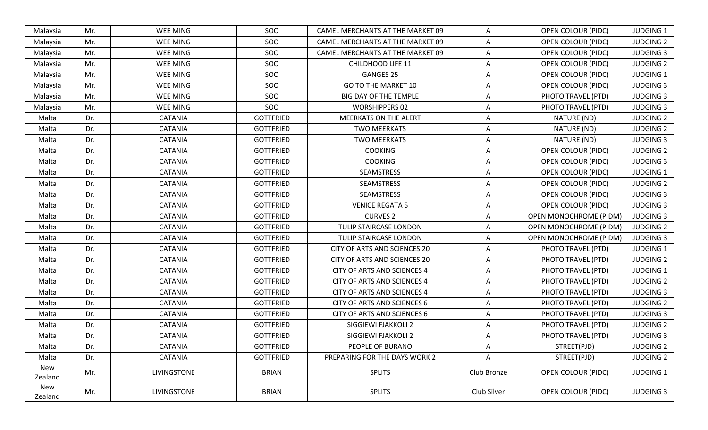| Malaysia       | Mr. | WEE MING        | SOO              | CAMEL MERCHANTS AT THE MARKET 09   | Α           | <b>OPEN COLOUR (PIDC)</b>     | <b>JUDGING 1</b> |
|----------------|-----|-----------------|------------------|------------------------------------|-------------|-------------------------------|------------------|
| Malaysia       | Mr. | WEE MING        | SOO              | CAMEL MERCHANTS AT THE MARKET 09   | Α           | <b>OPEN COLOUR (PIDC)</b>     | <b>JUDGING 2</b> |
| Malaysia       | Mr. | WEE MING        | SOO              | CAMEL MERCHANTS AT THE MARKET 09   | A           | <b>OPEN COLOUR (PIDC)</b>     | <b>JUDGING 3</b> |
| Malaysia       | Mr. | WEE MING        | SOO              | CHILDHOOD LIFE 11                  | Α           | <b>OPEN COLOUR (PIDC)</b>     | <b>JUDGING 2</b> |
| Malaysia       | Mr. | <b>WEE MING</b> | SOO              | <b>GANGES 25</b>                   | A           | <b>OPEN COLOUR (PIDC)</b>     | <b>JUDGING 1</b> |
| Malaysia       | Mr. | WEE MING        | SOO              | <b>GO TO THE MARKET 10</b>         | A           | <b>OPEN COLOUR (PIDC)</b>     | <b>JUDGING 3</b> |
| Malaysia       | Mr. | WEE MING        | SOO              | BIG DAY OF THE TEMPLE              | A           | PHOTO TRAVEL (PTD)            | <b>JUDGING 3</b> |
| Malaysia       | Mr. | WEE MING        | SOO              | <b>WORSHIPPERS 02</b>              | A           | PHOTO TRAVEL (PTD)            | <b>JUDGING 3</b> |
| Malta          | Dr. | <b>CATANIA</b>  | <b>GOTTFRIED</b> | <b>MEERKATS ON THE ALERT</b>       | Α           | NATURE (ND)                   | <b>JUDGING 2</b> |
| Malta          | Dr. | <b>CATANIA</b>  | <b>GOTTFRIED</b> | <b>TWO MEERKATS</b>                | A           | NATURE (ND)                   | <b>JUDGING 2</b> |
| Malta          | Dr. | <b>CATANIA</b>  | <b>GOTTFRIED</b> | <b>TWO MEERKATS</b>                | A           | NATURE (ND)                   | <b>JUDGING 3</b> |
| Malta          | Dr. | <b>CATANIA</b>  | <b>GOTTFRIED</b> | <b>COOKING</b>                     | Α           | <b>OPEN COLOUR (PIDC)</b>     | <b>JUDGING 2</b> |
| Malta          | Dr. | <b>CATANIA</b>  | <b>GOTTFRIED</b> | <b>COOKING</b>                     | A           | <b>OPEN COLOUR (PIDC)</b>     | <b>JUDGING 3</b> |
| Malta          | Dr. | <b>CATANIA</b>  | <b>GOTTFRIED</b> | SEAMSTRESS                         | Α           | OPEN COLOUR (PIDC)            | <b>JUDGING 1</b> |
| Malta          | Dr. | <b>CATANIA</b>  | <b>GOTTFRIED</b> | SEAMSTRESS                         | A           | OPEN COLOUR (PIDC)            | <b>JUDGING 2</b> |
| Malta          | Dr. | <b>CATANIA</b>  | <b>GOTTFRIED</b> | SEAMSTRESS                         | Α           | OPEN COLOUR (PIDC)            | <b>JUDGING 3</b> |
| Malta          | Dr. | <b>CATANIA</b>  | <b>GOTTFRIED</b> | <b>VENICE REGATA 5</b>             | A           | <b>OPEN COLOUR (PIDC)</b>     | <b>JUDGING 3</b> |
| Malta          | Dr. | <b>CATANIA</b>  | <b>GOTTFRIED</b> | <b>CURVES 2</b>                    | A           | <b>OPEN MONOCHROME (PIDM)</b> | <b>JUDGING 3</b> |
| Malta          | Dr. | <b>CATANIA</b>  | <b>GOTTFRIED</b> | TULIP STAIRCASE LONDON             | A           | <b>OPEN MONOCHROME (PIDM)</b> | <b>JUDGING 2</b> |
| Malta          | Dr. | <b>CATANIA</b>  | <b>GOTTFRIED</b> | TULIP STAIRCASE LONDON             | A           | <b>OPEN MONOCHROME (PIDM)</b> | <b>JUDGING 3</b> |
| Malta          | Dr. | CATANIA         | <b>GOTTFRIED</b> | CITY OF ARTS AND SCIENCES 20       | Α           | PHOTO TRAVEL (PTD)            | <b>JUDGING 1</b> |
| Malta          | Dr. | <b>CATANIA</b>  | <b>GOTTFRIED</b> | CITY OF ARTS AND SCIENCES 20       | A           | PHOTO TRAVEL (PTD)            | <b>JUDGING 2</b> |
| Malta          | Dr. | <b>CATANIA</b>  | <b>GOTTFRIED</b> | <b>CITY OF ARTS AND SCIENCES 4</b> | A           | PHOTO TRAVEL (PTD)            | <b>JUDGING 1</b> |
| Malta          | Dr. | <b>CATANIA</b>  | <b>GOTTFRIED</b> | <b>CITY OF ARTS AND SCIENCES 4</b> | A           | PHOTO TRAVEL (PTD)            | <b>JUDGING 2</b> |
| Malta          | Dr. | <b>CATANIA</b>  | <b>GOTTFRIED</b> | <b>CITY OF ARTS AND SCIENCES 4</b> | Α           | PHOTO TRAVEL (PTD)            | <b>JUDGING 3</b> |
| Malta          | Dr. | <b>CATANIA</b>  | <b>GOTTFRIED</b> | CITY OF ARTS AND SCIENCES 6        | A           | PHOTO TRAVEL (PTD)            | <b>JUDGING 2</b> |
| Malta          | Dr. | CATANIA         | <b>GOTTFRIED</b> | CITY OF ARTS AND SCIENCES 6        | A           | PHOTO TRAVEL (PTD)            | <b>JUDGING 3</b> |
| Malta          | Dr. | <b>CATANIA</b>  | <b>GOTTFRIED</b> | SIGGIEWI FJAKKOLI 2                | Α           | PHOTO TRAVEL (PTD)            | <b>JUDGING 2</b> |
| Malta          | Dr. | <b>CATANIA</b>  | <b>GOTTFRIED</b> | SIGGIEWI FJAKKOLI 2                | A           | PHOTO TRAVEL (PTD)            | <b>JUDGING 3</b> |
| Malta          | Dr. | <b>CATANIA</b>  | <b>GOTTFRIED</b> | PEOPLE OF BURANO                   | Α           | STREET(PJD)                   | <b>JUDGING 2</b> |
| Malta          | Dr. | <b>CATANIA</b>  | <b>GOTTFRIED</b> | PREPARING FOR THE DAYS WORK 2      | A           | STREET(PJD)                   | <b>JUDGING 2</b> |
| New<br>Zealand | Mr. | LIVINGSTONE     | <b>BRIAN</b>     | <b>SPLITS</b>                      | Club Bronze | OPEN COLOUR (PIDC)            | <b>JUDGING 1</b> |
| New<br>Zealand | Mr. | LIVINGSTONE     | <b>BRIAN</b>     | <b>SPLITS</b>                      | Club Silver | <b>OPEN COLOUR (PIDC)</b>     | <b>JUDGING 3</b> |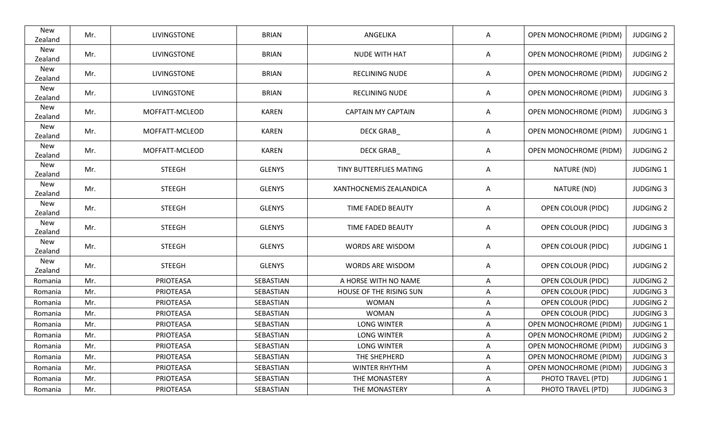| New<br>Zealand | Mr. | LIVINGSTONE        | <b>BRIAN</b>  | ANGELIKA                  | A | OPEN MONOCHROME (PIDM)        | <b>JUDGING 2</b> |
|----------------|-----|--------------------|---------------|---------------------------|---|-------------------------------|------------------|
| New<br>Zealand | Mr. | <b>LIVINGSTONE</b> | <b>BRIAN</b>  | <b>NUDE WITH HAT</b>      | Α | <b>OPEN MONOCHROME (PIDM)</b> | <b>JUDGING 2</b> |
| New<br>Zealand | Mr. | LIVINGSTONE        | <b>BRIAN</b>  | RECLINING NUDE            | Α | OPEN MONOCHROME (PIDM)        | <b>JUDGING 2</b> |
| New<br>Zealand | Mr. | LIVINGSTONE        | <b>BRIAN</b>  | RECLINING NUDE            | A | OPEN MONOCHROME (PIDM)        | <b>JUDGING 3</b> |
| New<br>Zealand | Mr. | MOFFATT-MCLEOD     | <b>KAREN</b>  | <b>CAPTAIN MY CAPTAIN</b> | Α | <b>OPEN MONOCHROME (PIDM)</b> | <b>JUDGING 3</b> |
| New<br>Zealand | Mr. | MOFFATT-MCLEOD     | <b>KAREN</b>  | <b>DECK GRAB_</b>         | Α | <b>OPEN MONOCHROME (PIDM)</b> | <b>JUDGING 1</b> |
| New<br>Zealand | Mr. | MOFFATT-MCLEOD     | <b>KAREN</b>  | DECK GRAB                 | Α | OPEN MONOCHROME (PIDM)        | <b>JUDGING 2</b> |
| New<br>Zealand | Mr. | <b>STEEGH</b>      | <b>GLENYS</b> | TINY BUTTERFLIES MATING   | A | NATURE (ND)                   | <b>JUDGING 1</b> |
| New<br>Zealand | Mr. | <b>STEEGH</b>      | <b>GLENYS</b> | XANTHOCNEMIS ZEALANDICA   | Α | NATURE (ND)                   | <b>JUDGING 3</b> |
| New<br>Zealand | Mr. | <b>STEEGH</b>      | <b>GLENYS</b> | TIME FADED BEAUTY         | A | OPEN COLOUR (PIDC)            | <b>JUDGING 2</b> |
| New<br>Zealand | Mr. | <b>STEEGH</b>      | <b>GLENYS</b> | TIME FADED BEAUTY         | Α | OPEN COLOUR (PIDC)            | <b>JUDGING 3</b> |
| New<br>Zealand | Mr. | <b>STEEGH</b>      | <b>GLENYS</b> | WORDS ARE WISDOM          | A | OPEN COLOUR (PIDC)            | <b>JUDGING 1</b> |
| New<br>Zealand | Mr. | <b>STEEGH</b>      | <b>GLENYS</b> | WORDS ARE WISDOM          | Α | OPEN COLOUR (PIDC)            | <b>JUDGING 2</b> |
| Romania        | Mr. | PRIOTEASA          | SEBASTIAN     | A HORSE WITH NO NAME      | A | OPEN COLOUR (PIDC)            | <b>JUDGING 2</b> |
| Romania        | Mr. | PRIOTEASA          | SEBASTIAN     | HOUSE OF THE RISING SUN   | A | OPEN COLOUR (PIDC)            | <b>JUDGING 3</b> |
| Romania        | Mr. | PRIOTEASA          | SEBASTIAN     | <b>WOMAN</b>              | Α | <b>OPEN COLOUR (PIDC)</b>     | <b>JUDGING 2</b> |
| Romania        | Mr. | PRIOTEASA          | SEBASTIAN     | <b>WOMAN</b>              | Α | <b>OPEN COLOUR (PIDC)</b>     | <b>JUDGING 3</b> |
| Romania        | Mr. | PRIOTEASA          | SEBASTIAN     | <b>LONG WINTER</b>        | Α | OPEN MONOCHROME (PIDM)        | <b>JUDGING 1</b> |
| Romania        | Mr. | PRIOTEASA          | SEBASTIAN     | <b>LONG WINTER</b>        | Α | <b>OPEN MONOCHROME (PIDM)</b> | <b>JUDGING 2</b> |
| Romania        | Mr. | PRIOTEASA          | SEBASTIAN     | <b>LONG WINTER</b>        | Α | <b>OPEN MONOCHROME (PIDM)</b> | <b>JUDGING 3</b> |
| Romania        | Mr. | PRIOTEASA          | SEBASTIAN     | THE SHEPHERD              | Α | OPEN MONOCHROME (PIDM)        | <b>JUDGING 3</b> |
| Romania        | Mr. | PRIOTEASA          | SEBASTIAN     | <b>WINTER RHYTHM</b>      | A | <b>OPEN MONOCHROME (PIDM)</b> | <b>JUDGING 3</b> |
| Romania        | Mr. | PRIOTEASA          | SEBASTIAN     | THE MONASTERY             | Α | PHOTO TRAVEL (PTD)            | <b>JUDGING 1</b> |
| Romania        | Mr. | PRIOTEASA          | SEBASTIAN     | THE MONASTERY             | A | PHOTO TRAVEL (PTD)            | <b>JUDGING 3</b> |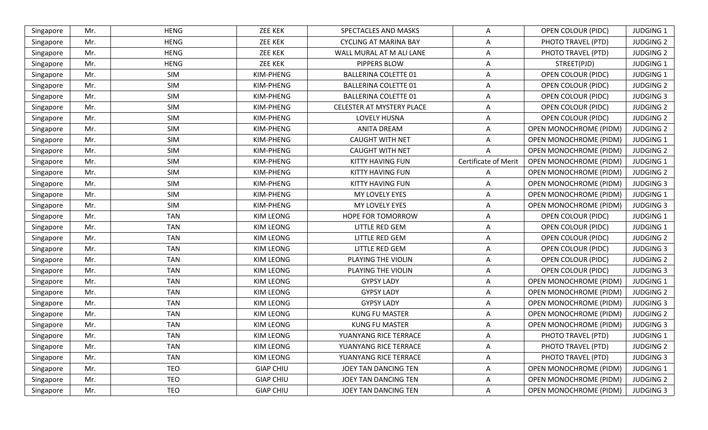| <b>HENG</b><br><b>ZEE KEK</b><br><b>JUDGING 1</b><br>SPECTACLES AND MASKS<br><b>OPEN COLOUR (PIDC)</b><br>Mr.<br>A<br>Singapore<br><b>HENG</b><br><b>ZEE KEK</b><br><b>CYCLING AT MARINA BAY</b><br><b>JUDGING 2</b><br>Mr.<br>Α<br>PHOTO TRAVEL (PTD)<br>Singapore<br><b>HENG</b><br>Mr.<br><b>ZEE KEK</b><br>WALL MURAL AT M ALI LANE<br>PHOTO TRAVEL (PTD)<br><b>JUDGING 2</b><br>Singapore<br>A<br>Mr.<br><b>HENG</b><br><b>ZEE KEK</b><br><b>PIPPERS BLOW</b><br>STREET(PJD)<br><b>JUDGING 1</b><br>Singapore<br>A<br>SIM<br><b>JUDGING 1</b><br>KIM-PHENG<br><b>BALLERINA COLETTE 01</b><br><b>OPEN COLOUR (PIDC)</b><br>Mr.<br>Α<br>Singapore<br>SIM<br>KIM-PHENG<br><b>BALLERINA COLETTE 01</b><br><b>JUDGING 2</b><br>Mr.<br><b>OPEN COLOUR (PIDC)</b><br>Singapore<br>A<br>SIM<br>Mr.<br>KIM-PHENG<br><b>BALLERINA COLETTE 01</b><br><b>OPEN COLOUR (PIDC)</b><br><b>JUDGING 3</b><br>Α<br>Singapore<br>SIM<br>KIM-PHENG<br>CELESTER AT MYSTERY PLACE<br><b>OPEN COLOUR (PIDC)</b><br><b>JUDGING 2</b><br>Singapore<br>Mr.<br>A<br>SIM<br>Mr.<br>KIM-PHENG<br>LOVELY HUSNA<br><b>OPEN COLOUR (PIDC)</b><br><b>JUDGING 2</b><br>Singapore<br>Α<br><b>SIM</b><br>Mr.<br>KIM-PHENG<br><b>ANITA DREAM</b><br>OPEN MONOCHROME (PIDM)<br><b>JUDGING 2</b><br>Singapore<br>Α<br>SIM<br><b>CAUGHT WITH NET</b><br>OPEN MONOCHROME (PIDM)<br><b>JUDGING 1</b><br>Mr.<br>KIM-PHENG<br>Singapore<br>A<br>SIM<br>KIM-PHENG<br>OPEN MONOCHROME (PIDM)<br><b>JUDGING 2</b><br>Mr.<br><b>CAUGHT WITH NET</b><br>A<br>Singapore<br>Certificate of Merit<br>SIM<br>KIM-PHENG<br>KITTY HAVING FUN<br>Mr.<br>OPEN MONOCHROME (PIDM)<br><b>JUDGING 1</b><br>Singapore<br>SIM<br>Mr.<br>KIM-PHENG<br><b>JUDGING 2</b><br>KITTY HAVING FUN<br>Α<br><b>OPEN MONOCHROME (PIDM)</b><br>Singapore<br>SIM<br>KIM-PHENG<br><b>JUDGING 3</b><br>Mr.<br>KITTY HAVING FUN<br><b>OPEN MONOCHROME (PIDM)</b><br>Singapore<br>A<br>Mr.<br>SIM<br>KIM-PHENG<br><b>JUDGING 1</b><br>MY LOVELY EYES<br>OPEN MONOCHROME (PIDM)<br>Singapore<br>Α<br>SIM<br><b>OPEN MONOCHROME (PIDM)</b><br><b>JUDGING 3</b><br>Mr.<br>KIM-PHENG<br>MY LOVELY EYES<br>Singapore<br>A<br><b>TAN</b><br>KIM LEONG<br>HOPE FOR TOMORROW<br><b>JUDGING 1</b><br>Mr.<br><b>OPEN COLOUR (PIDC)</b><br>Singapore<br>Α<br><b>TAN</b><br><b>KIM LEONG</b><br><b>LITTLE RED GEM</b><br><b>JUDGING 1</b><br>Mr.<br>Α<br><b>OPEN COLOUR (PIDC)</b><br>Singapore<br><b>TAN</b><br><b>KIM LEONG</b><br><b>LITTLE RED GEM</b><br>OPEN COLOUR (PIDC)<br><b>JUDGING 2</b><br>Mr.<br>Singapore<br>A<br><b>TAN</b><br>Mr.<br><b>KIM LEONG</b><br>LITTLE RED GEM<br><b>JUDGING 3</b><br>OPEN COLOUR (PIDC)<br>Singapore<br>Α<br><b>TAN</b><br><b>JUDGING 2</b><br>Mr.<br><b>KIM LEONG</b><br>PLAYING THE VIOLIN<br><b>OPEN COLOUR (PIDC)</b><br>Singapore<br>A<br><b>TAN</b><br><b>JUDGING 3</b><br>Mr.<br>KIM LEONG<br>PLAYING THE VIOLIN<br><b>OPEN COLOUR (PIDC)</b><br>Α<br>Singapore<br><b>TAN</b><br><b>KIM LEONG</b><br>OPEN MONOCHROME (PIDM)<br><b>JUDGING 1</b><br>Mr.<br><b>GYPSY LADY</b><br>Α<br>Singapore<br><b>TAN</b><br><b>KIM LEONG</b><br><b>GYPSY LADY</b><br>OPEN MONOCHROME (PIDM)<br>Mr.<br><b>JUDGING 2</b><br>Singapore<br>A<br><b>TAN</b><br><b>KIM LEONG</b><br><b>GYPSY LADY</b><br>OPEN MONOCHROME (PIDM)<br><b>JUDGING 3</b><br>Mr.<br>Singapore<br>A<br><b>TAN</b><br>Mr.<br><b>KIM LEONG</b><br><b>KUNG FU MASTER</b><br>OPEN MONOCHROME (PIDM)<br><b>JUDGING 2</b><br>Singapore<br>A<br><b>TAN</b><br><b>KIM LEONG</b><br><b>KUNG FU MASTER</b><br>OPEN MONOCHROME (PIDM)<br>Mr.<br><b>JUDGING 3</b><br>Singapore<br>A<br><b>JUDGING 1</b><br><b>TAN</b><br>Mr.<br><b>KIM LEONG</b><br>YUANYANG RICE TERRACE<br>PHOTO TRAVEL (PTD)<br>Singapore<br>A<br><b>TAN</b><br>KIM LEONG<br>PHOTO TRAVEL (PTD)<br><b>JUDGING 2</b><br>Singapore<br>Mr.<br>YUANYANG RICE TERRACE<br>A<br><b>TAN</b><br>KIM LEONG<br>YUANYANG RICE TERRACE<br>PHOTO TRAVEL (PTD)<br><b>JUDGING 3</b><br>Mr.<br>Α<br>Singapore<br><b>TEO</b><br><b>OPEN MONOCHROME (PIDM)</b><br><b>GIAP CHIU</b><br>JOEY TAN DANCING TEN<br><b>JUDGING 1</b><br>Singapore<br>Mr.<br>Α<br><b>TEO</b><br><b>OPEN MONOCHROME (PIDM)</b><br>Mr.<br><b>GIAP CHIU</b><br>JOEY TAN DANCING TEN<br>Α<br><b>JUDGING 2</b><br>Singapore<br><b>TEO</b><br><b>GIAP CHIU</b><br>JOEY TAN DANCING TEN<br>OPEN MONOCHROME (PIDM)<br><b>JUDGING 3</b><br>Mr.<br>Singapore<br>Α |  |  |  |  |  |
|--------------------------------------------------------------------------------------------------------------------------------------------------------------------------------------------------------------------------------------------------------------------------------------------------------------------------------------------------------------------------------------------------------------------------------------------------------------------------------------------------------------------------------------------------------------------------------------------------------------------------------------------------------------------------------------------------------------------------------------------------------------------------------------------------------------------------------------------------------------------------------------------------------------------------------------------------------------------------------------------------------------------------------------------------------------------------------------------------------------------------------------------------------------------------------------------------------------------------------------------------------------------------------------------------------------------------------------------------------------------------------------------------------------------------------------------------------------------------------------------------------------------------------------------------------------------------------------------------------------------------------------------------------------------------------------------------------------------------------------------------------------------------------------------------------------------------------------------------------------------------------------------------------------------------------------------------------------------------------------------------------------------------------------------------------------------------------------------------------------------------------------------------------------------------------------------------------------------------------------------------------------------------------------------------------------------------------------------------------------------------------------------------------------------------------------------------------------------------------------------------------------------------------------------------------------------------------------------------------------------------------------------------------------------------------------------------------------------------------------------------------------------------------------------------------------------------------------------------------------------------------------------------------------------------------------------------------------------------------------------------------------------------------------------------------------------------------------------------------------------------------------------------------------------------------------------------------------------------------------------------------------------------------------------------------------------------------------------------------------------------------------------------------------------------------------------------------------------------------------------------------------------------------------------------------------------------------------------------------------------------------------------------------------------------------------------------------------------------------------------------------------------------------------------------------------------------------------------------------------------------------------------------------------------------------------------------------------------------------------------------------------------------------------------------------------------------------------------------------------------------------------------------------------------------------------------------------------------------------------------------------------------------------------------------------------------------------------------------------------------------------------|--|--|--|--|--|
|                                                                                                                                                                                                                                                                                                                                                                                                                                                                                                                                                                                                                                                                                                                                                                                                                                                                                                                                                                                                                                                                                                                                                                                                                                                                                                                                                                                                                                                                                                                                                                                                                                                                                                                                                                                                                                                                                                                                                                                                                                                                                                                                                                                                                                                                                                                                                                                                                                                                                                                                                                                                                                                                                                                                                                                                                                                                                                                                                                                                                                                                                                                                                                                                                                                                                                                                                                                                                                                                                                                                                                                                                                                                                                                                                                                                                                                                                                                                                                                                                                                                                                                                                                                                                                                                                                                                                                                      |  |  |  |  |  |
|                                                                                                                                                                                                                                                                                                                                                                                                                                                                                                                                                                                                                                                                                                                                                                                                                                                                                                                                                                                                                                                                                                                                                                                                                                                                                                                                                                                                                                                                                                                                                                                                                                                                                                                                                                                                                                                                                                                                                                                                                                                                                                                                                                                                                                                                                                                                                                                                                                                                                                                                                                                                                                                                                                                                                                                                                                                                                                                                                                                                                                                                                                                                                                                                                                                                                                                                                                                                                                                                                                                                                                                                                                                                                                                                                                                                                                                                                                                                                                                                                                                                                                                                                                                                                                                                                                                                                                                      |  |  |  |  |  |
|                                                                                                                                                                                                                                                                                                                                                                                                                                                                                                                                                                                                                                                                                                                                                                                                                                                                                                                                                                                                                                                                                                                                                                                                                                                                                                                                                                                                                                                                                                                                                                                                                                                                                                                                                                                                                                                                                                                                                                                                                                                                                                                                                                                                                                                                                                                                                                                                                                                                                                                                                                                                                                                                                                                                                                                                                                                                                                                                                                                                                                                                                                                                                                                                                                                                                                                                                                                                                                                                                                                                                                                                                                                                                                                                                                                                                                                                                                                                                                                                                                                                                                                                                                                                                                                                                                                                                                                      |  |  |  |  |  |
|                                                                                                                                                                                                                                                                                                                                                                                                                                                                                                                                                                                                                                                                                                                                                                                                                                                                                                                                                                                                                                                                                                                                                                                                                                                                                                                                                                                                                                                                                                                                                                                                                                                                                                                                                                                                                                                                                                                                                                                                                                                                                                                                                                                                                                                                                                                                                                                                                                                                                                                                                                                                                                                                                                                                                                                                                                                                                                                                                                                                                                                                                                                                                                                                                                                                                                                                                                                                                                                                                                                                                                                                                                                                                                                                                                                                                                                                                                                                                                                                                                                                                                                                                                                                                                                                                                                                                                                      |  |  |  |  |  |
|                                                                                                                                                                                                                                                                                                                                                                                                                                                                                                                                                                                                                                                                                                                                                                                                                                                                                                                                                                                                                                                                                                                                                                                                                                                                                                                                                                                                                                                                                                                                                                                                                                                                                                                                                                                                                                                                                                                                                                                                                                                                                                                                                                                                                                                                                                                                                                                                                                                                                                                                                                                                                                                                                                                                                                                                                                                                                                                                                                                                                                                                                                                                                                                                                                                                                                                                                                                                                                                                                                                                                                                                                                                                                                                                                                                                                                                                                                                                                                                                                                                                                                                                                                                                                                                                                                                                                                                      |  |  |  |  |  |
|                                                                                                                                                                                                                                                                                                                                                                                                                                                                                                                                                                                                                                                                                                                                                                                                                                                                                                                                                                                                                                                                                                                                                                                                                                                                                                                                                                                                                                                                                                                                                                                                                                                                                                                                                                                                                                                                                                                                                                                                                                                                                                                                                                                                                                                                                                                                                                                                                                                                                                                                                                                                                                                                                                                                                                                                                                                                                                                                                                                                                                                                                                                                                                                                                                                                                                                                                                                                                                                                                                                                                                                                                                                                                                                                                                                                                                                                                                                                                                                                                                                                                                                                                                                                                                                                                                                                                                                      |  |  |  |  |  |
|                                                                                                                                                                                                                                                                                                                                                                                                                                                                                                                                                                                                                                                                                                                                                                                                                                                                                                                                                                                                                                                                                                                                                                                                                                                                                                                                                                                                                                                                                                                                                                                                                                                                                                                                                                                                                                                                                                                                                                                                                                                                                                                                                                                                                                                                                                                                                                                                                                                                                                                                                                                                                                                                                                                                                                                                                                                                                                                                                                                                                                                                                                                                                                                                                                                                                                                                                                                                                                                                                                                                                                                                                                                                                                                                                                                                                                                                                                                                                                                                                                                                                                                                                                                                                                                                                                                                                                                      |  |  |  |  |  |
|                                                                                                                                                                                                                                                                                                                                                                                                                                                                                                                                                                                                                                                                                                                                                                                                                                                                                                                                                                                                                                                                                                                                                                                                                                                                                                                                                                                                                                                                                                                                                                                                                                                                                                                                                                                                                                                                                                                                                                                                                                                                                                                                                                                                                                                                                                                                                                                                                                                                                                                                                                                                                                                                                                                                                                                                                                                                                                                                                                                                                                                                                                                                                                                                                                                                                                                                                                                                                                                                                                                                                                                                                                                                                                                                                                                                                                                                                                                                                                                                                                                                                                                                                                                                                                                                                                                                                                                      |  |  |  |  |  |
|                                                                                                                                                                                                                                                                                                                                                                                                                                                                                                                                                                                                                                                                                                                                                                                                                                                                                                                                                                                                                                                                                                                                                                                                                                                                                                                                                                                                                                                                                                                                                                                                                                                                                                                                                                                                                                                                                                                                                                                                                                                                                                                                                                                                                                                                                                                                                                                                                                                                                                                                                                                                                                                                                                                                                                                                                                                                                                                                                                                                                                                                                                                                                                                                                                                                                                                                                                                                                                                                                                                                                                                                                                                                                                                                                                                                                                                                                                                                                                                                                                                                                                                                                                                                                                                                                                                                                                                      |  |  |  |  |  |
|                                                                                                                                                                                                                                                                                                                                                                                                                                                                                                                                                                                                                                                                                                                                                                                                                                                                                                                                                                                                                                                                                                                                                                                                                                                                                                                                                                                                                                                                                                                                                                                                                                                                                                                                                                                                                                                                                                                                                                                                                                                                                                                                                                                                                                                                                                                                                                                                                                                                                                                                                                                                                                                                                                                                                                                                                                                                                                                                                                                                                                                                                                                                                                                                                                                                                                                                                                                                                                                                                                                                                                                                                                                                                                                                                                                                                                                                                                                                                                                                                                                                                                                                                                                                                                                                                                                                                                                      |  |  |  |  |  |
|                                                                                                                                                                                                                                                                                                                                                                                                                                                                                                                                                                                                                                                                                                                                                                                                                                                                                                                                                                                                                                                                                                                                                                                                                                                                                                                                                                                                                                                                                                                                                                                                                                                                                                                                                                                                                                                                                                                                                                                                                                                                                                                                                                                                                                                                                                                                                                                                                                                                                                                                                                                                                                                                                                                                                                                                                                                                                                                                                                                                                                                                                                                                                                                                                                                                                                                                                                                                                                                                                                                                                                                                                                                                                                                                                                                                                                                                                                                                                                                                                                                                                                                                                                                                                                                                                                                                                                                      |  |  |  |  |  |
|                                                                                                                                                                                                                                                                                                                                                                                                                                                                                                                                                                                                                                                                                                                                                                                                                                                                                                                                                                                                                                                                                                                                                                                                                                                                                                                                                                                                                                                                                                                                                                                                                                                                                                                                                                                                                                                                                                                                                                                                                                                                                                                                                                                                                                                                                                                                                                                                                                                                                                                                                                                                                                                                                                                                                                                                                                                                                                                                                                                                                                                                                                                                                                                                                                                                                                                                                                                                                                                                                                                                                                                                                                                                                                                                                                                                                                                                                                                                                                                                                                                                                                                                                                                                                                                                                                                                                                                      |  |  |  |  |  |
|                                                                                                                                                                                                                                                                                                                                                                                                                                                                                                                                                                                                                                                                                                                                                                                                                                                                                                                                                                                                                                                                                                                                                                                                                                                                                                                                                                                                                                                                                                                                                                                                                                                                                                                                                                                                                                                                                                                                                                                                                                                                                                                                                                                                                                                                                                                                                                                                                                                                                                                                                                                                                                                                                                                                                                                                                                                                                                                                                                                                                                                                                                                                                                                                                                                                                                                                                                                                                                                                                                                                                                                                                                                                                                                                                                                                                                                                                                                                                                                                                                                                                                                                                                                                                                                                                                                                                                                      |  |  |  |  |  |
|                                                                                                                                                                                                                                                                                                                                                                                                                                                                                                                                                                                                                                                                                                                                                                                                                                                                                                                                                                                                                                                                                                                                                                                                                                                                                                                                                                                                                                                                                                                                                                                                                                                                                                                                                                                                                                                                                                                                                                                                                                                                                                                                                                                                                                                                                                                                                                                                                                                                                                                                                                                                                                                                                                                                                                                                                                                                                                                                                                                                                                                                                                                                                                                                                                                                                                                                                                                                                                                                                                                                                                                                                                                                                                                                                                                                                                                                                                                                                                                                                                                                                                                                                                                                                                                                                                                                                                                      |  |  |  |  |  |
|                                                                                                                                                                                                                                                                                                                                                                                                                                                                                                                                                                                                                                                                                                                                                                                                                                                                                                                                                                                                                                                                                                                                                                                                                                                                                                                                                                                                                                                                                                                                                                                                                                                                                                                                                                                                                                                                                                                                                                                                                                                                                                                                                                                                                                                                                                                                                                                                                                                                                                                                                                                                                                                                                                                                                                                                                                                                                                                                                                                                                                                                                                                                                                                                                                                                                                                                                                                                                                                                                                                                                                                                                                                                                                                                                                                                                                                                                                                                                                                                                                                                                                                                                                                                                                                                                                                                                                                      |  |  |  |  |  |
|                                                                                                                                                                                                                                                                                                                                                                                                                                                                                                                                                                                                                                                                                                                                                                                                                                                                                                                                                                                                                                                                                                                                                                                                                                                                                                                                                                                                                                                                                                                                                                                                                                                                                                                                                                                                                                                                                                                                                                                                                                                                                                                                                                                                                                                                                                                                                                                                                                                                                                                                                                                                                                                                                                                                                                                                                                                                                                                                                                                                                                                                                                                                                                                                                                                                                                                                                                                                                                                                                                                                                                                                                                                                                                                                                                                                                                                                                                                                                                                                                                                                                                                                                                                                                                                                                                                                                                                      |  |  |  |  |  |
|                                                                                                                                                                                                                                                                                                                                                                                                                                                                                                                                                                                                                                                                                                                                                                                                                                                                                                                                                                                                                                                                                                                                                                                                                                                                                                                                                                                                                                                                                                                                                                                                                                                                                                                                                                                                                                                                                                                                                                                                                                                                                                                                                                                                                                                                                                                                                                                                                                                                                                                                                                                                                                                                                                                                                                                                                                                                                                                                                                                                                                                                                                                                                                                                                                                                                                                                                                                                                                                                                                                                                                                                                                                                                                                                                                                                                                                                                                                                                                                                                                                                                                                                                                                                                                                                                                                                                                                      |  |  |  |  |  |
|                                                                                                                                                                                                                                                                                                                                                                                                                                                                                                                                                                                                                                                                                                                                                                                                                                                                                                                                                                                                                                                                                                                                                                                                                                                                                                                                                                                                                                                                                                                                                                                                                                                                                                                                                                                                                                                                                                                                                                                                                                                                                                                                                                                                                                                                                                                                                                                                                                                                                                                                                                                                                                                                                                                                                                                                                                                                                                                                                                                                                                                                                                                                                                                                                                                                                                                                                                                                                                                                                                                                                                                                                                                                                                                                                                                                                                                                                                                                                                                                                                                                                                                                                                                                                                                                                                                                                                                      |  |  |  |  |  |
|                                                                                                                                                                                                                                                                                                                                                                                                                                                                                                                                                                                                                                                                                                                                                                                                                                                                                                                                                                                                                                                                                                                                                                                                                                                                                                                                                                                                                                                                                                                                                                                                                                                                                                                                                                                                                                                                                                                                                                                                                                                                                                                                                                                                                                                                                                                                                                                                                                                                                                                                                                                                                                                                                                                                                                                                                                                                                                                                                                                                                                                                                                                                                                                                                                                                                                                                                                                                                                                                                                                                                                                                                                                                                                                                                                                                                                                                                                                                                                                                                                                                                                                                                                                                                                                                                                                                                                                      |  |  |  |  |  |
|                                                                                                                                                                                                                                                                                                                                                                                                                                                                                                                                                                                                                                                                                                                                                                                                                                                                                                                                                                                                                                                                                                                                                                                                                                                                                                                                                                                                                                                                                                                                                                                                                                                                                                                                                                                                                                                                                                                                                                                                                                                                                                                                                                                                                                                                                                                                                                                                                                                                                                                                                                                                                                                                                                                                                                                                                                                                                                                                                                                                                                                                                                                                                                                                                                                                                                                                                                                                                                                                                                                                                                                                                                                                                                                                                                                                                                                                                                                                                                                                                                                                                                                                                                                                                                                                                                                                                                                      |  |  |  |  |  |
|                                                                                                                                                                                                                                                                                                                                                                                                                                                                                                                                                                                                                                                                                                                                                                                                                                                                                                                                                                                                                                                                                                                                                                                                                                                                                                                                                                                                                                                                                                                                                                                                                                                                                                                                                                                                                                                                                                                                                                                                                                                                                                                                                                                                                                                                                                                                                                                                                                                                                                                                                                                                                                                                                                                                                                                                                                                                                                                                                                                                                                                                                                                                                                                                                                                                                                                                                                                                                                                                                                                                                                                                                                                                                                                                                                                                                                                                                                                                                                                                                                                                                                                                                                                                                                                                                                                                                                                      |  |  |  |  |  |
|                                                                                                                                                                                                                                                                                                                                                                                                                                                                                                                                                                                                                                                                                                                                                                                                                                                                                                                                                                                                                                                                                                                                                                                                                                                                                                                                                                                                                                                                                                                                                                                                                                                                                                                                                                                                                                                                                                                                                                                                                                                                                                                                                                                                                                                                                                                                                                                                                                                                                                                                                                                                                                                                                                                                                                                                                                                                                                                                                                                                                                                                                                                                                                                                                                                                                                                                                                                                                                                                                                                                                                                                                                                                                                                                                                                                                                                                                                                                                                                                                                                                                                                                                                                                                                                                                                                                                                                      |  |  |  |  |  |
|                                                                                                                                                                                                                                                                                                                                                                                                                                                                                                                                                                                                                                                                                                                                                                                                                                                                                                                                                                                                                                                                                                                                                                                                                                                                                                                                                                                                                                                                                                                                                                                                                                                                                                                                                                                                                                                                                                                                                                                                                                                                                                                                                                                                                                                                                                                                                                                                                                                                                                                                                                                                                                                                                                                                                                                                                                                                                                                                                                                                                                                                                                                                                                                                                                                                                                                                                                                                                                                                                                                                                                                                                                                                                                                                                                                                                                                                                                                                                                                                                                                                                                                                                                                                                                                                                                                                                                                      |  |  |  |  |  |
|                                                                                                                                                                                                                                                                                                                                                                                                                                                                                                                                                                                                                                                                                                                                                                                                                                                                                                                                                                                                                                                                                                                                                                                                                                                                                                                                                                                                                                                                                                                                                                                                                                                                                                                                                                                                                                                                                                                                                                                                                                                                                                                                                                                                                                                                                                                                                                                                                                                                                                                                                                                                                                                                                                                                                                                                                                                                                                                                                                                                                                                                                                                                                                                                                                                                                                                                                                                                                                                                                                                                                                                                                                                                                                                                                                                                                                                                                                                                                                                                                                                                                                                                                                                                                                                                                                                                                                                      |  |  |  |  |  |
|                                                                                                                                                                                                                                                                                                                                                                                                                                                                                                                                                                                                                                                                                                                                                                                                                                                                                                                                                                                                                                                                                                                                                                                                                                                                                                                                                                                                                                                                                                                                                                                                                                                                                                                                                                                                                                                                                                                                                                                                                                                                                                                                                                                                                                                                                                                                                                                                                                                                                                                                                                                                                                                                                                                                                                                                                                                                                                                                                                                                                                                                                                                                                                                                                                                                                                                                                                                                                                                                                                                                                                                                                                                                                                                                                                                                                                                                                                                                                                                                                                                                                                                                                                                                                                                                                                                                                                                      |  |  |  |  |  |
|                                                                                                                                                                                                                                                                                                                                                                                                                                                                                                                                                                                                                                                                                                                                                                                                                                                                                                                                                                                                                                                                                                                                                                                                                                                                                                                                                                                                                                                                                                                                                                                                                                                                                                                                                                                                                                                                                                                                                                                                                                                                                                                                                                                                                                                                                                                                                                                                                                                                                                                                                                                                                                                                                                                                                                                                                                                                                                                                                                                                                                                                                                                                                                                                                                                                                                                                                                                                                                                                                                                                                                                                                                                                                                                                                                                                                                                                                                                                                                                                                                                                                                                                                                                                                                                                                                                                                                                      |  |  |  |  |  |
|                                                                                                                                                                                                                                                                                                                                                                                                                                                                                                                                                                                                                                                                                                                                                                                                                                                                                                                                                                                                                                                                                                                                                                                                                                                                                                                                                                                                                                                                                                                                                                                                                                                                                                                                                                                                                                                                                                                                                                                                                                                                                                                                                                                                                                                                                                                                                                                                                                                                                                                                                                                                                                                                                                                                                                                                                                                                                                                                                                                                                                                                                                                                                                                                                                                                                                                                                                                                                                                                                                                                                                                                                                                                                                                                                                                                                                                                                                                                                                                                                                                                                                                                                                                                                                                                                                                                                                                      |  |  |  |  |  |
|                                                                                                                                                                                                                                                                                                                                                                                                                                                                                                                                                                                                                                                                                                                                                                                                                                                                                                                                                                                                                                                                                                                                                                                                                                                                                                                                                                                                                                                                                                                                                                                                                                                                                                                                                                                                                                                                                                                                                                                                                                                                                                                                                                                                                                                                                                                                                                                                                                                                                                                                                                                                                                                                                                                                                                                                                                                                                                                                                                                                                                                                                                                                                                                                                                                                                                                                                                                                                                                                                                                                                                                                                                                                                                                                                                                                                                                                                                                                                                                                                                                                                                                                                                                                                                                                                                                                                                                      |  |  |  |  |  |
|                                                                                                                                                                                                                                                                                                                                                                                                                                                                                                                                                                                                                                                                                                                                                                                                                                                                                                                                                                                                                                                                                                                                                                                                                                                                                                                                                                                                                                                                                                                                                                                                                                                                                                                                                                                                                                                                                                                                                                                                                                                                                                                                                                                                                                                                                                                                                                                                                                                                                                                                                                                                                                                                                                                                                                                                                                                                                                                                                                                                                                                                                                                                                                                                                                                                                                                                                                                                                                                                                                                                                                                                                                                                                                                                                                                                                                                                                                                                                                                                                                                                                                                                                                                                                                                                                                                                                                                      |  |  |  |  |  |
|                                                                                                                                                                                                                                                                                                                                                                                                                                                                                                                                                                                                                                                                                                                                                                                                                                                                                                                                                                                                                                                                                                                                                                                                                                                                                                                                                                                                                                                                                                                                                                                                                                                                                                                                                                                                                                                                                                                                                                                                                                                                                                                                                                                                                                                                                                                                                                                                                                                                                                                                                                                                                                                                                                                                                                                                                                                                                                                                                                                                                                                                                                                                                                                                                                                                                                                                                                                                                                                                                                                                                                                                                                                                                                                                                                                                                                                                                                                                                                                                                                                                                                                                                                                                                                                                                                                                                                                      |  |  |  |  |  |
|                                                                                                                                                                                                                                                                                                                                                                                                                                                                                                                                                                                                                                                                                                                                                                                                                                                                                                                                                                                                                                                                                                                                                                                                                                                                                                                                                                                                                                                                                                                                                                                                                                                                                                                                                                                                                                                                                                                                                                                                                                                                                                                                                                                                                                                                                                                                                                                                                                                                                                                                                                                                                                                                                                                                                                                                                                                                                                                                                                                                                                                                                                                                                                                                                                                                                                                                                                                                                                                                                                                                                                                                                                                                                                                                                                                                                                                                                                                                                                                                                                                                                                                                                                                                                                                                                                                                                                                      |  |  |  |  |  |
|                                                                                                                                                                                                                                                                                                                                                                                                                                                                                                                                                                                                                                                                                                                                                                                                                                                                                                                                                                                                                                                                                                                                                                                                                                                                                                                                                                                                                                                                                                                                                                                                                                                                                                                                                                                                                                                                                                                                                                                                                                                                                                                                                                                                                                                                                                                                                                                                                                                                                                                                                                                                                                                                                                                                                                                                                                                                                                                                                                                                                                                                                                                                                                                                                                                                                                                                                                                                                                                                                                                                                                                                                                                                                                                                                                                                                                                                                                                                                                                                                                                                                                                                                                                                                                                                                                                                                                                      |  |  |  |  |  |
|                                                                                                                                                                                                                                                                                                                                                                                                                                                                                                                                                                                                                                                                                                                                                                                                                                                                                                                                                                                                                                                                                                                                                                                                                                                                                                                                                                                                                                                                                                                                                                                                                                                                                                                                                                                                                                                                                                                                                                                                                                                                                                                                                                                                                                                                                                                                                                                                                                                                                                                                                                                                                                                                                                                                                                                                                                                                                                                                                                                                                                                                                                                                                                                                                                                                                                                                                                                                                                                                                                                                                                                                                                                                                                                                                                                                                                                                                                                                                                                                                                                                                                                                                                                                                                                                                                                                                                                      |  |  |  |  |  |
|                                                                                                                                                                                                                                                                                                                                                                                                                                                                                                                                                                                                                                                                                                                                                                                                                                                                                                                                                                                                                                                                                                                                                                                                                                                                                                                                                                                                                                                                                                                                                                                                                                                                                                                                                                                                                                                                                                                                                                                                                                                                                                                                                                                                                                                                                                                                                                                                                                                                                                                                                                                                                                                                                                                                                                                                                                                                                                                                                                                                                                                                                                                                                                                                                                                                                                                                                                                                                                                                                                                                                                                                                                                                                                                                                                                                                                                                                                                                                                                                                                                                                                                                                                                                                                                                                                                                                                                      |  |  |  |  |  |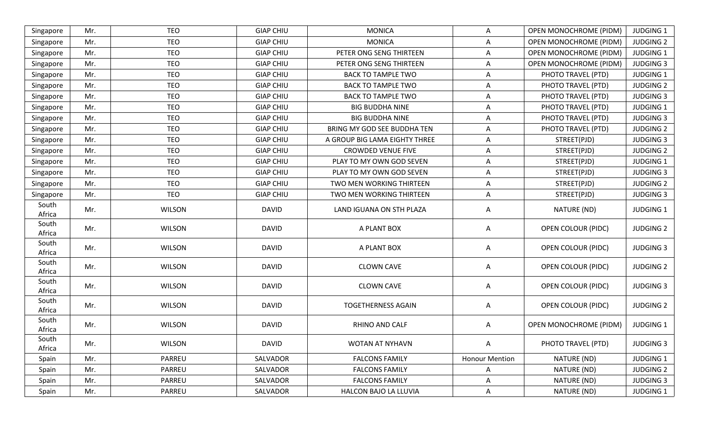| Singapore       | Mr. | <b>TEO</b>    | <b>GIAP CHIU</b> | <b>MONICA</b>                 | A                     | OPEN MONOCHROME (PIDM)        | <b>JUDGING 1</b> |
|-----------------|-----|---------------|------------------|-------------------------------|-----------------------|-------------------------------|------------------|
| Singapore       | Mr. | <b>TEO</b>    | <b>GIAP CHIU</b> | <b>MONICA</b>                 | A                     | <b>OPEN MONOCHROME (PIDM)</b> | <b>JUDGING 2</b> |
| Singapore       | Mr. | <b>TEO</b>    | <b>GIAP CHIU</b> | PETER ONG SENG THIRTEEN       | A                     | <b>OPEN MONOCHROME (PIDM)</b> | <b>JUDGING 1</b> |
| Singapore       | Mr. | <b>TEO</b>    | <b>GIAP CHIU</b> | PETER ONG SENG THIRTEEN       | $\overline{A}$        | <b>OPEN MONOCHROME (PIDM)</b> | <b>JUDGING 3</b> |
| Singapore       | Mr. | <b>TEO</b>    | <b>GIAP CHIU</b> | <b>BACK TO TAMPLE TWO</b>     | $\mathsf{A}$          | PHOTO TRAVEL (PTD)            | <b>JUDGING 1</b> |
| Singapore       | Mr. | <b>TEO</b>    | <b>GIAP CHIU</b> | <b>BACK TO TAMPLE TWO</b>     | $\mathsf{A}$          | PHOTO TRAVEL (PTD)            | <b>JUDGING 2</b> |
| Singapore       | Mr. | <b>TEO</b>    | <b>GIAP CHIU</b> | <b>BACK TO TAMPLE TWO</b>     | Α                     | PHOTO TRAVEL (PTD)            | <b>JUDGING 3</b> |
| Singapore       | Mr. | <b>TEO</b>    | <b>GIAP CHIU</b> | <b>BIG BUDDHA NINE</b>        | A                     | PHOTO TRAVEL (PTD)            | <b>JUDGING 1</b> |
| Singapore       | Mr. | <b>TEO</b>    | <b>GIAP CHIU</b> | <b>BIG BUDDHA NINE</b>        | $\overline{A}$        | PHOTO TRAVEL (PTD)            | <b>JUDGING 3</b> |
| Singapore       | Mr. | <b>TEO</b>    | <b>GIAP CHIU</b> | BRING MY GOD SEE BUDDHA TEN   | A                     | PHOTO TRAVEL (PTD)            | <b>JUDGING 2</b> |
| Singapore       | Mr. | <b>TEO</b>    | <b>GIAP CHIU</b> | A GROUP BIG LAMA EIGHTY THREE | A                     | STREET(PJD)                   | <b>JUDGING 3</b> |
| Singapore       | Mr. | <b>TEO</b>    | <b>GIAP CHIU</b> | <b>CROWDED VENUE FIVE</b>     | A                     | STREET(PJD)                   | <b>JUDGING 2</b> |
| Singapore       | Mr. | <b>TEO</b>    | <b>GIAP CHIU</b> | PLAY TO MY OWN GOD SEVEN      | A                     | STREET(PJD)                   | <b>JUDGING 1</b> |
| Singapore       | Mr. | <b>TEO</b>    | <b>GIAP CHIU</b> | PLAY TO MY OWN GOD SEVEN      | $\overline{A}$        | STREET(PJD)                   | <b>JUDGING 3</b> |
| Singapore       | Mr. | <b>TEO</b>    | <b>GIAP CHIU</b> | TWO MEN WORKING THIRTEEN      | A                     | STREET(PJD)                   | <b>JUDGING 2</b> |
| Singapore       | Mr. | <b>TEO</b>    | <b>GIAP CHIU</b> | TWO MEN WORKING THIRTEEN      | A                     | STREET(PJD)                   | <b>JUDGING 3</b> |
| South<br>Africa | Mr. | <b>WILSON</b> | <b>DAVID</b>     | LAND IGUANA ON STH PLAZA      | A                     | NATURE (ND)                   | <b>JUDGING 1</b> |
| South<br>Africa | Mr. | <b>WILSON</b> | <b>DAVID</b>     | A PLANT BOX                   | A                     | OPEN COLOUR (PIDC)            | <b>JUDGING 2</b> |
| South<br>Africa | Mr. | <b>WILSON</b> | <b>DAVID</b>     | A PLANT BOX                   | A                     | OPEN COLOUR (PIDC)            | <b>JUDGING 3</b> |
| South<br>Africa | Mr. | <b>WILSON</b> | <b>DAVID</b>     | <b>CLOWN CAVE</b>             | A                     | OPEN COLOUR (PIDC)            | <b>JUDGING 2</b> |
| South<br>Africa | Mr. | <b>WILSON</b> | <b>DAVID</b>     | <b>CLOWN CAVE</b>             | A                     | OPEN COLOUR (PIDC)            | <b>JUDGING 3</b> |
| South<br>Africa | Mr. | <b>WILSON</b> | <b>DAVID</b>     | <b>TOGETHERNESS AGAIN</b>     | A                     | <b>OPEN COLOUR (PIDC)</b>     | <b>JUDGING 2</b> |
| South<br>Africa | Mr. | <b>WILSON</b> | <b>DAVID</b>     | RHINO AND CALF                | A                     | <b>OPEN MONOCHROME (PIDM)</b> | <b>JUDGING 1</b> |
| South<br>Africa | Mr. | <b>WILSON</b> | <b>DAVID</b>     | WOTAN AT NYHAVN               | A                     | PHOTO TRAVEL (PTD)            | <b>JUDGING 3</b> |
| Spain           | Mr. | PARREU        | SALVADOR         | <b>FALCONS FAMILY</b>         | <b>Honour Mention</b> | NATURE (ND)                   | JUDGING 1        |
| Spain           | Mr. | PARREU        | SALVADOR         | <b>FALCONS FAMILY</b>         | A                     | NATURE (ND)                   | <b>JUDGING 2</b> |
| Spain           | Mr. | PARREU        | SALVADOR         | <b>FALCONS FAMILY</b>         | A                     | NATURE (ND)                   | <b>JUDGING 3</b> |
| Spain           | Mr. | PARREU        | SALVADOR         | HALCON BAJO LA LLUVIA         | A                     | NATURE (ND)                   | JUDGING 1        |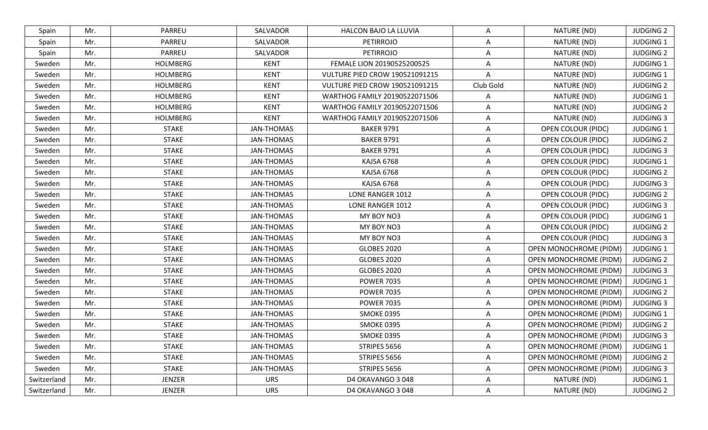| Spain       | Mr. | PARREU          | SALVADOR          | HALCON BAJO LA LLUVIA          | A         | NATURE (ND)                   | <b>JUDGING 2</b> |
|-------------|-----|-----------------|-------------------|--------------------------------|-----------|-------------------------------|------------------|
| Spain       | Mr. | PARREU          | SALVADOR          | <b>PETIRROJO</b>               | Α         | NATURE (ND)                   | <b>JUDGING 1</b> |
| Spain       | Mr. | PARREU          | SALVADOR          | <b>PETIRROJO</b>               | A         | NATURE (ND)                   | <b>JUDGING 2</b> |
| Sweden      | Mr. | <b>HOLMBERG</b> | <b>KENT</b>       | FEMALE LION 20190525200525     | A         | NATURE (ND)                   | <b>JUDGING 1</b> |
| Sweden      | Mr. | <b>HOLMBERG</b> | <b>KENT</b>       | VULTURE PIED CROW 190521091215 | A         | NATURE (ND)                   | <b>JUDGING 1</b> |
| Sweden      | Mr. | <b>HOLMBERG</b> | <b>KENT</b>       | VULTURE PIED CROW 190521091215 | Club Gold | NATURE (ND)                   | <b>JUDGING 2</b> |
| Sweden      | Mr. | <b>HOLMBERG</b> | <b>KENT</b>       | WARTHOG FAMILY 20190522071506  | A         | NATURE (ND)                   | <b>JUDGING 1</b> |
| Sweden      | Mr. | <b>HOLMBERG</b> | <b>KENT</b>       | WARTHOG FAMILY 20190522071506  | Α         | NATURE (ND)                   | <b>JUDGING 2</b> |
| Sweden      | Mr. | <b>HOLMBERG</b> | <b>KENT</b>       | WARTHOG FAMILY 20190522071506  | Α         | NATURE (ND)                   | <b>JUDGING 3</b> |
| Sweden      | Mr. | <b>STAKE</b>    | <b>JAN-THOMAS</b> | <b>BAKER 9791</b>              | A         | <b>OPEN COLOUR (PIDC)</b>     | <b>JUDGING 1</b> |
| Sweden      | Mr. | <b>STAKE</b>    | JAN-THOMAS        | <b>BAKER 9791</b>              | A         | <b>OPEN COLOUR (PIDC)</b>     | <b>JUDGING 2</b> |
| Sweden      | Mr. | <b>STAKE</b>    | JAN-THOMAS        | <b>BAKER 9791</b>              | A         | OPEN COLOUR (PIDC)            | <b>JUDGING 3</b> |
| Sweden      | Mr. | <b>STAKE</b>    | JAN-THOMAS        | KAJSA 6768                     | A         | <b>OPEN COLOUR (PIDC)</b>     | <b>JUDGING 1</b> |
| Sweden      | Mr. | <b>STAKE</b>    | JAN-THOMAS        | KAJSA 6768                     | A         | OPEN COLOUR (PIDC)            | <b>JUDGING 2</b> |
| Sweden      | Mr. | <b>STAKE</b>    | JAN-THOMAS        | KAJSA 6768                     | A         | OPEN COLOUR (PIDC)            | <b>JUDGING 3</b> |
| Sweden      | Mr. | <b>STAKE</b>    | JAN-THOMAS        | LONE RANGER 1012               | A         | <b>OPEN COLOUR (PIDC)</b>     | <b>JUDGING 2</b> |
| Sweden      | Mr. | <b>STAKE</b>    | <b>JAN-THOMAS</b> | LONE RANGER 1012               | A         | <b>OPEN COLOUR (PIDC)</b>     | <b>JUDGING 3</b> |
| Sweden      | Mr. | <b>STAKE</b>    | <b>JAN-THOMAS</b> | MY BOY NO3                     | A         | <b>OPEN COLOUR (PIDC)</b>     | <b>JUDGING 1</b> |
| Sweden      | Mr. | <b>STAKE</b>    | JAN-THOMAS        | MY BOY NO3                     | A         | OPEN COLOUR (PIDC)            | <b>JUDGING 2</b> |
| Sweden      | Mr. | <b>STAKE</b>    | JAN-THOMAS        | MY BOY NO3                     | A         | <b>OPEN COLOUR (PIDC)</b>     | <b>JUDGING 3</b> |
| Sweden      | Mr. | <b>STAKE</b>    | JAN-THOMAS        | <b>GLOBES 2020</b>             | A         | <b>OPEN MONOCHROME (PIDM)</b> | <b>JUDGING 1</b> |
| Sweden      | Mr. | <b>STAKE</b>    | <b>JAN-THOMAS</b> | <b>GLOBES 2020</b>             | A         | OPEN MONOCHROME (PIDM)        | <b>JUDGING 2</b> |
| Sweden      | Mr. | <b>STAKE</b>    | JAN-THOMAS        | <b>GLOBES 2020</b>             | A         | <b>OPEN MONOCHROME (PIDM)</b> | <b>JUDGING 3</b> |
| Sweden      | Mr. | <b>STAKE</b>    | JAN-THOMAS        | <b>POWER 7035</b>              | A         | <b>OPEN MONOCHROME (PIDM)</b> | <b>JUDGING 1</b> |
| Sweden      | Mr. | <b>STAKE</b>    | JAN-THOMAS        | <b>POWER 7035</b>              | A         | OPEN MONOCHROME (PIDM)        | <b>JUDGING 2</b> |
| Sweden      | Mr. | <b>STAKE</b>    | JAN-THOMAS        | <b>POWER 7035</b>              | A         | <b>OPEN MONOCHROME (PIDM)</b> | <b>JUDGING 3</b> |
| Sweden      | Mr. | <b>STAKE</b>    | JAN-THOMAS        | <b>SMOKE 0395</b>              | A         | <b>OPEN MONOCHROME (PIDM)</b> | <b>JUDGING 1</b> |
| Sweden      | Mr. | <b>STAKE</b>    | JAN-THOMAS        | <b>SMOKE 0395</b>              | A         | OPEN MONOCHROME (PIDM)        | <b>JUDGING 2</b> |
| Sweden      | Mr. | <b>STAKE</b>    | JAN-THOMAS        | <b>SMOKE 0395</b>              | A         | <b>OPEN MONOCHROME (PIDM)</b> | <b>JUDGING 3</b> |
| Sweden      | Mr. | <b>STAKE</b>    | JAN-THOMAS        | STRIPES 5656                   | A         | <b>OPEN MONOCHROME (PIDM)</b> | <b>JUDGING 1</b> |
| Sweden      | Mr. | <b>STAKE</b>    | JAN-THOMAS        | STRIPES 5656                   | A         | OPEN MONOCHROME (PIDM)        | <b>JUDGING 2</b> |
| Sweden      | Mr. | <b>STAKE</b>    | JAN-THOMAS        | STRIPES 5656                   | Α         | OPEN MONOCHROME (PIDM)        | <b>JUDGING 3</b> |
| Switzerland | Mr. | JENZER          | <b>URS</b>        | D4 OKAVANGO 3 048              | Α         | NATURE (ND)                   | <b>JUDGING 1</b> |
| Switzerland | Mr. | JENZER          | <b>URS</b>        | D4 OKAVANGO 3 048              | A         | NATURE (ND)                   | <b>JUDGING 2</b> |
|             |     |                 |                   |                                |           |                               |                  |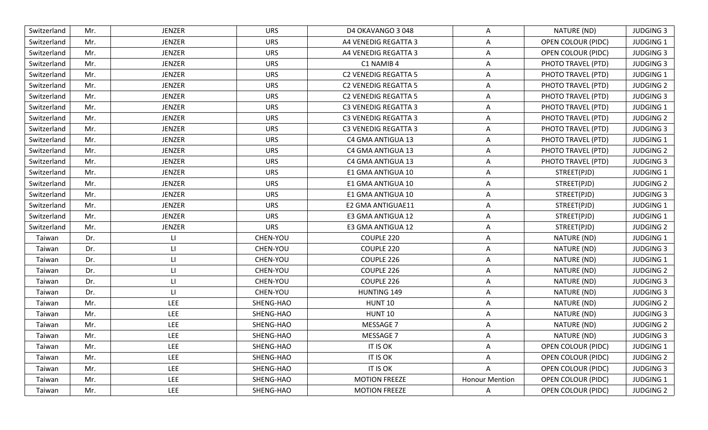| Switzerland | Mr. | <b>JENZER</b>           | <b>URS</b> | D4 OKAVANGO 3 048           | A                     | NATURE (ND)               | <b>JUDGING 3</b> |
|-------------|-----|-------------------------|------------|-----------------------------|-----------------------|---------------------------|------------------|
| Switzerland | Mr. | <b>JENZER</b>           | <b>URS</b> | A4 VENEDIG REGATTA 3        | A                     | OPEN COLOUR (PIDC)        | <b>JUDGING 1</b> |
| Switzerland | Mr. | <b>JENZER</b>           | <b>URS</b> | A4 VENEDIG REGATTA 3        | A                     | <b>OPEN COLOUR (PIDC)</b> | <b>JUDGING 3</b> |
| Switzerland | Mr. | <b>JENZER</b>           | <b>URS</b> | C1 NAMIB 4                  | A                     | PHOTO TRAVEL (PTD)        | <b>JUDGING 3</b> |
| Switzerland | Mr. | <b>JENZER</b>           | <b>URS</b> | <b>C2 VENEDIG REGATTA 5</b> | A                     | PHOTO TRAVEL (PTD)        | JUDGING 1        |
| Switzerland | Mr. | <b>JENZER</b>           | <b>URS</b> | <b>C2 VENEDIG REGATTA 5</b> | A                     | PHOTO TRAVEL (PTD)        | <b>JUDGING 2</b> |
| Switzerland | Mr. | <b>JENZER</b>           | <b>URS</b> | <b>C2 VENEDIG REGATTA 5</b> | A                     | PHOTO TRAVEL (PTD)        | <b>JUDGING 3</b> |
| Switzerland | Mr. | <b>JENZER</b>           | <b>URS</b> | <b>C3 VENEDIG REGATTA 3</b> | A                     | PHOTO TRAVEL (PTD)        | <b>JUDGING 1</b> |
| Switzerland | Mr. | <b>JENZER</b>           | <b>URS</b> | <b>C3 VENEDIG REGATTA 3</b> | A                     | PHOTO TRAVEL (PTD)        | <b>JUDGING 2</b> |
| Switzerland | Mr. | <b>JENZER</b>           | <b>URS</b> | <b>C3 VENEDIG REGATTA 3</b> | A                     | PHOTO TRAVEL (PTD)        | <b>JUDGING 3</b> |
| Switzerland | Mr. | <b>JENZER</b>           | <b>URS</b> | C4 GMA ANTIGUA 13           | A                     | PHOTO TRAVEL (PTD)        | <b>JUDGING 1</b> |
| Switzerland | Mr. | <b>JENZER</b>           | <b>URS</b> | C4 GMA ANTIGUA 13           | A                     | PHOTO TRAVEL (PTD)        | <b>JUDGING 2</b> |
| Switzerland | Mr. | <b>JENZER</b>           | <b>URS</b> | C4 GMA ANTIGUA 13           | A                     | PHOTO TRAVEL (PTD)        | <b>JUDGING 3</b> |
| Switzerland | Mr. | <b>JENZER</b>           | <b>URS</b> | E1 GMA ANTIGUA 10           | $\overline{A}$        | STREET(PJD)               | <b>JUDGING 1</b> |
| Switzerland | Mr. | <b>JENZER</b>           | <b>URS</b> | E1 GMA ANTIGUA 10           | A                     | STREET(PJD)               | <b>JUDGING 2</b> |
| Switzerland | Mr. | <b>JENZER</b>           | <b>URS</b> | E1 GMA ANTIGUA 10           | A                     | STREET(PJD)               | <b>JUDGING 3</b> |
| Switzerland | Mr. | <b>JENZER</b>           | <b>URS</b> | E2 GMA ANTIGUAE11           | $\overline{A}$        | STREET(PJD)               | <b>JUDGING 1</b> |
| Switzerland | Mr. | <b>JENZER</b>           | <b>URS</b> | E3 GMA ANTIGUA 12           | A                     | STREET(PJD)               | <b>JUDGING 1</b> |
| Switzerland | Mr. | <b>JENZER</b>           | <b>URS</b> | E3 GMA ANTIGUA 12           | A                     | STREET(PJD)               | <b>JUDGING 2</b> |
| Taiwan      | Dr. | $\lfloor \cdot \rfloor$ | CHEN-YOU   | COUPLE 220                  | A                     | NATURE (ND)               | <b>JUDGING 1</b> |
| Taiwan      | Dr. | LI                      | CHEN-YOU   | COUPLE 220                  | A                     | NATURE (ND)               | <b>JUDGING 3</b> |
| Taiwan      | Dr. | $\mathsf{L}$            | CHEN-YOU   | COUPLE 226                  | A                     | NATURE (ND)               | <b>JUDGING 1</b> |
| Taiwan      | Dr. | П                       | CHEN-YOU   | COUPLE 226                  | A                     | NATURE (ND)               | <b>JUDGING 2</b> |
| Taiwan      | Dr. | LI                      | CHEN-YOU   | COUPLE 226                  | A                     | NATURE (ND)               | <b>JUDGING 3</b> |
| Taiwan      | Dr. | $\mathsf{L}$            | CHEN-YOU   | <b>HUNTING 149</b>          | A                     | NATURE (ND)               | <b>JUDGING 3</b> |
| Taiwan      | Mr. | <b>LEE</b>              | SHENG-HAO  | HUNT <sub>10</sub>          | A                     | NATURE (ND)               | <b>JUDGING 2</b> |
| Taiwan      | Mr. | <b>LEE</b>              | SHENG-HAO  | <b>HUNT 10</b>              | A                     | NATURE (ND)               | <b>JUDGING 3</b> |
| Taiwan      | Mr. | <b>LEE</b>              | SHENG-HAO  | MESSAGE 7                   | A                     | NATURE (ND)               | <b>JUDGING 2</b> |
| Taiwan      | Mr. | <b>LEE</b>              | SHENG-HAO  | MESSAGE 7                   | A                     | NATURE (ND)               | <b>JUDGING 3</b> |
| Taiwan      | Mr. | <b>LEE</b>              | SHENG-HAO  | IT IS OK                    | A                     | <b>OPEN COLOUR (PIDC)</b> | JUDGING 1        |
| Taiwan      | Mr. | <b>LEE</b>              | SHENG-HAO  | IT IS OK                    | A                     | <b>OPEN COLOUR (PIDC)</b> | <b>JUDGING 2</b> |
| Taiwan      | Mr. | <b>LEE</b>              | SHENG-HAO  | IT IS OK                    | A                     | <b>OPEN COLOUR (PIDC)</b> | <b>JUDGING 3</b> |
| Taiwan      | Mr. | LEE                     | SHENG-HAO  | <b>MOTION FREEZE</b>        | <b>Honour Mention</b> | OPEN COLOUR (PIDC)        | <b>JUDGING 1</b> |
| Taiwan      | Mr. | LEE                     | SHENG-HAO  | <b>MOTION FREEZE</b>        | $\mathsf{A}$          | OPEN COLOUR (PIDC)        | <b>JUDGING 2</b> |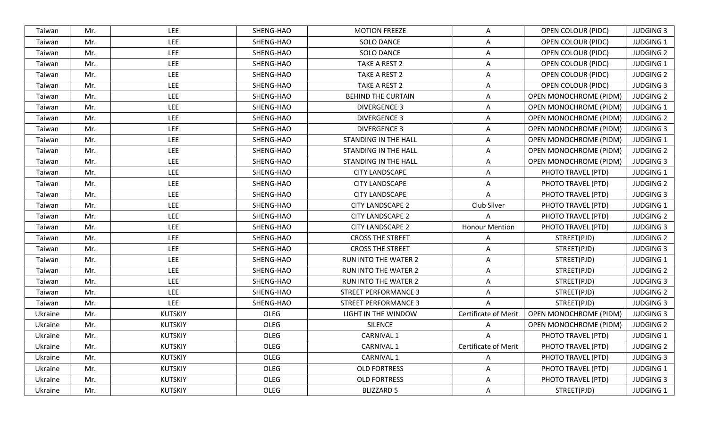| Taiwan  | Mr. | <b>LEE</b>     | SHENG-HAO   | <b>MOTION FREEZE</b>        | A                           | <b>OPEN COLOUR (PIDC)</b>     | <b>JUDGING 3</b> |
|---------|-----|----------------|-------------|-----------------------------|-----------------------------|-------------------------------|------------------|
| Taiwan  | Mr. | <b>LEE</b>     | SHENG-HAO   | SOLO DANCE                  | Α                           | <b>OPEN COLOUR (PIDC)</b>     | <b>JUDGING 1</b> |
| Taiwan  | Mr. | LEE            | SHENG-HAO   | <b>SOLO DANCE</b>           | A                           | <b>OPEN COLOUR (PIDC)</b>     | <b>JUDGING 2</b> |
| Taiwan  | Mr. | LEE            | SHENG-HAO   | TAKE A REST 2               | A                           | <b>OPEN COLOUR (PIDC)</b>     | <b>JUDGING 1</b> |
| Taiwan  | Mr. | LEE            | SHENG-HAO   | TAKE A REST 2               | A                           | <b>OPEN COLOUR (PIDC)</b>     | <b>JUDGING 2</b> |
| Taiwan  | Mr. | <b>LEE</b>     | SHENG-HAO   | TAKE A REST 2               | A                           | <b>OPEN COLOUR (PIDC)</b>     | <b>JUDGING 3</b> |
| Taiwan  | Mr. | <b>LEE</b>     | SHENG-HAO   | <b>BEHIND THE CURTAIN</b>   | A                           | <b>OPEN MONOCHROME (PIDM)</b> | <b>JUDGING 2</b> |
| Taiwan  | Mr. | LEE            | SHENG-HAO   | <b>DIVERGENCE 3</b>         | A                           | <b>OPEN MONOCHROME (PIDM)</b> | <b>JUDGING 1</b> |
| Taiwan  | Mr. | LEE            | SHENG-HAO   | <b>DIVERGENCE 3</b>         | Α                           | OPEN MONOCHROME (PIDM)        | <b>JUDGING 2</b> |
| Taiwan  | Mr. | LEE            | SHENG-HAO   | <b>DIVERGENCE 3</b>         | A                           | <b>OPEN MONOCHROME (PIDM)</b> | <b>JUDGING 3</b> |
| Taiwan  | Mr. | <b>LEE</b>     | SHENG-HAO   | STANDING IN THE HALL        | A                           | <b>OPEN MONOCHROME (PIDM)</b> | <b>JUDGING 1</b> |
| Taiwan  | Mr. | LEE            | SHENG-HAO   | STANDING IN THE HALL        | Α                           | <b>OPEN MONOCHROME (PIDM)</b> | <b>JUDGING 2</b> |
| Taiwan  | Mr. | LEE            | SHENG-HAO   | <b>STANDING IN THE HALL</b> | A                           | OPEN MONOCHROME (PIDM)        | <b>JUDGING 3</b> |
| Taiwan  | Mr. | LEE            | SHENG-HAO   | <b>CITY LANDSCAPE</b>       | A                           | PHOTO TRAVEL (PTD)            | <b>JUDGING 1</b> |
| Taiwan  | Mr. | LEE            | SHENG-HAO   | <b>CITY LANDSCAPE</b>       | A                           | PHOTO TRAVEL (PTD)            | <b>JUDGING 2</b> |
| Taiwan  | Mr. | <b>LEE</b>     | SHENG-HAO   | <b>CITY LANDSCAPE</b>       | A                           | PHOTO TRAVEL (PTD)            | <b>JUDGING 3</b> |
| Taiwan  | Mr. | LEE            | SHENG-HAO   | <b>CITY LANDSCAPE 2</b>     | Club Silver                 | PHOTO TRAVEL (PTD)            | <b>JUDGING 1</b> |
| Taiwan  | Mr. | <b>LEE</b>     | SHENG-HAO   | <b>CITY LANDSCAPE 2</b>     | A                           | PHOTO TRAVEL (PTD)            | <b>JUDGING 2</b> |
| Taiwan  | Mr. | <b>LEE</b>     | SHENG-HAO   | <b>CITY LANDSCAPE 2</b>     | <b>Honour Mention</b>       | PHOTO TRAVEL (PTD)            | <b>JUDGING 3</b> |
| Taiwan  | Mr. | LEE            | SHENG-HAO   | <b>CROSS THE STREET</b>     | A                           | STREET(PJD)                   | <b>JUDGING 2</b> |
| Taiwan  | Mr. | LEE            | SHENG-HAO   | <b>CROSS THE STREET</b>     | A                           | STREET(PJD)                   | <b>JUDGING 3</b> |
| Taiwan  | Mr. | LEE            | SHENG-HAO   | <b>RUN INTO THE WATER 2</b> | A                           | STREET(PJD)                   | <b>JUDGING 1</b> |
| Taiwan  | Mr. | <b>LEE</b>     | SHENG-HAO   | <b>RUN INTO THE WATER 2</b> | Α                           | STREET(PJD)                   | <b>JUDGING 2</b> |
| Taiwan  | Mr. | LEE            | SHENG-HAO   | <b>RUN INTO THE WATER 2</b> | A                           | STREET(PJD)                   | <b>JUDGING 3</b> |
| Taiwan  | Mr. | <b>LEE</b>     | SHENG-HAO   | <b>STREET PERFORMANCE 3</b> | A                           | STREET(PJD)                   | <b>JUDGING 2</b> |
| Taiwan  | Mr. | LEE            | SHENG-HAO   | <b>STREET PERFORMANCE 3</b> | A                           | STREET(PJD)                   | <b>JUDGING 3</b> |
| Ukraine | Mr. | <b>KUTSKIY</b> | OLEG        | <b>LIGHT IN THE WINDOW</b>  | <b>Certificate of Merit</b> | <b>OPEN MONOCHROME (PIDM)</b> | <b>JUDGING 3</b> |
| Ukraine | Mr. | <b>KUTSKIY</b> | <b>OLEG</b> | <b>SILENCE</b>              | A                           | <b>OPEN MONOCHROME (PIDM)</b> | <b>JUDGING 2</b> |
| Ukraine | Mr. | <b>KUTSKIY</b> | OLEG        | <b>CARNIVAL 1</b>           | A                           | PHOTO TRAVEL (PTD)            | <b>JUDGING 1</b> |
| Ukraine | Mr. | <b>KUTSKIY</b> | OLEG        | CARNIVAL 1                  | Certificate of Merit        | PHOTO TRAVEL (PTD)            | <b>JUDGING 2</b> |
| Ukraine | Mr. | <b>KUTSKIY</b> | OLEG        | CARNIVAL 1                  | A                           | PHOTO TRAVEL (PTD)            | <b>JUDGING 3</b> |
| Ukraine | Mr. | <b>KUTSKIY</b> | OLEG        | <b>OLD FORTRESS</b>         | A                           | PHOTO TRAVEL (PTD)            | <b>JUDGING 1</b> |
| Ukraine | Mr. | <b>KUTSKIY</b> | OLEG        | <b>OLD FORTRESS</b>         | Α                           | PHOTO TRAVEL (PTD)            | <b>JUDGING 3</b> |
| Ukraine | Mr. | <b>KUTSKIY</b> | OLEG        | <b>BLIZZARD 5</b>           | A                           | STREET(PJD)                   | JUDGING 1        |
|         |     |                |             |                             |                             |                               |                  |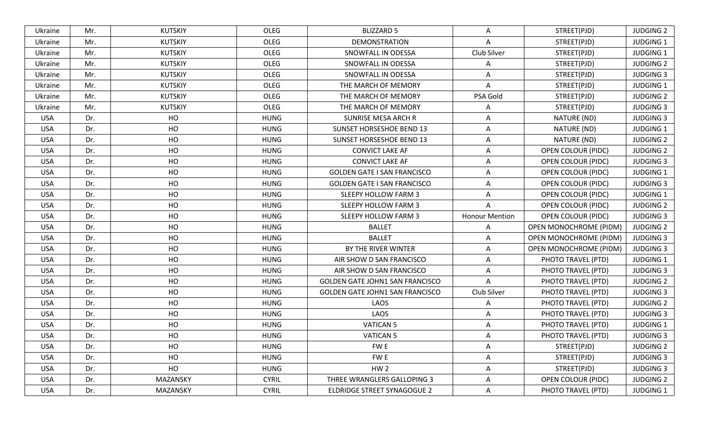| Ukraine    | Mr. | <b>KUTSKIY</b> | OLEG         | <b>BLIZZARD 5</b>                      | A                     | STREET(PJD)                   | <b>JUDGING 2</b> |
|------------|-----|----------------|--------------|----------------------------------------|-----------------------|-------------------------------|------------------|
| Ukraine    | Mr. | <b>KUTSKIY</b> | <b>OLEG</b>  | <b>DEMONSTRATION</b>                   | A                     | STREET(PJD)                   | JUDGING 1        |
| Ukraine    | Mr. | <b>KUTSKIY</b> | OLEG         | SNOWFALL IN ODESSA                     | Club Silver           | STREET(PJD)                   | <b>JUDGING 1</b> |
| Ukraine    | Mr. | <b>KUTSKIY</b> | OLEG         | SNOWFALL IN ODESSA                     | A                     | STREET(PJD)                   | <b>JUDGING 2</b> |
| Ukraine    | Mr. | <b>KUTSKIY</b> | OLEG         | SNOWFALL IN ODESSA                     | A                     | STREET(PJD)                   | <b>JUDGING 3</b> |
| Ukraine    | Mr. | <b>KUTSKIY</b> | OLEG         | THE MARCH OF MEMORY                    | A                     | STREET(PJD)                   | <b>JUDGING 1</b> |
| Ukraine    | Mr. | <b>KUTSKIY</b> | OLEG         | THE MARCH OF MEMORY                    | PSA Gold              | STREET(PJD)                   | <b>JUDGING 2</b> |
| Ukraine    | Mr. | <b>KUTSKIY</b> | OLEG         | THE MARCH OF MEMORY                    | A                     | STREET(PJD)                   | <b>JUDGING 3</b> |
| <b>USA</b> | Dr. | HO             | <b>HUNG</b>  | SUNRISE MESA ARCH R                    | A                     | NATURE (ND)                   | <b>JUDGING 3</b> |
| <b>USA</b> | Dr. | HO             | <b>HUNG</b>  | <b>SUNSET HORSESHOE BEND 13</b>        | $\mathsf{A}$          | NATURE (ND)                   | <b>JUDGING 1</b> |
| <b>USA</b> | Dr. | HO             | <b>HUNG</b>  | <b>SUNSET HORSESHOE BEND 13</b>        | A                     | NATURE (ND)                   | <b>JUDGING 2</b> |
| <b>USA</b> | Dr. | HO             | <b>HUNG</b>  | <b>CONVICT LAKE AF</b>                 | A                     | OPEN COLOUR (PIDC)            | <b>JUDGING 2</b> |
| <b>USA</b> | Dr. | HO             | <b>HUNG</b>  | <b>CONVICT LAKE AF</b>                 | A                     | <b>OPEN COLOUR (PIDC)</b>     | <b>JUDGING 3</b> |
| <b>USA</b> | Dr. | HO             | <b>HUNG</b>  | <b>GOLDEN GATE I SAN FRANCISCO</b>     | $\overline{A}$        | <b>OPEN COLOUR (PIDC)</b>     | JUDGING 1        |
| <b>USA</b> | Dr. | HO             | <b>HUNG</b>  | <b>GOLDEN GATE I SAN FRANCISCO</b>     | A                     | <b>OPEN COLOUR (PIDC)</b>     | <b>JUDGING 3</b> |
| <b>USA</b> | Dr. | HO             | <b>HUNG</b>  | <b>SLEEPY HOLLOW FARM 3</b>            | A                     | OPEN COLOUR (PIDC)            | <b>JUDGING 1</b> |
| <b>USA</b> | Dr. | HO             | <b>HUNG</b>  | <b>SLEEPY HOLLOW FARM 3</b>            | $\overline{A}$        | <b>OPEN COLOUR (PIDC)</b>     | <b>JUDGING 2</b> |
| <b>USA</b> | Dr. | HO             | <b>HUNG</b>  | SLEEPY HOLLOW FARM 3                   | <b>Honour Mention</b> | <b>OPEN COLOUR (PIDC)</b>     | <b>JUDGING 3</b> |
| <b>USA</b> | Dr. | HO             | <b>HUNG</b>  | <b>BALLET</b>                          | A                     | <b>OPEN MONOCHROME (PIDM)</b> | <b>JUDGING 2</b> |
| <b>USA</b> | Dr. | HO             | <b>HUNG</b>  | <b>BALLET</b>                          | A                     | <b>OPEN MONOCHROME (PIDM)</b> | <b>JUDGING 3</b> |
| <b>USA</b> | Dr. | HO             | <b>HUNG</b>  | BY THE RIVER WINTER                    | $\overline{A}$        | <b>OPEN MONOCHROME (PIDM)</b> | <b>JUDGING 3</b> |
| <b>USA</b> | Dr. | HO             | <b>HUNG</b>  | AIR SHOW D SAN FRANCISCO               | $\mathsf{A}$          | PHOTO TRAVEL (PTD)            | <b>JUDGING 1</b> |
| <b>USA</b> | Dr. | HO             | <b>HUNG</b>  | AIR SHOW D SAN FRANCISCO               | $\mathsf{A}$          | PHOTO TRAVEL (PTD)            | <b>JUDGING 3</b> |
| <b>USA</b> | Dr. | HO             | <b>HUNG</b>  | <b>GOLDEN GATE JOHN1 SAN FRANCISCO</b> | A                     | PHOTO TRAVEL (PTD)            | <b>JUDGING 2</b> |
| <b>USA</b> | Dr. | HO             | <b>HUNG</b>  | <b>GOLDEN GATE JOHN1 SAN FRANCISCO</b> | Club Silver           | PHOTO TRAVEL (PTD)            | <b>JUDGING 3</b> |
| <b>USA</b> | Dr. | HO             | <b>HUNG</b>  | LAOS                                   | $\overline{A}$        | PHOTO TRAVEL (PTD)            | <b>JUDGING 2</b> |
| <b>USA</b> | Dr. | HO             | <b>HUNG</b>  | LAOS                                   | A                     | PHOTO TRAVEL (PTD)            | <b>JUDGING 3</b> |
| <b>USA</b> | Dr. | HO             | <b>HUNG</b>  | <b>VATICAN 5</b>                       | $\mathsf{A}$          | PHOTO TRAVEL (PTD)            | <b>JUDGING 1</b> |
| <b>USA</b> | Dr. | HO             | <b>HUNG</b>  | <b>VATICAN 5</b>                       | $\mathsf{A}$          | PHOTO TRAVEL (PTD)            | <b>JUDGING 3</b> |
| <b>USA</b> | Dr. | HO             | <b>HUNG</b>  | FW E                                   | $\mathsf{A}$          | STREET(PJD)                   | <b>JUDGING 2</b> |
| <b>USA</b> | Dr. | HO             | <b>HUNG</b>  | FW E                                   | A                     | STREET(PJD)                   | <b>JUDGING 3</b> |
| USA        | Dr. | HO             | <b>HUNG</b>  | HW <sub>2</sub>                        | A                     | STREET(PJD)                   | <b>JUDGING 3</b> |
| USA        | Dr. | MAZANSKY       | <b>CYRIL</b> | THREE WRANGLERS GALLOPING 3            | $\mathsf{A}$          | OPEN COLOUR (PIDC)            | <b>JUDGING 2</b> |
| USA        | Dr. | MAZANSKY       | <b>CYRIL</b> | ELDRIDGE STREET SYNAGOGUE 2            | $\mathsf{A}$          | PHOTO TRAVEL (PTD)            | JUDGING 1        |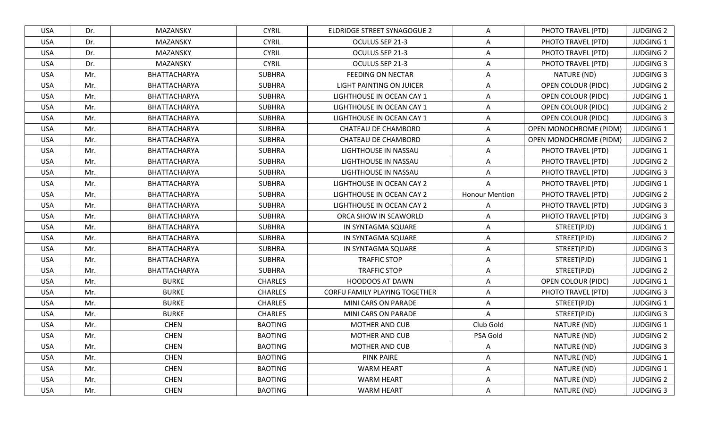| <b>USA</b><br>Dr.<br>MAZANSKY<br><b>CYRIL</b><br>ELDRIDGE STREET SYNAGOGUE 2<br>PHOTO TRAVEL (PTD)<br><b>JUDGING 2</b><br>A<br><b>CYRIL</b><br><b>JUDGING 1</b><br><b>USA</b><br>Dr.<br>MAZANSKY<br>OCULUS SEP 21-3<br>A<br>PHOTO TRAVEL (PTD)<br>Dr.<br><b>CYRIL</b><br>OCULUS SEP 21-3<br>PHOTO TRAVEL (PTD)<br><b>JUDGING 2</b><br><b>USA</b><br>MAZANSKY<br>A<br>Dr.<br><b>CYRIL</b><br><b>JUDGING 3</b><br><b>USA</b><br>MAZANSKY<br>OCULUS SEP 21-3<br>PHOTO TRAVEL (PTD)<br>A<br><b>SUBHRA</b><br><b>JUDGING 3</b><br>Mr.<br>BHATTACHARYA<br><b>FEEDING ON NECTAR</b><br>NATURE (ND)<br><b>USA</b><br>$\overline{A}$<br><b>OPEN COLOUR (PIDC)</b><br><b>JUDGING 2</b><br>Mr.<br>BHATTACHARYA<br><b>SUBHRA</b><br>LIGHT PAINTING ON JUICER<br>A<br><b>USA</b><br>Mr.<br><b>JUDGING 1</b><br><b>USA</b><br>BHATTACHARYA<br><b>SUBHRA</b><br>LIGHTHOUSE IN OCEAN CAY 1<br>A<br>OPEN COLOUR (PIDC)<br>BHATTACHARYA<br><b>SUBHRA</b><br>OPEN COLOUR (PIDC)<br><b>JUDGING 2</b><br><b>USA</b><br>Mr.<br>LIGHTHOUSE IN OCEAN CAY 1<br>A<br><b>SUBHRA</b><br>A<br><b>OPEN COLOUR (PIDC)</b><br><b>JUDGING 3</b><br><b>USA</b><br>Mr.<br>BHATTACHARYA<br>LIGHTHOUSE IN OCEAN CAY 1<br><b>SUBHRA</b><br><b>OPEN MONOCHROME (PIDM)</b><br><b>JUDGING 1</b><br><b>USA</b><br>Mr.<br>BHATTACHARYA<br>CHATEAU DE CHAMBORD<br>$\overline{A}$<br>Mr.<br>BHATTACHARYA<br><b>SUBHRA</b><br><b>OPEN MONOCHROME (PIDM)</b><br><b>JUDGING 2</b><br><b>USA</b><br>CHATEAU DE CHAMBORD<br>A<br>JUDGING 1<br>Mr.<br><b>SUBHRA</b><br>LIGHTHOUSE IN NASSAU<br>PHOTO TRAVEL (PTD)<br><b>USA</b><br>BHATTACHARYA<br>A<br>Mr.<br><b>SUBHRA</b><br>PHOTO TRAVEL (PTD)<br><b>JUDGING 2</b><br><b>USA</b><br>BHATTACHARYA<br>LIGHTHOUSE IN NASSAU<br>$\overline{A}$<br><b>SUBHRA</b><br>PHOTO TRAVEL (PTD)<br><b>JUDGING 3</b><br><b>USA</b><br>Mr.<br>BHATTACHARYA<br>LIGHTHOUSE IN NASSAU<br>A<br>BHATTACHARYA<br><b>SUBHRA</b><br><b>JUDGING 1</b><br><b>USA</b><br>Mr.<br>LIGHTHOUSE IN OCEAN CAY 2<br>A<br>PHOTO TRAVEL (PTD)<br><b>Honour Mention</b><br><b>JUDGING 2</b><br><b>USA</b><br>Mr.<br>BHATTACHARYA<br><b>SUBHRA</b><br>LIGHTHOUSE IN OCEAN CAY 2<br>PHOTO TRAVEL (PTD)<br><b>JUDGING 3</b><br><b>USA</b><br>Mr.<br>BHATTACHARYA<br><b>SUBHRA</b><br>LIGHTHOUSE IN OCEAN CAY 2<br>PHOTO TRAVEL (PTD)<br>A<br>Mr.<br>BHATTACHARYA<br><b>SUBHRA</b><br>PHOTO TRAVEL (PTD)<br><b>JUDGING 3</b><br><b>USA</b><br>ORCA SHOW IN SEAWORLD<br>A<br>JUDGING 1<br>Mr.<br><b>SUBHRA</b><br>A<br><b>USA</b><br>BHATTACHARYA<br>IN SYNTAGMA SQUARE<br>STREET(PJD)<br>A<br>STREET(PJD)<br><b>JUDGING 2</b><br><b>USA</b><br>Mr.<br>BHATTACHARYA<br><b>SUBHRA</b><br>IN SYNTAGMA SQUARE<br><b>SUBHRA</b><br><b>JUDGING 3</b><br><b>USA</b><br>Mr.<br>BHATTACHARYA<br>A<br>STREET(PJD)<br>IN SYNTAGMA SQUARE<br>JUDGING 1<br>BHATTACHARYA<br><b>SUBHRA</b><br><b>TRAFFIC STOP</b><br>STREET(PJD)<br><b>USA</b><br>Mr.<br>$\overline{A}$<br>Mr.<br>BHATTACHARYA<br><b>SUBHRA</b><br><b>TRAFFIC STOP</b><br>STREET(PJD)<br><b>JUDGING 2</b><br><b>USA</b><br>A<br>Mr.<br><b>BURKE</b><br><b>HOODOOS AT DAWN</b><br>A<br><b>OPEN COLOUR (PIDC)</b><br><b>JUDGING 1</b><br><b>USA</b><br><b>CHARLES</b><br><b>BURKE</b><br><b>JUDGING 3</b><br><b>USA</b><br>Mr.<br><b>CHARLES</b><br>CORFU FAMILY PLAYING TOGETHER<br>PHOTO TRAVEL (PTD)<br>A<br><b>BURKE</b><br>A<br>STREET(PJD)<br><b>JUDGING 1</b><br><b>USA</b><br>Mr.<br><b>CHARLES</b><br>MINI CARS ON PARADE<br><b>BURKE</b><br>STREET(PJD)<br><b>JUDGING 3</b><br><b>USA</b><br>Mr.<br><b>CHARLES</b><br>MINI CARS ON PARADE<br>A<br>Club Gold<br><b>JUDGING 1</b><br><b>USA</b><br>Mr.<br><b>CHEN</b><br><b>BAOTING</b><br><b>MOTHER AND CUB</b><br>NATURE (ND)<br><b>JUDGING 2</b><br><b>USA</b><br><b>CHEN</b><br><b>BAOTING</b><br>PSA Gold<br>NATURE (ND)<br>Mr.<br><b>MOTHER AND CUB</b><br><b>CHEN</b><br><b>BAOTING</b><br>NATURE (ND)<br><b>JUDGING 3</b><br><b>USA</b><br>Mr.<br>MOTHER AND CUB<br>A<br><b>CHEN</b><br><b>PINK PAIRE</b><br>$\mathsf{A}$<br>JUDGING 1<br>Mr.<br><b>BAOTING</b><br>NATURE (ND)<br><b>USA</b><br><b>CHEN</b><br><b>BAOTING</b><br><b>WARM HEART</b><br>NATURE (ND)<br><b>JUDGING 1</b><br>USA<br>Mr.<br>A<br>A<br>USA<br>Mr.<br><b>CHEN</b><br><b>BAOTING</b><br><b>WARM HEART</b><br>NATURE (ND)<br><b>JUDGING 2</b><br><b>CHEN</b><br>WARM HEART<br><b>USA</b><br>Mr.<br><b>BAOTING</b><br>A<br>NATURE (ND)<br><b>JUDGING 3</b> |  |  |  |  |
|---------------------------------------------------------------------------------------------------------------------------------------------------------------------------------------------------------------------------------------------------------------------------------------------------------------------------------------------------------------------------------------------------------------------------------------------------------------------------------------------------------------------------------------------------------------------------------------------------------------------------------------------------------------------------------------------------------------------------------------------------------------------------------------------------------------------------------------------------------------------------------------------------------------------------------------------------------------------------------------------------------------------------------------------------------------------------------------------------------------------------------------------------------------------------------------------------------------------------------------------------------------------------------------------------------------------------------------------------------------------------------------------------------------------------------------------------------------------------------------------------------------------------------------------------------------------------------------------------------------------------------------------------------------------------------------------------------------------------------------------------------------------------------------------------------------------------------------------------------------------------------------------------------------------------------------------------------------------------------------------------------------------------------------------------------------------------------------------------------------------------------------------------------------------------------------------------------------------------------------------------------------------------------------------------------------------------------------------------------------------------------------------------------------------------------------------------------------------------------------------------------------------------------------------------------------------------------------------------------------------------------------------------------------------------------------------------------------------------------------------------------------------------------------------------------------------------------------------------------------------------------------------------------------------------------------------------------------------------------------------------------------------------------------------------------------------------------------------------------------------------------------------------------------------------------------------------------------------------------------------------------------------------------------------------------------------------------------------------------------------------------------------------------------------------------------------------------------------------------------------------------------------------------------------------------------------------------------------------------------------------------------------------------------------------------------------------------------------------------------------------------------------------------------------------------------------------------------------------------------------------------------------------------------------------------------------------------------------------------------------------------------------------------------------------------------------------------------------------------------------------------------------------------------------------------------------------------------------------------------------------------------------------------------------------------------------------------------------------------------------------------------------------------|--|--|--|--|
|                                                                                                                                                                                                                                                                                                                                                                                                                                                                                                                                                                                                                                                                                                                                                                                                                                                                                                                                                                                                                                                                                                                                                                                                                                                                                                                                                                                                                                                                                                                                                                                                                                                                                                                                                                                                                                                                                                                                                                                                                                                                                                                                                                                                                                                                                                                                                                                                                                                                                                                                                                                                                                                                                                                                                                                                                                                                                                                                                                                                                                                                                                                                                                                                                                                                                                                                                                                                                                                                                                                                                                                                                                                                                                                                                                                                                                                                                                                                                                                                                                                                                                                                                                                                                                                                                                                                                                                                         |  |  |  |  |
|                                                                                                                                                                                                                                                                                                                                                                                                                                                                                                                                                                                                                                                                                                                                                                                                                                                                                                                                                                                                                                                                                                                                                                                                                                                                                                                                                                                                                                                                                                                                                                                                                                                                                                                                                                                                                                                                                                                                                                                                                                                                                                                                                                                                                                                                                                                                                                                                                                                                                                                                                                                                                                                                                                                                                                                                                                                                                                                                                                                                                                                                                                                                                                                                                                                                                                                                                                                                                                                                                                                                                                                                                                                                                                                                                                                                                                                                                                                                                                                                                                                                                                                                                                                                                                                                                                                                                                                                         |  |  |  |  |
|                                                                                                                                                                                                                                                                                                                                                                                                                                                                                                                                                                                                                                                                                                                                                                                                                                                                                                                                                                                                                                                                                                                                                                                                                                                                                                                                                                                                                                                                                                                                                                                                                                                                                                                                                                                                                                                                                                                                                                                                                                                                                                                                                                                                                                                                                                                                                                                                                                                                                                                                                                                                                                                                                                                                                                                                                                                                                                                                                                                                                                                                                                                                                                                                                                                                                                                                                                                                                                                                                                                                                                                                                                                                                                                                                                                                                                                                                                                                                                                                                                                                                                                                                                                                                                                                                                                                                                                                         |  |  |  |  |
|                                                                                                                                                                                                                                                                                                                                                                                                                                                                                                                                                                                                                                                                                                                                                                                                                                                                                                                                                                                                                                                                                                                                                                                                                                                                                                                                                                                                                                                                                                                                                                                                                                                                                                                                                                                                                                                                                                                                                                                                                                                                                                                                                                                                                                                                                                                                                                                                                                                                                                                                                                                                                                                                                                                                                                                                                                                                                                                                                                                                                                                                                                                                                                                                                                                                                                                                                                                                                                                                                                                                                                                                                                                                                                                                                                                                                                                                                                                                                                                                                                                                                                                                                                                                                                                                                                                                                                                                         |  |  |  |  |
|                                                                                                                                                                                                                                                                                                                                                                                                                                                                                                                                                                                                                                                                                                                                                                                                                                                                                                                                                                                                                                                                                                                                                                                                                                                                                                                                                                                                                                                                                                                                                                                                                                                                                                                                                                                                                                                                                                                                                                                                                                                                                                                                                                                                                                                                                                                                                                                                                                                                                                                                                                                                                                                                                                                                                                                                                                                                                                                                                                                                                                                                                                                                                                                                                                                                                                                                                                                                                                                                                                                                                                                                                                                                                                                                                                                                                                                                                                                                                                                                                                                                                                                                                                                                                                                                                                                                                                                                         |  |  |  |  |
|                                                                                                                                                                                                                                                                                                                                                                                                                                                                                                                                                                                                                                                                                                                                                                                                                                                                                                                                                                                                                                                                                                                                                                                                                                                                                                                                                                                                                                                                                                                                                                                                                                                                                                                                                                                                                                                                                                                                                                                                                                                                                                                                                                                                                                                                                                                                                                                                                                                                                                                                                                                                                                                                                                                                                                                                                                                                                                                                                                                                                                                                                                                                                                                                                                                                                                                                                                                                                                                                                                                                                                                                                                                                                                                                                                                                                                                                                                                                                                                                                                                                                                                                                                                                                                                                                                                                                                                                         |  |  |  |  |
|                                                                                                                                                                                                                                                                                                                                                                                                                                                                                                                                                                                                                                                                                                                                                                                                                                                                                                                                                                                                                                                                                                                                                                                                                                                                                                                                                                                                                                                                                                                                                                                                                                                                                                                                                                                                                                                                                                                                                                                                                                                                                                                                                                                                                                                                                                                                                                                                                                                                                                                                                                                                                                                                                                                                                                                                                                                                                                                                                                                                                                                                                                                                                                                                                                                                                                                                                                                                                                                                                                                                                                                                                                                                                                                                                                                                                                                                                                                                                                                                                                                                                                                                                                                                                                                                                                                                                                                                         |  |  |  |  |
|                                                                                                                                                                                                                                                                                                                                                                                                                                                                                                                                                                                                                                                                                                                                                                                                                                                                                                                                                                                                                                                                                                                                                                                                                                                                                                                                                                                                                                                                                                                                                                                                                                                                                                                                                                                                                                                                                                                                                                                                                                                                                                                                                                                                                                                                                                                                                                                                                                                                                                                                                                                                                                                                                                                                                                                                                                                                                                                                                                                                                                                                                                                                                                                                                                                                                                                                                                                                                                                                                                                                                                                                                                                                                                                                                                                                                                                                                                                                                                                                                                                                                                                                                                                                                                                                                                                                                                                                         |  |  |  |  |
|                                                                                                                                                                                                                                                                                                                                                                                                                                                                                                                                                                                                                                                                                                                                                                                                                                                                                                                                                                                                                                                                                                                                                                                                                                                                                                                                                                                                                                                                                                                                                                                                                                                                                                                                                                                                                                                                                                                                                                                                                                                                                                                                                                                                                                                                                                                                                                                                                                                                                                                                                                                                                                                                                                                                                                                                                                                                                                                                                                                                                                                                                                                                                                                                                                                                                                                                                                                                                                                                                                                                                                                                                                                                                                                                                                                                                                                                                                                                                                                                                                                                                                                                                                                                                                                                                                                                                                                                         |  |  |  |  |
|                                                                                                                                                                                                                                                                                                                                                                                                                                                                                                                                                                                                                                                                                                                                                                                                                                                                                                                                                                                                                                                                                                                                                                                                                                                                                                                                                                                                                                                                                                                                                                                                                                                                                                                                                                                                                                                                                                                                                                                                                                                                                                                                                                                                                                                                                                                                                                                                                                                                                                                                                                                                                                                                                                                                                                                                                                                                                                                                                                                                                                                                                                                                                                                                                                                                                                                                                                                                                                                                                                                                                                                                                                                                                                                                                                                                                                                                                                                                                                                                                                                                                                                                                                                                                                                                                                                                                                                                         |  |  |  |  |
|                                                                                                                                                                                                                                                                                                                                                                                                                                                                                                                                                                                                                                                                                                                                                                                                                                                                                                                                                                                                                                                                                                                                                                                                                                                                                                                                                                                                                                                                                                                                                                                                                                                                                                                                                                                                                                                                                                                                                                                                                                                                                                                                                                                                                                                                                                                                                                                                                                                                                                                                                                                                                                                                                                                                                                                                                                                                                                                                                                                                                                                                                                                                                                                                                                                                                                                                                                                                                                                                                                                                                                                                                                                                                                                                                                                                                                                                                                                                                                                                                                                                                                                                                                                                                                                                                                                                                                                                         |  |  |  |  |
|                                                                                                                                                                                                                                                                                                                                                                                                                                                                                                                                                                                                                                                                                                                                                                                                                                                                                                                                                                                                                                                                                                                                                                                                                                                                                                                                                                                                                                                                                                                                                                                                                                                                                                                                                                                                                                                                                                                                                                                                                                                                                                                                                                                                                                                                                                                                                                                                                                                                                                                                                                                                                                                                                                                                                                                                                                                                                                                                                                                                                                                                                                                                                                                                                                                                                                                                                                                                                                                                                                                                                                                                                                                                                                                                                                                                                                                                                                                                                                                                                                                                                                                                                                                                                                                                                                                                                                                                         |  |  |  |  |
|                                                                                                                                                                                                                                                                                                                                                                                                                                                                                                                                                                                                                                                                                                                                                                                                                                                                                                                                                                                                                                                                                                                                                                                                                                                                                                                                                                                                                                                                                                                                                                                                                                                                                                                                                                                                                                                                                                                                                                                                                                                                                                                                                                                                                                                                                                                                                                                                                                                                                                                                                                                                                                                                                                                                                                                                                                                                                                                                                                                                                                                                                                                                                                                                                                                                                                                                                                                                                                                                                                                                                                                                                                                                                                                                                                                                                                                                                                                                                                                                                                                                                                                                                                                                                                                                                                                                                                                                         |  |  |  |  |
|                                                                                                                                                                                                                                                                                                                                                                                                                                                                                                                                                                                                                                                                                                                                                                                                                                                                                                                                                                                                                                                                                                                                                                                                                                                                                                                                                                                                                                                                                                                                                                                                                                                                                                                                                                                                                                                                                                                                                                                                                                                                                                                                                                                                                                                                                                                                                                                                                                                                                                                                                                                                                                                                                                                                                                                                                                                                                                                                                                                                                                                                                                                                                                                                                                                                                                                                                                                                                                                                                                                                                                                                                                                                                                                                                                                                                                                                                                                                                                                                                                                                                                                                                                                                                                                                                                                                                                                                         |  |  |  |  |
|                                                                                                                                                                                                                                                                                                                                                                                                                                                                                                                                                                                                                                                                                                                                                                                                                                                                                                                                                                                                                                                                                                                                                                                                                                                                                                                                                                                                                                                                                                                                                                                                                                                                                                                                                                                                                                                                                                                                                                                                                                                                                                                                                                                                                                                                                                                                                                                                                                                                                                                                                                                                                                                                                                                                                                                                                                                                                                                                                                                                                                                                                                                                                                                                                                                                                                                                                                                                                                                                                                                                                                                                                                                                                                                                                                                                                                                                                                                                                                                                                                                                                                                                                                                                                                                                                                                                                                                                         |  |  |  |  |
|                                                                                                                                                                                                                                                                                                                                                                                                                                                                                                                                                                                                                                                                                                                                                                                                                                                                                                                                                                                                                                                                                                                                                                                                                                                                                                                                                                                                                                                                                                                                                                                                                                                                                                                                                                                                                                                                                                                                                                                                                                                                                                                                                                                                                                                                                                                                                                                                                                                                                                                                                                                                                                                                                                                                                                                                                                                                                                                                                                                                                                                                                                                                                                                                                                                                                                                                                                                                                                                                                                                                                                                                                                                                                                                                                                                                                                                                                                                                                                                                                                                                                                                                                                                                                                                                                                                                                                                                         |  |  |  |  |
|                                                                                                                                                                                                                                                                                                                                                                                                                                                                                                                                                                                                                                                                                                                                                                                                                                                                                                                                                                                                                                                                                                                                                                                                                                                                                                                                                                                                                                                                                                                                                                                                                                                                                                                                                                                                                                                                                                                                                                                                                                                                                                                                                                                                                                                                                                                                                                                                                                                                                                                                                                                                                                                                                                                                                                                                                                                                                                                                                                                                                                                                                                                                                                                                                                                                                                                                                                                                                                                                                                                                                                                                                                                                                                                                                                                                                                                                                                                                                                                                                                                                                                                                                                                                                                                                                                                                                                                                         |  |  |  |  |
|                                                                                                                                                                                                                                                                                                                                                                                                                                                                                                                                                                                                                                                                                                                                                                                                                                                                                                                                                                                                                                                                                                                                                                                                                                                                                                                                                                                                                                                                                                                                                                                                                                                                                                                                                                                                                                                                                                                                                                                                                                                                                                                                                                                                                                                                                                                                                                                                                                                                                                                                                                                                                                                                                                                                                                                                                                                                                                                                                                                                                                                                                                                                                                                                                                                                                                                                                                                                                                                                                                                                                                                                                                                                                                                                                                                                                                                                                                                                                                                                                                                                                                                                                                                                                                                                                                                                                                                                         |  |  |  |  |
|                                                                                                                                                                                                                                                                                                                                                                                                                                                                                                                                                                                                                                                                                                                                                                                                                                                                                                                                                                                                                                                                                                                                                                                                                                                                                                                                                                                                                                                                                                                                                                                                                                                                                                                                                                                                                                                                                                                                                                                                                                                                                                                                                                                                                                                                                                                                                                                                                                                                                                                                                                                                                                                                                                                                                                                                                                                                                                                                                                                                                                                                                                                                                                                                                                                                                                                                                                                                                                                                                                                                                                                                                                                                                                                                                                                                                                                                                                                                                                                                                                                                                                                                                                                                                                                                                                                                                                                                         |  |  |  |  |
|                                                                                                                                                                                                                                                                                                                                                                                                                                                                                                                                                                                                                                                                                                                                                                                                                                                                                                                                                                                                                                                                                                                                                                                                                                                                                                                                                                                                                                                                                                                                                                                                                                                                                                                                                                                                                                                                                                                                                                                                                                                                                                                                                                                                                                                                                                                                                                                                                                                                                                                                                                                                                                                                                                                                                                                                                                                                                                                                                                                                                                                                                                                                                                                                                                                                                                                                                                                                                                                                                                                                                                                                                                                                                                                                                                                                                                                                                                                                                                                                                                                                                                                                                                                                                                                                                                                                                                                                         |  |  |  |  |
|                                                                                                                                                                                                                                                                                                                                                                                                                                                                                                                                                                                                                                                                                                                                                                                                                                                                                                                                                                                                                                                                                                                                                                                                                                                                                                                                                                                                                                                                                                                                                                                                                                                                                                                                                                                                                                                                                                                                                                                                                                                                                                                                                                                                                                                                                                                                                                                                                                                                                                                                                                                                                                                                                                                                                                                                                                                                                                                                                                                                                                                                                                                                                                                                                                                                                                                                                                                                                                                                                                                                                                                                                                                                                                                                                                                                                                                                                                                                                                                                                                                                                                                                                                                                                                                                                                                                                                                                         |  |  |  |  |
|                                                                                                                                                                                                                                                                                                                                                                                                                                                                                                                                                                                                                                                                                                                                                                                                                                                                                                                                                                                                                                                                                                                                                                                                                                                                                                                                                                                                                                                                                                                                                                                                                                                                                                                                                                                                                                                                                                                                                                                                                                                                                                                                                                                                                                                                                                                                                                                                                                                                                                                                                                                                                                                                                                                                                                                                                                                                                                                                                                                                                                                                                                                                                                                                                                                                                                                                                                                                                                                                                                                                                                                                                                                                                                                                                                                                                                                                                                                                                                                                                                                                                                                                                                                                                                                                                                                                                                                                         |  |  |  |  |
|                                                                                                                                                                                                                                                                                                                                                                                                                                                                                                                                                                                                                                                                                                                                                                                                                                                                                                                                                                                                                                                                                                                                                                                                                                                                                                                                                                                                                                                                                                                                                                                                                                                                                                                                                                                                                                                                                                                                                                                                                                                                                                                                                                                                                                                                                                                                                                                                                                                                                                                                                                                                                                                                                                                                                                                                                                                                                                                                                                                                                                                                                                                                                                                                                                                                                                                                                                                                                                                                                                                                                                                                                                                                                                                                                                                                                                                                                                                                                                                                                                                                                                                                                                                                                                                                                                                                                                                                         |  |  |  |  |
|                                                                                                                                                                                                                                                                                                                                                                                                                                                                                                                                                                                                                                                                                                                                                                                                                                                                                                                                                                                                                                                                                                                                                                                                                                                                                                                                                                                                                                                                                                                                                                                                                                                                                                                                                                                                                                                                                                                                                                                                                                                                                                                                                                                                                                                                                                                                                                                                                                                                                                                                                                                                                                                                                                                                                                                                                                                                                                                                                                                                                                                                                                                                                                                                                                                                                                                                                                                                                                                                                                                                                                                                                                                                                                                                                                                                                                                                                                                                                                                                                                                                                                                                                                                                                                                                                                                                                                                                         |  |  |  |  |
|                                                                                                                                                                                                                                                                                                                                                                                                                                                                                                                                                                                                                                                                                                                                                                                                                                                                                                                                                                                                                                                                                                                                                                                                                                                                                                                                                                                                                                                                                                                                                                                                                                                                                                                                                                                                                                                                                                                                                                                                                                                                                                                                                                                                                                                                                                                                                                                                                                                                                                                                                                                                                                                                                                                                                                                                                                                                                                                                                                                                                                                                                                                                                                                                                                                                                                                                                                                                                                                                                                                                                                                                                                                                                                                                                                                                                                                                                                                                                                                                                                                                                                                                                                                                                                                                                                                                                                                                         |  |  |  |  |
|                                                                                                                                                                                                                                                                                                                                                                                                                                                                                                                                                                                                                                                                                                                                                                                                                                                                                                                                                                                                                                                                                                                                                                                                                                                                                                                                                                                                                                                                                                                                                                                                                                                                                                                                                                                                                                                                                                                                                                                                                                                                                                                                                                                                                                                                                                                                                                                                                                                                                                                                                                                                                                                                                                                                                                                                                                                                                                                                                                                                                                                                                                                                                                                                                                                                                                                                                                                                                                                                                                                                                                                                                                                                                                                                                                                                                                                                                                                                                                                                                                                                                                                                                                                                                                                                                                                                                                                                         |  |  |  |  |
|                                                                                                                                                                                                                                                                                                                                                                                                                                                                                                                                                                                                                                                                                                                                                                                                                                                                                                                                                                                                                                                                                                                                                                                                                                                                                                                                                                                                                                                                                                                                                                                                                                                                                                                                                                                                                                                                                                                                                                                                                                                                                                                                                                                                                                                                                                                                                                                                                                                                                                                                                                                                                                                                                                                                                                                                                                                                                                                                                                                                                                                                                                                                                                                                                                                                                                                                                                                                                                                                                                                                                                                                                                                                                                                                                                                                                                                                                                                                                                                                                                                                                                                                                                                                                                                                                                                                                                                                         |  |  |  |  |
|                                                                                                                                                                                                                                                                                                                                                                                                                                                                                                                                                                                                                                                                                                                                                                                                                                                                                                                                                                                                                                                                                                                                                                                                                                                                                                                                                                                                                                                                                                                                                                                                                                                                                                                                                                                                                                                                                                                                                                                                                                                                                                                                                                                                                                                                                                                                                                                                                                                                                                                                                                                                                                                                                                                                                                                                                                                                                                                                                                                                                                                                                                                                                                                                                                                                                                                                                                                                                                                                                                                                                                                                                                                                                                                                                                                                                                                                                                                                                                                                                                                                                                                                                                                                                                                                                                                                                                                                         |  |  |  |  |
|                                                                                                                                                                                                                                                                                                                                                                                                                                                                                                                                                                                                                                                                                                                                                                                                                                                                                                                                                                                                                                                                                                                                                                                                                                                                                                                                                                                                                                                                                                                                                                                                                                                                                                                                                                                                                                                                                                                                                                                                                                                                                                                                                                                                                                                                                                                                                                                                                                                                                                                                                                                                                                                                                                                                                                                                                                                                                                                                                                                                                                                                                                                                                                                                                                                                                                                                                                                                                                                                                                                                                                                                                                                                                                                                                                                                                                                                                                                                                                                                                                                                                                                                                                                                                                                                                                                                                                                                         |  |  |  |  |
|                                                                                                                                                                                                                                                                                                                                                                                                                                                                                                                                                                                                                                                                                                                                                                                                                                                                                                                                                                                                                                                                                                                                                                                                                                                                                                                                                                                                                                                                                                                                                                                                                                                                                                                                                                                                                                                                                                                                                                                                                                                                                                                                                                                                                                                                                                                                                                                                                                                                                                                                                                                                                                                                                                                                                                                                                                                                                                                                                                                                                                                                                                                                                                                                                                                                                                                                                                                                                                                                                                                                                                                                                                                                                                                                                                                                                                                                                                                                                                                                                                                                                                                                                                                                                                                                                                                                                                                                         |  |  |  |  |
|                                                                                                                                                                                                                                                                                                                                                                                                                                                                                                                                                                                                                                                                                                                                                                                                                                                                                                                                                                                                                                                                                                                                                                                                                                                                                                                                                                                                                                                                                                                                                                                                                                                                                                                                                                                                                                                                                                                                                                                                                                                                                                                                                                                                                                                                                                                                                                                                                                                                                                                                                                                                                                                                                                                                                                                                                                                                                                                                                                                                                                                                                                                                                                                                                                                                                                                                                                                                                                                                                                                                                                                                                                                                                                                                                                                                                                                                                                                                                                                                                                                                                                                                                                                                                                                                                                                                                                                                         |  |  |  |  |
|                                                                                                                                                                                                                                                                                                                                                                                                                                                                                                                                                                                                                                                                                                                                                                                                                                                                                                                                                                                                                                                                                                                                                                                                                                                                                                                                                                                                                                                                                                                                                                                                                                                                                                                                                                                                                                                                                                                                                                                                                                                                                                                                                                                                                                                                                                                                                                                                                                                                                                                                                                                                                                                                                                                                                                                                                                                                                                                                                                                                                                                                                                                                                                                                                                                                                                                                                                                                                                                                                                                                                                                                                                                                                                                                                                                                                                                                                                                                                                                                                                                                                                                                                                                                                                                                                                                                                                                                         |  |  |  |  |
|                                                                                                                                                                                                                                                                                                                                                                                                                                                                                                                                                                                                                                                                                                                                                                                                                                                                                                                                                                                                                                                                                                                                                                                                                                                                                                                                                                                                                                                                                                                                                                                                                                                                                                                                                                                                                                                                                                                                                                                                                                                                                                                                                                                                                                                                                                                                                                                                                                                                                                                                                                                                                                                                                                                                                                                                                                                                                                                                                                                                                                                                                                                                                                                                                                                                                                                                                                                                                                                                                                                                                                                                                                                                                                                                                                                                                                                                                                                                                                                                                                                                                                                                                                                                                                                                                                                                                                                                         |  |  |  |  |
|                                                                                                                                                                                                                                                                                                                                                                                                                                                                                                                                                                                                                                                                                                                                                                                                                                                                                                                                                                                                                                                                                                                                                                                                                                                                                                                                                                                                                                                                                                                                                                                                                                                                                                                                                                                                                                                                                                                                                                                                                                                                                                                                                                                                                                                                                                                                                                                                                                                                                                                                                                                                                                                                                                                                                                                                                                                                                                                                                                                                                                                                                                                                                                                                                                                                                                                                                                                                                                                                                                                                                                                                                                                                                                                                                                                                                                                                                                                                                                                                                                                                                                                                                                                                                                                                                                                                                                                                         |  |  |  |  |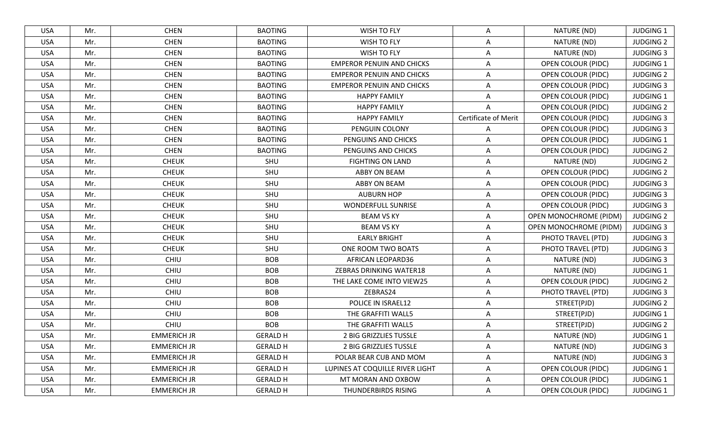| <b>USA</b> | Mr. | <b>CHEN</b>        | <b>BAOTING</b>  | <b>WISH TO FLY</b>               | A                    | NATURE (ND)                   | <b>JUDGING 1</b> |
|------------|-----|--------------------|-----------------|----------------------------------|----------------------|-------------------------------|------------------|
| <b>USA</b> | Mr. | <b>CHEN</b>        | <b>BAOTING</b>  | WISH TO FLY                      | A                    | NATURE (ND)                   | <b>JUDGING 2</b> |
| <b>USA</b> | Mr. | <b>CHEN</b>        | <b>BAOTING</b>  | WISH TO FLY                      | A                    | NATURE (ND)                   | <b>JUDGING 3</b> |
| <b>USA</b> | Mr. | <b>CHEN</b>        | <b>BAOTING</b>  | <b>EMPEROR PENUIN AND CHICKS</b> | A                    | OPEN COLOUR (PIDC)            | <b>JUDGING 1</b> |
| <b>USA</b> | Mr. | <b>CHEN</b>        | <b>BAOTING</b>  | <b>EMPEROR PENUIN AND CHICKS</b> | A                    | OPEN COLOUR (PIDC)            | <b>JUDGING 2</b> |
| <b>USA</b> | Mr. | <b>CHEN</b>        | <b>BAOTING</b>  | <b>EMPEROR PENUIN AND CHICKS</b> | A                    | <b>OPEN COLOUR (PIDC)</b>     | <b>JUDGING 3</b> |
| <b>USA</b> | Mr. | <b>CHEN</b>        | <b>BAOTING</b>  | <b>HAPPY FAMILY</b>              | A                    | <b>OPEN COLOUR (PIDC)</b>     | <b>JUDGING 1</b> |
| <b>USA</b> | Mr. | <b>CHEN</b>        | <b>BAOTING</b>  | <b>HAPPY FAMILY</b>              | A                    | <b>OPEN COLOUR (PIDC)</b>     | <b>JUDGING 2</b> |
| <b>USA</b> | Mr. | <b>CHEN</b>        | <b>BAOTING</b>  | <b>HAPPY FAMILY</b>              | Certificate of Merit | <b>OPEN COLOUR (PIDC)</b>     | <b>JUDGING 3</b> |
| <b>USA</b> | Mr. | <b>CHEN</b>        | <b>BAOTING</b>  | PENGUIN COLONY                   | A                    | OPEN COLOUR (PIDC)            | <b>JUDGING 3</b> |
| <b>USA</b> | Mr. | <b>CHEN</b>        | <b>BAOTING</b>  | PENGUINS AND CHICKS              | $\mathsf{A}$         | OPEN COLOUR (PIDC)            | <b>JUDGING 1</b> |
| <b>USA</b> | Mr. | <b>CHEN</b>        | <b>BAOTING</b>  | PENGUINS AND CHICKS              | A                    | <b>OPEN COLOUR (PIDC)</b>     | <b>JUDGING 2</b> |
| <b>USA</b> | Mr. | <b>CHEUK</b>       | SHU             | <b>FIGHTING ON LAND</b>          | A                    | NATURE (ND)                   | <b>JUDGING 2</b> |
| <b>USA</b> | Mr. | <b>CHEUK</b>       | SHU             | ABBY ON BEAM                     | A                    | <b>OPEN COLOUR (PIDC)</b>     | <b>JUDGING 2</b> |
| <b>USA</b> | Mr. | <b>CHEUK</b>       | SHU             | ABBY ON BEAM                     | A                    | <b>OPEN COLOUR (PIDC)</b>     | <b>JUDGING 3</b> |
| <b>USA</b> | Mr. | <b>CHEUK</b>       | SHU             | <b>AUBURN HOP</b>                | A                    | <b>OPEN COLOUR (PIDC)</b>     | <b>JUDGING 3</b> |
| <b>USA</b> | Mr. | <b>CHEUK</b>       | SHU             | <b>WONDERFULL SUNRISE</b>        | Α                    | OPEN COLOUR (PIDC)            | <b>JUDGING 3</b> |
| <b>USA</b> | Mr. | <b>CHEUK</b>       | SHU             | <b>BEAM VS KY</b>                | A                    | <b>OPEN MONOCHROME (PIDM)</b> | <b>JUDGING 2</b> |
| <b>USA</b> | Mr. | <b>CHEUK</b>       | SHU             | <b>BEAM VS KY</b>                | A                    | <b>OPEN MONOCHROME (PIDM)</b> | <b>JUDGING 3</b> |
| <b>USA</b> | Mr. | <b>CHEUK</b>       | SHU             | <b>EARLY BRIGHT</b>              | A                    | PHOTO TRAVEL (PTD)            | <b>JUDGING 3</b> |
| <b>USA</b> | Mr. | <b>CHEUK</b>       | SHU             | ONE ROOM TWO BOATS               | A                    | PHOTO TRAVEL (PTD)            | <b>JUDGING 3</b> |
| <b>USA</b> | Mr. | <b>CHIU</b>        | <b>BOB</b>      | AFRICAN LEOPARD36                | A                    | NATURE (ND)                   | <b>JUDGING 3</b> |
| <b>USA</b> | Mr. | CHIU               | <b>BOB</b>      | ZEBRAS DRINKING WATER18          | A                    | NATURE (ND)                   | <b>JUDGING 1</b> |
| <b>USA</b> | Mr. | CHIU               | <b>BOB</b>      | THE LAKE COME INTO VIEW25        | Α                    | <b>OPEN COLOUR (PIDC)</b>     | <b>JUDGING 2</b> |
| <b>USA</b> | Mr. | CHIU               | <b>BOB</b>      | ZEBRAS24                         | A                    | PHOTO TRAVEL (PTD)            | <b>JUDGING 3</b> |
| <b>USA</b> | Mr. | CHIU               | <b>BOB</b>      | POLICE IN ISRAEL12               | $\mathsf{A}$         | STREET(PJD)                   | <b>JUDGING 2</b> |
| <b>USA</b> | Mr. | <b>CHIU</b>        | <b>BOB</b>      | THE GRAFFITI WALL5               | A                    | STREET(PJD)                   | <b>JUDGING 1</b> |
| <b>USA</b> | Mr. | CHIU               | <b>BOB</b>      | THE GRAFFITI WALL5               | A                    | STREET(PJD)                   | <b>JUDGING 2</b> |
| <b>USA</b> | Mr. | <b>EMMERICH JR</b> | <b>GERALD H</b> | 2 BIG GRIZZLIES TUSSLE           | A                    | NATURE (ND)                   | <b>JUDGING 1</b> |
| <b>USA</b> | Mr. | <b>EMMERICH JR</b> | <b>GERALD H</b> | 2 BIG GRIZZLIES TUSSLE           | $\mathsf{A}$         | NATURE (ND)                   | <b>JUDGING 3</b> |
| <b>USA</b> | Mr. | <b>EMMERICH JR</b> | <b>GERALD H</b> | POLAR BEAR CUB AND MOM           | A                    | NATURE (ND)                   | <b>JUDGING 3</b> |
| <b>USA</b> | Mr. | <b>EMMERICH JR</b> | <b>GERALD H</b> | LUPINES AT COQUILLE RIVER LIGHT  | A                    | <b>OPEN COLOUR (PIDC)</b>     | JUDGING 1        |
| <b>USA</b> | Mr. | <b>EMMERICH JR</b> | <b>GERALD H</b> | MT MORAN AND OXBOW               | A                    | <b>OPEN COLOUR (PIDC)</b>     | JUDGING 1        |
| USA        | Mr. | <b>EMMERICH JR</b> | <b>GERALD H</b> | THUNDERBIRDS RISING              | A                    | <b>OPEN COLOUR (PIDC)</b>     | JUDGING 1        |
|            |     |                    |                 |                                  |                      |                               |                  |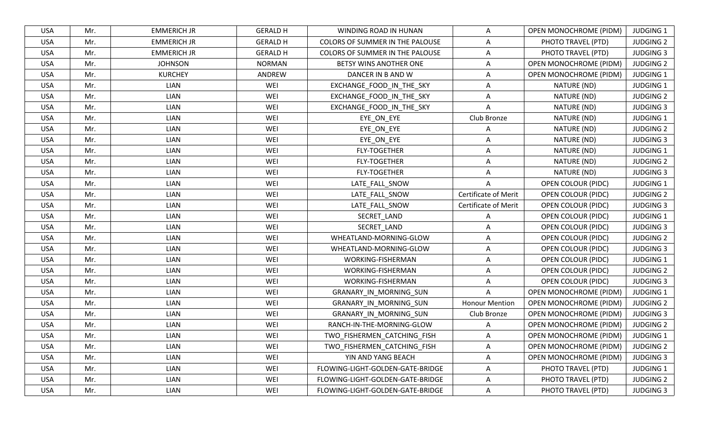| <b>USA</b> | Mr. | <b>EMMERICH JR</b> | <b>GERALD H</b> | WINDING ROAD IN HUNAN            | A                           | <b>OPEN MONOCHROME (PIDM)</b> | <b>JUDGING 1</b> |
|------------|-----|--------------------|-----------------|----------------------------------|-----------------------------|-------------------------------|------------------|
| <b>USA</b> | Mr. | <b>EMMERICH JR</b> | <b>GERALD H</b> | COLORS OF SUMMER IN THE PALOUSE  | A                           | PHOTO TRAVEL (PTD)            | <b>JUDGING 2</b> |
| <b>USA</b> | Mr. | <b>EMMERICH JR</b> | <b>GERALD H</b> | COLORS OF SUMMER IN THE PALOUSE  | A                           | PHOTO TRAVEL (PTD)            | <b>JUDGING 3</b> |
| <b>USA</b> | Mr. | <b>JOHNSON</b>     | <b>NORMAN</b>   | BETSY WINS ANOTHER ONE           | A                           | OPEN MONOCHROME (PIDM)        | <b>JUDGING 2</b> |
| <b>USA</b> | Mr. | <b>KURCHEY</b>     | ANDREW          | DANCER IN B AND W                | A                           | <b>OPEN MONOCHROME (PIDM)</b> | <b>JUDGING 1</b> |
| <b>USA</b> | Mr. | <b>LIAN</b>        | WEI             | EXCHANGE_FOOD_IN_THE_SKY         | A                           | NATURE (ND)                   | <b>JUDGING 1</b> |
| <b>USA</b> | Mr. | <b>LIAN</b>        | WEI             | EXCHANGE_FOOD_IN_THE_SKY         | A                           | NATURE (ND)                   | <b>JUDGING 2</b> |
| <b>USA</b> | Mr. | <b>LIAN</b>        | WEI             | EXCHANGE_FOOD_IN_THE_SKY         | A                           | NATURE (ND)                   | <b>JUDGING 3</b> |
| <b>USA</b> | Mr. | <b>LIAN</b>        | WEI             | EYE_ON_EYE                       | Club Bronze                 | NATURE (ND)                   | <b>JUDGING 1</b> |
| <b>USA</b> | Mr. | <b>LIAN</b>        | WEI             | EYE_ON_EYE                       | $\overline{A}$              | NATURE (ND)                   | <b>JUDGING 2</b> |
| <b>USA</b> | Mr. | <b>LIAN</b>        | WEI             | EYE_ON_EYE                       | A                           | NATURE (ND)                   | <b>JUDGING 3</b> |
| <b>USA</b> | Mr. | <b>LIAN</b>        | WEI             | <b>FLY-TOGETHER</b>              | A                           | NATURE (ND)                   | <b>JUDGING 1</b> |
| <b>USA</b> | Mr. | <b>LIAN</b>        | WEI             | <b>FLY-TOGETHER</b>              | A                           | NATURE (ND)                   | <b>JUDGING 2</b> |
| <b>USA</b> | Mr. | <b>LIAN</b>        | WEI             | <b>FLY-TOGETHER</b>              | A                           | NATURE (ND)                   | <b>JUDGING 3</b> |
| <b>USA</b> | Mr. | <b>LIAN</b>        | WEI             | LATE FALL SNOW                   | A                           | <b>OPEN COLOUR (PIDC)</b>     | <b>JUDGING 1</b> |
| <b>USA</b> | Mr. | <b>LIAN</b>        | WEI             | LATE_FALL_SNOW                   | Certificate of Merit        | <b>OPEN COLOUR (PIDC)</b>     | <b>JUDGING 2</b> |
| <b>USA</b> | Mr. | <b>LIAN</b>        | WEI             | LATE_FALL_SNOW                   | <b>Certificate of Merit</b> | <b>OPEN COLOUR (PIDC)</b>     | <b>JUDGING 3</b> |
| <b>USA</b> | Mr. | <b>LIAN</b>        | WEI             | SECRET LAND                      | A                           | <b>OPEN COLOUR (PIDC)</b>     | <b>JUDGING 1</b> |
| <b>USA</b> | Mr. | <b>LIAN</b>        | WEI             | SECRET_LAND                      | A                           | <b>OPEN COLOUR (PIDC)</b>     | <b>JUDGING 3</b> |
| <b>USA</b> | Mr. | <b>LIAN</b>        | WEI             | WHEATLAND-MORNING-GLOW           | A                           | <b>OPEN COLOUR (PIDC)</b>     | <b>JUDGING 2</b> |
| <b>USA</b> | Mr. | <b>LIAN</b>        | WEI             | WHEATLAND-MORNING-GLOW           | A                           | OPEN COLOUR (PIDC)            | <b>JUDGING 3</b> |
| <b>USA</b> | Mr. | <b>LIAN</b>        | WEI             | WORKING-FISHERMAN                | A                           | OPEN COLOUR (PIDC)            | <b>JUDGING 1</b> |
| <b>USA</b> | Mr. | <b>LIAN</b>        | WEI             | WORKING-FISHERMAN                | A                           | <b>OPEN COLOUR (PIDC)</b>     | <b>JUDGING 2</b> |
| <b>USA</b> | Mr. | <b>LIAN</b>        | WEI             | <b>WORKING-FISHERMAN</b>         | $\overline{A}$              | <b>OPEN COLOUR (PIDC)</b>     | <b>JUDGING 3</b> |
| <b>USA</b> | Mr. | <b>LIAN</b>        | WEI             | GRANARY IN MORNING SUN           | A                           | OPEN MONOCHROME (PIDM)        | <b>JUDGING 1</b> |
| <b>USA</b> | Mr. | <b>LIAN</b>        | WEI             | GRANARY IN MORNING SUN           | <b>Honour Mention</b>       | <b>OPEN MONOCHROME (PIDM)</b> | <b>JUDGING 2</b> |
| <b>USA</b> | Mr. | <b>LIAN</b>        | WEI             | GRANARY IN MORNING SUN           | Club Bronze                 | OPEN MONOCHROME (PIDM)        | <b>JUDGING 3</b> |
| <b>USA</b> | Mr. | <b>LIAN</b>        | WEI             | RANCH-IN-THE-MORNING-GLOW        | A                           | <b>OPEN MONOCHROME (PIDM)</b> | <b>JUDGING 2</b> |
| <b>USA</b> | Mr. | <b>LIAN</b>        | WEI             | TWO FISHERMEN CATCHING FISH      | A                           | <b>OPEN MONOCHROME (PIDM)</b> | <b>JUDGING 1</b> |
| <b>USA</b> | Mr. | <b>LIAN</b>        | WEI             | TWO_FISHERMEN_CATCHING_FISH      | A                           | <b>OPEN MONOCHROME (PIDM)</b> | <b>JUDGING 2</b> |
| <b>USA</b> | Mr. | <b>LIAN</b>        | WEI             | YIN AND YANG BEACH               | A                           | <b>OPEN MONOCHROME (PIDM)</b> | <b>JUDGING 3</b> |
| <b>USA</b> | Mr. | LIAN               | WEI             | FLOWING-LIGHT-GOLDEN-GATE-BRIDGE | A                           | PHOTO TRAVEL (PTD)            | <b>JUDGING 1</b> |
| USA        | Mr. | LIAN               | WEI             | FLOWING-LIGHT-GOLDEN-GATE-BRIDGE | A                           | PHOTO TRAVEL (PTD)            | <b>JUDGING 2</b> |
| USA        | Mr. | LIAN               | WEI             | FLOWING-LIGHT-GOLDEN-GATE-BRIDGE | A                           | PHOTO TRAVEL (PTD)            | <b>JUDGING 3</b> |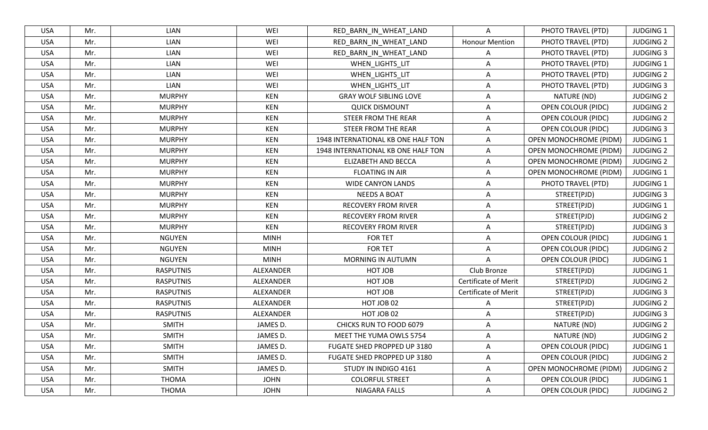| <b>USA</b> | Mr. | <b>LIAN</b>      | WEI         | RED_BARN_IN_WHEAT_LAND             | $\mathsf{A}$                | PHOTO TRAVEL (PTD)            | <b>JUDGING 1</b> |
|------------|-----|------------------|-------------|------------------------------------|-----------------------------|-------------------------------|------------------|
| <b>USA</b> | Mr. | <b>LIAN</b>      | WEI         | RED BARN IN WHEAT LAND             | <b>Honour Mention</b>       | PHOTO TRAVEL (PTD)            | <b>JUDGING 2</b> |
| <b>USA</b> | Mr. | <b>LIAN</b>      | WEI         | RED BARN IN WHEAT LAND             | A                           | PHOTO TRAVEL (PTD)            | <b>JUDGING 3</b> |
| <b>USA</b> | Mr. | <b>LIAN</b>      | WEI         | WHEN_LIGHTS_LIT                    | $\mathsf{A}$                | PHOTO TRAVEL (PTD)            | <b>JUDGING 1</b> |
| <b>USA</b> | Mr. | <b>LIAN</b>      | WEI         | WHEN_LIGHTS_LIT                    | Α                           | PHOTO TRAVEL (PTD)            | <b>JUDGING 2</b> |
| <b>USA</b> | Mr. | <b>LIAN</b>      | WEI         | WHEN_LIGHTS_LIT                    | A                           | PHOTO TRAVEL (PTD)            | <b>JUDGING 3</b> |
| <b>USA</b> | Mr. | <b>MURPHY</b>    | <b>KEN</b>  | <b>GRAY WOLF SIBLING LOVE</b>      | A                           | NATURE (ND)                   | <b>JUDGING 2</b> |
| <b>USA</b> | Mr. | <b>MURPHY</b>    | KEN         | <b>QUICK DISMOUNT</b>              | A                           | <b>OPEN COLOUR (PIDC)</b>     | <b>JUDGING 2</b> |
| <b>USA</b> | Mr. | <b>MURPHY</b>    | <b>KEN</b>  | <b>STEER FROM THE REAR</b>         | A                           | OPEN COLOUR (PIDC)            | <b>JUDGING 2</b> |
| <b>USA</b> | Mr. | <b>MURPHY</b>    | <b>KEN</b>  | STEER FROM THE REAR                | Α                           | OPEN COLOUR (PIDC)            | <b>JUDGING 3</b> |
| <b>USA</b> | Mr. | <b>MURPHY</b>    | <b>KEN</b>  | 1948 INTERNATIONAL KB ONE HALF TON | A                           | OPEN MONOCHROME (PIDM)        | <b>JUDGING 1</b> |
| <b>USA</b> | Mr. | <b>MURPHY</b>    | <b>KEN</b>  | 1948 INTERNATIONAL KB ONE HALF TON | $\mathsf{A}$                | <b>OPEN MONOCHROME (PIDM)</b> | <b>JUDGING 2</b> |
| <b>USA</b> | Mr. | <b>MURPHY</b>    | <b>KEN</b>  | ELIZABETH AND BECCA                | $\mathsf{A}$                | <b>OPEN MONOCHROME (PIDM)</b> | <b>JUDGING 2</b> |
| <b>USA</b> | Mr. | <b>MURPHY</b>    | <b>KEN</b>  | <b>FLOATING IN AIR</b>             | A                           | OPEN MONOCHROME (PIDM)        | <b>JUDGING 1</b> |
| <b>USA</b> | Mr. | <b>MURPHY</b>    | <b>KEN</b>  | <b>WIDE CANYON LANDS</b>           | A                           | PHOTO TRAVEL (PTD)            | <b>JUDGING 1</b> |
| <b>USA</b> | Mr. | <b>MURPHY</b>    | <b>KEN</b>  | <b>NEEDS A BOAT</b>                | A                           | STREET(PJD)                   | <b>JUDGING 3</b> |
| <b>USA</b> | Mr. | <b>MURPHY</b>    | <b>KEN</b>  | <b>RECOVERY FROM RIVER</b>         | A                           | STREET(PJD)                   | <b>JUDGING 1</b> |
| <b>USA</b> | Mr. | <b>MURPHY</b>    | <b>KEN</b>  | <b>RECOVERY FROM RIVER</b>         | A                           | STREET(PJD)                   | <b>JUDGING 2</b> |
| <b>USA</b> | Mr. | <b>MURPHY</b>    | <b>KEN</b>  | <b>RECOVERY FROM RIVER</b>         | $\mathsf{A}$                | STREET(PJD)                   | <b>JUDGING 3</b> |
| <b>USA</b> | Mr. | <b>NGUYEN</b>    | <b>MINH</b> | <b>FOR TET</b>                     | A                           | <b>OPEN COLOUR (PIDC)</b>     | <b>JUDGING 1</b> |
| <b>USA</b> | Mr. | <b>NGUYEN</b>    | <b>MINH</b> | <b>FOR TET</b>                     | A                           | OPEN COLOUR (PIDC)            | <b>JUDGING 2</b> |
| <b>USA</b> | Mr. | <b>NGUYEN</b>    | <b>MINH</b> | <b>MORNING IN AUTUMN</b>           | A                           | OPEN COLOUR (PIDC)            | <b>JUDGING 1</b> |
| <b>USA</b> | Mr. | <b>RASPUTNIS</b> | ALEXANDER   | HOT JOB                            | Club Bronze                 | STREET(PJD)                   | <b>JUDGING 1</b> |
| <b>USA</b> | Mr. | <b>RASPUTNIS</b> | ALEXANDER   | HOT JOB                            | <b>Certificate of Merit</b> | STREET(PJD)                   | <b>JUDGING 2</b> |
| <b>USA</b> | Mr. | <b>RASPUTNIS</b> | ALEXANDER   | HOT JOB                            | <b>Certificate of Merit</b> | STREET(PJD)                   | <b>JUDGING 3</b> |
| <b>USA</b> | Mr. | <b>RASPUTNIS</b> | ALEXANDER   | HOT JOB 02                         | A                           | STREET(PJD)                   | <b>JUDGING 2</b> |
| <b>USA</b> | Mr. | <b>RASPUTNIS</b> | ALEXANDER   | HOT JOB 02                         | A                           | STREET(PJD)                   | <b>JUDGING 3</b> |
| <b>USA</b> | Mr. | <b>SMITH</b>     | JAMES D.    | CHICKS RUN TO FOOD 6079            | A                           | NATURE (ND)                   | <b>JUDGING 2</b> |
| <b>USA</b> | Mr. | <b>SMITH</b>     | JAMES D.    | MEET THE YUMA OWLS 5754            | A                           | NATURE (ND)                   | <b>JUDGING 2</b> |
| <b>USA</b> | Mr. | <b>SMITH</b>     | JAMES D.    | FUGATE SHED PROPPED UP 3180        | A                           | <b>OPEN COLOUR (PIDC)</b>     | JUDGING 1        |
| <b>USA</b> | Mr. | <b>SMITH</b>     | JAMES D.    | FUGATE SHED PROPPED UP 3180        | A                           | <b>OPEN COLOUR (PIDC)</b>     | <b>JUDGING 2</b> |
| <b>USA</b> | Mr. | <b>SMITH</b>     | JAMES D.    | STUDY IN INDIGO 4161               | A                           | <b>OPEN MONOCHROME (PIDM)</b> | <b>JUDGING 2</b> |
| <b>USA</b> | Mr. | <b>THOMA</b>     | <b>JOHN</b> | <b>COLORFUL STREET</b>             | A                           | OPEN COLOUR (PIDC)            | JUDGING 1        |
| USA        | Mr. | <b>THOMA</b>     | <b>JOHN</b> | NIAGARA FALLS                      | $\mathsf{A}$                | OPEN COLOUR (PIDC)            | <b>JUDGING 2</b> |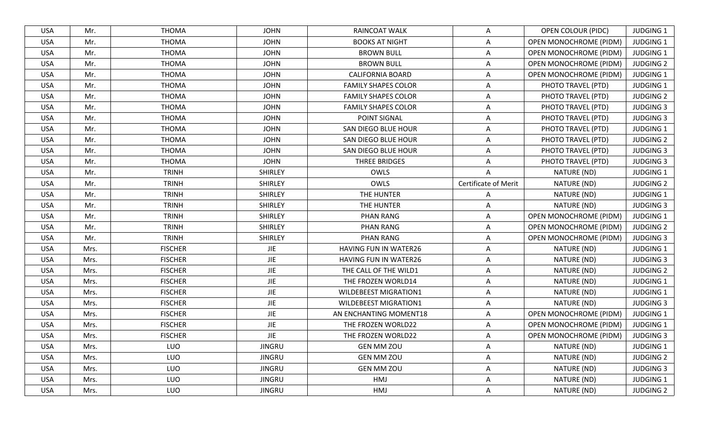| <b>USA</b> | Mr.  | <b>THOMA</b>   | <b>JOHN</b>    | <b>RAINCOAT WALK</b>         | A                    | OPEN COLOUR (PIDC)            | <b>JUDGING 1</b> |
|------------|------|----------------|----------------|------------------------------|----------------------|-------------------------------|------------------|
| <b>USA</b> | Mr.  | <b>THOMA</b>   | <b>JOHN</b>    | <b>BOOKS AT NIGHT</b>        | Α                    | OPEN MONOCHROME (PIDM)        | <b>JUDGING 1</b> |
| <b>USA</b> | Mr.  | <b>THOMA</b>   | <b>JOHN</b>    | <b>BROWN BULL</b>            | A                    | <b>OPEN MONOCHROME (PIDM)</b> | <b>JUDGING 1</b> |
| <b>USA</b> | Mr.  | <b>THOMA</b>   | <b>JOHN</b>    | <b>BROWN BULL</b>            | Α                    | <b>OPEN MONOCHROME (PIDM)</b> | <b>JUDGING 2</b> |
| <b>USA</b> | Mr.  | <b>THOMA</b>   | <b>JOHN</b>    | <b>CALIFORNIA BOARD</b>      | A                    | <b>OPEN MONOCHROME (PIDM)</b> | <b>JUDGING 1</b> |
| <b>USA</b> | Mr.  | <b>THOMA</b>   | <b>JOHN</b>    | <b>FAMILY SHAPES COLOR</b>   | A                    | PHOTO TRAVEL (PTD)            | <b>JUDGING 1</b> |
| <b>USA</b> | Mr.  | <b>THOMA</b>   | <b>JOHN</b>    | <b>FAMILY SHAPES COLOR</b>   | Α                    | PHOTO TRAVEL (PTD)            | <b>JUDGING 2</b> |
| <b>USA</b> | Mr.  | <b>THOMA</b>   | <b>JOHN</b>    | <b>FAMILY SHAPES COLOR</b>   | A                    | PHOTO TRAVEL (PTD)            | <b>JUDGING 3</b> |
| <b>USA</b> | Mr.  | <b>THOMA</b>   | <b>JOHN</b>    | POINT SIGNAL                 | Α                    | PHOTO TRAVEL (PTD)            | <b>JUDGING 3</b> |
| <b>USA</b> | Mr.  | <b>THOMA</b>   | <b>JOHN</b>    | SAN DIEGO BLUE HOUR          | $\overline{A}$       | PHOTO TRAVEL (PTD)            | <b>JUDGING 1</b> |
| <b>USA</b> | Mr.  | <b>THOMA</b>   | <b>JOHN</b>    | SAN DIEGO BLUE HOUR          | A                    | PHOTO TRAVEL (PTD)            | <b>JUDGING 2</b> |
| <b>USA</b> | Mr.  | <b>THOMA</b>   | <b>JOHN</b>    | SAN DIEGO BLUE HOUR          | A                    | PHOTO TRAVEL (PTD)            | <b>JUDGING 3</b> |
| <b>USA</b> | Mr.  | <b>THOMA</b>   | <b>JOHN</b>    | THREE BRIDGES                | A                    | PHOTO TRAVEL (PTD)            | <b>JUDGING 3</b> |
| <b>USA</b> | Mr.  | <b>TRINH</b>   | <b>SHIRLEY</b> | OWLS                         | A                    | NATURE (ND)                   | <b>JUDGING 1</b> |
| <b>USA</b> | Mr.  | <b>TRINH</b>   | <b>SHIRLEY</b> | OWLS                         | Certificate of Merit | NATURE (ND)                   | <b>JUDGING 2</b> |
| <b>USA</b> | Mr.  | <b>TRINH</b>   | <b>SHIRLEY</b> | THE HUNTER                   | A                    | NATURE (ND)                   | <b>JUDGING 1</b> |
| <b>USA</b> | Mr.  | <b>TRINH</b>   | <b>SHIRLEY</b> | THE HUNTER                   | $\overline{A}$       | NATURE (ND)                   | <b>JUDGING 3</b> |
| <b>USA</b> | Mr.  | <b>TRINH</b>   | <b>SHIRLEY</b> | <b>PHAN RANG</b>             | A                    | OPEN MONOCHROME (PIDM)        | <b>JUDGING 1</b> |
| <b>USA</b> | Mr.  | <b>TRINH</b>   | <b>SHIRLEY</b> | <b>PHAN RANG</b>             | A                    | OPEN MONOCHROME (PIDM)        | <b>JUDGING 2</b> |
| <b>USA</b> | Mr.  | <b>TRINH</b>   | <b>SHIRLEY</b> | <b>PHAN RANG</b>             | A                    | OPEN MONOCHROME (PIDM)        | <b>JUDGING 3</b> |
| <b>USA</b> | Mrs. | <b>FISCHER</b> | <b>JIE</b>     | HAVING FUN IN WATER26        | A                    | NATURE (ND)                   | <b>JUDGING 1</b> |
| <b>USA</b> | Mrs. | <b>FISCHER</b> | <b>JIE</b>     | HAVING FUN IN WATER26        | Α                    | NATURE (ND)                   | <b>JUDGING 3</b> |
| <b>USA</b> | Mrs. | <b>FISCHER</b> | <b>JIE</b>     | THE CALL OF THE WILD1        | Α                    | NATURE (ND)                   | <b>JUDGING 2</b> |
| <b>USA</b> | Mrs. | <b>FISCHER</b> | <b>JIE</b>     | THE FROZEN WORLD14           | A                    | NATURE (ND)                   | <b>JUDGING 1</b> |
| <b>USA</b> | Mrs. | <b>FISCHER</b> | JIE            | <b>WILDEBEEST MIGRATION1</b> | Α                    | NATURE (ND)                   | <b>JUDGING 1</b> |
| <b>USA</b> | Mrs. | <b>FISCHER</b> | JIE            | <b>WILDEBEEST MIGRATION1</b> | Α                    | NATURE (ND)                   | <b>JUDGING 3</b> |
| <b>USA</b> | Mrs. | <b>FISCHER</b> | <b>JIE</b>     | AN ENCHANTING MOMENT18       | A                    | <b>OPEN MONOCHROME (PIDM)</b> | <b>JUDGING 1</b> |
| <b>USA</b> | Mrs. | <b>FISCHER</b> | <b>JIE</b>     | THE FROZEN WORLD22           | Α                    | OPEN MONOCHROME (PIDM)        | <b>JUDGING 1</b> |
| <b>USA</b> | Mrs. | <b>FISCHER</b> | <b>JIE</b>     | THE FROZEN WORLD22           | A                    | <b>OPEN MONOCHROME (PIDM)</b> | <b>JUDGING 3</b> |
| <b>USA</b> | Mrs. | <b>LUO</b>     | <b>JINGRU</b>  | <b>GEN MM ZOU</b>            | Α                    | NATURE (ND)                   | <b>JUDGING 1</b> |
| <b>USA</b> | Mrs. | <b>LUO</b>     | <b>JINGRU</b>  | <b>GEN MM ZOU</b>            | A                    | NATURE (ND)                   | <b>JUDGING 2</b> |
| USA        | Mrs. | <b>LUO</b>     | <b>JINGRU</b>  | <b>GEN MM ZOU</b>            | A                    | NATURE (ND)                   | <b>JUDGING 3</b> |
| <b>USA</b> | Mrs. | LUO            | <b>JINGRU</b>  | HMJ                          | A                    | NATURE (ND)                   | <b>JUDGING 1</b> |
| <b>USA</b> | Mrs. | <b>LUO</b>     | <b>JINGRU</b>  | HMJ                          | A                    | NATURE (ND)                   | <b>JUDGING 2</b> |
|            |      |                |                |                              |                      |                               |                  |